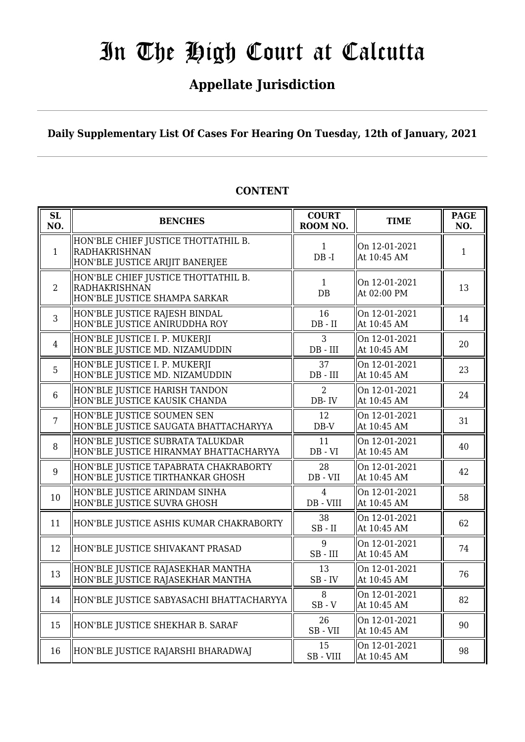# **Appellate Jurisdiction**

**Daily Supplementary List Of Cases For Hearing On Tuesday, 12th of January, 2021**

| SL<br>NO.      | <b>BENCHES</b>                                                                          | <b>COURT</b><br>ROOM NO. | <b>TIME</b>                  | <b>PAGE</b><br>NO. |
|----------------|-----------------------------------------------------------------------------------------|--------------------------|------------------------------|--------------------|
| $\mathbf{1}$   | HON'BLE CHIEF JUSTICE THOTTATHIL B.<br>RADHAKRISHNAN<br>HON'BLE JUSTICE ARIJIT BANERJEE | $\mathbf{1}$<br>$DB - I$ | On 12-01-2021<br>At 10:45 AM | $\mathbf{1}$       |
| 2              | HON'BLE CHIEF JUSTICE THOTTATHIL B.<br>RADHAKRISHNAN<br>HON'BLE JUSTICE SHAMPA SARKAR   | $\mathbf{1}$<br>DB       | On 12-01-2021<br>At 02:00 PM | 13                 |
| $\overline{3}$ | HON'BLE JUSTICE RAJESH BINDAL<br>HON'BLE JUSTICE ANIRUDDHA ROY                          | 16<br>$DB - II$          | On 12-01-2021<br>At 10:45 AM | 14                 |
| $\overline{4}$ | HON'BLE JUSTICE I. P. MUKERJI<br>HON'BLE JUSTICE MD. NIZAMUDDIN                         | 3<br>$DB$ - $III$        | On 12-01-2021<br>At 10:45 AM | 20                 |
| 5              | HON'BLE JUSTICE I. P. MUKERJI<br>HON'BLE JUSTICE MD. NIZAMUDDIN                         | 37<br>$DB$ - $III$       | On 12-01-2021<br>At 10:45 AM | 23                 |
| $6\phantom{1}$ | HON'BLE JUSTICE HARISH TANDON<br>HON'BLE JUSTICE KAUSIK CHANDA                          | $\overline{2}$<br>DB-IV  | On 12-01-2021<br>At 10:45 AM | 24                 |
| $\overline{7}$ | HON'BLE JUSTICE SOUMEN SEN<br>HON'BLE JUSTICE SAUGATA BHATTACHARYYA                     | 12<br>$\rm DB\text{-}V$  | On 12-01-2021<br>At 10:45 AM | 31                 |
| 8              | HON'BLE JUSTICE SUBRATA TALUKDAR<br>HON'BLE JUSTICE HIRANMAY BHATTACHARYYA              | 11<br>$DB - VI$          | On 12-01-2021<br>At 10:45 AM | 40                 |
| 9              | HON'BLE JUSTICE TAPABRATA CHAKRABORTY<br>HON'BLE JUSTICE TIRTHANKAR GHOSH               | 28<br>$DB - VII$         | On 12-01-2021<br>At 10:45 AM | 42                 |
| 10             | HON'BLE JUSTICE ARINDAM SINHA<br>HON'BLE JUSTICE SUVRA GHOSH                            | 4<br>DB - VIII           | On 12-01-2021<br>At 10:45 AM | 58                 |
| 11             | HON'BLE JUSTICE ASHIS KUMAR CHAKRABORTY                                                 | 38<br>$SB$ - $II$        | On 12-01-2021<br>At 10:45 AM | 62                 |
| 12             | HON'BLE JUSTICE SHIVAKANT PRASAD                                                        | 9<br>$SB$ - $III$        | On 12-01-2021<br>At 10:45 AM | 74                 |
| 13             | HON'BLE JUSTICE RAJASEKHAR MANTHA<br>HON'BLE JUSTICE RAJASEKHAR MANTHA                  | 13<br>$SB$ - $IV$        | On 12-01-2021<br>At 10:45 AM | 76                 |
| 14             | HON'BLE JUSTICE SABYASACHI BHATTACHARYYA                                                | 8<br>$SB - V$            | On 12-01-2021<br>At 10:45 AM | 82                 |
| 15             | HON'BLE JUSTICE SHEKHAR B. SARAF                                                        | 26<br>SB-VII             | On 12-01-2021<br>At 10:45 AM | 90                 |
| 16             | HON'BLE JUSTICE RAJARSHI BHARADWAJ                                                      | 15<br>SB-VIII            | On 12-01-2021<br>At 10:45 AM | 98                 |

## **CONTENT**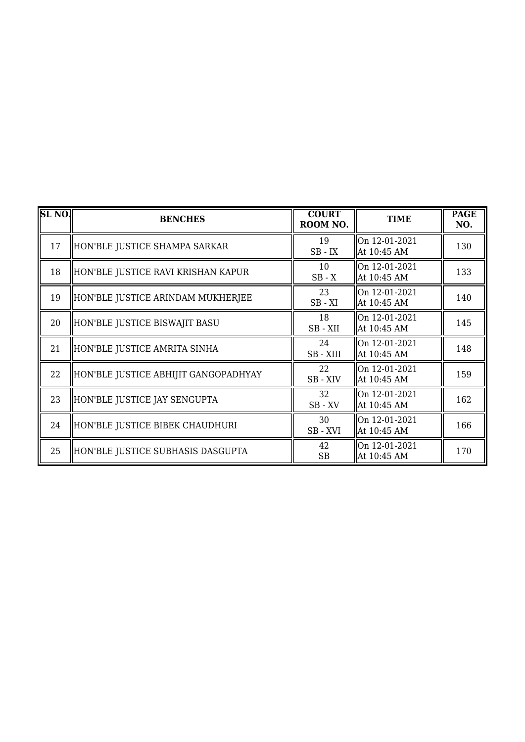| <b>SL NO.</b> | <b>BENCHES</b>                       | <b>COURT</b><br>ROOM NO. | <b>TIME</b>                  | <b>PAGE</b><br>NO. |
|---------------|--------------------------------------|--------------------------|------------------------------|--------------------|
| 17            | HON'BLE JUSTICE SHAMPA SARKAR        | 19<br>$SB$ - $IX$        | On 12-01-2021<br>At 10:45 AM | 130                |
| 18            | HON'BLE JUSTICE RAVI KRISHAN KAPUR   | 10<br>$SB - X$           | On 12-01-2021<br>At 10:45 AM | 133                |
| 19            | HON'BLE JUSTICE ARINDAM MUKHERJEE    | 23<br>$SB - XI$          | On 12-01-2021<br>At 10:45 AM | 140                |
| 20            | HON'BLE JUSTICE BISWAJIT BASU        | 18<br>SB-XII             | On 12-01-2021<br>At 10:45 AM | 145                |
| 21            | HON'BLE JUSTICE AMRITA SINHA         | 24<br>SB-XIII            | On 12-01-2021<br>At 10:45 AM | 148                |
| 22            | HON'BLE JUSTICE ABHIJIT GANGOPADHYAY | 22<br>SB-XIV             | On 12-01-2021<br>At 10:45 AM | 159                |
| 23            | HON'BLE JUSTICE JAY SENGUPTA         | 32<br>$SB$ - $XV$        | On 12-01-2021<br>At 10:45 AM | 162                |
| 24            | HON'BLE JUSTICE BIBEK CHAUDHURI      | 30<br>SB-XVI             | On 12-01-2021<br>At 10:45 AM | 166                |
| 25            | HON'BLE JUSTICE SUBHASIS DASGUPTA    | 42<br><b>SB</b>          | On 12-01-2021<br>At 10:45 AM | 170                |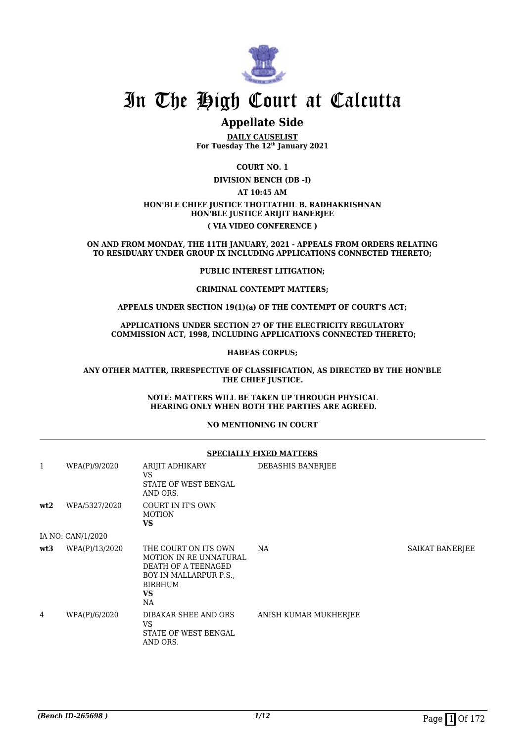

## **Appellate Side**

**DAILY CAUSELIST For Tuesday The 12th January 2021**

**COURT NO. 1**

**DIVISION BENCH (DB -I)**

**AT 10:45 AM**

#### **HON'BLE CHIEF JUSTICE THOTTATHIL B. RADHAKRISHNAN HON'BLE JUSTICE ARIJIT BANERJEE ( VIA VIDEO CONFERENCE )**

**ON AND FROM MONDAY, THE 11TH JANUARY, 2021 - APPEALS FROM ORDERS RELATING TO RESIDUARY UNDER GROUP IX INCLUDING APPLICATIONS CONNECTED THERETO;**

#### **PUBLIC INTEREST LITIGATION;**

#### **CRIMINAL CONTEMPT MATTERS;**

#### **APPEALS UNDER SECTION 19(1)(a) OF THE CONTEMPT OF COURT'S ACT;**

#### **APPLICATIONS UNDER SECTION 27 OF THE ELECTRICITY REGULATORY COMMISSION ACT, 1998, INCLUDING APPLICATIONS CONNECTED THERETO;**

#### **HABEAS CORPUS;**

#### **ANY OTHER MATTER, IRRESPECTIVE OF CLASSIFICATION, AS DIRECTED BY THE HON'BLE THE CHIEF JUSTICE.**

#### **NOTE: MATTERS WILL BE TAKEN UP THROUGH PHYSICAL HEARING ONLY WHEN BOTH THE PARTIES ARE AGREED.**

#### **NO MENTIONING IN COURT**

|              | <b>SPECIALLY FIXED MATTERS</b> |                                                                                                                                            |                       |                 |  |
|--------------|--------------------------------|--------------------------------------------------------------------------------------------------------------------------------------------|-----------------------|-----------------|--|
| $\mathbf{1}$ | WPA(P)/9/2020                  | ARIJIT ADHIKARY<br>VS<br>STATE OF WEST BENGAL<br>AND ORS.                                                                                  | DEBASHIS BANERJEE     |                 |  |
| wt2          | WPA/5327/2020                  | <b>COURT IN IT'S OWN</b><br><b>MOTION</b><br>VS.                                                                                           |                       |                 |  |
|              | IA NO: CAN/1/2020              |                                                                                                                                            |                       |                 |  |
| wt3          | WPA(P)/13/2020                 | THE COURT ON ITS OWN<br><b>MOTION IN RE UNNATURAL</b><br>DEATH OF A TEENAGED<br>BOY IN MALLARPUR P.S.<br><b>BIRBHUM</b><br><b>VS</b><br>NA | NA                    | SAIKAT BANERJEE |  |
| 4            | WPA(P)/6/2020                  | DIBAKAR SHEE AND ORS<br>VS.<br>STATE OF WEST BENGAL<br>AND ORS.                                                                            | ANISH KUMAR MUKHERJEE |                 |  |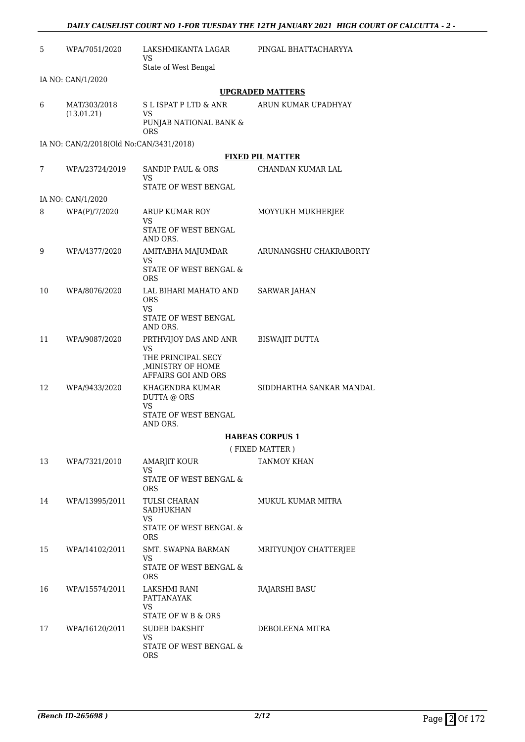| 5  | WPA/7051/2020                           | LAKSHMIKANTA LAGAR<br>VS                                        | PINGAL BHATTACHARYYA     |
|----|-----------------------------------------|-----------------------------------------------------------------|--------------------------|
|    |                                         | State of West Bengal                                            |                          |
|    | IA NO: CAN/1/2020                       |                                                                 | <b>UPGRADED MATTERS</b>  |
| 6  | MAT/303/2018                            | S L ISPAT P LTD & ANR                                           | ARUN KUMAR UPADHYAY      |
|    | (13.01.21)                              | <b>VS</b><br>PUNJAB NATIONAL BANK &                             |                          |
|    | IA NO: CAN/2/2018(Old No:CAN/3431/2018) | ORS                                                             |                          |
|    |                                         |                                                                 | <b>FIXED PIL MATTER</b>  |
| 7  | WPA/23724/2019                          | SANDIP PAUL & ORS<br>VS                                         | CHANDAN KUMAR LAL        |
|    |                                         | STATE OF WEST BENGAL                                            |                          |
|    | IA NO: CAN/1/2020                       |                                                                 |                          |
| 8  | WPA(P)/7/2020                           | ARUP KUMAR ROY<br>VS<br>STATE OF WEST BENGAL                    | MOYYUKH MUKHERJEE        |
|    |                                         | AND ORS.                                                        |                          |
| 9  | WPA/4377/2020                           | AMITABHA MAJUMDAR<br>VS                                         | ARUNANGSHU CHAKRABORTY   |
|    |                                         | STATE OF WEST BENGAL &<br><b>ORS</b>                            |                          |
| 10 | WPA/8076/2020                           | LAL BIHARI MAHATO AND<br><b>ORS</b><br><b>VS</b>                | <b>SARWAR JAHAN</b>      |
|    |                                         | STATE OF WEST BENGAL<br>AND ORS.                                |                          |
| 11 | WPA/9087/2020                           | PRTHVIJOY DAS AND ANR<br><b>VS</b>                              | <b>BISWAJIT DUTTA</b>    |
|    |                                         | THE PRINCIPAL SECY<br>, MINISTRY OF HOME<br>AFFAIRS GOI AND ORS |                          |
| 12 | WPA/9433/2020                           | KHAGENDRA KUMAR<br>DUTTA @ ORS<br><b>VS</b>                     | SIDDHARTHA SANKAR MANDAL |
|    |                                         | STATE OF WEST BENGAL<br>AND ORS.                                |                          |
|    |                                         |                                                                 | <b>HABEAS CORPUS 1</b>   |
|    |                                         |                                                                 | (FIXED MATTER)           |
| 13 | WPA/7321/2010                           | AMARJIT KOUR<br>VS                                              | <b>TANMOY KHAN</b>       |
|    |                                         | STATE OF WEST BENGAL &<br><b>ORS</b>                            |                          |
| 14 | WPA/13995/2011                          | TULSI CHARAN<br><b>SADHUKHAN</b><br><b>VS</b>                   | <b>MUKUL KUMAR MITRA</b> |
|    |                                         | STATE OF WEST BENGAL &<br><b>ORS</b>                            |                          |
| 15 | WPA/14102/2011                          | SMT. SWAPNA BARMAN<br><b>VS</b>                                 | MRITYUNJOY CHATTERJEE    |
|    |                                         | STATE OF WEST BENGAL &<br><b>ORS</b>                            |                          |
| 16 | WPA/15574/2011                          | LAKSHMI RANI<br>PATTANAYAK<br><b>VS</b>                         | RAJARSHI BASU            |
|    |                                         | STATE OF W B & ORS                                              |                          |
| 17 | WPA/16120/2011                          | <b>SUDEB DAKSHIT</b><br>VS                                      | DEBOLEENA MITRA          |
|    |                                         | STATE OF WEST BENGAL &<br><b>ORS</b>                            |                          |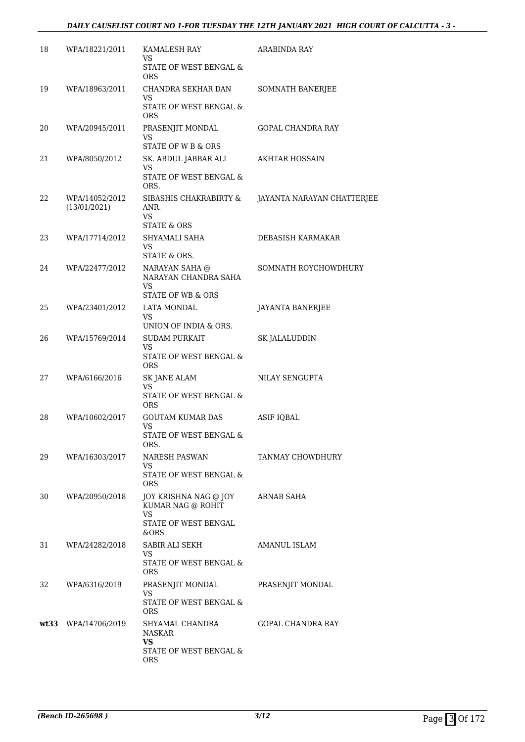### *DAILY CAUSELIST COURT NO 1-FOR TUESDAY THE 12TH JANUARY 2021 HIGH COURT OF CALCUTTA - 3 -*

| 18 | WPA/18221/2011                 | KAMALESH RAY<br>VS<br>STATE OF WEST BENGAL &                                                 | <b>ARABINDA RAY</b>        |
|----|--------------------------------|----------------------------------------------------------------------------------------------|----------------------------|
| 19 | WPA/18963/2011                 | <b>ORS</b><br>CHANDRA SEKHAR DAN<br>VS.<br>STATE OF WEST BENGAL &                            | SOMNATH BANERJEE           |
| 20 | WPA/20945/2011                 | ORS<br>PRASENJIT MONDAL<br>VS<br>STATE OF W B & ORS                                          | GOPAL CHANDRA RAY          |
| 21 | WPA/8050/2012                  | SK. ABDUL JABBAR ALI<br>VS<br>STATE OF WEST BENGAL &<br>ORS.                                 | <b>AKHTAR HOSSAIN</b>      |
| 22 | WPA/14052/2012<br>(13/01/2021) | SIBASHIS CHAKRABIRTY &<br>ANR.<br>VS<br><b>STATE &amp; ORS</b>                               | JAYANTA NARAYAN CHATTERJEE |
| 23 | WPA/17714/2012                 | SHYAMALI SAHA<br>VS.<br>STATE & ORS.                                                         | DEBASISH KARMAKAR          |
| 24 | WPA/22477/2012                 | NARAYAN SAHA @<br>NARAYAN CHANDRA SAHA<br>VS                                                 | SOMNATH ROYCHOWDHURY       |
| 25 | WPA/23401/2012                 | STATE OF WB & ORS<br><b>LATA MONDAL</b><br>VS<br>UNION OF INDIA & ORS.                       | JAYANTA BANERJEE           |
| 26 | WPA/15769/2014                 | <b>SUDAM PURKAIT</b><br><b>VS</b><br>STATE OF WEST BENGAL &<br>ORS                           | SK JALALUDDIN              |
| 27 | WPA/6166/2016                  | <b>SK JANE ALAM</b><br>VS<br>STATE OF WEST BENGAL &<br>ORS                                   | NILAY SENGUPTA             |
| 28 | WPA/10602/2017                 | <b>GOUTAM KUMAR DAS</b><br>VS<br>STATE OF WEST BENGAL &                                      | <b>ASIF IQBAL</b>          |
| 29 | WPA/16303/2017                 | ORS.<br>NARESH PASWAN<br>VS<br>STATE OF WEST BENGAL &<br>ORS                                 | TANMAY CHOWDHURY           |
| 30 | WPA/20950/2018                 | JOY KRISHNA NAG @ JOY<br>KUMAR NAG @ ROHIT<br><b>VS</b><br>STATE OF WEST BENGAL<br>&ORS      | ARNAB SAHA                 |
| 31 | WPA/24282/2018                 | SABIR ALI SEKH<br>VS<br>STATE OF WEST BENGAL &<br><b>ORS</b>                                 | <b>AMANUL ISLAM</b>        |
| 32 | WPA/6316/2019                  | PRASENJIT MONDAL<br>VS.<br>STATE OF WEST BENGAL &                                            | PRASENJIT MONDAL           |
|    | wt33 WPA/14706/2019            | ORS<br>SHYAMAL CHANDRA<br><b>NASKAR</b><br><b>VS</b><br>STATE OF WEST BENGAL &<br><b>ORS</b> | <b>GOPAL CHANDRA RAY</b>   |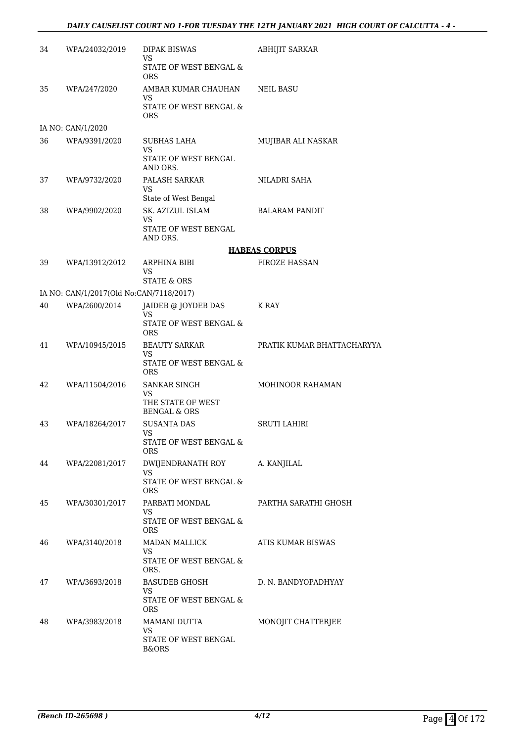### *DAILY CAUSELIST COURT NO 1-FOR TUESDAY THE 12TH JANUARY 2021 HIGH COURT OF CALCUTTA - 4 -*

| 34 | WPA/24032/2019                          | <b>DIPAK BISWAS</b><br>VS                        | <b>ABHIJIT SARKAR</b>      |
|----|-----------------------------------------|--------------------------------------------------|----------------------------|
|    |                                         | STATE OF WEST BENGAL &<br><b>ORS</b>             |                            |
| 35 | WPA/247/2020                            | AMBAR KUMAR CHAUHAN<br>VS                        | NEIL BASU                  |
|    |                                         | STATE OF WEST BENGAL &<br><b>ORS</b>             |                            |
|    | IA NO: CAN/1/2020                       |                                                  |                            |
| 36 | WPA/9391/2020                           | <b>SUBHAS LAHA</b><br>VS<br>STATE OF WEST BENGAL | MUJIBAR ALI NASKAR         |
| 37 | WPA/9732/2020                           | AND ORS.<br>PALASH SARKAR                        | NILADRI SAHA               |
|    |                                         | VS                                               |                            |
|    |                                         | State of West Bengal                             |                            |
| 38 | WPA/9902/2020                           | SK. AZIZUL ISLAM<br>VS                           | <b>BALARAM PANDIT</b>      |
|    |                                         | STATE OF WEST BENGAL<br>AND ORS.                 |                            |
|    |                                         |                                                  | <b>HABEAS CORPUS</b>       |
| 39 | WPA/13912/2012                          | ARPHINA BIBI<br>VS.                              | <b>FIROZE HASSAN</b>       |
|    |                                         | STATE & ORS                                      |                            |
|    | IA NO: CAN/1/2017(Old No:CAN/7118/2017) |                                                  |                            |
| 40 | WPA/2600/2014                           | JAIDEB @ JOYDEB DAS<br>VS                        | K RAY                      |
|    |                                         | STATE OF WEST BENGAL &<br><b>ORS</b>             |                            |
| 41 | WPA/10945/2015                          | BEAUTY SARKAR<br>VS                              | PRATIK KUMAR BHATTACHARYYA |
|    |                                         | STATE OF WEST BENGAL &<br><b>ORS</b>             |                            |
| 42 | WPA/11504/2016                          | SANKAR SINGH<br>VS.                              | <b>MOHINOOR RAHAMAN</b>    |
|    |                                         | THE STATE OF WEST<br><b>BENGAL &amp; ORS</b>     |                            |
| 43 | WPA/18264/2017                          | <b>SUSANTA DAS</b><br>VS                         | <b>SRUTI LAHIRI</b>        |
|    |                                         | STATE OF WEST BENGAL &<br>ORS.                   |                            |
| 44 | WPA/22081/2017                          | DWIJENDRANATH ROY                                | A. KANJILAL                |
|    |                                         | VS.<br>STATE OF WEST BENGAL &<br>ORS             |                            |
| 45 | WPA/30301/2017                          | PARBATI MONDAL<br>VS                             | PARTHA SARATHI GHOSH       |
|    |                                         | STATE OF WEST BENGAL &<br>ORS.                   |                            |
| 46 | WPA/3140/2018                           | MADAN MALLICK<br>VS.                             | ATIS KUMAR BISWAS          |
|    |                                         | STATE OF WEST BENGAL &<br>ORS.                   |                            |
| 47 | WPA/3693/2018                           | BASUDEB GHOSH<br>VS.                             | D. N. BANDYOPADHYAY        |
|    |                                         | STATE OF WEST BENGAL &<br>ORS.                   |                            |
| 48 | WPA/3983/2018                           | MAMANI DUTTA<br>VS                               | MONOJIT CHATTERJEE         |
|    |                                         | STATE OF WEST BENGAL<br><b>B&amp;ORS</b>         |                            |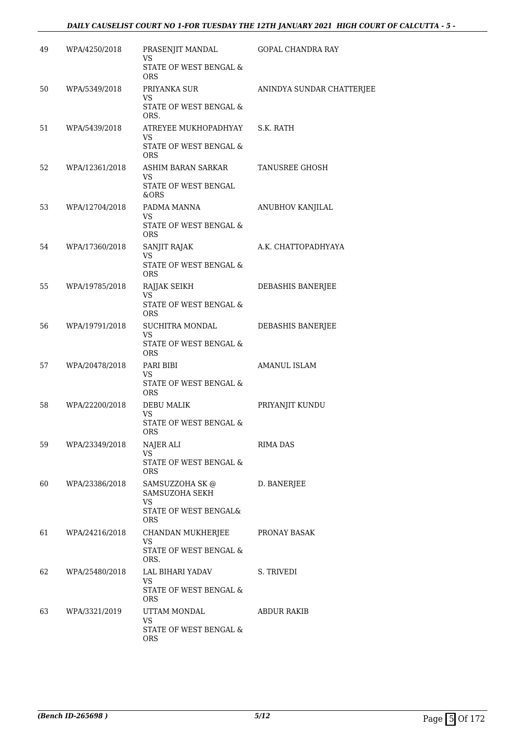### *DAILY CAUSELIST COURT NO 1-FOR TUESDAY THE 12TH JANUARY 2021 HIGH COURT OF CALCUTTA - 5 -*

| 49 | WPA/4250/2018  | PRASENJIT MANDAL                                                               | GOPAL CHANDRA RAY         |
|----|----------------|--------------------------------------------------------------------------------|---------------------------|
|    |                | VS<br>STATE OF WEST BENGAL &<br><b>ORS</b>                                     |                           |
| 50 | WPA/5349/2018  | PRIYANKA SUR<br>VS<br>STATE OF WEST BENGAL &<br>ORS.                           | ANINDYA SUNDAR CHATTERJEE |
| 51 | WPA/5439/2018  | ATREYEE MUKHOPADHYAY<br>VS<br>STATE OF WEST BENGAL &<br><b>ORS</b>             | S.K. RATH                 |
| 52 | WPA/12361/2018 | ASHIM BARAN SARKAR<br>VS<br>STATE OF WEST BENGAL<br>&ORS                       | <b>TANUSREE GHOSH</b>     |
| 53 | WPA/12704/2018 | PADMA MANNA<br>VS<br>STATE OF WEST BENGAL &<br><b>ORS</b>                      | ANUBHOV KANJILAL          |
| 54 | WPA/17360/2018 | SANJIT RAJAK<br>VS<br><b>STATE OF WEST BENGAL &amp;</b><br><b>ORS</b>          | A.K. CHATTOPADHYAYA       |
| 55 | WPA/19785/2018 | RAJJAK SEIKH<br>VS.<br>STATE OF WEST BENGAL &<br><b>ORS</b>                    | DEBASHIS BANERJEE         |
| 56 | WPA/19791/2018 | SUCHITRA MONDAL<br>VS<br>STATE OF WEST BENGAL &<br>ORS                         | DEBASHIS BANERJEE         |
| 57 | WPA/20478/2018 | PARI BIBI<br>VS<br>STATE OF WEST BENGAL &<br><b>ORS</b>                        | AMANUL ISLAM              |
| 58 | WPA/22200/2018 | DEBU MALIK<br>VS.<br>STATE OF WEST BENGAL &<br><b>ORS</b>                      | PRIYANJIT KUNDU           |
| 59 | WPA/23349/2018 | NAJER ALI<br><b>VS</b><br>STATE OF WEST BENGAL &<br><b>ORS</b>                 | RIMA DAS                  |
| 60 | WPA/23386/2018 | SAMSUZZOHA SK @<br>SAMSUZOHA SEKH<br>VS<br>STATE OF WEST BENGAL&<br><b>ORS</b> | D. BANERJEE               |
| 61 | WPA/24216/2018 | CHANDAN MUKHERJEE<br>VS<br>STATE OF WEST BENGAL &<br>ORS.                      | PRONAY BASAK              |
| 62 | WPA/25480/2018 | LAL BIHARI YADAV<br>VS<br>STATE OF WEST BENGAL &<br>ORS                        | S. TRIVEDI                |
| 63 | WPA/3321/2019  | UTTAM MONDAL<br>VS<br>STATE OF WEST BENGAL &<br><b>ORS</b>                     | ABDUR RAKIB               |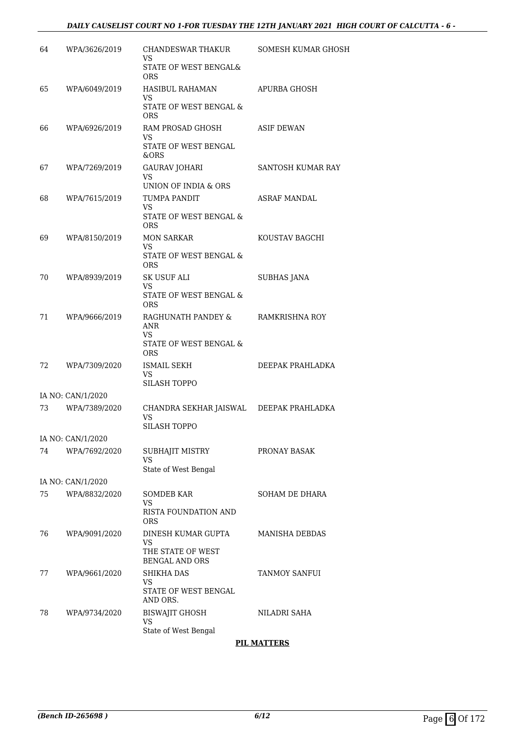### *DAILY CAUSELIST COURT NO 1-FOR TUESDAY THE 12TH JANUARY 2021 HIGH COURT OF CALCUTTA - 6 -*

| 64 | WPA/3626/2019     | CHANDESWAR THAKUR<br>VS<br>STATE OF WEST BENGAL&                       | SOMESH KUMAR GHOSH    |
|----|-------------------|------------------------------------------------------------------------|-----------------------|
|    |                   | <b>ORS</b>                                                             |                       |
| 65 | WPA/6049/2019     | HASIBUL RAHAMAN<br>VS<br>STATE OF WEST BENGAL &                        | APURBA GHOSH          |
| 66 | WPA/6926/2019     | <b>ORS</b><br>RAM PROSAD GHOSH                                         | <b>ASIF DEWAN</b>     |
|    |                   | VS<br><b>STATE OF WEST BENGAL</b><br>&ORS                              |                       |
| 67 | WPA/7269/2019     | <b>GAURAV JOHARI</b><br><b>VS</b>                                      | SANTOSH KUMAR RAY     |
| 68 | WPA/7615/2019     | UNION OF INDIA & ORS<br>TUMPA PANDIT<br>VS.                            | <b>ASRAF MANDAL</b>   |
|    |                   | STATE OF WEST BENGAL &<br><b>ORS</b>                                   |                       |
| 69 | WPA/8150/2019     | <b>MON SARKAR</b><br>VS                                                | KOUSTAV BAGCHI        |
|    |                   | STATE OF WEST BENGAL &<br>ORS.                                         |                       |
| 70 | WPA/8939/2019     | SK USUF ALI<br>VS                                                      | <b>SUBHAS JANA</b>    |
|    |                   | STATE OF WEST BENGAL &<br>ORS.                                         |                       |
| 71 | WPA/9666/2019     | RAGHUNATH PANDEY &<br>ANR<br>VS                                        | RAMKRISHNA ROY        |
|    |                   | STATE OF WEST BENGAL &<br><b>ORS</b>                                   |                       |
| 72 | WPA/7309/2020     | ISMAIL SEKH<br>VS<br>SILASH TOPPO                                      | DEEPAK PRAHLADKA      |
|    | IA NO: CAN/1/2020 |                                                                        |                       |
| 73 | WPA/7389/2020     | CHANDRA SEKHAR JAISWAL DEEPAK PRAHLADKA<br>VS<br>SILASH TOPPO          |                       |
|    | IA NO: CAN/1/2020 |                                                                        |                       |
| 74 | WPA/7692/2020     | SUBHAJIT MISTRY<br><b>VS</b>                                           | PRONAY BASAK          |
|    | IA NO: CAN/1/2020 | State of West Bengal                                                   |                       |
| 75 | WPA/8832/2020     | <b>SOMDEB KAR</b>                                                      | SOHAM DE DHARA        |
|    |                   | VS<br><b>RISTA FOUNDATION AND</b><br>ORS                               |                       |
| 76 | WPA/9091/2020     | DINESH KUMAR GUPTA<br>VS<br>THE STATE OF WEST<br><b>BENGAL AND ORS</b> | <b>MANISHA DEBDAS</b> |
| 77 | WPA/9661/2020     | <b>SHIKHA DAS</b><br>VS<br>STATE OF WEST BENGAL                        | TANMOY SANFUI         |
| 78 | WPA/9734/2020     | AND ORS.<br><b>BISWAJIT GHOSH</b><br>VS<br>State of West Bengal        | NILADRI SAHA          |

### **PIL MATTERS**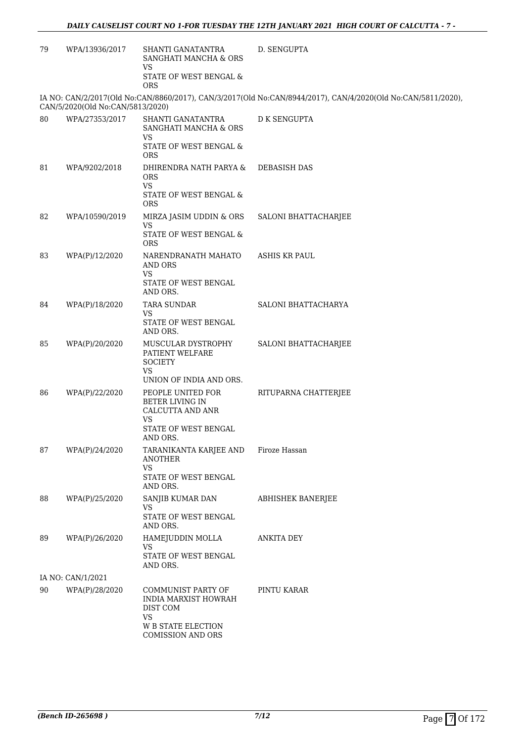| 79 | WPA/13936/2017                   | SHANTI GANATANTRA<br>SANGHATI MANCHA & ORS<br><b>VS</b>                                                               | D. SENGUPTA                                                                                                  |
|----|----------------------------------|-----------------------------------------------------------------------------------------------------------------------|--------------------------------------------------------------------------------------------------------------|
|    |                                  | STATE OF WEST BENGAL &<br><b>ORS</b>                                                                                  |                                                                                                              |
|    | CAN/5/2020(Old No:CAN/5813/2020) |                                                                                                                       | IA NO: CAN/2/2017(Old No:CAN/8860/2017), CAN/3/2017(Old No:CAN/8944/2017), CAN/4/2020(Old No:CAN/5811/2020), |
| 80 | WPA/27353/2017                   | SHANTI GANATANTRA<br>SANGHATI MANCHA & ORS<br>VS<br>STATE OF WEST BENGAL &<br>ORS                                     | <b>D K SENGUPTA</b>                                                                                          |
| 81 | WPA/9202/2018                    | DHIRENDRA NATH PARYA &<br><b>ORS</b><br><b>VS</b><br>STATE OF WEST BENGAL &                                           | <b>DEBASISH DAS</b>                                                                                          |
| 82 | WPA/10590/2019                   | <b>ORS</b><br>MIRZA JASIM UDDIN & ORS<br>VS.<br>STATE OF WEST BENGAL &                                                | SALONI BHATTACHARJEE                                                                                         |
| 83 | WPA(P)/12/2020                   | <b>ORS</b><br>NARENDRANATH MAHATO<br>AND ORS<br><b>VS</b><br>STATE OF WEST BENGAL                                     | <b>ASHIS KR PAUL</b>                                                                                         |
| 84 | WPA(P)/18/2020                   | AND ORS.<br><b>TARA SUNDAR</b>                                                                                        | SALONI BHATTACHARYA                                                                                          |
|    |                                  | VS<br>STATE OF WEST BENGAL<br>AND ORS.                                                                                |                                                                                                              |
| 85 | WPA(P)/20/2020                   | MUSCULAR DYSTROPHY<br>PATIENT WELFARE<br><b>SOCIETY</b><br><b>VS</b><br>UNION OF INDIA AND ORS.                       | SALONI BHATTACHARJEE                                                                                         |
| 86 | WPA(P)/22/2020                   | PEOPLE UNITED FOR<br>BETER LIVING IN<br>CALCUTTA AND ANR<br>VS<br>STATE OF WEST BENGAL<br>AND ORS.                    | RITUPARNA CHATTERJEE                                                                                         |
| 87 | WPA(P)/24/2020                   | TARANIKANTA KARJEE AND<br>ANOTHER<br><b>VS</b><br>STATE OF WEST BENGAL<br>AND ORS.                                    | Firoze Hassan                                                                                                |
| 88 | WPA(P)/25/2020                   | SANJIB KUMAR DAN<br>VS<br>STATE OF WEST BENGAL                                                                        | <b>ABHISHEK BANERJEE</b>                                                                                     |
| 89 | WPA(P)/26/2020                   | AND ORS.<br>HAMEJUDDIN MOLLA<br><b>VS</b><br>STATE OF WEST BENGAL<br>AND ORS.                                         | <b>ANKITA DEY</b>                                                                                            |
|    | IA NO: CAN/1/2021                |                                                                                                                       |                                                                                                              |
| 90 | WPA(P)/28/2020                   | COMMUNIST PARTY OF<br>INDIA MARXIST HOWRAH<br>DIST COM<br><b>VS</b><br><b>W B STATE ELECTION</b><br>COMISSION AND ORS | PINTU KARAR                                                                                                  |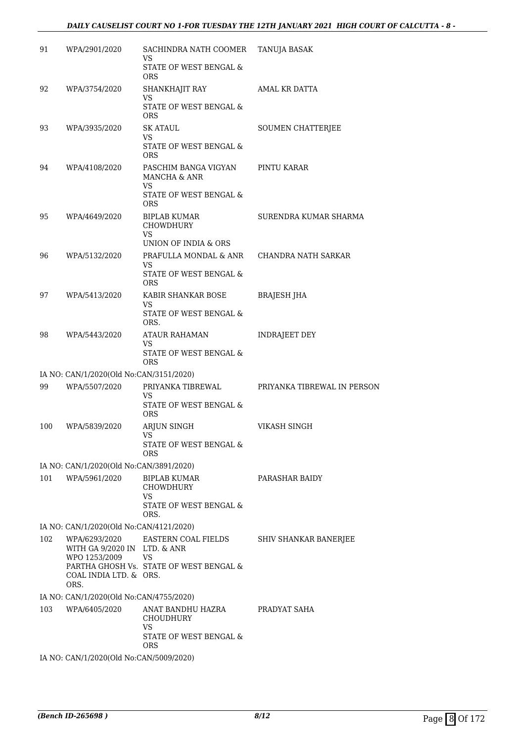### *DAILY CAUSELIST COURT NO 1-FOR TUESDAY THE 12TH JANUARY 2021 HIGH COURT OF CALCUTTA - 8 -*

| 91  | WPA/2901/2020                                                  | SACHINDRA NATH COOMER<br>VS                 | TANUJA BASAK                |
|-----|----------------------------------------------------------------|---------------------------------------------|-----------------------------|
|     |                                                                | STATE OF WEST BENGAL &<br><b>ORS</b>        |                             |
| 92  | WPA/3754/2020                                                  | SHANKHAJIT RAY                              | AMAL KR DATTA               |
|     |                                                                | VS<br>STATE OF WEST BENGAL &<br><b>ORS</b>  |                             |
| 93  | WPA/3935/2020                                                  | <b>SK ATAUL</b><br>VS                       | SOUMEN CHATTERJEE           |
|     |                                                                | STATE OF WEST BENGAL &<br><b>ORS</b>        |                             |
| 94  | WPA/4108/2020                                                  | PASCHIM BANGA VIGYAN<br>MANCHA & ANR        | PINTU KARAR                 |
|     |                                                                | VS.<br>STATE OF WEST BENGAL &<br><b>ORS</b> |                             |
| 95  | WPA/4649/2020                                                  | <b>BIPLAB KUMAR</b><br><b>CHOWDHURY</b>     | SURENDRA KUMAR SHARMA       |
|     |                                                                | <b>VS</b><br>UNION OF INDIA & ORS           |                             |
| 96  | WPA/5132/2020                                                  | PRAFULLA MONDAL & ANR<br>VS.                | CHANDRA NATH SARKAR         |
|     |                                                                | STATE OF WEST BENGAL &<br><b>ORS</b>        |                             |
| 97  | WPA/5413/2020                                                  | KABIR SHANKAR BOSE<br>VS                    | <b>BRAJESH JHA</b>          |
|     |                                                                | STATE OF WEST BENGAL &<br>ORS.              |                             |
| 98  | WPA/5443/2020                                                  | <b>ATAUR RAHAMAN</b><br>VS                  | <b>INDRAJEET DEY</b>        |
|     |                                                                | STATE OF WEST BENGAL &<br><b>ORS</b>        |                             |
|     | IA NO: CAN/1/2020(Old No:CAN/3151/2020)                        |                                             |                             |
| 99  | WPA/5507/2020                                                  | PRIYANKA TIBREWAL                           | PRIYANKA TIBREWAL IN PERSON |
|     |                                                                | VS<br>STATE OF WEST BENGAL &<br><b>ORS</b>  |                             |
| 100 | WPA/5839/2020                                                  | ARJUN SINGH<br>VS                           | VIKASH SINGH                |
|     |                                                                | STATE OF WEST BENGAL &<br>ORS               |                             |
|     | IA NO: CAN/1/2020(Old No:CAN/3891/2020)                        |                                             |                             |
| 101 | WPA/5961/2020                                                  | BIPLAB KUMAR<br><b>CHOWDHURY</b><br>VS      | PARASHAR BAIDY              |
|     |                                                                | STATE OF WEST BENGAL &<br>ORS.              |                             |
|     | IA NO: CAN/1/2020(Old No:CAN/4121/2020)                        |                                             |                             |
| 102 | WPA/6293/2020<br>WITH GA 9/2020 IN LTD. & ANR<br>WPO 1253/2009 | EASTERN COAL FIELDS<br><b>VS</b>            | SHIV SHANKAR BANERJEE       |
|     | COAL INDIA LTD. & ORS.<br>ORS.                                 | PARTHA GHOSH Vs. STATE OF WEST BENGAL &     |                             |
|     | IA NO: CAN/1/2020(Old No:CAN/4755/2020)                        |                                             |                             |
| 103 | WPA/6405/2020                                                  | ANAT BANDHU HAZRA<br>CHOUDHURY<br>VS        | PRADYAT SAHA                |
|     |                                                                | STATE OF WEST BENGAL &<br><b>ORS</b>        |                             |
|     | IA NO: CAN/1/2020(Old No:CAN/5009/2020)                        |                                             |                             |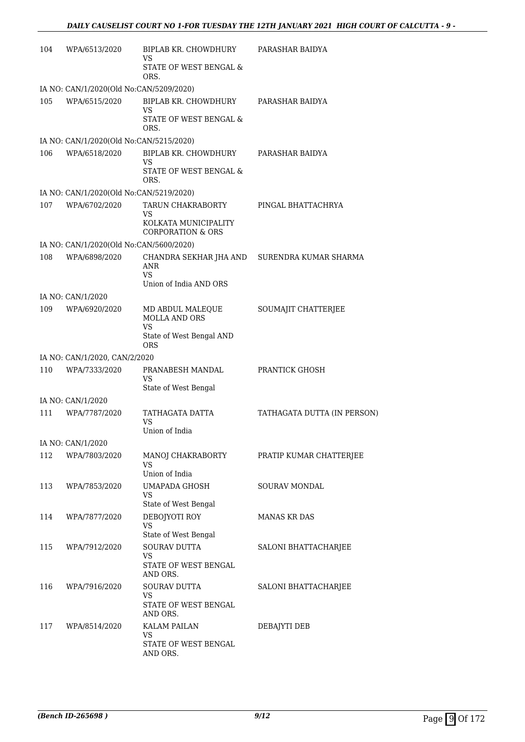| 104 | WPA/6513/2020                           | BIPLAB KR. CHOWDHURY<br>VS                                | PARASHAR BAIDYA             |
|-----|-----------------------------------------|-----------------------------------------------------------|-----------------------------|
|     |                                         | STATE OF WEST BENGAL &<br>ORS.                            |                             |
|     | IA NO: CAN/1/2020(Old No:CAN/5209/2020) |                                                           |                             |
| 105 | WPA/6515/2020                           | BIPLAB KR. CHOWDHURY<br>VS                                | PARASHAR BAIDYA             |
|     |                                         | STATE OF WEST BENGAL &<br>ORS.                            |                             |
|     | IA NO: CAN/1/2020(Old No:CAN/5215/2020) |                                                           |                             |
| 106 | WPA/6518/2020                           | <b>BIPLAB KR. CHOWDHURY</b><br><b>VS</b>                  | PARASHAR BAIDYA             |
|     |                                         | STATE OF WEST BENGAL &<br>ORS.                            |                             |
|     | IA NO: CAN/1/2020(Old No:CAN/5219/2020) |                                                           |                             |
| 107 | WPA/6702/2020                           | TARUN CHAKRABORTY<br>VS                                   | PINGAL BHATTACHRYA          |
|     |                                         | KOLKATA MUNICIPALITY<br><b>CORPORATION &amp; ORS</b>      |                             |
|     | IA NO: CAN/1/2020(Old No:CAN/5600/2020) |                                                           |                             |
| 108 | WPA/6898/2020                           | CHANDRA SEKHAR JHA AND<br>ANR                             | SURENDRA KUMAR SHARMA       |
|     |                                         | <b>VS</b><br>Union of India AND ORS                       |                             |
|     | IA NO: CAN/1/2020                       |                                                           |                             |
| 109 | WPA/6920/2020                           | MD ABDUL MALEQUE<br><b>MOLLA AND ORS</b>                  | SOUMAJIT CHATTERJEE         |
|     |                                         | <b>VS</b><br>State of West Bengal AND<br><b>ORS</b>       |                             |
|     | IA NO: CAN/1/2020, CAN/2/2020           |                                                           |                             |
| 110 | WPA/7333/2020                           | PRANABESH MANDAL<br>VS                                    | PRANTICK GHOSH              |
|     |                                         | State of West Bengal                                      |                             |
|     | IA NO: CAN/1/2020                       |                                                           |                             |
| 111 | WPA/7787/2020                           | TATHAGATA DATTA<br>VS<br>Union of India                   | TATHAGATA DUTTA (IN PERSON) |
|     | IA NO: CAN/1/2020                       |                                                           |                             |
| 112 | WPA/7803/2020                           | MANOJ CHAKRABORTY                                         | PRATIP KUMAR CHATTERJEE     |
|     |                                         | <b>VS</b><br>Union of India                               |                             |
|     |                                         |                                                           |                             |
| 113 | WPA/7853/2020                           | <b>UMAPADA GHOSH</b><br><b>VS</b><br>State of West Bengal | SOURAV MONDAL               |
| 114 | WPA/7877/2020                           | DEBOJYOTI ROY                                             | <b>MANAS KR DAS</b>         |
|     |                                         | <b>VS</b><br>State of West Bengal                         |                             |
| 115 | WPA/7912/2020                           | SOURAV DUTTA                                              | SALONI BHATTACHARJEE        |
|     |                                         | VS<br>STATE OF WEST BENGAL<br>AND ORS.                    |                             |
| 116 | WPA/7916/2020                           | SOURAV DUTTA                                              | SALONI BHATTACHARJEE        |
|     |                                         | VS<br>STATE OF WEST BENGAL<br>AND ORS.                    |                             |
| 117 | WPA/8514/2020                           | KALAM PAILAN                                              | DEBAJYTI DEB                |
|     |                                         | VS<br>STATE OF WEST BENGAL<br>AND ORS.                    |                             |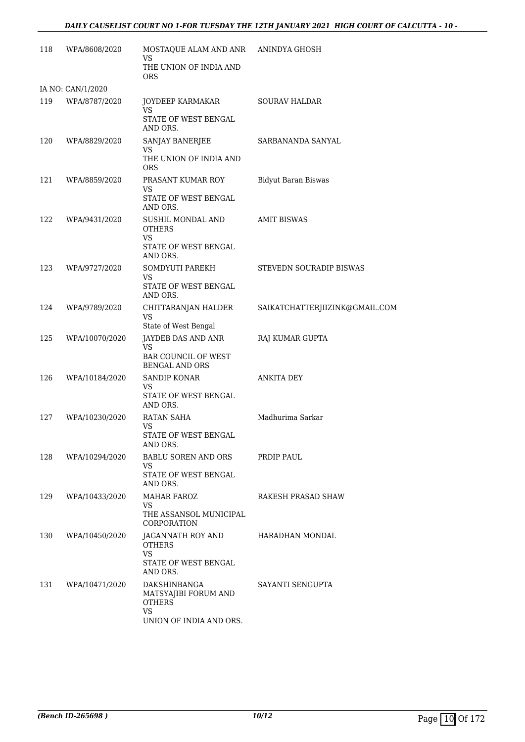### *DAILY CAUSELIST COURT NO 1-FOR TUESDAY THE 12TH JANUARY 2021 HIGH COURT OF CALCUTTA - 10 -*

| 118 | WPA/8608/2020     | MOSTAQUE ALAM AND ANR ANINDYA GHOSH<br><b>VS</b>                                       |                                |
|-----|-------------------|----------------------------------------------------------------------------------------|--------------------------------|
|     |                   | THE UNION OF INDIA AND<br><b>ORS</b>                                                   |                                |
|     | IA NO: CAN/1/2020 |                                                                                        |                                |
| 119 | WPA/8787/2020     | JOYDEEP KARMAKAR<br><b>VS</b><br>STATE OF WEST BENGAL                                  | <b>SOURAV HALDAR</b>           |
|     |                   | AND ORS.                                                                               |                                |
| 120 | WPA/8829/2020     | SANJAY BANERJEE<br>VS                                                                  | SARBANANDA SANYAL              |
|     |                   | THE UNION OF INDIA AND<br><b>ORS</b>                                                   |                                |
| 121 | WPA/8859/2020     | PRASANT KUMAR ROY<br>VS                                                                | <b>Bidyut Baran Biswas</b>     |
|     |                   | STATE OF WEST BENGAL<br>AND ORS.                                                       |                                |
| 122 | WPA/9431/2020     | SUSHIL MONDAL AND<br><b>OTHERS</b><br>VS.                                              | <b>AMIT BISWAS</b>             |
|     |                   | STATE OF WEST BENGAL<br>AND ORS.                                                       |                                |
| 123 | WPA/9727/2020     | SOMDYUTI PAREKH<br>VS.                                                                 | STEVEDN SOURADIP BISWAS        |
|     |                   | STATE OF WEST BENGAL<br>AND ORS.                                                       |                                |
| 124 | WPA/9789/2020     | CHITTARANJAN HALDER<br><b>VS</b>                                                       | SAIKATCHATTERJIIZINK@GMAIL.COM |
| 125 |                   | State of West Bengal                                                                   |                                |
|     | WPA/10070/2020    | JAYDEB DAS AND ANR<br><b>VS</b><br><b>BAR COUNCIL OF WEST</b><br><b>BENGAL AND ORS</b> | RAJ KUMAR GUPTA                |
| 126 | WPA/10184/2020    | SANDIP KONAR                                                                           | <b>ANKITA DEY</b>              |
|     |                   | VS.<br>STATE OF WEST BENGAL<br>AND ORS.                                                |                                |
| 127 | WPA/10230/2020    | RATAN SAHA<br>VS                                                                       | Madhurima Sarkar               |
|     |                   | STATE OF WEST BENGAL<br>AND ORS.                                                       |                                |
| 128 | WPA/10294/2020    | BABLU SOREN AND ORS<br>VS                                                              | PRDIP PAUL                     |
|     |                   | STATE OF WEST BENGAL<br>AND ORS.                                                       |                                |
| 129 | WPA/10433/2020    | MAHAR FAROZ<br><b>VS</b>                                                               | RAKESH PRASAD SHAW             |
|     |                   | THE ASSANSOL MUNICIPAL<br><b>CORPORATION</b>                                           |                                |
| 130 | WPA/10450/2020    | JAGANNATH ROY AND<br><b>OTHERS</b><br><b>VS</b>                                        | HARADHAN MONDAL                |
|     |                   | STATE OF WEST BENGAL<br>AND ORS.                                                       |                                |
| 131 | WPA/10471/2020    | DAKSHINBANGA<br>MATSYAJIBI FORUM AND<br><b>OTHERS</b><br><b>VS</b>                     | SAYANTI SENGUPTA               |
|     |                   | UNION OF INDIA AND ORS.                                                                |                                |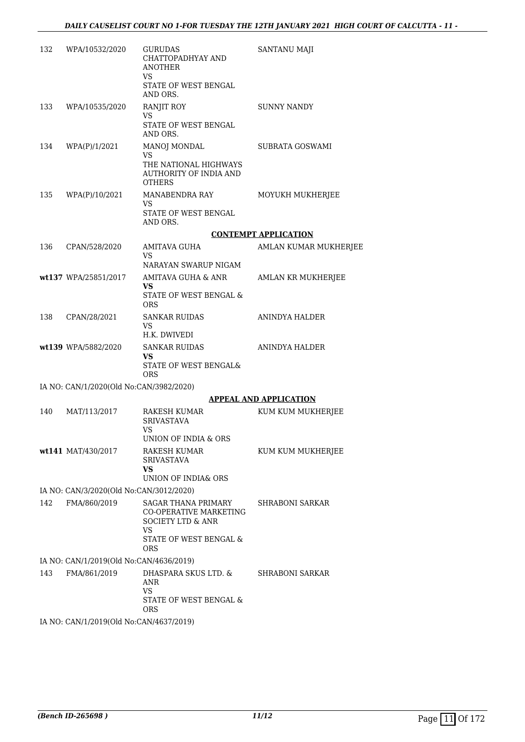| 132 | WPA/10532/2020                          | <b>GURUDAS</b><br>CHATTOPADHYAY AND<br>ANOTHER<br>VS<br>STATE OF WEST BENGAL<br>AND ORS.   | SANTANU MAJI                  |
|-----|-----------------------------------------|--------------------------------------------------------------------------------------------|-------------------------------|
| 133 | WPA/10535/2020                          | <b>RANJIT ROY</b><br>VS<br>STATE OF WEST BENGAL                                            | <b>SUNNY NANDY</b>            |
|     |                                         | AND ORS.                                                                                   |                               |
| 134 | WPA(P)/1/2021                           | MANOJ MONDAL<br>VS<br>THE NATIONAL HIGHWAYS<br>AUTHORITY OF INDIA AND<br><b>OTHERS</b>     | SUBRATA GOSWAMI               |
| 135 | WPA(P)/10/2021                          | MANABENDRA RAY<br><b>VS</b><br>STATE OF WEST BENGAL<br>AND ORS.                            | MOYUKH MUKHERJEE              |
|     |                                         |                                                                                            | <b>CONTEMPT APPLICATION</b>   |
| 136 | CPAN/528/2020                           | AMITAVA GUHA<br>VS                                                                         | AMLAN KUMAR MUKHERJEE         |
|     |                                         | NARAYAN SWARUP NIGAM                                                                       |                               |
|     | wt137 WPA/25851/2017                    | AMITAVA GUHA & ANR<br>VS.<br>STATE OF WEST BENGAL &                                        | AMLAN KR MUKHERJEE            |
|     |                                         | <b>ORS</b>                                                                                 |                               |
|     | 138 CPAN/28/2021                        | SANKAR RUIDAS<br>VS.<br>H.K. DWIVEDI                                                       | ANINDYA HALDER                |
|     | wt139 WPA/5882/2020                     | <b>SANKAR RUIDAS</b><br>VS                                                                 | ANINDYA HALDER                |
|     |                                         | STATE OF WEST BENGAL&<br><b>ORS</b>                                                        |                               |
|     | IA NO: CAN/1/2020(Old No:CAN/3982/2020) |                                                                                            |                               |
|     |                                         |                                                                                            | <b>APPEAL AND APPLICATION</b> |
| 140 | MAT/113/2017                            | RAKESH KUMAR<br><b>SRIVASTAVA</b><br>VS                                                    | KUM KUM MUKHERJEE             |
|     |                                         | UNION OF INDIA & ORS                                                                       |                               |
|     | wt141 MAT/430/2017                      | RAKESH KUMAR<br><b>SRIVASTAVA</b><br>VS.                                                   | KUM KUM MUKHERJEE             |
|     |                                         | UNION OF INDIA& ORS                                                                        |                               |
|     | IA NO: CAN/3/2020(Old No:CAN/3012/2020) |                                                                                            |                               |
| 142 | FMA/860/2019                            | SAGAR THANA PRIMARY<br><b>CO-OPERATIVE MARKETING</b><br><b>SOCIETY LTD &amp; ANR</b><br>VS | <b>SHRABONI SARKAR</b>        |
|     |                                         | STATE OF WEST BENGAL &<br><b>ORS</b>                                                       |                               |
|     | IA NO: CAN/1/2019(Old No:CAN/4636/2019) |                                                                                            |                               |
| 143 | FMA/861/2019                            | DHASPARA SKUS LTD. &<br>ANR<br><b>VS</b>                                                   | <b>SHRABONI SARKAR</b>        |
|     |                                         | STATE OF WEST BENGAL &<br><b>ORS</b>                                                       |                               |
|     | IA NO: CAN/1/2019(Old No:CAN/4637/2019) |                                                                                            |                               |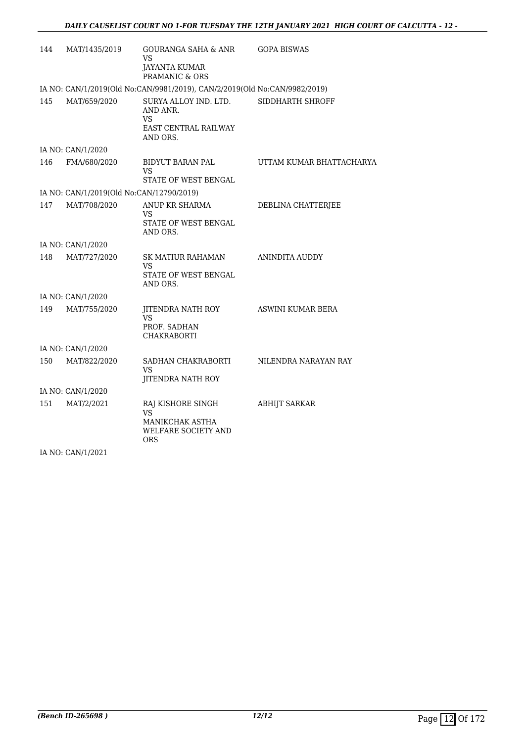| 144 | MAT/1435/2019                            | GOURANGA SAHA & ANR<br>VS<br><b>JAYANTA KUMAR</b><br>PRAMANIC & ORS                    | <b>GOPA BISWAS</b>       |
|-----|------------------------------------------|----------------------------------------------------------------------------------------|--------------------------|
|     |                                          | IA NO: CAN/1/2019(Old No:CAN/9981/2019), CAN/2/2019(Old No:CAN/9982/2019)              |                          |
| 145 | MAT/659/2020                             | SURYA ALLOY IND. LTD.<br>AND ANR.<br>VS.<br>EAST CENTRAL RAILWAY<br>AND ORS.           | SIDDHARTH SHROFF         |
|     | IA NO: CAN/1/2020                        |                                                                                        |                          |
| 146 | FMA/680/2020                             | <b>BIDYUT BARAN PAL</b><br>VS<br>STATE OF WEST BENGAL                                  | UTTAM KUMAR BHATTACHARYA |
|     | IA NO: CAN/1/2019(Old No:CAN/12790/2019) |                                                                                        |                          |
| 147 | MAT/708/2020                             | ANUP KR SHARMA<br>VS.<br>STATE OF WEST BENGAL<br>AND ORS.                              | DEBLINA CHATTERJEE       |
|     | IA NO: CAN/1/2020                        |                                                                                        |                          |
| 148 | MAT/727/2020                             | SK MATIUR RAHAMAN<br>VS<br>STATE OF WEST BENGAL<br>AND ORS.                            | ANINDITA AUDDY           |
|     | IA NO: CAN/1/2020                        |                                                                                        |                          |
| 149 | MAT/755/2020                             | JITENDRA NATH ROY<br>VS<br>PROF. SADHAN<br>CHAKRABORTI                                 | ASWINI KUMAR BERA        |
|     | IA NO: CAN/1/2020                        |                                                                                        |                          |
| 150 | MAT/822/2020                             | SADHAN CHAKRABORTI<br>VS<br><b>JITENDRA NATH ROY</b>                                   | NILENDRA NARAYAN RAY     |
|     | IA NO: CAN/1/2020                        |                                                                                        |                          |
| 151 | MAT/2/2021                               | RAJ KISHORE SINGH<br><b>VS</b><br>MANIKCHAK ASTHA<br>WELFARE SOCIETY AND<br><b>ORS</b> | <b>ABHIJT SARKAR</b>     |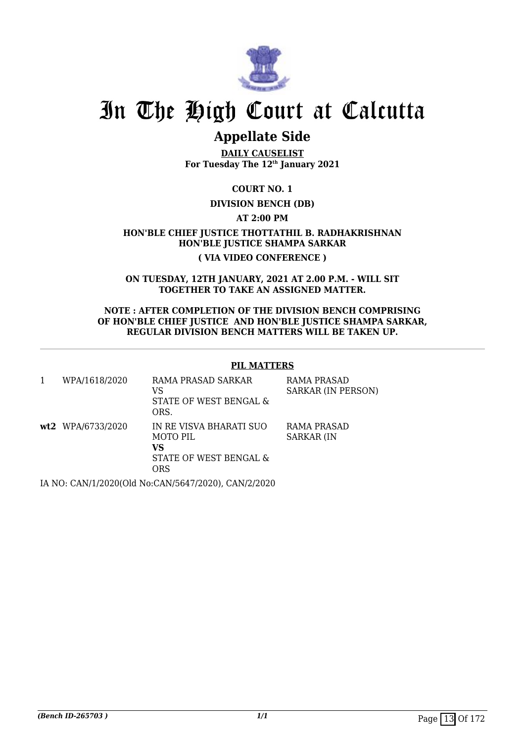

# **Appellate Side**

**DAILY CAUSELIST For Tuesday The 12th January 2021**

**COURT NO. 1**

## **DIVISION BENCH (DB)**

**AT 2:00 PM**

**HON'BLE CHIEF JUSTICE THOTTATHIL B. RADHAKRISHNAN HON'BLE JUSTICE SHAMPA SARKAR ( VIA VIDEO CONFERENCE )**

**ON TUESDAY, 12TH JANUARY, 2021 AT 2.00 P.M. - WILL SIT TOGETHER TO TAKE AN ASSIGNED MATTER.**

**NOTE : AFTER COMPLETION OF THE DIVISION BENCH COMPRISING OF HON'BLE CHIEF JUSTICE AND HON'BLE JUSTICE SHAMPA SARKAR, REGULAR DIVISION BENCH MATTERS WILL BE TAKEN UP.**

## **PIL MATTERS**

| WPA/1618/2020     | RAMA PRASAD SARKAR<br>VS<br>STATE OF WEST BENGAL &<br>ORS.                  | RAMA PRASAD<br><b>SARKAR (IN PERSON)</b> |
|-------------------|-----------------------------------------------------------------------------|------------------------------------------|
| wt2 WPA/6733/2020 | IN RE VISVA BHARATI SUO<br>MOTO PIL<br>vs<br>STATE OF WEST BENGAL &<br>ORS. | RAMA PRASAD<br><b>SARKAR (IN</b>         |
|                   |                                                                             |                                          |

IA NO: CAN/1/2020(Old No:CAN/5647/2020), CAN/2/2020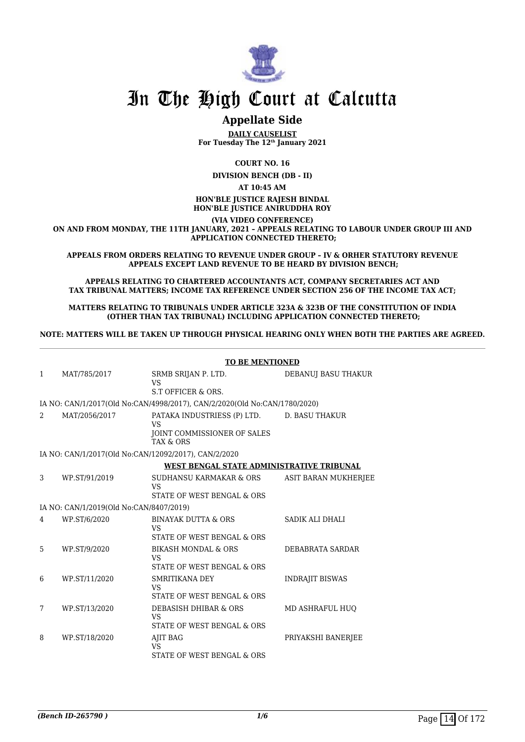

## **Appellate Side**

**DAILY CAUSELIST For Tuesday The 12th January 2021**

**COURT NO. 16**

**DIVISION BENCH (DB - II)**

**AT 10:45 AM**

#### **HON'BLE JUSTICE RAJESH BINDAL HON'BLE JUSTICE ANIRUDDHA ROY**

**(VIA VIDEO CONFERENCE) ON AND FROM MONDAY, THE 11TH JANUARY, 2021 – APPEALS RELATING TO LABOUR UNDER GROUP III AND APPLICATION CONNECTED THERETO;**

**APPEALS FROM ORDERS RELATING TO REVENUE UNDER GROUP – IV & ORHER STATUTORY REVENUE APPEALS EXCEPT LAND REVENUE TO BE HEARD BY DIVISION BENCH;**

**APPEALS RELATING TO CHARTERED ACCOUNTANTS ACT, COMPANY SECRETARIES ACT AND TAX TRIBUNAL MATTERS; INCOME TAX REFERENCE UNDER SECTION 256 OF THE INCOME TAX ACT;**

**MATTERS RELATING TO TRIBUNALS UNDER ARTICLE 323A & 323B OF THE CONSTITUTION OF INDIA (OTHER THAN TAX TRIBUNAL) INCLUDING APPLICATION CONNECTED THERETO;**

**NOTE: MATTERS WILL BE TAKEN UP THROUGH PHYSICAL HEARING ONLY WHEN BOTH THE PARTIES ARE AGREED.**

|   | <b>TO BE MENTIONED</b>                  |                                                                                                 |                        |  |  |
|---|-----------------------------------------|-------------------------------------------------------------------------------------------------|------------------------|--|--|
| 1 | MAT/785/2017                            | SRMB SRIJAN P. LTD.<br><b>VS</b>                                                                | DEBANUJ BASU THAKUR    |  |  |
|   |                                         | S.T OFFICER & ORS.                                                                              |                        |  |  |
|   |                                         | IA NO: CAN/1/2017(Old No:CAN/4998/2017), CAN/2/2020(Old No:CAN/1780/2020)                       |                        |  |  |
| 2 | MAT/2056/2017                           | PATAKA INDUSTRIESS (P) LTD.<br><b>VS</b><br>JOINT COMMISSIONER OF SALES<br><b>TAX &amp; ORS</b> | <b>D. BASU THAKUR</b>  |  |  |
|   |                                         | IA NO: CAN/1/2017(Old No:CAN/12092/2017), CAN/2/2020                                            |                        |  |  |
|   |                                         | WEST BENGAL STATE ADMINISTRATIVE TRIBUNAL                                                       |                        |  |  |
| 3 | WP.ST/91/2019                           | SUDHANSU KARMAKAR & ORS<br><b>VS</b><br>STATE OF WEST BENGAL & ORS                              | ASIT BARAN MUKHERJEE   |  |  |
|   | IA NO: CAN/1/2019(Old No:CAN/8407/2019) |                                                                                                 |                        |  |  |
| 4 | WP.ST/6/2020                            | <b>BINAYAK DUTTA &amp; ORS</b><br><b>VS</b><br>STATE OF WEST BENGAL & ORS                       | SADIK ALI DHALI        |  |  |
| 5 | WP.ST/9/2020                            | <b>BIKASH MONDAL &amp; ORS</b><br><b>VS</b><br>STATE OF WEST BENGAL & ORS                       | DEBABRATA SARDAR       |  |  |
| 6 | WP.ST/11/2020                           | SMRITIKANA DEY<br><b>VS</b><br>STATE OF WEST BENGAL & ORS                                       | <b>INDRAJIT BISWAS</b> |  |  |
| 7 | WP.ST/13/2020                           | DEBASISH DHIBAR & ORS<br><b>VS</b><br>STATE OF WEST BENGAL & ORS                                | MD ASHRAFUL HUO        |  |  |
| 8 | WP.ST/18/2020                           | <b>AJIT BAG</b><br><b>VS</b><br>STATE OF WEST BENGAL & ORS                                      | PRIYAKSHI BANERJEE     |  |  |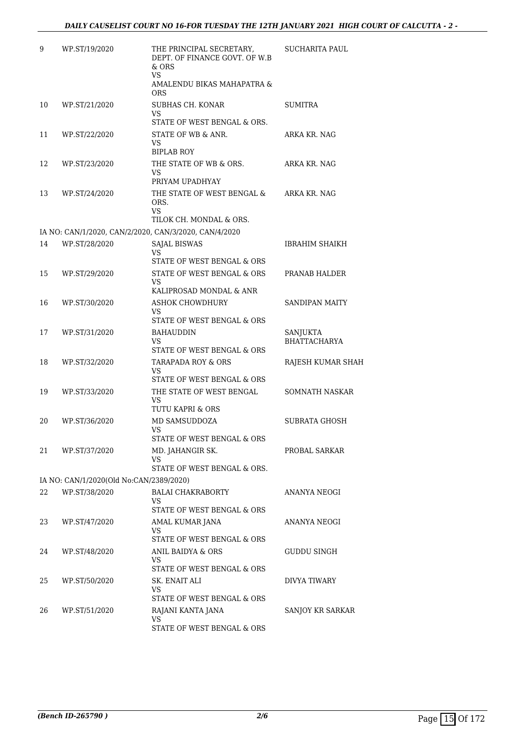| 9  | WP.ST/19/2020                           | THE PRINCIPAL SECRETARY,<br>DEPT. OF FINANCE GOVT. OF W.B.<br>$&$ ORS<br>VS.<br>AMALENDU BIKAS MAHAPATRA &<br>ORS | <b>SUCHARITA PAUL</b>           |
|----|-----------------------------------------|-------------------------------------------------------------------------------------------------------------------|---------------------------------|
| 10 | WP.ST/21/2020                           | SUBHAS CH. KONAR<br>VS.                                                                                           | SUMITRA                         |
| 11 | WP.ST/22/2020                           | STATE OF WEST BENGAL & ORS.<br>STATE OF WB & ANR.<br>VS.<br><b>BIPLAB ROY</b>                                     | ARKA KR. NAG                    |
| 12 | WP.ST/23/2020                           | THE STATE OF WB & ORS.<br>VS<br>PRIYAM UPADHYAY                                                                   | ARKA KR. NAG                    |
| 13 | WP.ST/24/2020                           | THE STATE OF WEST BENGAL &<br>ORS.<br>VS                                                                          | ARKA KR. NAG                    |
|    |                                         | TILOK CH. MONDAL & ORS.                                                                                           |                                 |
| 14 | WP.ST/28/2020                           | IA NO: CAN/1/2020, CAN/2/2020, CAN/3/2020, CAN/4/2020                                                             |                                 |
|    |                                         | <b>SAJAL BISWAS</b><br>VS                                                                                         | IBRAHIM SHAIKH                  |
|    |                                         | STATE OF WEST BENGAL & ORS                                                                                        |                                 |
| 15 | WP.ST/29/2020                           | STATE OF WEST BENGAL & ORS<br>VS.<br>KALIPROSAD MONDAL & ANR                                                      | PRANAB HALDER                   |
| 16 | WP.ST/30/2020                           | <b>ASHOK CHOWDHURY</b>                                                                                            | SANDIPAN MAITY                  |
|    |                                         | <b>VS</b>                                                                                                         |                                 |
|    |                                         | STATE OF WEST BENGAL & ORS                                                                                        |                                 |
| 17 | WP.ST/31/2020                           | <b>BAHAUDDIN</b><br>VS<br>STATE OF WEST BENGAL & ORS                                                              | SANJUKTA<br><b>BHATTACHARYA</b> |
| 18 | WP.ST/32/2020                           | TARAPADA ROY & ORS<br>VS.<br>STATE OF WEST BENGAL & ORS                                                           | RAJESH KUMAR SHAH               |
| 19 | WP.ST/33/2020                           | THE STATE OF WEST BENGAL<br>VS                                                                                    | SOMNATH NASKAR                  |
|    |                                         | TUTU KAPRI & ORS                                                                                                  |                                 |
| 20 | WP.ST/36/2020                           | MD SAMSUDDOZA<br>VS<br>STATE OF WEST BENGAL & ORS                                                                 | <b>SUBRATA GHOSH</b>            |
| 21 | WP.ST/37/2020                           | MD. JAHANGIR SK.<br>VS                                                                                            | PROBAL SARKAR                   |
|    | IA NO: CAN/1/2020(Old No:CAN/2389/2020) | STATE OF WEST BENGAL & ORS.                                                                                       |                                 |
| 22 | WP.ST/38/2020                           | <b>BALAI CHAKRABORTY</b>                                                                                          | ANANYA NEOGI                    |
|    |                                         | VS.<br>STATE OF WEST BENGAL & ORS                                                                                 |                                 |
| 23 | WP.ST/47/2020                           | AMAL KUMAR JANA<br>VS<br>STATE OF WEST BENGAL & ORS                                                               | ANANYA NEOGI                    |
| 24 | WP.ST/48/2020                           | ANIL BAIDYA & ORS<br>VS.                                                                                          | GUDDU SINGH                     |
|    |                                         | STATE OF WEST BENGAL & ORS                                                                                        |                                 |
| 25 | WP.ST/50/2020                           | SK. ENAIT ALI<br>VS<br>STATE OF WEST BENGAL & ORS                                                                 | DIVYA TIWARY                    |
| 26 | WP.ST/51/2020                           | RAJANI KANTA JANA<br>VS<br>STATE OF WEST BENGAL & ORS                                                             | SANJOY KR SARKAR                |
|    |                                         |                                                                                                                   |                                 |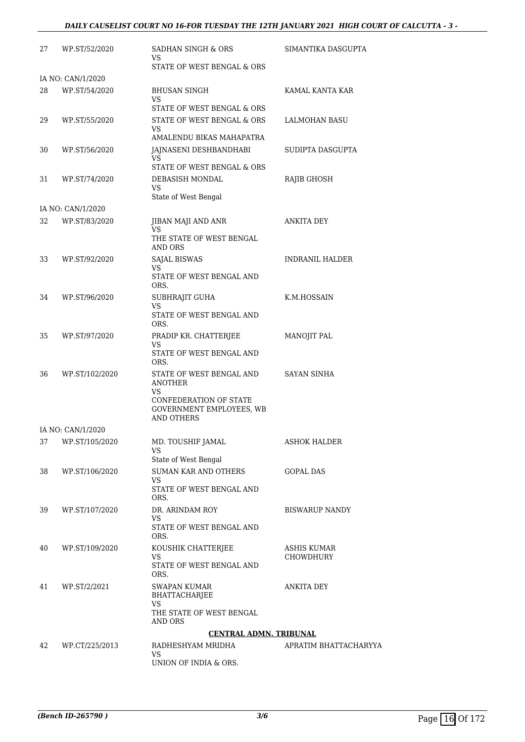| 27 | WP.ST/52/2020     | SADHAN SINGH & ORS<br>VS<br>STATE OF WEST BENGAL & ORS                                                                      | SIMANTIKA DASGUPTA              |
|----|-------------------|-----------------------------------------------------------------------------------------------------------------------------|---------------------------------|
|    | IA NO: CAN/1/2020 |                                                                                                                             |                                 |
| 28 | WP.ST/54/2020     | <b>BHUSAN SINGH</b><br>VS.<br>STATE OF WEST BENGAL & ORS                                                                    | KAMAL KANTA KAR                 |
| 29 | WP.ST/55/2020     | STATE OF WEST BENGAL & ORS<br>VS<br>AMALENDU BIKAS MAHAPATRA                                                                | LALMOHAN BASU                   |
| 30 | WP.ST/56/2020     | JAJNASENI DESHBANDHABI<br>VS.<br>STATE OF WEST BENGAL & ORS                                                                 | SUDIPTA DASGUPTA                |
| 31 | WP.ST/74/2020     | DEBASISH MONDAL<br>VS<br>State of West Bengal                                                                               | RAJIB GHOSH                     |
|    | IA NO: CAN/1/2020 |                                                                                                                             |                                 |
| 32 | WP.ST/83/2020     | JIBAN MAJI AND ANR<br>VS<br>THE STATE OF WEST BENGAL<br>AND ORS                                                             | <b>ANKITA DEY</b>               |
| 33 | WP.ST/92/2020     | <b>SAJAL BISWAS</b><br>VS.<br>STATE OF WEST BENGAL AND<br>ORS.                                                              | INDRANIL HALDER                 |
| 34 | WP.ST/96/2020     | SUBHRAJIT GUHA<br>VS<br>STATE OF WEST BENGAL AND<br>ORS.                                                                    | K.M.HOSSAIN                     |
| 35 | WP.ST/97/2020     | PRADIP KR. CHATTERJEE<br>VS<br>STATE OF WEST BENGAL AND<br>ORS.                                                             | <b>MANOJIT PAL</b>              |
| 36 | WP.ST/102/2020    | STATE OF WEST BENGAL AND<br><b>ANOTHER</b><br>VS<br>CONFEDERATION OF STATE<br>GOVERNMENT EMPLOYEES, WB<br><b>AND OTHERS</b> | SAYAN SINHA                     |
|    | IA NO: CAN/1/2020 |                                                                                                                             |                                 |
| 37 | WP.ST/105/2020    | MD. TOUSHIF JAMAL<br><b>VS</b><br>State of West Bengal                                                                      | ASHOK HALDER                    |
| 38 | WP.ST/106/2020    | <b>SUMAN KAR AND OTHERS</b><br>VS.<br>STATE OF WEST BENGAL AND<br>ORS.                                                      | <b>GOPAL DAS</b>                |
| 39 | WP.ST/107/2020    | DR. ARINDAM ROY<br>VS<br>STATE OF WEST BENGAL AND<br>ORS.                                                                   | <b>BISWARUP NANDY</b>           |
| 40 | WP.ST/109/2020    | KOUSHIK CHATTERJEE<br>VS<br>STATE OF WEST BENGAL AND<br>ORS.                                                                | <b>ASHIS KUMAR</b><br>CHOWDHURY |
| 41 | WP.ST/2/2021      | <b>SWAPAN KUMAR</b><br>BHATTACHARJEE<br>VS                                                                                  | ANKITA DEY                      |
|    |                   | THE STATE OF WEST BENGAL<br>AND ORS                                                                                         |                                 |
|    |                   | <b>CENTRAL ADMN. TRIBUNAL</b>                                                                                               |                                 |
| 42 | WP.CT/225/2013    | RADHESHYAM MRIDHA<br>VS                                                                                                     | APRATIM BHATTACHARYYA           |
|    |                   | UNION OF INDIA & ORS.                                                                                                       |                                 |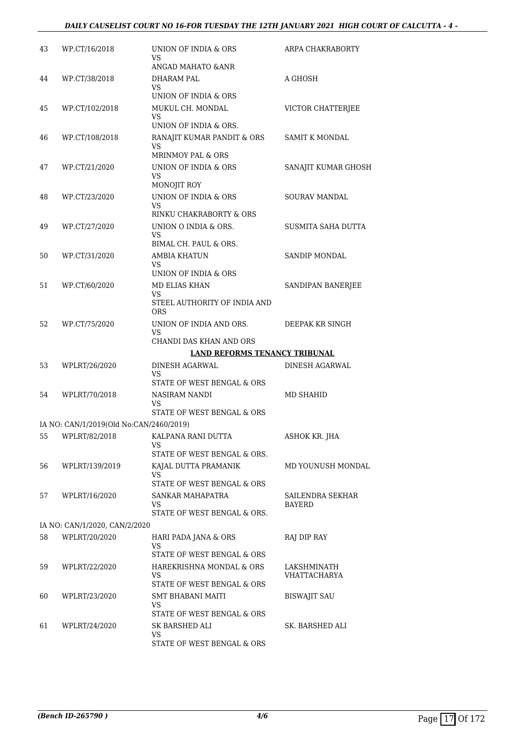| 43 | WP.CT/16/2018                           | UNION OF INDIA & ORS<br>VS                           | ARPA CHAKRABORTY            |
|----|-----------------------------------------|------------------------------------------------------|-----------------------------|
|    |                                         | ANGAD MAHATO & ANR                                   |                             |
| 44 | WP.CT/38/2018                           | DHARAM PAL                                           | A GHOSH                     |
|    |                                         | VS.<br>UNION OF INDIA & ORS                          |                             |
| 45 | WP.CT/102/2018                          | MUKUL CH. MONDAL                                     | VICTOR CHATTERJEE           |
|    |                                         | VS                                                   |                             |
|    |                                         | UNION OF INDIA & ORS.                                |                             |
| 46 | WP.CT/108/2018                          | RANAJIT KUMAR PANDIT & ORS<br>VS                     | <b>SAMIT K MONDAL</b>       |
|    | WP.CT/21/2020                           | <b>MRINMOY PAL &amp; ORS</b><br>UNION OF INDIA & ORS |                             |
| 47 |                                         | VS                                                   | SANAJIT KUMAR GHOSH         |
|    |                                         | MONOJIT ROY                                          |                             |
| 48 | WP.CT/23/2020                           | UNION OF INDIA & ORS<br>VS                           | <b>SOURAV MANDAL</b>        |
|    |                                         | RINKU CHAKRABORTY & ORS                              |                             |
| 49 | WP.CT/27/2020                           | UNION O INDIA & ORS.<br>VS                           | SUSMITA SAHA DUTTA          |
|    |                                         | BIMAL CH. PAUL & ORS.                                |                             |
| 50 | WP.CT/31/2020                           | AMBIA KHATUN<br>VS                                   | <b>SANDIP MONDAL</b>        |
|    |                                         | UNION OF INDIA & ORS                                 |                             |
| 51 | WP.CT/60/2020                           | <b>MD ELIAS KHAN</b>                                 | SANDIPAN BANERJEE           |
|    |                                         | VS<br>STEEL AUTHORITY OF INDIA AND<br><b>ORS</b>     |                             |
| 52 | WP.CT/75/2020                           | UNION OF INDIA AND ORS.                              | DEEPAK KR SINGH             |
|    |                                         | VS<br>CHANDI DAS KHAN AND ORS                        |                             |
|    |                                         | LAND REFORMS TENANCY TRIBUNAL                        |                             |
| 53 | WPLRT/26/2020                           | DINESH AGARWAL                                       | <b>DINESH AGARWAL</b>       |
|    |                                         | VS                                                   |                             |
|    |                                         | STATE OF WEST BENGAL & ORS                           |                             |
| 54 | WPLRT/70/2018                           | NASIRAM NANDI                                        | MD SHAHID                   |
|    |                                         | VS<br>STATE OF WEST BENGAL & ORS                     |                             |
|    | IA NO: CAN/1/2019(Old No:CAN/2460/2019) |                                                      |                             |
|    | 55 WPLRT/82/2018                        | KALPANA RANI DUTTA                                   | ASHOK KR. JHA               |
|    |                                         | VS                                                   |                             |
|    |                                         | STATE OF WEST BENGAL & ORS.                          |                             |
| 56 | WPLRT/139/2019                          | KAJAL DUTTA PRAMANIK<br>VS                           | MD YOUNUSH MONDAL           |
|    |                                         | STATE OF WEST BENGAL & ORS                           |                             |
| 57 | WPLRT/16/2020                           | SANKAR MAHAPATRA<br>VS                               | SAILENDRA SEKHAR<br>BAYERD  |
|    |                                         | STATE OF WEST BENGAL & ORS.                          |                             |
|    | IA NO: CAN/1/2020, CAN/2/2020           |                                                      |                             |
| 58 | WPLRT/20/2020                           | HARI PADA JANA & ORS                                 | RAJ DIP RAY                 |
|    |                                         | VS                                                   |                             |
|    |                                         | STATE OF WEST BENGAL & ORS                           |                             |
| 59 | WPLRT/22/2020                           | HAREKRISHNA MONDAL & ORS<br>VS                       | LAKSHMINATH<br>VHATTACHARYA |
|    |                                         | STATE OF WEST BENGAL & ORS                           |                             |
| 60 | WPLRT/23/2020                           | SMT BHABANI MAITI                                    | <b>BISWAJIT SAU</b>         |
|    |                                         | VS                                                   |                             |
|    |                                         | STATE OF WEST BENGAL & ORS                           |                             |
| 61 | WPLRT/24/2020                           | SK BARSHED ALI<br>VS                                 | SK. BARSHED ALI             |
|    |                                         | STATE OF WEST BENGAL & ORS                           |                             |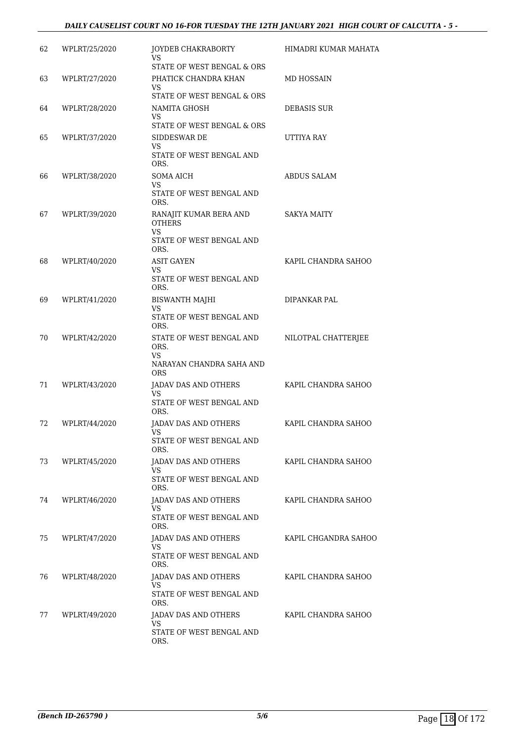| 62 | WPLRT/25/2020 | JOYDEB CHAKRABORTY<br>VS<br>STATE OF WEST BENGAL & ORS                                   | HIMADRI KUMAR MAHATA |
|----|---------------|------------------------------------------------------------------------------------------|----------------------|
| 63 | WPLRT/27/2020 | PHATICK CHANDRA KHAN<br>VS<br>STATE OF WEST BENGAL & ORS                                 | MD HOSSAIN           |
| 64 | WPLRT/28/2020 | NAMITA GHOSH<br>VS<br>STATE OF WEST BENGAL & ORS                                         | DEBASIS SUR          |
| 65 | WPLRT/37/2020 | SIDDESWAR DE<br>VS<br>STATE OF WEST BENGAL AND<br>ORS.                                   | UTTIYA RAY           |
| 66 | WPLRT/38/2020 | <b>SOMA AICH</b><br><b>VS</b><br>STATE OF WEST BENGAL AND<br>ORS.                        | <b>ABDUS SALAM</b>   |
| 67 | WPLRT/39/2020 | RANAJIT KUMAR BERA AND<br><b>OTHERS</b><br><b>VS</b><br>STATE OF WEST BENGAL AND<br>ORS. | <b>SAKYA MAITY</b>   |
| 68 | WPLRT/40/2020 | <b>ASIT GAYEN</b><br>VS<br>STATE OF WEST BENGAL AND<br>ORS.                              | KAPIL CHANDRA SAHOO  |
| 69 | WPLRT/41/2020 | <b>BISWANTH MAJHI</b><br><b>VS</b><br>STATE OF WEST BENGAL AND<br>ORS.                   | DIPANKAR PAL         |
| 70 | WPLRT/42/2020 | STATE OF WEST BENGAL AND<br>ORS.<br>VS<br>NARAYAN CHANDRA SAHA AND<br><b>ORS</b>         | NILOTPAL CHATTERJEE  |
| 71 | WPLRT/43/2020 | JADAV DAS AND OTHERS<br>VS<br>STATE OF WEST BENGAL AND<br>ORS.                           | KAPIL CHANDRA SAHOO  |
| 72 | WPLRT/44/2020 | JADAV DAS AND OTHERS<br><b>VS</b><br>STATE OF WEST BENGAL AND<br>ORS.                    | KAPIL CHANDRA SAHOO  |
| 73 | WPLRT/45/2020 | <b>JADAV DAS AND OTHERS</b><br>VS.<br>STATE OF WEST BENGAL AND<br>ORS.                   | KAPIL CHANDRA SAHOO  |
| 74 | WPLRT/46/2020 | JADAV DAS AND OTHERS<br>VS<br>STATE OF WEST BENGAL AND<br>ORS.                           | KAPIL CHANDRA SAHOO  |
| 75 | WPLRT/47/2020 | JADAV DAS AND OTHERS<br>VS.<br>STATE OF WEST BENGAL AND<br>ORS.                          | KAPIL CHGANDRA SAHOO |
| 76 | WPLRT/48/2020 | JADAV DAS AND OTHERS<br>VS<br>STATE OF WEST BENGAL AND<br>ORS.                           | KAPIL CHANDRA SAHOO  |
| 77 | WPLRT/49/2020 | JADAV DAS AND OTHERS<br>VS<br>STATE OF WEST BENGAL AND<br>ORS.                           | KAPIL CHANDRA SAHOO  |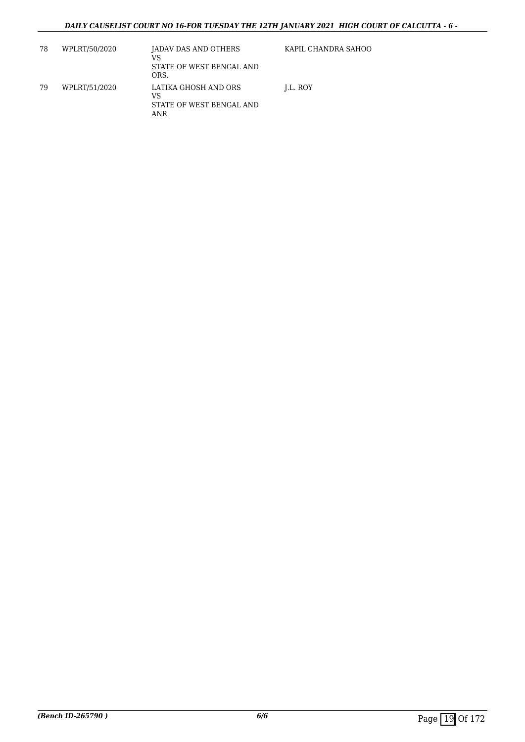| 78 | WPLRT/50/2020 | JADAV DAS AND OTHERS<br>VS<br>STATE OF WEST BENGAL AND<br>ORS. | KAPIL CHANDRA SAHOO |
|----|---------------|----------------------------------------------------------------|---------------------|
| 79 | WPLRT/51/2020 | LATIKA GHOSH AND ORS<br>VS<br>STATE OF WEST BENGAL AND<br>ANR  | LL. ROY             |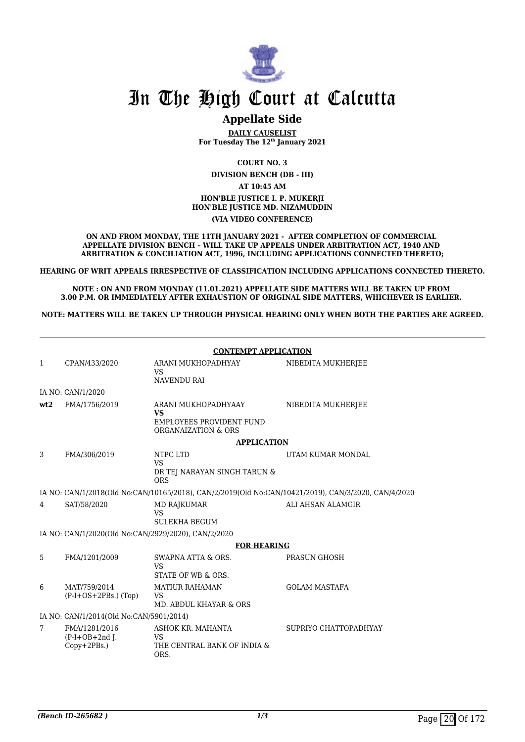

## **Appellate Side**

**DAILY CAUSELIST For Tuesday The 12th January 2021**

**COURT NO. 3 DIVISION BENCH (DB - III) AT 10:45 AM HON'BLE JUSTICE I. P. MUKERJI HON'BLE JUSTICE MD. NIZAMUDDIN**

**(VIA VIDEO CONFERENCE)**

**ON AND FROM MONDAY, THE 11TH JANUARY 2021 - AFTER COMPLETION OF COMMERCIAL APPELLATE DIVISION BENCH – WILL TAKE UP APPEALS UNDER ARBITRATION ACT, 1940 AND ARBITRATION & CONCILIATION ACT, 1996, INCLUDING APPLICATIONS CONNECTED THERETO;**

**HEARING OF WRIT APPEALS IRRESPECTIVE OF CLASSIFICATION INCLUDING APPLICATIONS CONNECTED THERETO.**

**NOTE : ON AND FROM MONDAY (11.01.2021) APPELLATE SIDE MATTERS WILL BE TAKEN UP FROM 3.00 P.M. OR IMMEDIATELY AFTER EXHAUSTION OF ORIGINAL SIDE MATTERS, WHICHEVER IS EARLIER.** 

**NOTE: MATTERS WILL BE TAKEN UP THROUGH PHYSICAL HEARING ONLY WHEN BOTH THE PARTIES ARE AGREED.**

|                | <b>CONTEMPT APPLICATION</b>                         |                                                                                     |                                                                                                     |  |  |
|----------------|-----------------------------------------------------|-------------------------------------------------------------------------------------|-----------------------------------------------------------------------------------------------------|--|--|
| $\mathbf{1}$   | CPAN/433/2020                                       | ARANI MUKHOPADHYAY<br><b>VS</b><br><b>NAVENDU RAI</b>                               | NIBEDITA MUKHERJEE                                                                                  |  |  |
|                | IA NO: CAN/1/2020                                   |                                                                                     |                                                                                                     |  |  |
| wt2            | FMA/1756/2019                                       | ARANI MUKHOPADHYAAY<br><b>VS</b><br>EMPLOYEES PROVIDENT FUND<br>ORGANAIZATION & ORS | NIBEDITA MUKHERJEE                                                                                  |  |  |
|                |                                                     | <b>APPLICATION</b>                                                                  |                                                                                                     |  |  |
| 3              | FMA/306/2019                                        | NTPC LTD<br><b>VS</b><br>DR TEJ NARAYAN SINGH TARUN &<br><b>ORS</b>                 | UTAM KUMAR MONDAL                                                                                   |  |  |
|                |                                                     |                                                                                     | IA NO: CAN/1/2018(Old No:CAN/10165/2018), CAN/2/2019(Old No:CAN/10421/2019), CAN/3/2020, CAN/4/2020 |  |  |
| $\overline{4}$ | SAT/58/2020                                         | MD RAJKUMAR<br>VS<br><b>SULEKHA BEGUM</b>                                           | ALI AHSAN ALAMGIR                                                                                   |  |  |
|                | IA NO: CAN/1/2020(Old No:CAN/2929/2020), CAN/2/2020 |                                                                                     |                                                                                                     |  |  |
|                |                                                     | <b>FOR HEARING</b>                                                                  |                                                                                                     |  |  |
| 5.             | FMA/1201/2009                                       | SWAPNA ATTA & ORS.<br><b>VS</b><br>STATE OF WB & ORS.                               | <b>PRASUN GHOSH</b>                                                                                 |  |  |
| 6              | MAT/759/2014<br>$(P-I+OS+2PBs.)$ (Top)              | <b>MATIUR RAHAMAN</b><br><b>VS</b><br>MD. ABDUL KHAYAR & ORS                        | <b>GOLAM MASTAFA</b>                                                                                |  |  |
|                | IA NO: CAN/1/2014(Old No:CAN/5901/2014)             |                                                                                     |                                                                                                     |  |  |
| 7              | FMA/1281/2016<br>$(P-I+OB+2nd J.$<br>Copy+2PBs.)    | ASHOK KR. MAHANTA<br><b>VS</b><br>THE CENTRAL BANK OF INDIA &<br>ORS.               | SUPRIYO CHATTOPADHYAY                                                                               |  |  |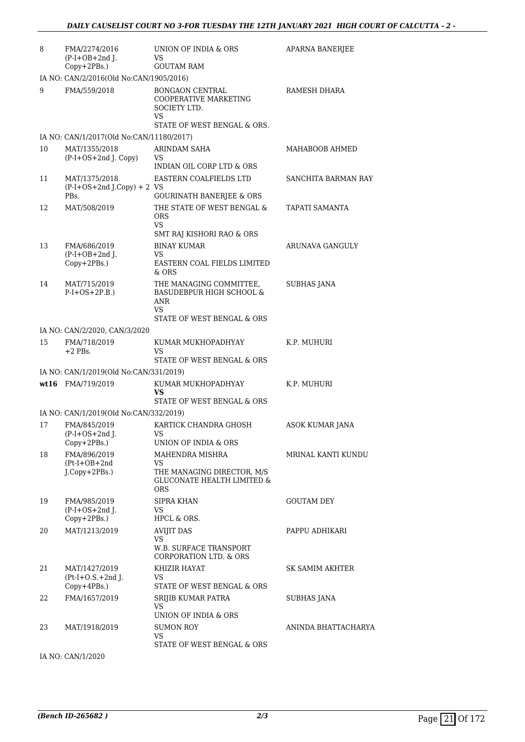| 8  | FMA/2274/2016<br>$(P-I+OB+2nd J.$<br>Copy+2PBs.)      | UNION OF INDIA & ORS<br>VS<br><b>GOUTAM RAM</b>                                                       | APARNA BANERJEE        |
|----|-------------------------------------------------------|-------------------------------------------------------------------------------------------------------|------------------------|
|    | IA NO: CAN/2/2016(Old No:CAN/1905/2016)               |                                                                                                       |                        |
| 9  | FMA/559/2018                                          | <b>BONGAON CENTRAL</b><br>COOPERATIVE MARKETING<br>SOCIETY LTD.<br>VS.<br>STATE OF WEST BENGAL & ORS. | RAMESH DHARA           |
|    | IA NO: CAN/1/2017(Old No:CAN/11180/2017)              |                                                                                                       |                        |
| 10 | MAT/1355/2018                                         | ARINDAM SAHA                                                                                          | MAHABOOB AHMED         |
|    | $(P-I+OS+2nd J. Copy)$                                | VS<br>INDIAN OIL CORP LTD & ORS                                                                       |                        |
| 11 | MAT/1375/2018<br>$(P-I+OS+2nd J.Copy) + 2 VS$<br>PBs. | EASTERN COALFIELDS LTD<br><b>GOURINATH BANERJEE &amp; ORS</b>                                         | SANCHITA BARMAN RAY    |
| 12 | MAT/508/2019                                          | THE STATE OF WEST BENGAL &<br><b>ORS</b><br><b>VS</b>                                                 | TAPATI SAMANTA         |
| 13 | FMA/686/2019<br>$(P-I+OB+2nd$ J.<br>$Copy+2PBs.)$     | SMT RAJ KISHORI RAO & ORS<br><b>BINAY KUMAR</b><br>VS<br>EASTERN COAL FIELDS LIMITED<br>& ORS         | ARUNAVA GANGULY        |
| 14 | MAT/715/2019<br>$P-I+OS+2P.B.)$                       | THE MANAGING COMMITTEE,<br><b>BASUDEBPUR HIGH SCHOOL &amp;</b><br>ANR<br><b>VS</b>                    | <b>SUBHAS JANA</b>     |
|    |                                                       | STATE OF WEST BENGAL & ORS                                                                            |                        |
|    | IA NO: CAN/2/2020, CAN/3/2020                         |                                                                                                       |                        |
| 15 | FMA/718/2019<br>$+2$ PBs.                             | KUMAR MUKHOPADHYAY<br>VS<br>STATE OF WEST BENGAL & ORS                                                | K.P. MUHURI            |
|    | IA NO: CAN/1/2019(Old No:CAN/331/2019)                |                                                                                                       |                        |
|    | wt16 FMA/719/2019                                     | KUMAR MUKHOPADHYAY<br>VS<br>STATE OF WEST BENGAL & ORS                                                | K.P. MUHURI            |
|    | IA NO: CAN/1/2019(Old No:CAN/332/2019)                |                                                                                                       |                        |
| 17 | FMA/845/2019<br>$(P-I+OS+2nd$ ].                      | KARTICK CHANDRA GHOSH<br><b>VS</b><br>UNION OF INDIA & ORS                                            | <b>ASOK KUMAR JANA</b> |
| 18 | Copy+2PBs.)<br>FMA/896/2019                           | MAHENDRA MISHRA                                                                                       | MRINAL KANTI KUNDU     |
|    | $(Pt-I+OB+2nd$<br>$J$ . $Copy + 2PBs$ .)              | <b>VS</b><br>THE MANAGING DIRECTOR, M/S<br>GLUCONATE HEALTH LIMITED &<br><b>ORS</b>                   |                        |
| 19 | FMA/985/2019<br>$(P-I+OS+2nd J.$<br>Copy+2PBs.)       | <b>SIPRA KHAN</b><br>VS<br>HPCL & ORS.                                                                | <b>GOUTAM DEY</b>      |
| 20 | MAT/1213/2019                                         | <b>AVIJIT DAS</b><br>VS<br>W.B. SURFACE TRANSPORT<br>CORPORATION LTD. & ORS                           | PAPPU ADHIKARI         |
| 21 | MAT/1427/2019<br>$(Pt-I+O.S.+2ndJ.$<br>$Copy+4PBs.$ ) | KHIZIR HAYAT<br>VS<br>STATE OF WEST BENGAL & ORS                                                      | SK SAMIM AKHTER        |
| 22 | FMA/1657/2019                                         | SRIJIB KUMAR PATRA<br>VS<br>UNION OF INDIA & ORS                                                      | SUBHAS JANA            |
| 23 | MAT/1918/2019                                         | <b>SUMON ROY</b><br>VS<br>STATE OF WEST BENGAL & ORS                                                  | ANINDA BHATTACHARYA    |
|    |                                                       |                                                                                                       |                        |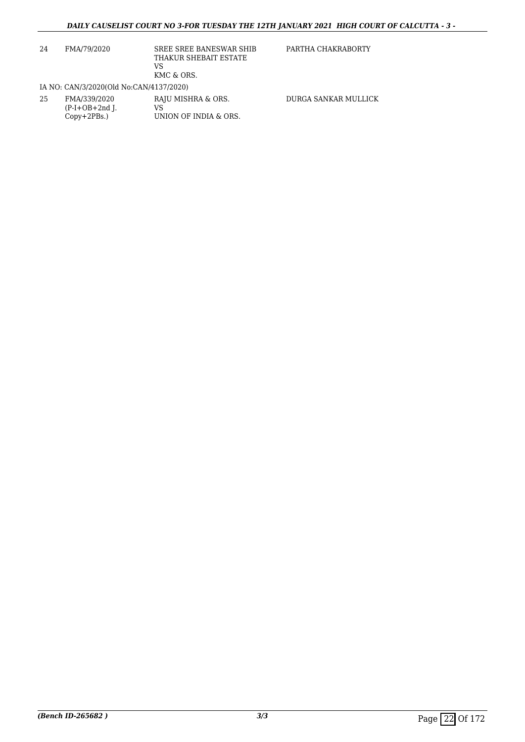| 24 | FMA/79/2020                                        | SREE SREE BANESWAR SHIB<br>THAKUR SHEBAIT ESTATE<br>VS<br>KMC & ORS. | PARTHA CHAKRABORTY   |
|----|----------------------------------------------------|----------------------------------------------------------------------|----------------------|
|    | IA NO: CAN/3/2020(Old No:CAN/4137/2020)            |                                                                      |                      |
| 25 | FMA/339/2020<br>$(P-I+OB+2nd$ ].<br>$Copy+2PBs.$ ) | RAJU MISHRA & ORS.<br>VS<br>UNION OF INDIA & ORS.                    | DURGA SANKAR MULLICK |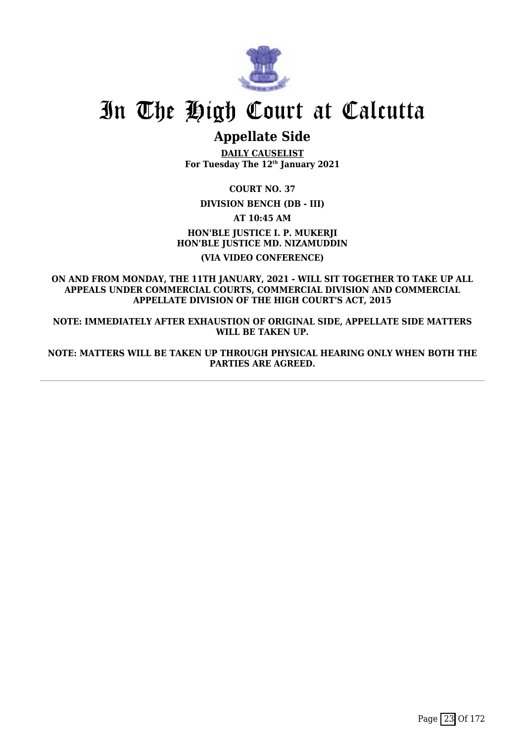

# **Appellate Side**

**DAILY CAUSELIST For Tuesday The 12th January 2021**

**COURT NO. 37**

**DIVISION BENCH (DB - III)**

**AT 10:45 AM**

**HON'BLE JUSTICE I. P. MUKERJI HON'BLE JUSTICE MD. NIZAMUDDIN (VIA VIDEO CONFERENCE)**

**ON AND FROM MONDAY, THE 11TH JANUARY, 2021 - WILL SIT TOGETHER TO TAKE UP ALL APPEALS UNDER COMMERCIAL COURTS, COMMERCIAL DIVISION AND COMMERCIAL APPELLATE DIVISION OF THE HIGH COURT'S ACT, 2015**

**NOTE: IMMEDIATELY AFTER EXHAUSTION OF ORIGINAL SIDE, APPELLATE SIDE MATTERS WILL BE TAKEN UP.**

**NOTE: MATTERS WILL BE TAKEN UP THROUGH PHYSICAL HEARING ONLY WHEN BOTH THE PARTIES ARE AGREED.**

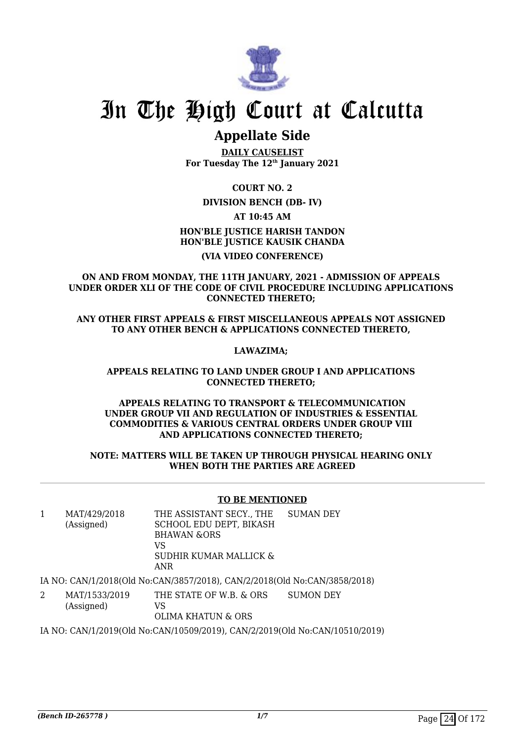

## **Appellate Side**

**DAILY CAUSELIST For Tuesday The 12th January 2021**

**COURT NO. 2**

## **DIVISION BENCH (DB- IV)**

**AT 10:45 AM**

**HON'BLE JUSTICE HARISH TANDON HON'BLE JUSTICE KAUSIK CHANDA (VIA VIDEO CONFERENCE)**

**ON AND FROM MONDAY, THE 11TH JANUARY, 2021 - ADMISSION OF APPEALS UNDER ORDER XLI OF THE CODE OF CIVIL PROCEDURE INCLUDING APPLICATIONS CONNECTED THERETO;** 

**ANY OTHER FIRST APPEALS & FIRST MISCELLANEOUS APPEALS NOT ASSIGNED TO ANY OTHER BENCH & APPLICATIONS CONNECTED THERETO,** 

### **LAWAZIMA;**

#### **APPEALS RELATING TO LAND UNDER GROUP I AND APPLICATIONS CONNECTED THERETO;**

#### **APPEALS RELATING TO TRANSPORT & TELECOMMUNICATION UNDER GROUP VII AND REGULATION OF INDUSTRIES & ESSENTIAL COMMODITIES & VARIOUS CENTRAL ORDERS UNDER GROUP VIII AND APPLICATIONS CONNECTED THERETO;**

#### **NOTE: MATTERS WILL BE TAKEN UP THROUGH PHYSICAL HEARING ONLY WHEN BOTH THE PARTIES ARE AGREED**

#### **TO BE MENTIONED**

| MAT/429/2018<br>(Assigned) | THE ASSISTANT SECY., THE<br>SCHOOL EDU DEPT, BIKASH<br><b>BHAWAN &amp;ORS</b><br>VS<br>SUDHIR KUMAR MALLICK & | SUMAN DEY |  |
|----------------------------|---------------------------------------------------------------------------------------------------------------|-----------|--|
|                            | ANR                                                                                                           |           |  |
|                            |                                                                                                               |           |  |

IA NO: CAN/1/2018(Old No:CAN/3857/2018), CAN/2/2018(Old No:CAN/3858/2018)

2 MAT/1533/2019 (Assigned) THE STATE OF W.B. & ORS VS OLIMA KHATUN & ORS SUMON DEY

IA NO: CAN/1/2019(Old No:CAN/10509/2019), CAN/2/2019(Old No:CAN/10510/2019)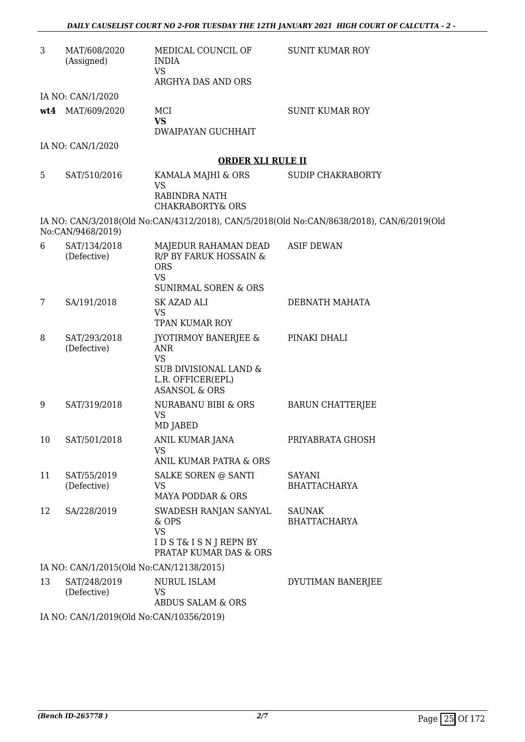| 3  | MAT/608/2020<br>(Assigned)               | MEDICAL COUNCIL OF<br><b>INDIA</b><br><b>VS</b><br>ARGHYA DAS AND ORS                                                                | <b>SUNIT KUMAR ROY</b>                                                                    |
|----|------------------------------------------|--------------------------------------------------------------------------------------------------------------------------------------|-------------------------------------------------------------------------------------------|
|    | IA NO: CAN/1/2020                        |                                                                                                                                      |                                                                                           |
|    | wt4 MAT/609/2020                         | MCI<br><b>VS</b><br>DWAIPAYAN GUCHHAIT                                                                                               | <b>SUNIT KUMAR ROY</b>                                                                    |
|    | IA NO: CAN/1/2020                        |                                                                                                                                      |                                                                                           |
|    |                                          | <b>ORDER XLI RULE II</b>                                                                                                             |                                                                                           |
| 5  | SAT/510/2016                             | KAMALA MAJHI & ORS<br><b>VS</b><br><b>RABINDRA NATH</b><br><b>CHAKRABORTY&amp; ORS</b>                                               | <b>SUDIP CHAKRABORTY</b>                                                                  |
|    | No:CAN/9468/2019)                        |                                                                                                                                      | IA NO: CAN/3/2018(Old No:CAN/4312/2018), CAN/5/2018(Old No:CAN/8638/2018), CAN/6/2019(Old |
| 6  | SAT/134/2018<br>(Defective)              | MAJEDUR RAHAMAN DEAD<br><b>R/P BY FARUK HOSSAIN &amp;</b><br><b>ORS</b><br><b>VS</b><br><b>SUNIRMAL SOREN &amp; ORS</b>              | <b>ASIF DEWAN</b>                                                                         |
| 7  | SA/191/2018                              | SK AZAD ALI<br><b>VS</b><br><b>TPAN KUMAR ROY</b>                                                                                    | DEBNATH MAHATA                                                                            |
| 8  | SAT/293/2018<br>(Defective)              | <b>JYOTIRMOY BANERJEE &amp;</b><br><b>ANR</b><br><b>VS</b><br>SUB DIVISIONAL LAND &<br>L.R. OFFICER(EPL)<br><b>ASANSOL &amp; ORS</b> | PINAKI DHALI                                                                              |
| 9  | SAT/319/2018                             | NURABANU BIBI & ORS<br><b>VS</b><br>MD JABED                                                                                         | <b>BARUN CHATTERJEE</b>                                                                   |
| 10 | SAT/501/2018                             | ANIL KUMAR JANA<br><b>VS</b><br>ANIL KUMAR PATRA & ORS                                                                               | PRIYABRATA GHOSH                                                                          |
| 11 | SAT/55/2019<br>(Defective)               | SALKE SOREN @ SANTI<br>VS<br><b>MAYA PODDAR &amp; ORS</b>                                                                            | SAYANI<br><b>BHATTACHARYA</b>                                                             |
| 12 | SA/228/2019                              | SWADESH RANJAN SANYAL<br>& OPS<br><b>VS</b><br>IDST& ISNJREPNBY<br><b>PRATAP KUMAR DAS &amp; ORS</b>                                 | <b>SAUNAK</b><br><b>BHATTACHARYA</b>                                                      |
|    | IA NO: CAN/1/2015(Old No:CAN/12138/2015) |                                                                                                                                      |                                                                                           |
| 13 | SAT/248/2019<br>(Defective)              | NURUL ISLAM<br><b>VS</b><br>ABDUS SALAM & ORS                                                                                        | DYUTIMAN BANERJEE                                                                         |
|    | IA NO: CAN/1/2019(Old No:CAN/10356/2019) |                                                                                                                                      |                                                                                           |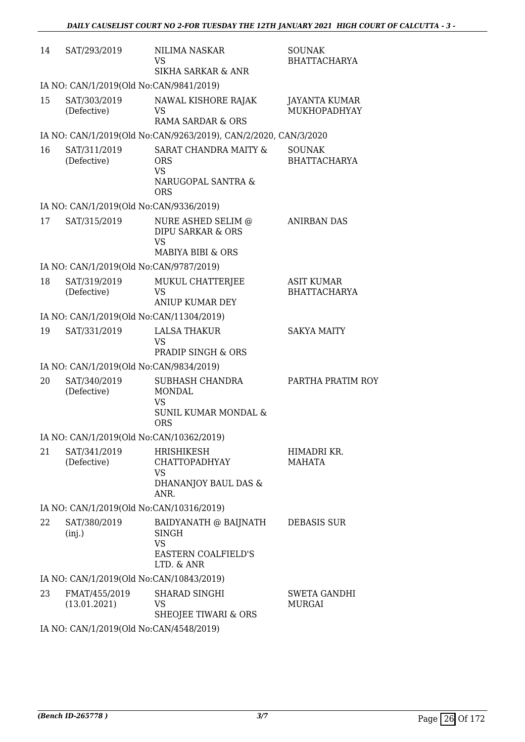| 14 | SAT/293/2019                             | NILIMA NASKAR<br><b>VS</b><br><b>SIKHA SARKAR &amp; ANR</b>                                     | <b>SOUNAK</b><br><b>BHATTACHARYA</b>     |
|----|------------------------------------------|-------------------------------------------------------------------------------------------------|------------------------------------------|
|    | IA NO: CAN/1/2019(Old No:CAN/9841/2019)  |                                                                                                 |                                          |
| 15 | SAT/303/2019<br>(Defective)              | NAWAL KISHORE RAJAK<br>VS<br>RAMA SARDAR & ORS                                                  | JAYANTA KUMAR<br>MUKHOPADHYAY            |
|    |                                          | IA NO: CAN/1/2019(Old No:CAN/9263/2019), CAN/2/2020, CAN/3/2020                                 |                                          |
| 16 | SAT/311/2019<br>(Defective)              | <b>SARAT CHANDRA MAITY &amp;</b><br><b>ORS</b><br><b>VS</b><br>NARUGOPAL SANTRA &<br><b>ORS</b> | <b>SOUNAK</b><br><b>BHATTACHARYA</b>     |
|    | IA NO: CAN/1/2019(Old No:CAN/9336/2019)  |                                                                                                 |                                          |
| 17 | SAT/315/2019                             | NURE ASHED SELIM @<br><b>DIPU SARKAR &amp; ORS</b><br><b>VS</b><br>MABIYA BIBI & ORS            | <b>ANIRBAN DAS</b>                       |
|    | IA NO: CAN/1/2019(Old No:CAN/9787/2019)  |                                                                                                 |                                          |
| 18 | SAT/319/2019<br>(Defective)              | MUKUL CHATTERJEE<br><b>VS</b><br><b>ANIUP KUMAR DEY</b>                                         | <b>ASIT KUMAR</b><br><b>BHATTACHARYA</b> |
|    | IA NO: CAN/1/2019(Old No:CAN/11304/2019) |                                                                                                 |                                          |
| 19 | SAT/331/2019                             | <b>LALSA THAKUR</b><br><b>VS</b><br>PRADIP SINGH & ORS                                          | <b>SAKYA MAITY</b>                       |
|    | IA NO: CAN/1/2019(Old No:CAN/9834/2019)  |                                                                                                 |                                          |
| 20 | SAT/340/2019<br>(Defective)              | SUBHASH CHANDRA<br><b>MONDAL</b><br><b>VS</b><br><b>SUNIL KUMAR MONDAL &amp;</b><br><b>ORS</b>  | PARTHA PRATIM ROY                        |
|    | IA NO: CAN/1/2019(Old No:CAN/10362/2019) |                                                                                                 |                                          |
| 21 | SAT/341/2019<br>(Defective)              | <b>HRISHIKESH</b><br><b>CHATTOPADHYAY</b><br><b>VS</b><br>DHANANJOY BAUL DAS &<br>ANR.          | HIMADRI KR.<br><b>MAHATA</b>             |
|    | IA NO: CAN/1/2019(Old No:CAN/10316/2019) |                                                                                                 |                                          |
| 22 | SAT/380/2019<br>(inj.)                   | BAIDYANATH @ BAIJNATH<br>SINGH<br>VS<br>EASTERN COALFIELD'S<br>LTD. & ANR                       | <b>DEBASIS SUR</b>                       |
|    | IA NO: CAN/1/2019(Old No:CAN/10843/2019) |                                                                                                 |                                          |
| 23 | FMAT/455/2019<br>(13.01.2021)            | SHARAD SINGHI<br><b>VS</b><br>SHEOJEE TIWARI & ORS                                              | <b>SWETA GANDHI</b><br><b>MURGAI</b>     |
|    | IA NO CANIS (2010/014 No CANISES 0.0010) |                                                                                                 |                                          |

IA NO: CAN/1/2019(Old No:CAN/4548/2019)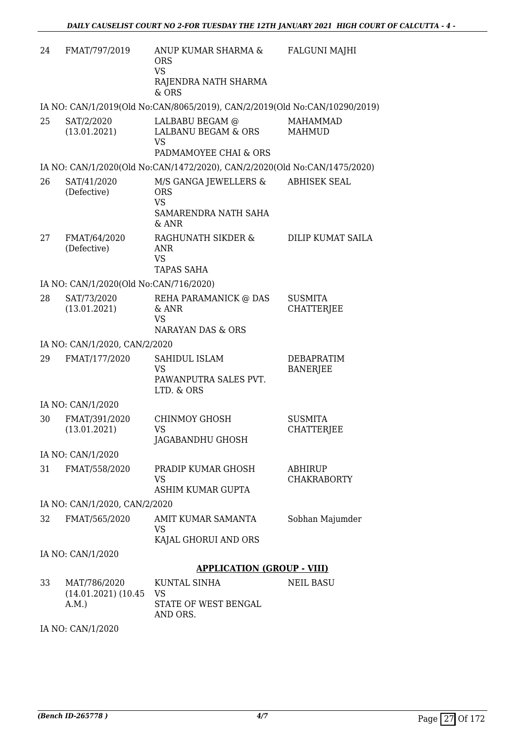| 24 | FMAT/797/2019                                   | ANUP KUMAR SHARMA &<br><b>ORS</b><br><b>VS</b><br>RAJENDRA NATH SHARMA<br>$&$ ORS   | <b>FALGUNI MAJHI</b>                 |
|----|-------------------------------------------------|-------------------------------------------------------------------------------------|--------------------------------------|
|    |                                                 | IA NO: CAN/1/2019(Old No:CAN/8065/2019), CAN/2/2019(Old No:CAN/10290/2019)          |                                      |
| 25 | SAT/2/2020<br>(13.01.2021)                      | LALBABU BEGAM @<br>LALBANU BEGAM & ORS<br><b>VS</b><br>PADMAMOYEE CHAI & ORS        | <b>MAHAMMAD</b><br><b>MAHMUD</b>     |
|    |                                                 | IA NO: CAN/1/2020(Old No:CAN/1472/2020), CAN/2/2020(Old No:CAN/1475/2020)           |                                      |
| 26 | SAT/41/2020<br>(Defective)                      | M/S GANGA JEWELLERS &<br><b>ORS</b><br><b>VS</b><br>SAMARENDRA NATH SAHA<br>$&$ ANR | <b>ABHISEK SEAL</b>                  |
| 27 | FMAT/64/2020<br>(Defective)                     | RAGHUNATH SIKDER &<br>ANR<br><b>VS</b><br><b>TAPAS SAHA</b>                         | <b>DILIP KUMAT SAILA</b>             |
|    | IA NO: CAN/1/2020(Old No:CAN/716/2020)          |                                                                                     |                                      |
| 28 | SAT/73/2020<br>(13.01.2021)                     | REHA PARAMANICK @ DAS<br>& ANR<br><b>VS</b><br><b>NARAYAN DAS &amp; ORS</b>         | <b>SUSMITA</b><br><b>CHATTERJEE</b>  |
|    | IA NO: CAN/1/2020, CAN/2/2020                   |                                                                                     |                                      |
| 29 | FMAT/177/2020                                   | SAHIDUL ISLAM<br><b>VS</b><br>PAWANPUTRA SALES PVT.<br>LTD. & ORS                   | DEBAPRATIM<br><b>BANERJEE</b>        |
|    | IA NO: CAN/1/2020                               |                                                                                     |                                      |
| 30 | FMAT/391/2020<br>(13.01.2021)                   | CHINMOY GHOSH<br>VS<br>JAGABANDHU GHOSH                                             | <b>SUSMITA</b><br><b>CHATTERJEE</b>  |
|    | IA NO: CAN/1/2020                               |                                                                                     |                                      |
| 31 | FMAT/558/2020                                   | PRADIP KUMAR GHOSH<br><b>VS</b><br>ASHIM KUMAR GUPTA                                | <b>ABHIRUP</b><br><b>CHAKRABORTY</b> |
|    | IA NO: CAN/1/2020, CAN/2/2020                   |                                                                                     |                                      |
| 32 | FMAT/565/2020                                   | AMIT KUMAR SAMANTA<br><b>VS</b><br>KAJAL GHORUI AND ORS                             | Sobhan Majumder                      |
|    | IA NO: CAN/1/2020                               |                                                                                     |                                      |
|    |                                                 | <b>APPLICATION (GROUP - VIII)</b>                                                   |                                      |
| 33 | MAT/786/2020<br>$(14.01.2021)$ $(10.45$<br>A.M. | <b>KUNTAL SINHA</b><br><b>VS</b><br>STATE OF WEST BENGAL<br>AND ORS.                | <b>NEIL BASU</b>                     |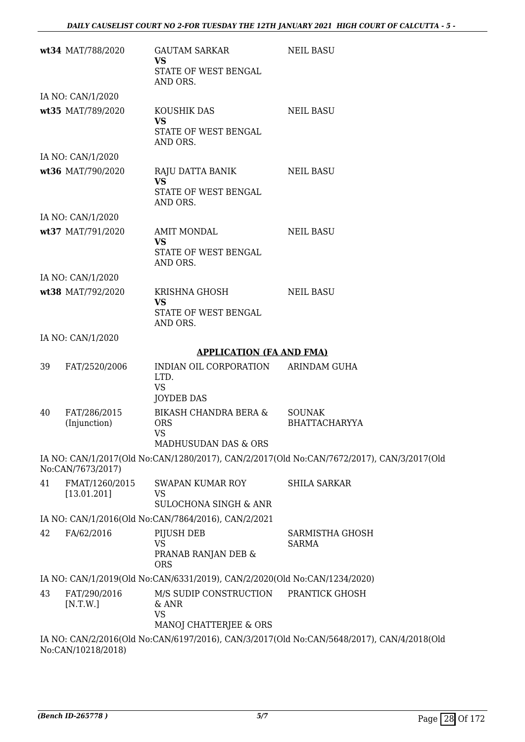|    | wt34 MAT/788/2020             | GAUTAM SARKAR<br><b>VS</b><br>STATE OF WEST BENGAL<br>AND ORS.            | <b>NEIL BASU</b>                                                                          |
|----|-------------------------------|---------------------------------------------------------------------------|-------------------------------------------------------------------------------------------|
|    | IA NO: CAN/1/2020             |                                                                           |                                                                                           |
|    | wt35 MAT/789/2020             | KOUSHIK DAS<br><b>VS</b><br>STATE OF WEST BENGAL<br>AND ORS.              | <b>NEIL BASU</b>                                                                          |
|    | IA NO: CAN/1/2020             |                                                                           |                                                                                           |
|    | wt36 MAT/790/2020             | RAJU DATTA BANIK<br><b>VS</b><br>STATE OF WEST BENGAL<br>AND ORS.         | <b>NEIL BASU</b>                                                                          |
|    | IA NO: CAN/1/2020             |                                                                           |                                                                                           |
|    | wt37 MAT/791/2020             | AMIT MONDAL<br><b>VS</b><br>STATE OF WEST BENGAL<br>AND ORS.              | <b>NEIL BASU</b>                                                                          |
|    | IA NO: CAN/1/2020             |                                                                           |                                                                                           |
|    | wt38 MAT/792/2020             | KRISHNA GHOSH<br><b>VS</b><br>STATE OF WEST BENGAL<br>AND ORS.            | <b>NEIL BASU</b>                                                                          |
|    | IA NO: CAN/1/2020             |                                                                           |                                                                                           |
|    |                               | <b>APPLICATION (FA AND FMA)</b>                                           |                                                                                           |
| 39 | FAT/2520/2006                 | INDIAN OIL CORPORATION<br>LTD.<br><b>VS</b><br><b>JOYDEB DAS</b>          | ARINDAM GUHA                                                                              |
| 40 | FAT/286/2015<br>(Injunction)  | BIKASH CHANDRA BERA &<br><b>ORS</b><br><b>VS</b><br>MADHUSUDAN DAS & ORS  | <b>SOUNAK</b><br><b>BHATTACHARYYA</b>                                                     |
|    | No:CAN/7673/2017)             |                                                                           | IA NO: CAN/1/2017(Old No:CAN/1280/2017), CAN/2/2017(Old No:CAN/7672/2017), CAN/3/2017(Old |
| 41 | FMAT/1260/2015<br>[13.01.201] | SWAPAN KUMAR ROY<br>VS<br><b>SULOCHONA SINGH &amp; ANR</b>                | <b>SHILA SARKAR</b>                                                                       |
|    |                               | IA NO: CAN/1/2016(Old No:CAN/7864/2016), CAN/2/2021                       |                                                                                           |
| 42 | FA/62/2016                    | PIJUSH DEB<br>VS<br>PRANAB RANJAN DEB &<br><b>ORS</b>                     | SARMISTHA GHOSH<br><b>SARMA</b>                                                           |
|    |                               | IA NO: CAN/1/2019(Old No:CAN/6331/2019), CAN/2/2020(Old No:CAN/1234/2020) |                                                                                           |
| 43 | FAT/290/2016<br>[N.T.W.]      | M/S SUDIP CONSTRUCTION<br>& ANR<br><b>VS</b><br>MANOJ CHATTERJEE & ORS    | PRANTICK GHOSH                                                                            |
|    | No:CAN/10218/2018)            |                                                                           | IA NO: CAN/2/2016(Old No:CAN/6197/2016), CAN/3/2017(Old No:CAN/5648/2017), CAN/4/2018(Old |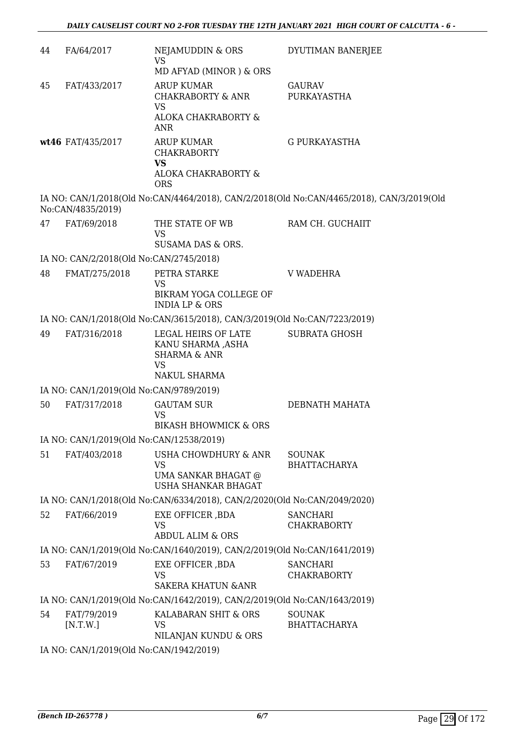| 44 | FA/64/2017                               | NEJAMUDDIN & ORS<br><b>VS</b>                                             | DYUTIMAN BANERJEE                                                                         |  |
|----|------------------------------------------|---------------------------------------------------------------------------|-------------------------------------------------------------------------------------------|--|
|    |                                          | MD AFYAD (MINOR) & ORS                                                    |                                                                                           |  |
| 45 | FAT/433/2017                             | <b>ARUP KUMAR</b><br>CHAKRABORTY & ANR<br><b>VS</b>                       | <b>GAURAV</b><br>PURKAYASTHA                                                              |  |
|    |                                          | ALOKA CHAKRABORTY &<br>ANR                                                |                                                                                           |  |
|    | wt46 FAT/435/2017                        | ARUP KUMAR<br><b>CHAKRABORTY</b><br><b>VS</b><br>ALOKA CHAKRABORTY &      | <b>G PURKAYASTHA</b>                                                                      |  |
|    |                                          | <b>ORS</b>                                                                |                                                                                           |  |
|    | No:CAN/4835/2019)                        |                                                                           | IA NO: CAN/1/2018(Old No:CAN/4464/2018), CAN/2/2018(Old No:CAN/4465/2018), CAN/3/2019(Old |  |
| 47 | FAT/69/2018                              | THE STATE OF WB<br><b>VS</b>                                              | RAM CH. GUCHAIIT                                                                          |  |
|    |                                          | SUSAMA DAS & ORS.                                                         |                                                                                           |  |
|    | IA NO: CAN/2/2018(Old No:CAN/2745/2018)  |                                                                           |                                                                                           |  |
| 48 | FMAT/275/2018                            | PETRA STARKE<br><b>VS</b>                                                 | <b>V WADEHRA</b>                                                                          |  |
|    |                                          | BIKRAM YOGA COLLEGE OF<br><b>INDIA LP &amp; ORS</b>                       |                                                                                           |  |
|    |                                          | IA NO: CAN/1/2018(Old No:CAN/3615/2018), CAN/3/2019(Old No:CAN/7223/2019) |                                                                                           |  |
| 49 | FAT/316/2018                             | LEGAL HEIRS OF LATE<br>KANU SHARMA ,ASHA<br><b>SHARMA &amp; ANR</b>       | <b>SUBRATA GHOSH</b>                                                                      |  |
|    |                                          | <b>VS</b><br>NAKUL SHARMA                                                 |                                                                                           |  |
|    | IA NO: CAN/1/2019(Old No:CAN/9789/2019)  |                                                                           |                                                                                           |  |
| 50 | FAT/317/2018                             | <b>GAUTAM SUR</b><br><b>VS</b>                                            | DEBNATH MAHATA                                                                            |  |
|    |                                          | <b>BIKASH BHOWMICK &amp; ORS</b>                                          |                                                                                           |  |
|    | IA NO: CAN/1/2019(Old No:CAN/12538/2019) |                                                                           |                                                                                           |  |
| 51 | FAT/403/2018                             | <b>USHA CHOWDHURY &amp; ANR</b><br><b>VS</b>                              | <b>SOUNAK</b><br><b>BHATTACHARYA</b>                                                      |  |
|    |                                          | UMA SANKAR BHAGAT @<br><b>USHA SHANKAR BHAGAT</b>                         |                                                                                           |  |
|    |                                          | IA NO: CAN/1/2018(Old No:CAN/6334/2018), CAN/2/2020(Old No:CAN/2049/2020) |                                                                                           |  |
| 52 | FAT/66/2019                              | EXE OFFICER , BDA<br><b>VS</b>                                            | <b>SANCHARI</b><br><b>CHAKRABORTY</b>                                                     |  |
|    |                                          | <b>ABDUL ALIM &amp; ORS</b>                                               |                                                                                           |  |
|    |                                          | IA NO: CAN/1/2019(Old No:CAN/1640/2019), CAN/2/2019(Old No:CAN/1641/2019) |                                                                                           |  |
| 53 | FAT/67/2019                              | EXE OFFICER , BDA                                                         | <b>SANCHARI</b>                                                                           |  |
|    |                                          | <b>VS</b><br><b>SAKERA KHATUN &amp; ANR</b>                               | <b>CHAKRABORTY</b>                                                                        |  |
|    |                                          | IA NO: CAN/1/2019(Old No:CAN/1642/2019), CAN/2/2019(Old No:CAN/1643/2019) |                                                                                           |  |
| 54 | FAT/79/2019<br>[N.T.W.]                  | KALABARAN SHIT & ORS<br><b>VS</b>                                         | <b>SOUNAK</b><br><b>BHATTACHARYA</b>                                                      |  |
|    |                                          | NILANJAN KUNDU & ORS                                                      |                                                                                           |  |
|    | IA NO: CAN/1/2019(Old No:CAN/1942/2019)  |                                                                           |                                                                                           |  |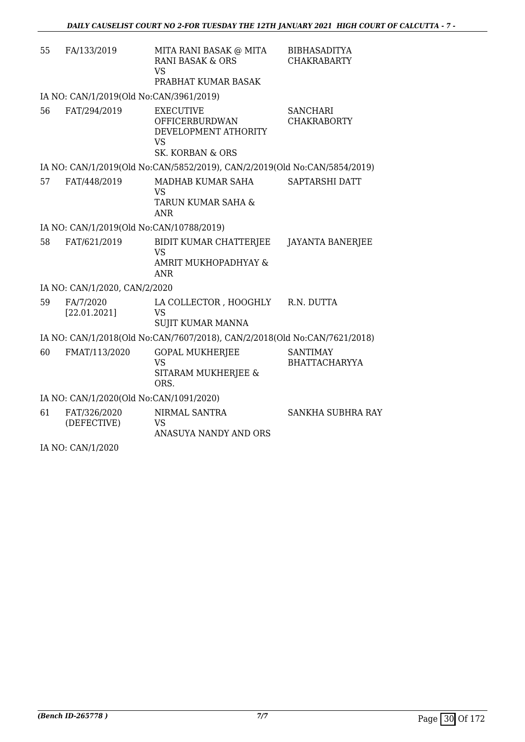| 55 | FA/133/2019                              | MITA RANI BASAK @ MITA<br><b>RANI BASAK &amp; ORS</b><br><b>VS</b><br>PRABHAT KUMAR BASAK                     | <b>BIBHASADITYA</b><br><b>CHAKRABARTY</b> |
|----|------------------------------------------|---------------------------------------------------------------------------------------------------------------|-------------------------------------------|
|    | IA NO: CAN/1/2019(Old No:CAN/3961/2019)  |                                                                                                               |                                           |
| 56 | FAT/294/2019                             | <b>EXECUTIVE</b><br><b>OFFICERBURDWAN</b><br>DEVELOPMENT ATHORITY<br><b>VS</b><br><b>SK. KORBAN &amp; ORS</b> | <b>SANCHARI</b><br><b>CHAKRABORTY</b>     |
|    |                                          | IA NO: CAN/1/2019(Old No:CAN/5852/2019), CAN/2/2019(Old No:CAN/5854/2019)                                     |                                           |
| 57 | FAT/448/2019                             | MADHAB KUMAR SAHA<br>VS<br>TARUN KUMAR SAHA &<br><b>ANR</b>                                                   | SAPTARSHI DATT                            |
|    | IA NO: CAN/1/2019(Old No:CAN/10788/2019) |                                                                                                               |                                           |
| 58 | FAT/621/2019                             | BIDIT KUMAR CHATTERJEE<br><b>VS</b><br>AMRIT MUKHOPADHYAY &<br><b>ANR</b>                                     | <b>JAYANTA BANERJEE</b>                   |
|    | IA NO: CAN/1/2020, CAN/2/2020            |                                                                                                               |                                           |
| 59 | FA/7/2020<br>[22.01.2021]                | LA COLLECTOR , HOOGHLY<br><b>VS</b><br><b>SUJIT KUMAR MANNA</b>                                               | R.N. DUTTA                                |
|    |                                          | IA NO: CAN/1/2018(Old No:CAN/7607/2018), CAN/2/2018(Old No:CAN/7621/2018)                                     |                                           |
| 60 | FMAT/113/2020                            | <b>GOPAL MUKHERJEE</b><br><b>VS</b><br>SITARAM MUKHERJEE &<br>ORS.                                            | <b>SANTIMAY</b><br><b>BHATTACHARYYA</b>   |
|    | IA NO: CAN/1/2020(Old No:CAN/1091/2020)  |                                                                                                               |                                           |
| 61 | FAT/326/2020<br>(DEFECTIVE)              | NIRMAL SANTRA<br><b>VS</b><br>ANASUYA NANDY AND ORS                                                           | <b>SANKHA SUBHRA RAY</b>                  |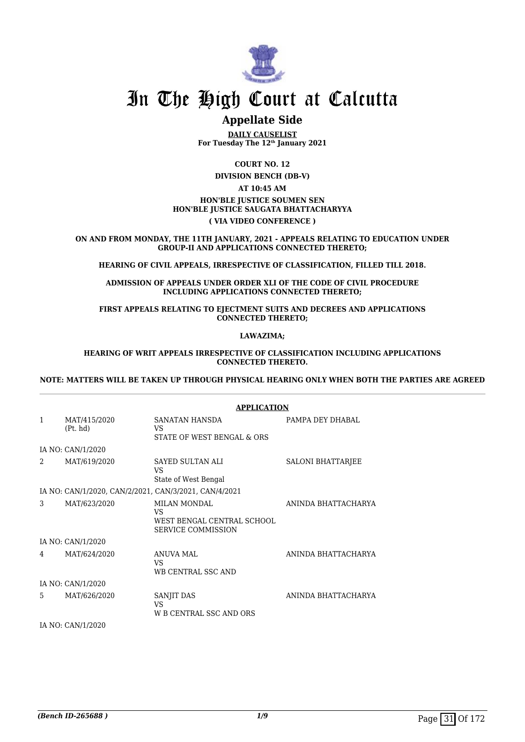

# **Appellate Side**

**DAILY CAUSELIST For Tuesday The 12th January 2021**

**COURT NO. 12**

**DIVISION BENCH (DB-V)**

#### **AT 10:45 AM HON'BLE JUSTICE SOUMEN SEN HON'BLE JUSTICE SAUGATA BHATTACHARYYA ( VIA VIDEO CONFERENCE )**

**ON AND FROM MONDAY, THE 11TH JANUARY, 2021 - APPEALS RELATING TO EDUCATION UNDER GROUP-II AND APPLICATIONS CONNECTED THERETO;**

**HEARING OF CIVIL APPEALS, IRRESPECTIVE OF CLASSIFICATION, FILLED TILL 2018.**

**ADMISSION OF APPEALS UNDER ORDER XLI OF THE CODE OF CIVIL PROCEDURE INCLUDING APPLICATIONS CONNECTED THERETO;**

**FIRST APPEALS RELATING TO EJECTMENT SUITS AND DECREES AND APPLICATIONS CONNECTED THERETO;**

**LAWAZIMA;**

#### **HEARING OF WRIT APPEALS IRRESPECTIVE OF CLASSIFICATION INCLUDING APPLICATIONS CONNECTED THERETO.**

**NOTE: MATTERS WILL BE TAKEN UP THROUGH PHYSICAL HEARING ONLY WHEN BOTH THE PARTIES ARE AGREED**

|              |                          | <b>APPLICATION</b>                                                                   |                          |
|--------------|--------------------------|--------------------------------------------------------------------------------------|--------------------------|
| $\mathbf{1}$ | MAT/415/2020<br>(Pt. hd) | SANATAN HANSDA<br>VS<br>STATE OF WEST BENGAL & ORS                                   | PAMPA DEY DHABAL         |
|              | IA NO: CAN/1/2020        |                                                                                      |                          |
| 2            | MAT/619/2020             | <b>SAYED SULTAN ALI</b><br>VS<br>State of West Bengal                                | <b>SALONI BHATTARJEE</b> |
|              |                          | IA NO: CAN/1/2020, CAN/2/2021, CAN/3/2021, CAN/4/2021                                |                          |
| 3            | MAT/623/2020             | <b>MILAN MONDAL</b><br>VS<br>WEST BENGAL CENTRAL SCHOOL<br><b>SERVICE COMMISSION</b> | ANINDA BHATTACHARYA      |
|              | IA NO: CAN/1/2020        |                                                                                      |                          |
| 4            | MAT/624/2020             | <b>ANUVA MAL</b><br>VS<br>WB CENTRAL SSC AND                                         | ANINDA BHATTACHARYA      |
|              | IA NO: CAN/1/2020        |                                                                                      |                          |
| 5            | MAT/626/2020             | SANJIT DAS<br>VS<br>W B CENTRAL SSC AND ORS                                          | ANINDA BHATTACHARYA      |
|              |                          |                                                                                      |                          |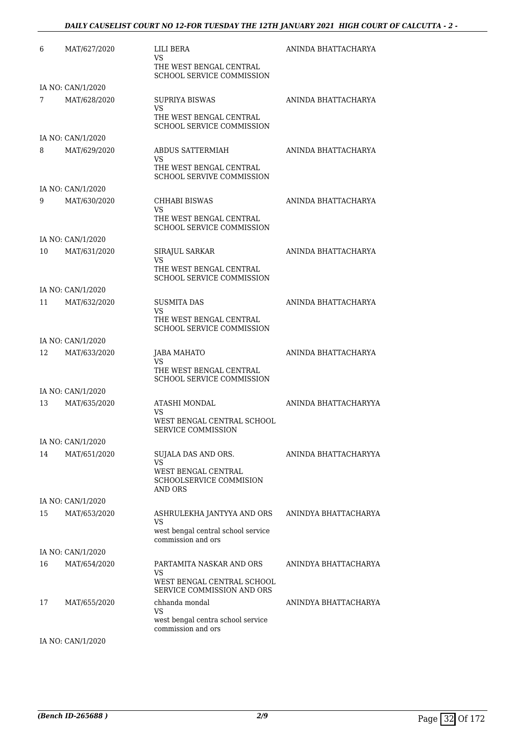#### *DAILY CAUSELIST COURT NO 12-FOR TUESDAY THE 12TH JANUARY 2021 HIGH COURT OF CALCUTTA - 2 -*

| 6  | MAT/627/2020      | LILI BERA<br>VS<br>THE WEST BENGAL CENTRAL<br><b>SCHOOL SERVICE COMMISSION</b>              | ANINDA BHATTACHARYA  |
|----|-------------------|---------------------------------------------------------------------------------------------|----------------------|
|    | IA NO: CAN/1/2020 |                                                                                             |                      |
| 7  | MAT/628/2020      | <b>SUPRIYA BISWAS</b><br>VS.<br>THE WEST BENGAL CENTRAL<br><b>SCHOOL SERVICE COMMISSION</b> | ANINDA BHATTACHARYA  |
|    | IA NO: CAN/1/2020 |                                                                                             |                      |
| 8  | MAT/629/2020      | ABDUS SATTERMIAH<br>VS<br>THE WEST BENGAL CENTRAL<br><b>SCHOOL SERVIVE COMMISSION</b>       | ANINDA BHATTACHARYA  |
|    | IA NO: CAN/1/2020 |                                                                                             |                      |
| 9  | MAT/630/2020      | CHHABI BISWAS<br>VS<br>THE WEST BENGAL CENTRAL<br>SCHOOL SERVICE COMMISSION                 | ANINDA BHATTACHARYA  |
|    | IA NO: CAN/1/2020 |                                                                                             |                      |
| 10 | MAT/631/2020      | SIRAJUL SARKAR<br>VS<br>THE WEST BENGAL CENTRAL                                             | ANINDA BHATTACHARYA  |
|    |                   | <b>SCHOOL SERVICE COMMISSION</b>                                                            |                      |
|    | IA NO: CAN/1/2020 |                                                                                             |                      |
| 11 | MAT/632/2020      | SUSMITA DAS<br>VS                                                                           | ANINDA BHATTACHARYA  |
|    |                   | THE WEST BENGAL CENTRAL<br><b>SCHOOL SERVICE COMMISSION</b>                                 |                      |
|    | IA NO: CAN/1/2020 |                                                                                             |                      |
| 12 | MAT/633/2020      | JABA MAHATO<br>VS.                                                                          | ANINDA BHATTACHARYA  |
|    |                   | THE WEST BENGAL CENTRAL<br><b>SCHOOL SERVICE COMMISSION</b>                                 |                      |
|    | IA NO: CAN/1/2020 |                                                                                             |                      |
| 13 | MAT/635/2020      | ATASHI MONDAL<br>VS                                                                         | ANINDA BHATTACHARYYA |
|    |                   | WEST BENGAL CENTRAL SCHOOL<br>SERVICE COMMISSION                                            |                      |
|    | IA NO: CAN/1/2020 |                                                                                             |                      |
| 14 | MAT/651/2020      | SUJALA DAS AND ORS.<br><b>VS</b><br>WEST BENGAL CENTRAL                                     | ANINDA BHATTACHARYYA |
|    |                   | SCHOOLSERVICE COMMISION<br>AND ORS                                                          |                      |
|    | IA NO: CAN/1/2020 |                                                                                             |                      |
| 15 | MAT/653/2020      | ASHRULEKHA JANTYYA AND ORS<br>VS<br>west bengal central school service                      | ANINDYA BHATTACHARYA |
|    |                   | commission and ors                                                                          |                      |
|    | IA NO: CAN/1/2020 |                                                                                             |                      |
| 16 | MAT/654/2020      | PARTAMITA NASKAR AND ORS<br>VS<br>WEST BENGAL CENTRAL SCHOOL<br>SERVICE COMMISSION AND ORS  | ANINDYA BHATTACHARYA |
| 17 | MAT/655/2020      | chhanda mondal<br>VS<br>west bengal centra school service                                   | ANINDYA BHATTACHARYA |
|    | IA NO: CAN/1/2020 | commission and ors                                                                          |                      |
|    |                   |                                                                                             |                      |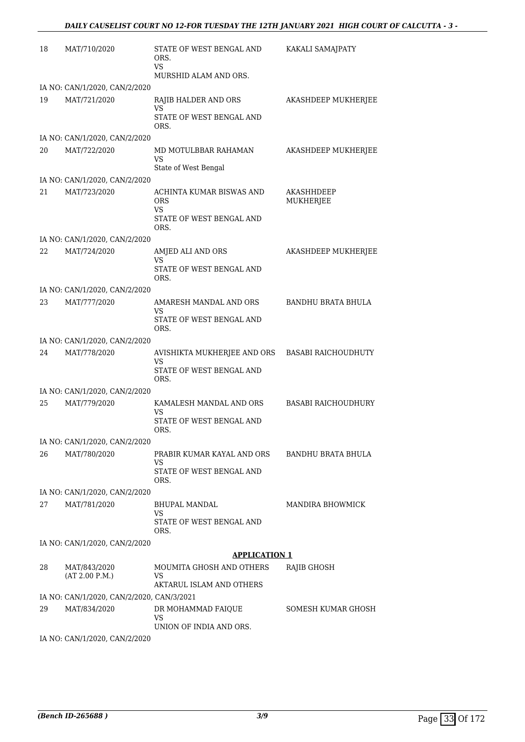| 18 | MAT/710/2020                                  | STATE OF WEST BENGAL AND<br>ORS.<br>VS                        | KAKALI SAMAJPATY           |
|----|-----------------------------------------------|---------------------------------------------------------------|----------------------------|
|    |                                               | MURSHID ALAM AND ORS.                                         |                            |
| 19 | IA NO: CAN/1/2020, CAN/2/2020<br>MAT/721/2020 | RAJIB HALDER AND ORS                                          | AKASHDEEP MUKHERJEE        |
|    |                                               | <b>VS</b>                                                     |                            |
|    |                                               | STATE OF WEST BENGAL AND<br>ORS.                              |                            |
|    | IA NO: CAN/1/2020, CAN/2/2020                 |                                                               |                            |
| 20 | MAT/722/2020                                  | MD MOTULBBAR RAHAMAN                                          | AKASHDEEP MUKHERJEE        |
|    |                                               | VS<br>State of West Bengal                                    |                            |
|    | IA NO: CAN/1/2020, CAN/2/2020                 |                                                               |                            |
| 21 | MAT/723/2020                                  | ACHINTA KUMAR BISWAS AND<br><b>ORS</b><br>VS                  | AKASHHDEEP<br>MUKHERJEE    |
|    |                                               | STATE OF WEST BENGAL AND<br>ORS.                              |                            |
|    | IA NO: CAN/1/2020, CAN/2/2020                 |                                                               |                            |
| 22 | MAT/724/2020                                  | AMJED ALI AND ORS<br>VS                                       | AKASHDEEP MUKHERJEE        |
|    |                                               | STATE OF WEST BENGAL AND<br>ORS.                              |                            |
|    | IA NO: CAN/1/2020, CAN/2/2020                 |                                                               |                            |
| 23 | MAT/777/2020                                  | AMARESH MANDAL AND ORS<br>VS                                  | <b>BANDHU BRATA BHULA</b>  |
|    |                                               | STATE OF WEST BENGAL AND<br>ORS.                              |                            |
|    | IA NO: CAN/1/2020, CAN/2/2020                 |                                                               |                            |
| 24 | MAT/778/2020                                  | AVISHIKTA MUKHERJEE AND ORS<br>VS<br>STATE OF WEST BENGAL AND | <b>BASABI RAICHOUDHUTY</b> |
|    |                                               | ORS.                                                          |                            |
| 25 | IA NO: CAN/1/2020, CAN/2/2020                 |                                                               | <b>BASABI RAICHOUDHURY</b> |
|    | MAT/779/2020                                  | KAMALESH MANDAL AND ORS<br>VS                                 |                            |
|    |                                               | STATE OF WEST BENGAL AND<br>ORS.                              |                            |
| 26 | IA NO: CAN/1/2020, CAN/2/2020<br>MAT/780/2020 | PRABIR KUMAR KAYAL AND ORS                                    | BANDHU BRATA BHULA         |
|    |                                               | VS                                                            |                            |
|    |                                               | STATE OF WEST BENGAL AND<br>ORS.                              |                            |
|    | IA NO: CAN/1/2020, CAN/2/2020                 |                                                               |                            |
| 27 | MAT/781/2020                                  | <b>BHUPAL MANDAL</b>                                          | MANDIRA BHOWMICK           |
|    |                                               | VS<br>STATE OF WEST BENGAL AND<br>ORS.                        |                            |
|    | IA NO: CAN/1/2020, CAN/2/2020                 |                                                               |                            |
|    |                                               | <b>APPLICATION 1</b>                                          |                            |
| 28 | MAT/843/2020<br>(AT 2.00 P.M.)                | MOUMITA GHOSH AND OTHERS<br>VS<br>AKTARUL ISLAM AND OTHERS    | RAJIB GHOSH                |
|    | IA NO: CAN/1/2020, CAN/2/2020, CAN/3/2021     |                                                               |                            |
| 29 | MAT/834/2020                                  | DR MOHAMMAD FAIQUE                                            | SOMESH KUMAR GHOSH         |
|    |                                               | VS<br>UNION OF INDIA AND ORS.                                 |                            |

IA NO: CAN/1/2020, CAN/2/2020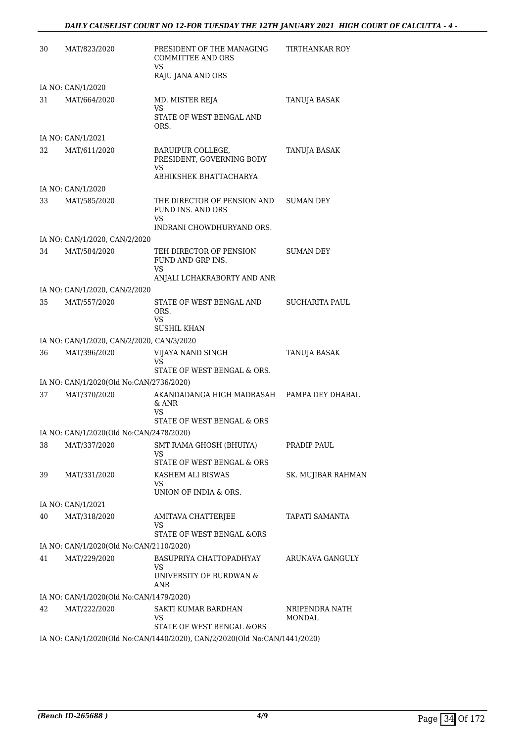| 30 | MAT/823/2020                              | PRESIDENT OF THE MANAGING<br><b>COMMITTEE AND ORS</b><br>VS.              | TIRTHANKAR ROY           |
|----|-------------------------------------------|---------------------------------------------------------------------------|--------------------------|
|    |                                           | RAJU JANA AND ORS                                                         |                          |
|    | IA NO: CAN/1/2020                         |                                                                           |                          |
| 31 | MAT/664/2020                              | MD. MISTER REJA<br>VS                                                     | TANUJA BASAK             |
|    |                                           | STATE OF WEST BENGAL AND<br>ORS.                                          |                          |
|    | IA NO: CAN/1/2021                         |                                                                           |                          |
| 32 | MAT/611/2020                              | BARUIPUR COLLEGE,<br>PRESIDENT, GOVERNING BODY                            | TANUJA BASAK             |
|    |                                           | VS<br>ABHIKSHEK BHATTACHARYA                                              |                          |
|    | IA NO: CAN/1/2020                         |                                                                           |                          |
| 33 | MAT/585/2020                              | THE DIRECTOR OF PENSION AND<br>FUND INS. AND ORS                          | <b>SUMAN DEY</b>         |
|    |                                           | VS<br>INDRANI CHOWDHURYAND ORS.                                           |                          |
|    | IA NO: CAN/1/2020, CAN/2/2020             |                                                                           |                          |
| 34 | MAT/584/2020                              | TEH DIRECTOR OF PENSION<br>FUND AND GRP INS.                              | SUMAN DEY                |
|    |                                           | <b>VS</b><br>ANJALI LCHAKRABORTY AND ANR                                  |                          |
|    | IA NO: CAN/1/2020, CAN/2/2020             |                                                                           |                          |
| 35 | MAT/557/2020                              | STATE OF WEST BENGAL AND                                                  | SUCHARITA PAUL           |
|    |                                           | ORS.<br>VS<br><b>SUSHIL KHAN</b>                                          |                          |
|    | IA NO: CAN/1/2020, CAN/2/2020, CAN/3/2020 |                                                                           |                          |
| 36 | MAT/396/2020                              | VIJAYA NAND SINGH<br>VS.                                                  | TANUJA BASAK             |
|    |                                           | STATE OF WEST BENGAL & ORS.                                               |                          |
|    | IA NO: CAN/1/2020(Old No:CAN/2736/2020)   |                                                                           |                          |
| 37 | MAT/370/2020                              | AKANDADANGA HIGH MADRASAH<br>$\&$ ANR<br>VS                               | PAMPA DEY DHABAL         |
|    |                                           | STATE OF WEST BENGAL & ORS                                                |                          |
|    | IA NO: CAN/1/2020(Old No:CAN/2478/2020)   |                                                                           |                          |
| 38 | MAT/337/2020                              | SMT RAMA GHOSH (BHUIYA)<br>VS                                             | PRADIP PAUL              |
| 39 |                                           | STATE OF WEST BENGAL & ORS<br>KASHEM ALI BISWAS                           |                          |
|    | MAT/331/2020                              | VS<br>UNION OF INDIA & ORS.                                               | SK. MUJIBAR RAHMAN       |
|    | IA NO: CAN/1/2021                         |                                                                           |                          |
| 40 | MAT/318/2020                              | AMITAVA CHATTERJEE<br>VS                                                  | <b>TAPATI SAMANTA</b>    |
|    |                                           | STATE OF WEST BENGAL &ORS                                                 |                          |
|    | IA NO: CAN/1/2020(Old No:CAN/2110/2020)   |                                                                           |                          |
| 41 | MAT/229/2020                              | BASUPRIYA CHATTOPADHYAY<br>VS<br>UNIVERSITY OF BURDWAN &                  | ARUNAVA GANGULY          |
|    |                                           | ANR                                                                       |                          |
|    | IA NO: CAN/1/2020(Old No:CAN/1479/2020)   |                                                                           |                          |
| 42 | MAT/222/2020                              | SAKTI KUMAR BARDHAN<br>VS<br>STATE OF WEST BENGAL &ORS                    | NRIPENDRA NATH<br>MONDAL |
|    |                                           | IA NO. CANILIZOZO(OR No.CANILIZADIZOZO), CANIZIZOZO(OR No.CANILIZALIZOZO) |                          |

IA NO: CAN/1/2020(Old No:CAN/1440/2020), CAN/2/2020(Old No:CAN/1441/2020)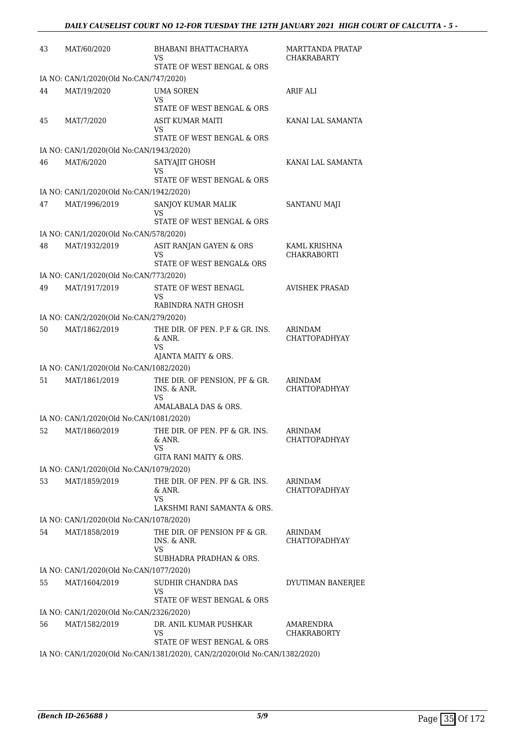| 43 | MAT/60/2020                             | <b>BHABANI BHATTACHARYA</b><br>VS                                                    | MARTTANDA PRATAP<br><b>CHAKRABARTY</b> |
|----|-----------------------------------------|--------------------------------------------------------------------------------------|----------------------------------------|
|    |                                         | STATE OF WEST BENGAL & ORS                                                           |                                        |
|    | IA NO: CAN/1/2020(Old No:CAN/747/2020)  |                                                                                      |                                        |
| 44 | MAT/19/2020                             | <b>UMA SOREN</b><br>VS                                                               | ARIF ALI                               |
|    |                                         | STATE OF WEST BENGAL & ORS                                                           |                                        |
| 45 | MAT/7/2020                              | <b>ASIT KUMAR MAITI</b><br>VS                                                        | KANAI LAL SAMANTA                      |
|    |                                         | STATE OF WEST BENGAL & ORS                                                           |                                        |
|    | IA NO: CAN/1/2020(Old No:CAN/1943/2020) |                                                                                      |                                        |
| 46 | MAT/6/2020                              | SATYAJIT GHOSH<br>VS<br>STATE OF WEST BENGAL & ORS                                   | KANAI LAL SAMANTA                      |
|    |                                         |                                                                                      |                                        |
|    | IA NO: CAN/1/2020(Old No:CAN/1942/2020) |                                                                                      |                                        |
| 47 | MAT/1996/2019                           | SANJOY KUMAR MALIK<br>VS<br>STATE OF WEST BENGAL & ORS                               | SANTANU MAJI                           |
|    | IA NO: CAN/1/2020(Old No:CAN/578/2020)  |                                                                                      |                                        |
| 48 | MAT/1932/2019                           | ASIT RANJAN GAYEN & ORS                                                              | KAML KRISHNA                           |
|    |                                         | VS<br>STATE OF WEST BENGAL& ORS                                                      | <b>CHAKRABORTI</b>                     |
|    | IA NO: CAN/1/2020(Old No:CAN/773/2020)  |                                                                                      |                                        |
| 49 | MAT/1917/2019                           | STATE OF WEST BENAGL<br>VS                                                           | <b>AVISHEK PRASAD</b>                  |
|    |                                         | RABINDRA NATH GHOSH                                                                  |                                        |
|    | IA NO: CAN/2/2020(Old No:CAN/279/2020)  |                                                                                      |                                        |
| 50 | MAT/1862/2019                           | THE DIR. OF PEN. P.F & GR. INS.<br>& ANR.<br>VS                                      | <b>ARINDAM</b><br><b>CHATTOPADHYAY</b> |
|    |                                         | AJANTA MAITY & ORS.                                                                  |                                        |
|    | IA NO: CAN/1/2020(Old No:CAN/1082/2020) |                                                                                      |                                        |
| 51 | MAT/1861/2019                           | THE DIR. OF PENSION, PF & GR.<br>INS. & ANR.<br>VS                                   | ARINDAM<br><b>CHATTOPADHYAY</b>        |
|    |                                         | AMALABALA DAS & ORS.                                                                 |                                        |
|    | IA NO: CAN/1/2020(Old No:CAN/1081/2020) |                                                                                      |                                        |
| 52 | MAT/1860/2019                           | THE DIR. OF PEN. PF & GR. INS.<br>& ANR.<br>VS                                       | ARINDAM<br>CHATTOPADHYAY               |
|    |                                         | GITA RANI MAITY & ORS.                                                               |                                        |
|    | IA NO: CAN/1/2020(Old No:CAN/1079/2020) |                                                                                      |                                        |
| 53 | MAT/1859/2019                           | THE DIR. OF PEN. PF & GR. INS.<br>& ANR.<br><b>VS</b><br>LAKSHMI RANI SAMANTA & ORS. | ARINDAM<br>CHATTOPADHYAY               |
|    | IA NO: CAN/1/2020(Old No:CAN/1078/2020) |                                                                                      |                                        |
| 54 | MAT/1858/2019                           | THE DIR. OF PENSION PF & GR.                                                         | ARINDAM                                |
|    |                                         | INS. & ANR.<br><b>VS</b><br>SUBHADRA PRADHAN & ORS.                                  | <b>CHATTOPADHYAY</b>                   |
|    | IA NO: CAN/1/2020(Old No:CAN/1077/2020) |                                                                                      |                                        |
| 55 | MAT/1604/2019                           | SUDHIR CHANDRA DAS                                                                   | DYUTIMAN BANERJEE                      |
|    |                                         | VS.                                                                                  |                                        |
|    |                                         | STATE OF WEST BENGAL & ORS                                                           |                                        |
|    | IA NO: CAN/1/2020(Old No:CAN/2326/2020) |                                                                                      |                                        |
| 56 | MAT/1582/2019                           | DR. ANIL KUMAR PUSHKAR<br>VS<br>STATE OF WEST BENGAL & ORS                           | AMARENDRA<br><b>CHAKRABORTY</b>        |
|    |                                         | IA NO: CAN/1/2020(Old No:CAN/1381/2020), CAN/2/2020(Old No:CAN/1382/2020)            |                                        |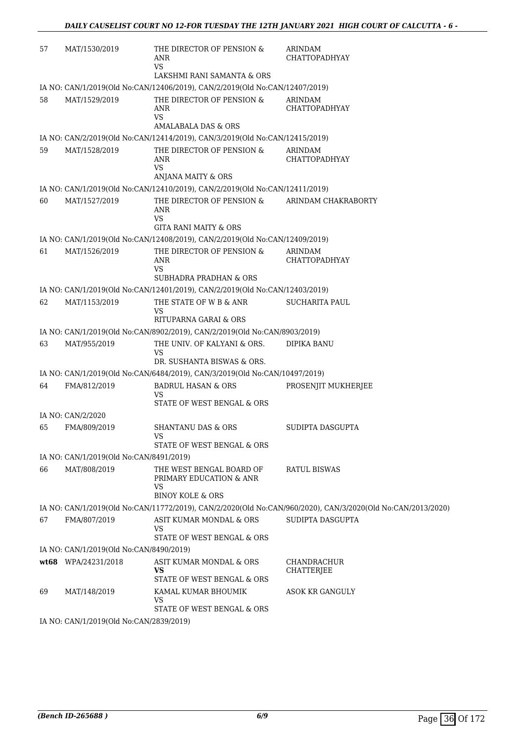| 57 | MAT/1530/2019                             | THE DIRECTOR OF PENSION &<br>ANR<br><b>VS</b><br>LAKSHMI RANI SAMANTA & ORS | ARINDAM<br>CHATTOPADHYAY                                                                                    |
|----|-------------------------------------------|-----------------------------------------------------------------------------|-------------------------------------------------------------------------------------------------------------|
|    |                                           | IA NO: CAN/1/2019(Old No:CAN/12406/2019), CAN/2/2019(Old No:CAN/12407/2019) |                                                                                                             |
| 58 | MAT/1529/2019                             | THE DIRECTOR OF PENSION &                                                   | ARINDAM                                                                                                     |
|    |                                           | <b>ANR</b><br>VS<br>AMALABALA DAS & ORS                                     | <b>CHATTOPADHYAY</b>                                                                                        |
|    |                                           | IA NO: CAN/2/2019(Old No:CAN/12414/2019), CAN/3/2019(Old No:CAN/12415/2019) |                                                                                                             |
| 59 | MAT/1528/2019                             | THE DIRECTOR OF PENSION &                                                   | ARINDAM                                                                                                     |
|    |                                           | ANR<br>VS<br>ANJANA MAITY & ORS                                             | <b>CHATTOPADHYAY</b>                                                                                        |
|    |                                           | IA NO: CAN/1/2019(Old No:CAN/12410/2019), CAN/2/2019(Old No:CAN/12411/2019) |                                                                                                             |
| 60 | MAT/1527/2019                             | THE DIRECTOR OF PENSION &                                                   | ARINDAM CHAKRABORTY                                                                                         |
|    |                                           | ANR<br><b>VS</b><br>GITA RANI MAITY & ORS                                   |                                                                                                             |
|    |                                           | IA NO: CAN/1/2019(Old No:CAN/12408/2019), CAN/2/2019(Old No:CAN/12409/2019) |                                                                                                             |
| 61 | MAT/1526/2019                             | THE DIRECTOR OF PENSION &                                                   | ARINDAM                                                                                                     |
|    |                                           | <b>ANR</b><br><b>VS</b>                                                     | <b>CHATTOPADHYAY</b>                                                                                        |
|    |                                           | <b>SUBHADRA PRADHAN &amp; ORS</b>                                           |                                                                                                             |
|    |                                           | IA NO: CAN/1/2019(Old No:CAN/12401/2019), CAN/2/2019(Old No:CAN/12403/2019) |                                                                                                             |
| 62 | MAT/1153/2019                             | THE STATE OF W B & ANR<br>VS<br>RITUPARNA GARAI & ORS                       | <b>SUCHARITA PAUL</b>                                                                                       |
|    |                                           | IA NO: CAN/1/2019(Old No:CAN/8902/2019), CAN/2/2019(Old No:CAN/8903/2019)   |                                                                                                             |
| 63 | MAT/955/2019                              | THE UNIV. OF KALYANI & ORS.<br>VS                                           | <b>DIPIKA BANU</b>                                                                                          |
|    |                                           | DR. SUSHANTA BISWAS & ORS.                                                  |                                                                                                             |
|    |                                           | IA NO: CAN/1/2019(Old No:CAN/6484/2019), CAN/3/2019(Old No:CAN/10497/2019)  |                                                                                                             |
| 64 | FMA/812/2019                              | <b>BADRUL HASAN &amp; ORS</b><br>VS<br>STATE OF WEST BENGAL & ORS           | PROSENJIT MUKHERJEE                                                                                         |
|    | IA NO: CAN/2/2020                         |                                                                             |                                                                                                             |
| 65 | FMA/809/2019                              | <b>SHANTANU DAS &amp; ORS</b><br>VS.                                        | SUDIPTA DASGUPTA                                                                                            |
|    |                                           | STATE OF WEST BENGAL & ORS                                                  |                                                                                                             |
|    | IA NO: CAN/1/2019(Old No:CAN/8491/2019)   |                                                                             |                                                                                                             |
| 66 | MAT/808/2019                              | THE WEST BENGAL BOARD OF<br>PRIMARY EDUCATION & ANR<br>VS                   | RATUL BISWAS                                                                                                |
|    |                                           | <b>BINOY KOLE &amp; ORS</b>                                                 |                                                                                                             |
|    |                                           |                                                                             | IA NO: CAN/1/2019(Old No:CAN/11772/2019), CAN/2/2020(Old No:CAN/960/2020), CAN/3/2020(Old No:CAN/2013/2020) |
| 67 | FMA/807/2019                              | ASIT KUMAR MONDAL & ORS<br>VS<br>STATE OF WEST BENGAL & ORS                 | SUDIPTA DASGUPTA                                                                                            |
|    | IA NO: CAN/1/2019(Old No:CAN/8490/2019)   |                                                                             |                                                                                                             |
|    | wt68 WPA/24231/2018                       | ASIT KUMAR MONDAL & ORS<br>VS                                               | CHANDRACHUR<br>CHATTERJEE                                                                                   |
|    |                                           | STATE OF WEST BENGAL & ORS                                                  |                                                                                                             |
| 69 | MAT/148/2019                              | KAMAL KUMAR BHOUMIK<br>VS<br>STATE OF WEST BENGAL & ORS                     | ASOK KR GANGULY                                                                                             |
|    | $IA$ NO: $CAN/1/2019(OMN0·CAN/2839/2019)$ |                                                                             |                                                                                                             |

IA NO: CAN/1/2019(Old No:CAN/2839/2019)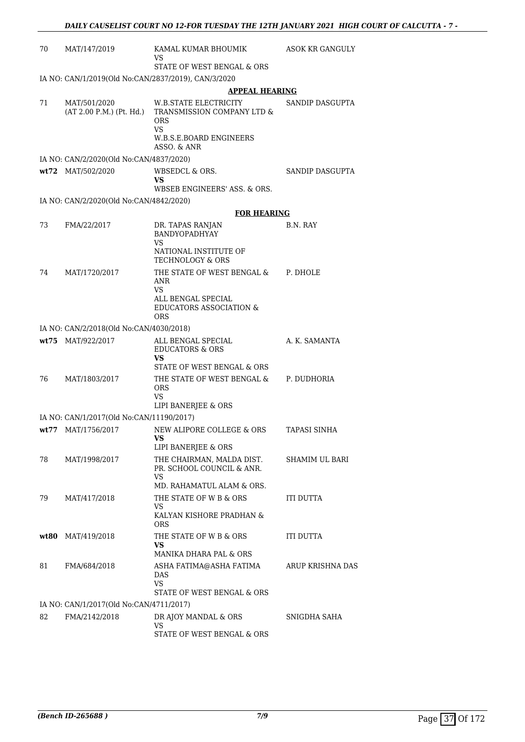| 70   | MAT/147/2019                                        | KAMAL KUMAR BHOUMIK<br>VS                                                                          | ASOK KR GANGULY  |
|------|-----------------------------------------------------|----------------------------------------------------------------------------------------------------|------------------|
|      |                                                     | STATE OF WEST BENGAL & ORS                                                                         |                  |
|      | IA NO: CAN/1/2019(Old No:CAN/2837/2019), CAN/3/2020 |                                                                                                    |                  |
|      |                                                     | <b>APPEAL HEARING</b>                                                                              |                  |
| 71   | MAT/501/2020<br>(AT 2.00 P.M.) (Pt. Hd.)            | W.B.STATE ELECTRICITY<br>TRANSMISSION COMPANY LTD &<br>ORS<br><b>VS</b><br>W.B.S.E.BOARD ENGINEERS | SANDIP DASGUPTA  |
|      |                                                     | ASSO, & ANR                                                                                        |                  |
|      | IA NO: CAN/2/2020(Old No:CAN/4837/2020)             |                                                                                                    |                  |
|      | wt72 MAT/502/2020                                   | WBSEDCL & ORS.<br>VS                                                                               | SANDIP DASGUPTA  |
|      |                                                     | WBSEB ENGINEERS' ASS. & ORS.                                                                       |                  |
|      | IA NO: CAN/2/2020(Old No:CAN/4842/2020)             |                                                                                                    |                  |
|      |                                                     | <b>FOR HEARING</b>                                                                                 |                  |
| 73   | FMA/22/2017                                         | DR. TAPAS RANJAN<br><b>BANDYOPADHYAY</b><br>VS                                                     | B.N. RAY         |
|      |                                                     | NATIONAL INSTITUTE OF<br><b>TECHNOLOGY &amp; ORS</b>                                               |                  |
| 74   | MAT/1720/2017                                       | THE STATE OF WEST BENGAL &<br>ANR                                                                  | P. DHOLE         |
|      |                                                     | VS.<br>ALL BENGAL SPECIAL<br><b>EDUCATORS ASSOCIATION &amp;</b><br><b>ORS</b>                      |                  |
|      | IA NO: CAN/2/2018(Old No:CAN/4030/2018)             |                                                                                                    |                  |
|      | wt75 MAT/922/2017                                   | ALL BENGAL SPECIAL<br><b>EDUCATORS &amp; ORS</b><br>VS                                             | A. K. SAMANTA    |
|      |                                                     | STATE OF WEST BENGAL & ORS                                                                         |                  |
| 76   | MAT/1803/2017                                       | THE STATE OF WEST BENGAL &<br><b>ORS</b><br>VS                                                     | P. DUDHORIA      |
|      |                                                     | LIPI BANERJEE & ORS                                                                                |                  |
|      | IA NO: CAN/1/2017(Old No:CAN/11190/2017)            |                                                                                                    |                  |
|      | wt77 MAT/1756/2017                                  | NEW ALIPORE COLLEGE & ORS<br>VS<br>LIPI BANERJEE & ORS                                             | TAPASI SINHA     |
| 78   | MAT/1998/2017                                       | THE CHAIRMAN, MALDA DIST.<br>PR. SCHOOL COUNCIL & ANR.<br>VS                                       | SHAMIM UL BARI   |
|      |                                                     | MD. RAHAMATUL ALAM & ORS.                                                                          |                  |
| 79   | MAT/417/2018                                        | THE STATE OF W B & ORS<br>VS                                                                       | ITI DUTTA        |
|      |                                                     | KALYAN KISHORE PRADHAN &<br>ORS                                                                    |                  |
| wt80 | MAT/419/2018                                        | THE STATE OF W B & ORS<br>VS<br>MANIKA DHARA PAL & ORS                                             | <b>ITI DUTTA</b> |
|      |                                                     |                                                                                                    |                  |
| 81   | FMA/684/2018                                        | ASHA FATIMA@ASHA FATIMA<br>DAS<br>VS.                                                              | ARUP KRISHNA DAS |
|      |                                                     | STATE OF WEST BENGAL & ORS                                                                         |                  |
|      | IA NO: CAN/1/2017(Old No:CAN/4711/2017)             |                                                                                                    |                  |
| 82   | FMA/2142/2018                                       | DR AJOY MANDAL & ORS<br>VS                                                                         | SNIGDHA SAHA     |
|      |                                                     | STATE OF WEST BENGAL & ORS                                                                         |                  |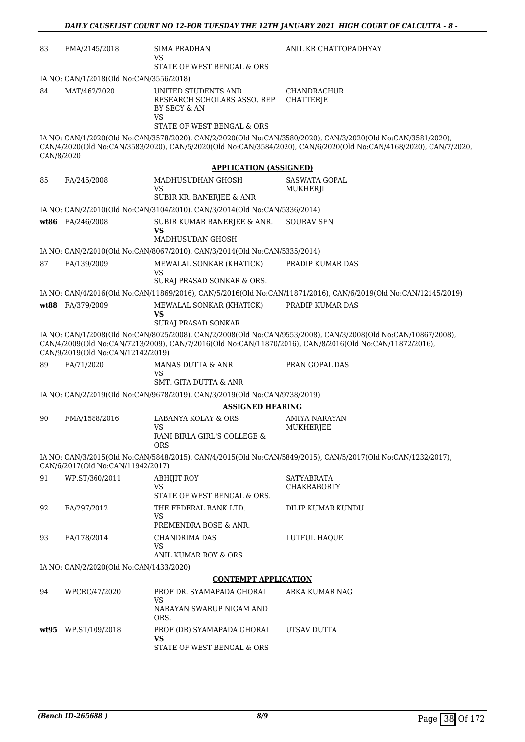| 83                                                                                                                                                                                                                                                            | FMA/2145/2018                           | SIMA PRADHAN<br>VS<br>STATE OF WEST BENGAL & ORS                                                       | ANIL KR CHATTOPADHYAY                                                                                                                                                                                                            |
|---------------------------------------------------------------------------------------------------------------------------------------------------------------------------------------------------------------------------------------------------------------|-----------------------------------------|--------------------------------------------------------------------------------------------------------|----------------------------------------------------------------------------------------------------------------------------------------------------------------------------------------------------------------------------------|
|                                                                                                                                                                                                                                                               | IA NO: CAN/1/2018(Old No:CAN/3556/2018) |                                                                                                        |                                                                                                                                                                                                                                  |
| 84                                                                                                                                                                                                                                                            | MAT/462/2020                            | UNITED STUDENTS AND<br>RESEARCH SCHOLARS ASSO. REP<br>BY SECY & AN<br>VS<br>STATE OF WEST BENGAL & ORS | CHANDRACHUR<br>CHATTERJE                                                                                                                                                                                                         |
|                                                                                                                                                                                                                                                               |                                         |                                                                                                        |                                                                                                                                                                                                                                  |
| CAN/8/2020                                                                                                                                                                                                                                                    |                                         |                                                                                                        | IA NO: CAN/1/2020(Old No:CAN/3578/2020), CAN/2/2020(Old No:CAN/3580/2020), CAN/3/2020(Old No:CAN/3581/2020),<br>CAN/4/2020(Old No:CAN/3583/2020), CAN/5/2020(Old No:CAN/3584/2020), CAN/6/2020(Old No:CAN/4168/2020), CAN/7/2020 |
|                                                                                                                                                                                                                                                               |                                         | <b>APPLICATION (ASSIGNED)</b>                                                                          |                                                                                                                                                                                                                                  |
| 85                                                                                                                                                                                                                                                            | FA/245/2008                             | MADHUSUDHAN GHOSH<br>VS.<br>SUBIR KR. BANERJEE & ANR                                                   | <b>SASWATA GOPAL</b><br>MUKHERJI                                                                                                                                                                                                 |
|                                                                                                                                                                                                                                                               |                                         | IA NO: CAN/2/2010(Old No:CAN/3104/2010), CAN/3/2014(Old No:CAN/5336/2014)                              |                                                                                                                                                                                                                                  |
|                                                                                                                                                                                                                                                               | wt86 FA/246/2008                        | SUBIR KUMAR BANERJEE & ANR.<br><b>VS</b>                                                               | <b>SOURAV SEN</b>                                                                                                                                                                                                                |
|                                                                                                                                                                                                                                                               |                                         | MADHUSUDAN GHOSH                                                                                       |                                                                                                                                                                                                                                  |
|                                                                                                                                                                                                                                                               |                                         | IA NO: CAN/2/2010(Old No:CAN/8067/2010), CAN/3/2014(Old No:CAN/5335/2014)                              |                                                                                                                                                                                                                                  |
| 87                                                                                                                                                                                                                                                            | FA/139/2009                             | MEWALAL SONKAR (KHATICK)<br>VS                                                                         | PRADIP KUMAR DAS                                                                                                                                                                                                                 |
|                                                                                                                                                                                                                                                               |                                         | SURAJ PRASAD SONKAR & ORS.                                                                             |                                                                                                                                                                                                                                  |
|                                                                                                                                                                                                                                                               |                                         |                                                                                                        | IA NO: CAN/4/2016(Old No:CAN/11869/2016), CAN/5/2016(Old No:CAN/11871/2016), CAN/6/2019(Old No:CAN/12145/2019)                                                                                                                   |
|                                                                                                                                                                                                                                                               | wt88 FA/379/2009                        | MEWALAL SONKAR (KHATICK)<br>VS<br>SURAJ PRASAD SONKAR                                                  | PRADIP KUMAR DAS                                                                                                                                                                                                                 |
| IA NO: CAN/1/2008(Old No:CAN/8025/2008), CAN/2/2008(Old No:CAN/9553/2008), CAN/3/2008(Old No:CAN/10867/2008),<br>CAN/4/2009(Old No:CAN/7213/2009), CAN/7/2016(Old No:CAN/11870/2016), CAN/8/2016(Old No:CAN/11872/2016),<br>CAN/9/2019(Old No:CAN/12142/2019) |                                         |                                                                                                        |                                                                                                                                                                                                                                  |
| 89                                                                                                                                                                                                                                                            | FA/71/2020                              | MANAS DUTTA & ANR<br>VS                                                                                | PRAN GOPAL DAS                                                                                                                                                                                                                   |
|                                                                                                                                                                                                                                                               |                                         | SMT. GITA DUTTA & ANR                                                                                  |                                                                                                                                                                                                                                  |
|                                                                                                                                                                                                                                                               |                                         | IA NO: CAN/2/2019(Old No:CAN/9678/2019), CAN/3/2019(Old No:CAN/9738/2019)                              |                                                                                                                                                                                                                                  |
|                                                                                                                                                                                                                                                               |                                         | <b>ASSIGNED HEARING</b>                                                                                |                                                                                                                                                                                                                                  |
| 90                                                                                                                                                                                                                                                            | FMA/1588/2016                           | <b>LABANYA KOLAY &amp; ORS</b>                                                                         | AMIYA NARAYAN                                                                                                                                                                                                                    |
|                                                                                                                                                                                                                                                               |                                         | <b>VS</b><br>RANI BIRLA GIRL'S COLLEGE &<br><b>ORS</b>                                                 | <b>MUKHERJEE</b>                                                                                                                                                                                                                 |
|                                                                                                                                                                                                                                                               | CAN/6/2017(Old No:CAN/11942/2017)       |                                                                                                        | IA NO: CAN/3/2015(Old No:CAN/5848/2015), CAN/4/2015(Old No:CAN/5849/2015), CAN/5/2017(Old No:CAN/1232/2017),                                                                                                                     |
| 91                                                                                                                                                                                                                                                            | WP.ST/360/2011                          | <b>ABHIJIT ROY</b>                                                                                     | SATYABRATA                                                                                                                                                                                                                       |
|                                                                                                                                                                                                                                                               |                                         | VS                                                                                                     | <b>CHAKRABORTY</b>                                                                                                                                                                                                               |
|                                                                                                                                                                                                                                                               |                                         | STATE OF WEST BENGAL & ORS.                                                                            |                                                                                                                                                                                                                                  |
| 92                                                                                                                                                                                                                                                            | FA/297/2012                             | THE FEDERAL BANK LTD.<br>VS                                                                            | DILIP KUMAR KUNDU                                                                                                                                                                                                                |
|                                                                                                                                                                                                                                                               |                                         | PREMENDRA BOSE & ANR.                                                                                  |                                                                                                                                                                                                                                  |
| 93                                                                                                                                                                                                                                                            | FA/178/2014                             | <b>CHANDRIMA DAS</b><br>VS<br>ANIL KUMAR ROY & ORS                                                     | LUTFUL HAOUE                                                                                                                                                                                                                     |
|                                                                                                                                                                                                                                                               | IA NO: CAN/2/2020(Old No:CAN/1433/2020) |                                                                                                        |                                                                                                                                                                                                                                  |
|                                                                                                                                                                                                                                                               |                                         | <b>CONTEMPT APPLICATION</b>                                                                            |                                                                                                                                                                                                                                  |
| 94                                                                                                                                                                                                                                                            | WPCRC/47/2020                           | PROF DR. SYAMAPADA GHORAI                                                                              | ARKA KUMAR NAG                                                                                                                                                                                                                   |
|                                                                                                                                                                                                                                                               |                                         | VS<br>NARAYAN SWARUP NIGAM AND<br>ORS.                                                                 |                                                                                                                                                                                                                                  |
|                                                                                                                                                                                                                                                               | wt95 WP.ST/109/2018                     | PROF (DR) SYAMAPADA GHORAI                                                                             | UTSAV DUTTA                                                                                                                                                                                                                      |
|                                                                                                                                                                                                                                                               |                                         | <b>VS</b><br>STATE OF WEST BENGAL & ORS                                                                |                                                                                                                                                                                                                                  |
|                                                                                                                                                                                                                                                               |                                         |                                                                                                        |                                                                                                                                                                                                                                  |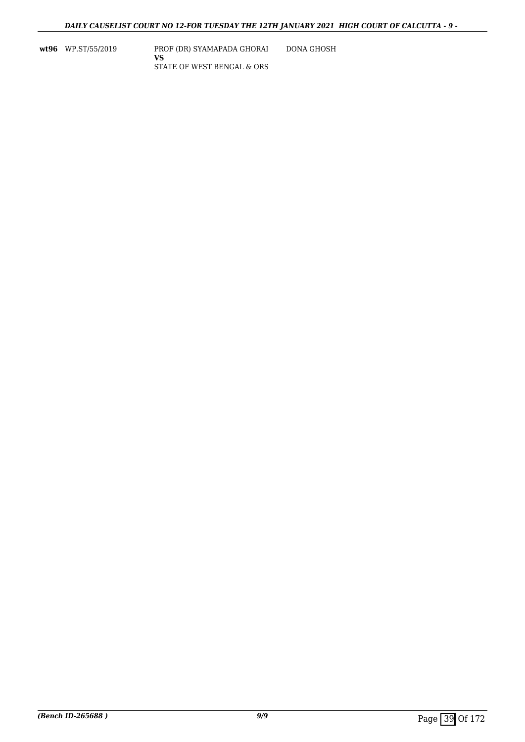**wt96** WP.ST/55/2019 PROF (DR) SYAMAPADA GHORAI **VS** STATE OF WEST BENGAL & ORS DONA GHOSH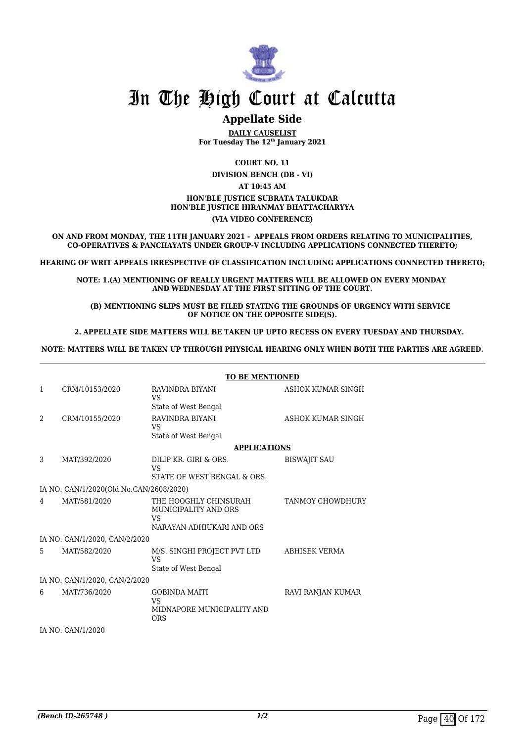

# **Appellate Side**

**DAILY CAUSELIST For Tuesday The 12th January 2021**

**COURT NO. 11**

**DIVISION BENCH (DB - VI) AT 10:45 AM HON'BLE JUSTICE SUBRATA TALUKDAR HON'BLE JUSTICE HIRANMAY BHATTACHARYYA**

#### **(VIA VIDEO CONFERENCE)**

**ON AND FROM MONDAY, THE 11TH JANUARY 2021 - APPEALS FROM ORDERS RELATING TO MUNICIPALITIES, CO-OPERATIVES & PANCHAYATS UNDER GROUP-V INCLUDING APPLICATIONS CONNECTED THERETO;**

**HEARING OF WRIT APPEALS IRRESPECTIVE OF CLASSIFICATION INCLUDING APPLICATIONS CONNECTED THERETO;**

**NOTE: 1.(A) MENTIONING OF REALLY URGENT MATTERS WILL BE ALLOWED ON EVERY MONDAY AND WEDNESDAY AT THE FIRST SITTING OF THE COURT.**

 **(B) MENTIONING SLIPS MUST BE FILED STATING THE GROUNDS OF URGENCY WITH SERVICE OF NOTICE ON THE OPPOSITE SIDE(S).**

 **2. APPELLATE SIDE MATTERS WILL BE TAKEN UP UPTO RECESS ON EVERY TUESDAY AND THURSDAY.** 

**NOTE: MATTERS WILL BE TAKEN UP THROUGH PHYSICAL HEARING ONLY WHEN BOTH THE PARTIES ARE AGREED.**

|              |                                         | <b>TO BE MENTIONED</b>                                                           |                         |  |
|--------------|-----------------------------------------|----------------------------------------------------------------------------------|-------------------------|--|
| $\mathbf{1}$ | CRM/10153/2020                          | RAVINDRA BIYANI<br>VS<br>State of West Bengal                                    | ASHOK KUMAR SINGH       |  |
| 2            | CRM/10155/2020                          | RAVINDRA BIYANI<br>VS<br>State of West Bengal                                    | ASHOK KUMAR SINGH       |  |
|              |                                         | <b>APPLICATIONS</b>                                                              |                         |  |
| 3            | MAT/392/2020                            | DILIP KR. GIRI & ORS.<br><b>VS</b><br>STATE OF WEST BENGAL & ORS.                | <b>BISWAJIT SAU</b>     |  |
|              | IA NO: CAN/1/2020(Old No:CAN/2608/2020) |                                                                                  |                         |  |
| 4            | MAT/581/2020                            | THE HOOGHLY CHINSURAH<br>MUNICIPALITY AND ORS<br>VS<br>NARAYAN ADHIUKARI AND ORS | <b>TANMOY CHOWDHURY</b> |  |
|              | IA NO: CAN/1/2020, CAN/2/2020           |                                                                                  |                         |  |
| 5.           | MAT/582/2020                            | M/S. SINGHI PROJECT PVT LTD<br><b>VS</b><br>State of West Bengal                 | <b>ABHISEK VERMA</b>    |  |
|              | IA NO: CAN/1/2020, CAN/2/2020           |                                                                                  |                         |  |
| 6            | MAT/736/2020                            | <b>GOBINDA MAITI</b><br>VS<br>MIDNAPORE MUNICIPALITY AND<br><b>ORS</b>           | RAVI RANJAN KUMAR       |  |
|              | IA NO: CAN/1/2020                       |                                                                                  |                         |  |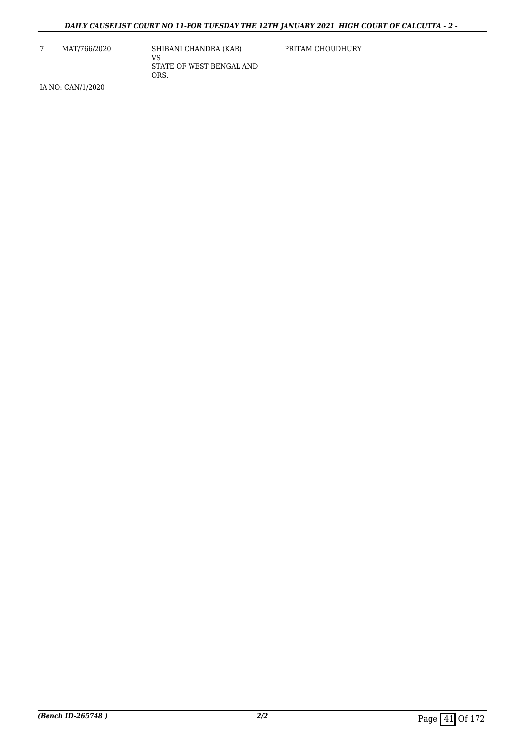7 MAT/766/2020 SHIBANI CHANDRA (KAR) VS STATE OF WEST BENGAL AND ORS.

PRITAM CHOUDHURY

IA NO: CAN/1/2020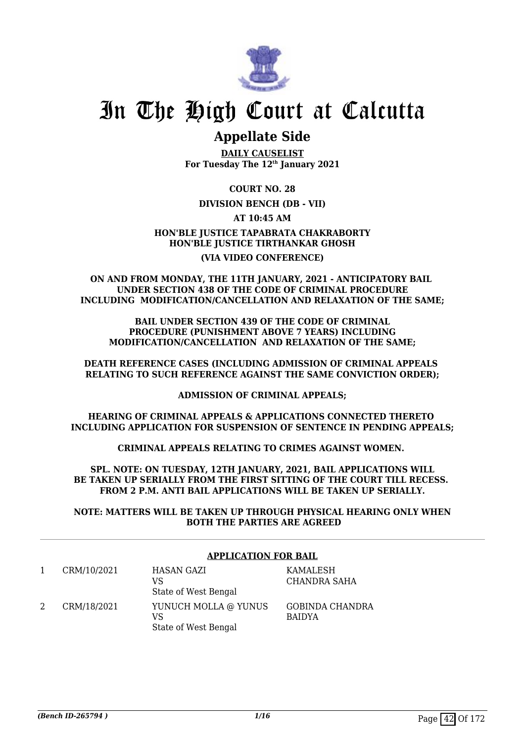

# **Appellate Side**

**DAILY CAUSELIST For Tuesday The 12th January 2021**

**COURT NO. 28**

**DIVISION BENCH (DB - VII)**

**AT 10:45 AM**

**HON'BLE JUSTICE TAPABRATA CHAKRABORTY HON'BLE JUSTICE TIRTHANKAR GHOSH (VIA VIDEO CONFERENCE)**

#### **ON AND FROM MONDAY, THE 11TH JANUARY, 2021 - ANTICIPATORY BAIL UNDER SECTION 438 OF THE CODE OF CRIMINAL PROCEDURE INCLUDING MODIFICATION/CANCELLATION AND RELAXATION OF THE SAME;**

**BAIL UNDER SECTION 439 OF THE CODE OF CRIMINAL PROCEDURE (PUNISHMENT ABOVE 7 YEARS) INCLUDING MODIFICATION/CANCELLATION AND RELAXATION OF THE SAME;**

**DEATH REFERENCE CASES (INCLUDING ADMISSION OF CRIMINAL APPEALS RELATING TO SUCH REFERENCE AGAINST THE SAME CONVICTION ORDER);**

**ADMISSION OF CRIMINAL APPEALS;**

**HEARING OF CRIMINAL APPEALS & APPLICATIONS CONNECTED THERETO INCLUDING APPLICATION FOR SUSPENSION OF SENTENCE IN PENDING APPEALS;**

**CRIMINAL APPEALS RELATING TO CRIMES AGAINST WOMEN.** 

**SPL. NOTE: ON TUESDAY, 12TH JANUARY, 2021, BAIL APPLICATIONS WILL BE TAKEN UP SERIALLY FROM THE FIRST SITTING OF THE COURT TILL RECESS. FROM 2 P.M. ANTI BAIL APPLICATIONS WILL BE TAKEN UP SERIALLY.**

**NOTE: MATTERS WILL BE TAKEN UP THROUGH PHYSICAL HEARING ONLY WHEN BOTH THE PARTIES ARE AGREED**

| <b>APPLICATION FOR BAIL</b> |                                                    |                                  |
|-----------------------------|----------------------------------------------------|----------------------------------|
| CRM/10/2021                 | HASAN GAZI<br>VS<br>State of West Bengal           | KAMALESH<br>CHANDRA SAHA         |
| CRM/18/2021                 | YUNUCH MOLLA @ YUNUS<br>VS<br>State of West Bengal | GOBINDA CHANDRA<br><b>BAIDYA</b> |

## **APPLICATION FOR BAIL**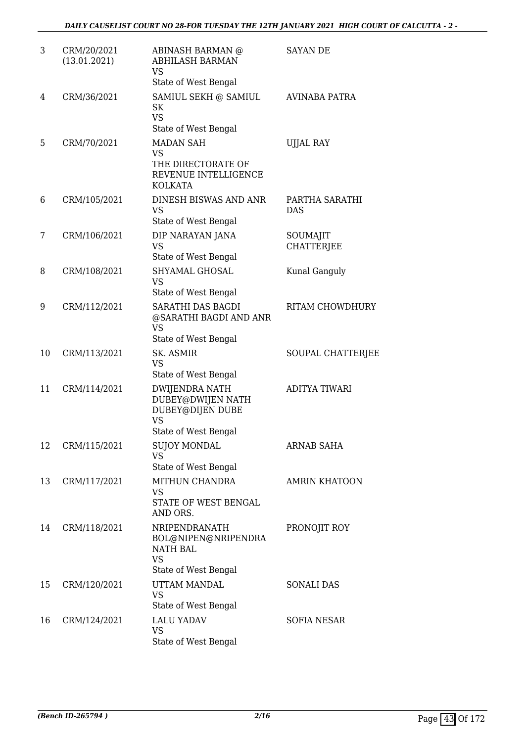| 3  | CRM/20/2021<br>(13.01.2021) | ABINASH BARMAN @<br><b>ABHILASH BARMAN</b><br><b>VS</b><br>State of West Bengal                     | SAYAN DE                      |
|----|-----------------------------|-----------------------------------------------------------------------------------------------------|-------------------------------|
| 4  | CRM/36/2021                 | SAMIUL SEKH @ SAMIUL<br><b>SK</b><br><b>VS</b><br>State of West Bengal                              | AVINABA PATRA                 |
| 5  | CRM/70/2021                 | <b>MADAN SAH</b><br><b>VS</b><br>THE DIRECTORATE OF<br>REVENUE INTELLIGENCE<br><b>KOLKATA</b>       | <b>UJJAL RAY</b>              |
| 6  | CRM/105/2021                | DINESH BISWAS AND ANR<br><b>VS</b><br>State of West Bengal                                          | PARTHA SARATHI<br><b>DAS</b>  |
| 7  | CRM/106/2021                | DIP NARAYAN JANA<br><b>VS</b><br>State of West Bengal                                               | SOUMAJIT<br><b>CHATTERJEE</b> |
| 8  | CRM/108/2021                | SHYAMAL GHOSAL<br><b>VS</b><br>State of West Bengal                                                 | Kunal Ganguly                 |
| 9  | CRM/112/2021                | SARATHI DAS BAGDI<br>@SARATHI BAGDI AND ANR<br><b>VS</b><br>State of West Bengal                    | <b>RITAM CHOWDHURY</b>        |
| 10 | CRM/113/2021                | SK. ASMIR<br><b>VS</b><br>State of West Bengal                                                      | SOUPAL CHATTERJEE             |
| 11 | CRM/114/2021                | <b>DWIJENDRA NATH</b><br>DUBEY@DWIJEN NATH<br>DUBEY@DIJEN DUBE<br><b>VS</b><br>State of West Bengal | <b>ADITYA TIWARI</b>          |
| 12 | CRM/115/2021                | <b>SUJOY MONDAL</b><br><b>VS</b><br>State of West Bengal                                            | <b>ARNAB SAHA</b>             |
| 13 | CRM/117/2021                | MITHUN CHANDRA<br><b>VS</b><br>STATE OF WEST BENGAL<br>AND ORS.                                     | <b>AMRIN KHATOON</b>          |
| 14 | CRM/118/2021                | NRIPENDRANATH<br>BOL@NIPEN@NRIPENDRA<br><b>NATH BAL</b><br><b>VS</b><br>State of West Bengal        | PRONOJIT ROY                  |
| 15 | CRM/120/2021                | UTTAM MANDAL<br><b>VS</b><br>State of West Bengal                                                   | <b>SONALI DAS</b>             |
| 16 | CRM/124/2021                | <b>LALU YADAV</b><br><b>VS</b><br>State of West Bengal                                              | <b>SOFIA NESAR</b>            |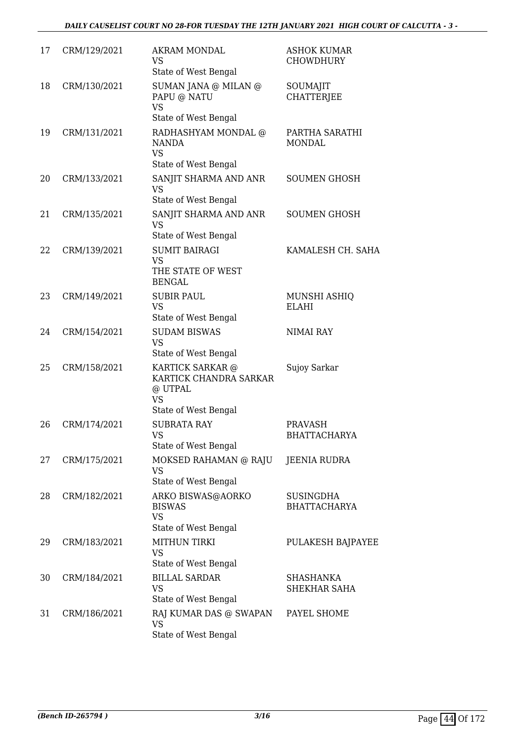| 17 | CRM/129/2021 | AKRAM MONDAL<br>VS<br>State of West Bengal                                                 | <b>ASHOK KUMAR</b><br><b>CHOWDHURY</b>  |
|----|--------------|--------------------------------------------------------------------------------------------|-----------------------------------------|
| 18 | CRM/130/2021 | SUMAN JANA @ MILAN @<br>PAPU @ NATU<br><b>VS</b><br>State of West Bengal                   | SOUMAJIT<br><b>CHATTERJEE</b>           |
| 19 | CRM/131/2021 | RADHASHYAM MONDAL @<br>NANDA<br><b>VS</b><br>State of West Bengal                          | PARTHA SARATHI<br><b>MONDAL</b>         |
| 20 | CRM/133/2021 | SANJIT SHARMA AND ANR<br><b>VS</b><br>State of West Bengal                                 | <b>SOUMEN GHOSH</b>                     |
| 21 | CRM/135/2021 | SANJIT SHARMA AND ANR<br><b>VS</b><br>State of West Bengal                                 | <b>SOUMEN GHOSH</b>                     |
| 22 | CRM/139/2021 | <b>SUMIT BAIRAGI</b><br><b>VS</b><br>THE STATE OF WEST<br><b>BENGAL</b>                    | KAMALESH CH. SAHA                       |
| 23 | CRM/149/2021 | <b>SUBIR PAUL</b><br><b>VS</b><br>State of West Bengal                                     | MUNSHI ASHIQ<br><b>ELAHI</b>            |
| 24 | CRM/154/2021 | <b>SUDAM BISWAS</b><br><b>VS</b><br>State of West Bengal                                   | <b>NIMAI RAY</b>                        |
| 25 | CRM/158/2021 | KARTICK SARKAR @<br>KARTICK CHANDRA SARKAR<br>@ UTPAL<br><b>VS</b><br>State of West Bengal | Sujoy Sarkar                            |
| 26 | CRM/174/2021 | <b>SUBRATA RAY</b><br>VS —<br>State of West Bengal                                         | PRAVASH<br><b>BHATTACHARYA</b>          |
| 27 | CRM/175/2021 | MOKSED RAHAMAN @ RAJU<br><b>VS</b><br>State of West Bengal                                 | JEENIA RUDRA                            |
| 28 | CRM/182/2021 | ARKO BISWAS@AORKO<br><b>BISWAS</b><br><b>VS</b><br>State of West Bengal                    | <b>SUSINGDHA</b><br><b>BHATTACHARYA</b> |
| 29 | CRM/183/2021 | <b>MITHUN TIRKI</b><br><b>VS</b><br>State of West Bengal                                   | PULAKESH BAJPAYEE                       |
| 30 | CRM/184/2021 | <b>BILLAL SARDAR</b><br><b>VS</b><br>State of West Bengal                                  | <b>SHASHANKA</b><br>SHEKHAR SAHA        |
| 31 | CRM/186/2021 | RAJ KUMAR DAS @ SWAPAN<br><b>VS</b><br>State of West Bengal                                | PAYEL SHOME                             |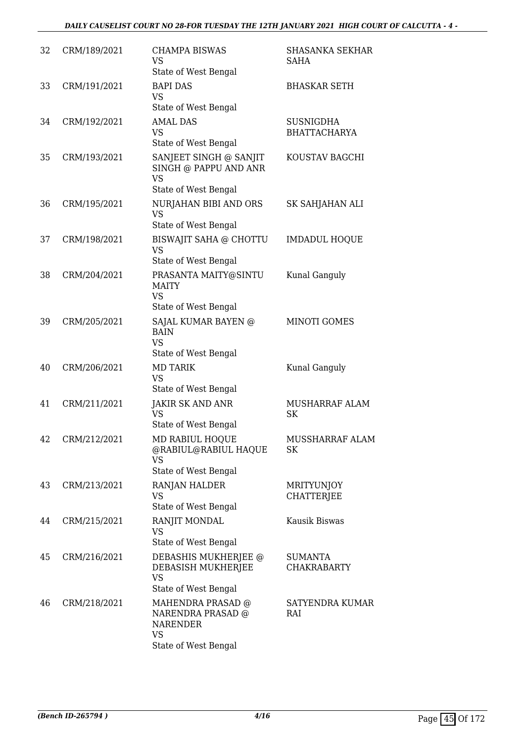| 32 | CRM/189/2021 | <b>CHAMPA BISWAS</b><br><b>VS</b>                                                                       | <b>SHASANKA SEKHAR</b><br>SAHA          |
|----|--------------|---------------------------------------------------------------------------------------------------------|-----------------------------------------|
| 33 | CRM/191/2021 | State of West Bengal<br><b>BAPI DAS</b><br><b>VS</b><br>State of West Bengal                            | <b>BHASKAR SETH</b>                     |
| 34 | CRM/192/2021 | <b>AMAL DAS</b><br><b>VS</b><br>State of West Bengal                                                    | <b>SUSNIGDHA</b><br><b>BHATTACHARYA</b> |
| 35 | CRM/193/2021 | SANJEET SINGH @ SANJIT<br>SINGH @ PAPPU AND ANR<br>VS                                                   | KOUSTAV BAGCHI                          |
|    |              | State of West Bengal                                                                                    |                                         |
| 36 | CRM/195/2021 | NURJAHAN BIBI AND ORS<br><b>VS</b><br>State of West Bengal                                              | SK SAHJAHAN ALI                         |
| 37 | CRM/198/2021 | BISWAJIT SAHA @ CHOTTU<br><b>VS</b><br>State of West Bengal                                             | <b>IMDADUL HOQUE</b>                    |
| 38 | CRM/204/2021 | PRASANTA MAITY@SINTU<br><b>MAITY</b><br>VS                                                              | Kunal Ganguly                           |
|    |              | State of West Bengal                                                                                    |                                         |
| 39 | CRM/205/2021 | SAJAL KUMAR BAYEN @<br><b>BAIN</b><br>VS<br>State of West Bengal                                        | <b>MINOTI GOMES</b>                     |
| 40 | CRM/206/2021 | <b>MD TARIK</b><br><b>VS</b><br>State of West Bengal                                                    | Kunal Ganguly                           |
| 41 | CRM/211/2021 | <b>JAKIR SK AND ANR</b><br>VS<br>State of West Bengal                                                   | <b>MUSHARRAF ALAM</b><br><b>SK</b>      |
| 42 | CRM/212/2021 | MD RABIUL HOQUE<br>@RABIUL@RABIUL HAQUE<br><b>VS</b><br>State of West Bengal                            | MUSSHARRAF ALAM<br>SK                   |
| 43 | CRM/213/2021 | RANJAN HALDER<br>VS                                                                                     | <b>MRITYUNJOY</b><br><b>CHATTERJEE</b>  |
| 44 | CRM/215/2021 | State of West Bengal<br>RANJIT MONDAL<br>VS                                                             | Kausik Biswas                           |
| 45 | CRM/216/2021 | State of West Bengal<br>DEBASHIS MUKHERJEE @<br>DEBASISH MUKHERJEE<br><b>VS</b><br>State of West Bengal | <b>SUMANTA</b><br><b>CHAKRABARTY</b>    |
| 46 | CRM/218/2021 | MAHENDRA PRASAD @<br>NARENDRA PRASAD @<br><b>NARENDER</b><br><b>VS</b><br>State of West Bengal          | SATYENDRA KUMAR<br>RAI                  |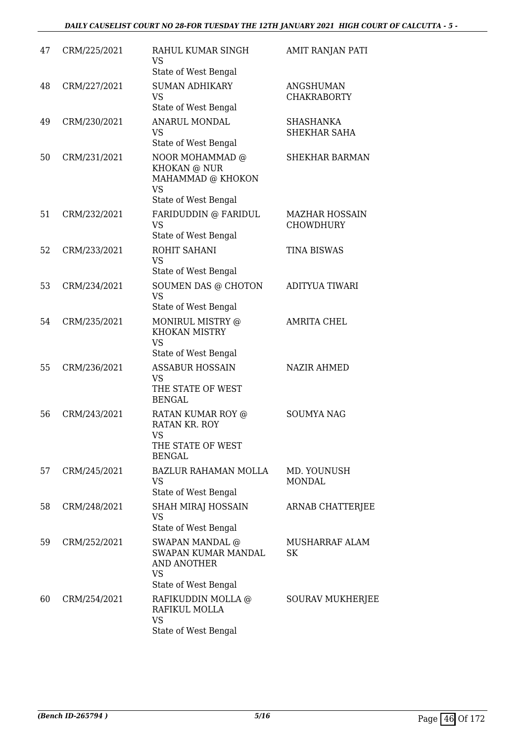| 47 | CRM/225/2021 | RAHUL KUMAR SINGH<br>VS<br>State of West Bengal                                                  | <b>AMIT RANJAN PATI</b>                   |
|----|--------------|--------------------------------------------------------------------------------------------------|-------------------------------------------|
| 48 | CRM/227/2021 | <b>SUMAN ADHIKARY</b><br><b>VS</b><br>State of West Bengal                                       | <b>ANGSHUMAN</b><br><b>CHAKRABORTY</b>    |
| 49 | CRM/230/2021 | <b>ANARUL MONDAL</b><br><b>VS</b><br>State of West Bengal                                        | SHASHANKA<br>SHEKHAR SAHA                 |
| 50 | CRM/231/2021 | NOOR MOHAMMAD @<br>KHOKAN @ NUR<br>MAHAMMAD @ KHOKON<br><b>VS</b><br>State of West Bengal        | <b>SHEKHAR BARMAN</b>                     |
| 51 | CRM/232/2021 | FARIDUDDIN @ FARIDUL<br><b>VS</b><br>State of West Bengal                                        | <b>MAZHAR HOSSAIN</b><br><b>CHOWDHURY</b> |
| 52 | CRM/233/2021 | ROHIT SAHANI<br><b>VS</b><br>State of West Bengal                                                | <b>TINA BISWAS</b>                        |
| 53 | CRM/234/2021 | SOUMEN DAS @ CHOTON<br><b>VS</b><br>State of West Bengal                                         | <b>ADITYUA TIWARI</b>                     |
| 54 | CRM/235/2021 | MONIRUL MISTRY @<br><b>KHOKAN MISTRY</b><br><b>VS</b><br>State of West Bengal                    | AMRITA CHEL                               |
| 55 | CRM/236/2021 | <b>ASSABUR HOSSAIN</b><br><b>VS</b><br>THE STATE OF WEST<br><b>BENGAL</b>                        | <b>NAZIR AHMED</b>                        |
| 56 | CRM/243/2021 | RATAN KUMAR ROY @<br>RATAN KR. ROY<br>VS.<br>THE STATE OF WEST<br><b>BENGAL</b>                  | <b>SOUMYA NAG</b>                         |
| 57 | CRM/245/2021 | <b>BAZLUR RAHAMAN MOLLA</b><br><b>VS</b><br>State of West Bengal                                 | MD. YOUNUSH<br><b>MONDAL</b>              |
| 58 | CRM/248/2021 | <b>SHAH MIRAJ HOSSAIN</b><br><b>VS</b><br>State of West Bengal                                   | ARNAB CHATTERJEE                          |
| 59 | CRM/252/2021 | SWAPAN MANDAL @<br>SWAPAN KUMAR MANDAL<br><b>AND ANOTHER</b><br>VS                               | MUSHARRAF ALAM<br><b>SK</b>               |
| 60 | CRM/254/2021 | State of West Bengal<br>RAFIKUDDIN MOLLA @<br>RAFIKUL MOLLA<br><b>VS</b><br>State of West Bengal | <b>SOURAV MUKHERJEE</b>                   |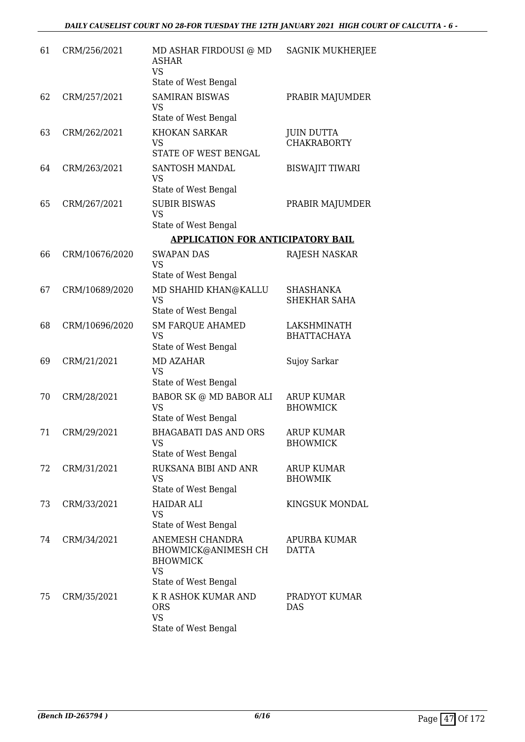| 61 | CRM/256/2021   | MD ASHAR FIRDOUSI @ MD<br>ASHAR<br><b>VS</b><br>State of West Bengal                           | <b>SAGNIK MUKHERJEE</b>                 |
|----|----------------|------------------------------------------------------------------------------------------------|-----------------------------------------|
| 62 | CRM/257/2021   | <b>SAMIRAN BISWAS</b><br><b>VS</b><br>State of West Bengal                                     | PRABIR MAJUMDER                         |
| 63 | CRM/262/2021   | <b>KHOKAN SARKAR</b><br><b>VS</b><br>STATE OF WEST BENGAL                                      | <b>JUIN DUTTA</b><br><b>CHAKRABORTY</b> |
| 64 | CRM/263/2021   | SANTOSH MANDAL<br><b>VS</b><br>State of West Bengal                                            | <b>BISWAJIT TIWARI</b>                  |
| 65 | CRM/267/2021   | <b>SUBIR BISWAS</b><br><b>VS</b><br>State of West Bengal                                       | PRABIR MAJUMDER                         |
|    |                | <b>APPLICATION FOR ANTICIPATORY BAIL</b>                                                       |                                         |
| 66 | CRM/10676/2020 | <b>SWAPAN DAS</b><br>VS                                                                        | RAJESH NASKAR                           |
| 67 | CRM/10689/2020 | State of West Bengal<br>MD SHAHID KHAN@KALLU<br>VS<br>State of West Bengal                     | <b>SHASHANKA</b><br>SHEKHAR SAHA        |
| 68 | CRM/10696/2020 | <b>SM FARQUE AHAMED</b><br><b>VS</b><br>State of West Bengal                                   | LAKSHMINATH<br><b>BHATTACHAYA</b>       |
| 69 | CRM/21/2021    | <b>MD AZAHAR</b><br><b>VS</b><br>State of West Bengal                                          | Sujoy Sarkar                            |
| 70 | CRM/28/2021    | BABOR SK @ MD BABOR ALI<br><b>VS</b><br>State of West Bengal                                   | <b>ARUP KUMAR</b><br><b>BHOWMICK</b>    |
| 71 | CRM/29/2021    | <b>BHAGABATI DAS AND ORS</b><br>VS<br>State of West Bengal                                     | <b>ARUP KUMAR</b><br><b>BHOWMICK</b>    |
| 72 | CRM/31/2021    | RUKSANA BIBI AND ANR<br><b>VS</b><br>State of West Bengal                                      | <b>ARUP KUMAR</b><br><b>BHOWMIK</b>     |
| 73 | CRM/33/2021    | <b>HAIDAR ALI</b><br><b>VS</b><br>State of West Bengal                                         | KINGSUK MONDAL                          |
| 74 | CRM/34/2021    | ANEMESH CHANDRA<br>BHOWMICK@ANIMESH CH<br><b>BHOWMICK</b><br><b>VS</b>                         | <b>APURBA KUMAR</b><br><b>DATTA</b>     |
| 75 | CRM/35/2021    | State of West Bengal<br>K R ASHOK KUMAR AND<br><b>ORS</b><br><b>VS</b><br>State of West Bengal | PRADYOT KUMAR<br>DAS                    |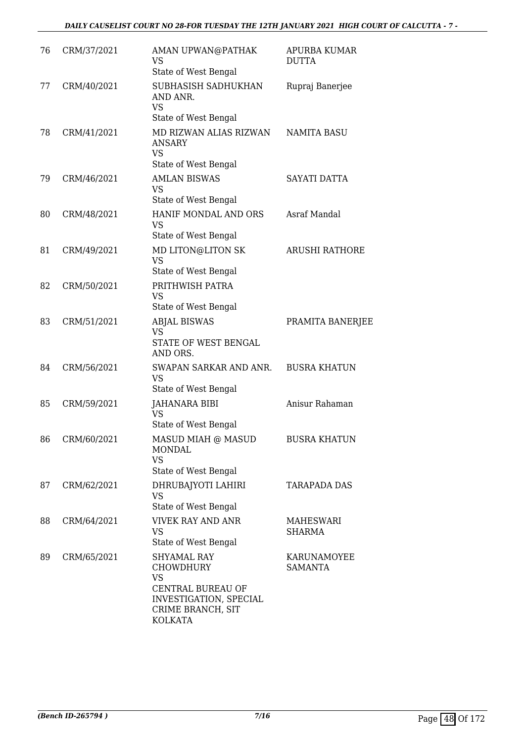| 76 | CRM/37/2021 | AMAN UPWAN@PATHAK<br>VS<br>State of West Bengal                                                                                                  | <b>APURBA KUMAR</b><br><b>DUTTA</b> |
|----|-------------|--------------------------------------------------------------------------------------------------------------------------------------------------|-------------------------------------|
| 77 | CRM/40/2021 | SUBHASISH SADHUKHAN<br>AND ANR.<br><b>VS</b><br>State of West Bengal                                                                             | Rupraj Banerjee                     |
| 78 | CRM/41/2021 | MD RIZWAN ALIAS RIZWAN<br>ANSARY<br><b>VS</b><br>State of West Bengal                                                                            | <b>NAMITA BASU</b>                  |
| 79 | CRM/46/2021 | <b>AMLAN BISWAS</b><br><b>VS</b><br>State of West Bengal                                                                                         | <b>SAYATI DATTA</b>                 |
| 80 | CRM/48/2021 | HANIF MONDAL AND ORS<br><b>VS</b><br>State of West Bengal                                                                                        | <b>Asraf Mandal</b>                 |
| 81 | CRM/49/2021 | MD LITON@LITON SK<br><b>VS</b><br>State of West Bengal                                                                                           | <b>ARUSHI RATHORE</b>               |
| 82 | CRM/50/2021 | PRITHWISH PATRA<br><b>VS</b><br>State of West Bengal                                                                                             |                                     |
| 83 | CRM/51/2021 | <b>ABJAL BISWAS</b><br><b>VS</b><br>STATE OF WEST BENGAL<br>AND ORS.                                                                             | PRAMITA BANERJEE                    |
| 84 | CRM/56/2021 | SWAPAN SARKAR AND ANR.<br><b>VS</b><br>State of West Bengal                                                                                      | <b>BUSRA KHATUN</b>                 |
| 85 | CRM/59/2021 | <b>JAHANARA BIBI</b><br><b>VS</b><br>State of West Bengal                                                                                        | Anisur Rahaman                      |
| 86 | CRM/60/2021 | MASUD MIAH @ MASUD<br><b>MONDAL</b><br><b>VS</b><br>State of West Bengal                                                                         | <b>BUSRA KHATUN</b>                 |
| 87 | CRM/62/2021 | DHRUBAJYOTI LAHIRI<br><b>VS</b><br>State of West Bengal                                                                                          | <b>TARAPADA DAS</b>                 |
| 88 | CRM/64/2021 | <b>VIVEK RAY AND ANR</b><br><b>VS</b><br>State of West Bengal                                                                                    | MAHESWARI<br>SHARMA                 |
| 89 | CRM/65/2021 | <b>SHYAMAL RAY</b><br><b>CHOWDHURY</b><br><b>VS</b><br><b>CENTRAL BUREAU OF</b><br>INVESTIGATION, SPECIAL<br>CRIME BRANCH, SIT<br><b>KOLKATA</b> | KARUNAMOYEE<br><b>SAMANTA</b>       |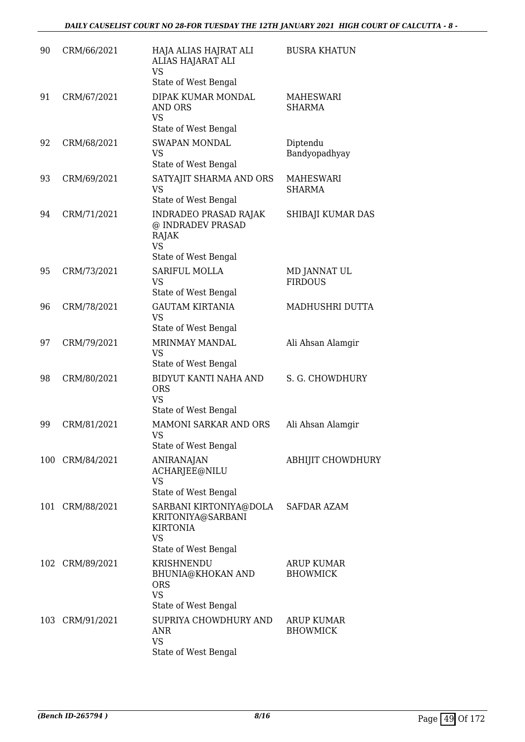| 90  | CRM/66/2021     | HAJA ALIAS HAJRAT ALI<br>ALIAS HAJARAT ALI<br><b>VS</b><br>State of West Bengal                     | <b>BUSRA KHATUN</b>                  |
|-----|-----------------|-----------------------------------------------------------------------------------------------------|--------------------------------------|
| 91  | CRM/67/2021     | DIPAK KUMAR MONDAL<br>AND ORS<br><b>VS</b><br>State of West Bengal                                  | <b>MAHESWARI</b><br><b>SHARMA</b>    |
| 92  | CRM/68/2021     | <b>SWAPAN MONDAL</b><br><b>VS</b><br>State of West Bengal                                           | Diptendu<br>Bandyopadhyay            |
| 93  | CRM/69/2021     | SATYAJIT SHARMA AND ORS<br><b>VS</b><br>State of West Bengal                                        | <b>MAHESWARI</b><br><b>SHARMA</b>    |
| 94  | CRM/71/2021     | <b>INDRADEO PRASAD RAJAK</b><br>@ INDRADEV PRASAD<br>RAJAK<br><b>VS</b><br>State of West Bengal     | SHIBAJI KUMAR DAS                    |
| 95  | CRM/73/2021     | SARIFUL MOLLA<br><b>VS</b><br>State of West Bengal                                                  | MD JANNAT UL<br><b>FIRDOUS</b>       |
| 96  | CRM/78/2021     | <b>GAUTAM KIRTANIA</b><br><b>VS</b><br>State of West Bengal                                         | MADHUSHRI DUTTA                      |
| 97  | CRM/79/2021     | MRINMAY MANDAL<br><b>VS</b><br>State of West Bengal                                                 | Ali Ahsan Alamgir                    |
| 98  | CRM/80/2021     | BIDYUT KANTI NAHA AND<br><b>ORS</b><br><b>VS</b><br>State of West Bengal                            | S. G. CHOWDHURY                      |
| 99  | CRM/81/2021     | <b>MAMONI SARKAR AND ORS</b><br>VS<br>State of West Bengal                                          | Ali Ahsan Alamgir                    |
|     | 100 CRM/84/2021 | <b>ANIRANAJAN</b><br>ACHARJEE@NILU<br><b>VS</b><br>State of West Bengal                             | <b>ABHIJIT CHOWDHURY</b>             |
| 101 | CRM/88/2021     | SARBANI KIRTONIYA@DOLA<br>KRITONIYA@SARBANI<br><b>KIRTONIA</b><br><b>VS</b><br>State of West Bengal | SAFDAR AZAM                          |
|     | 102 CRM/89/2021 | KRISHNENDU<br>BHUNIA@KHOKAN AND<br><b>ORS</b><br><b>VS</b><br>State of West Bengal                  | <b>ARUP KUMAR</b><br><b>BHOWMICK</b> |
|     | 103 CRM/91/2021 | SUPRIYA CHOWDHURY AND<br>ANR<br><b>VS</b><br>State of West Bengal                                   | ARUP KUMAR<br><b>BHOWMICK</b>        |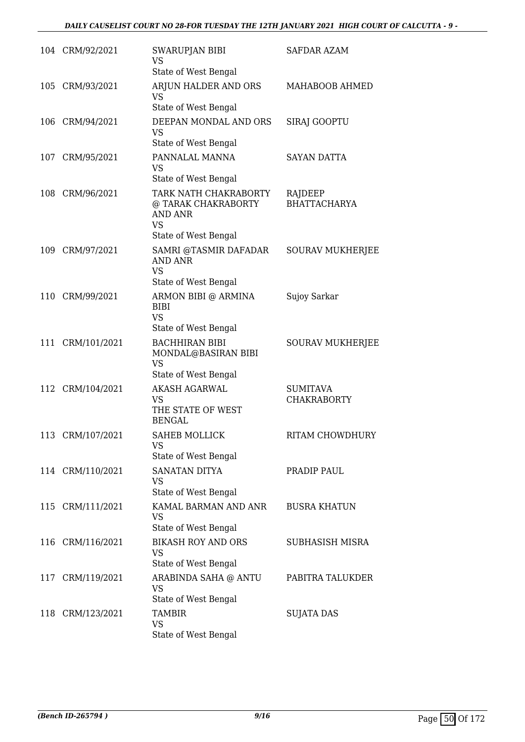|     | 104 CRM/92/2021  | SWARUPJAN BIBI<br><b>VS</b>                                                       | <b>SAFDAR AZAM</b>                    |
|-----|------------------|-----------------------------------------------------------------------------------|---------------------------------------|
|     |                  | State of West Bengal                                                              |                                       |
|     | 105 CRM/93/2021  | ARJUN HALDER AND ORS<br><b>VS</b>                                                 | MAHABOOB AHMED                        |
|     |                  | State of West Bengal                                                              |                                       |
|     | 106 CRM/94/2021  | DEEPAN MONDAL AND ORS<br><b>VS</b><br>State of West Bengal                        | <b>SIRAJ GOOPTU</b>                   |
| 107 | CRM/95/2021      | PANNALAL MANNA<br><b>VS</b><br>State of West Bengal                               | <b>SAYAN DATTA</b>                    |
| 108 | CRM/96/2021      | TARK NATH CHAKRABORTY<br>@ TARAK CHAKRABORTY<br><b>AND ANR</b><br><b>VS</b>       | RAJDEEP<br><b>BHATTACHARYA</b>        |
|     |                  | State of West Bengal                                                              |                                       |
|     | 109 CRM/97/2021  | SAMRI @TASMIR DAFADAR<br><b>AND ANR</b><br><b>VS</b><br>State of West Bengal      | <b>SOURAV MUKHERJEE</b>               |
| 110 | CRM/99/2021      | ARMON BIBI @ ARMINA                                                               | Sujoy Sarkar                          |
|     |                  | <b>BIBI</b><br><b>VS</b><br>State of West Bengal                                  |                                       |
|     | 111 CRM/101/2021 | <b>BACHHIRAN BIBI</b><br>MONDAL@BASIRAN BIBI<br><b>VS</b><br>State of West Bengal | <b>SOURAV MUKHERJEE</b>               |
| 112 | CRM/104/2021     | <b>AKASH AGARWAL</b><br><b>VS</b><br>THE STATE OF WEST<br><b>BENGAL</b>           | <b>SUMITAVA</b><br><b>CHAKRABORTY</b> |
|     | 113 CRM/107/2021 | <b>SAHEB MOLLICK</b><br><b>VS</b><br>State of West Bengal                         | RITAM CHOWDHURY                       |
|     |                  | <b>SANATAN DITYA</b>                                                              | PRADIP PAUL                           |
|     | 114 CRM/110/2021 | VS.<br>State of West Bengal                                                       |                                       |
|     | 115 CRM/111/2021 | KAMAL BARMAN AND ANR<br>VS.<br>State of West Bengal                               | <b>BUSRA KHATUN</b>                   |
|     | 116 CRM/116/2021 | <b>BIKASH ROY AND ORS</b><br><b>VS</b><br>State of West Bengal                    | <b>SUBHASISH MISRA</b>                |
|     | 117 CRM/119/2021 | ARABINDA SAHA @ ANTU<br><b>VS</b>                                                 | PABITRA TALUKDER                      |
|     | 118 CRM/123/2021 | State of West Bengal<br><b>TAMBIR</b><br><b>VS</b><br>State of West Bengal        | <b>SUJATA DAS</b>                     |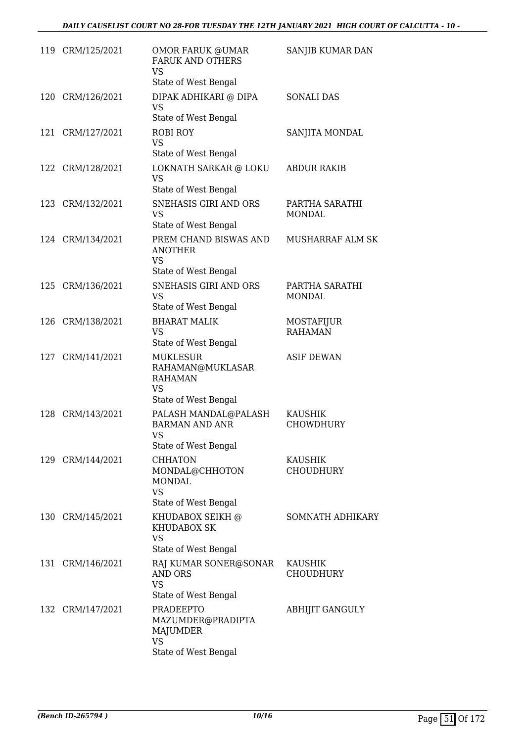|     | 119 CRM/125/2021 | OMOR FARUK @UMAR<br><b>FARUK AND OTHERS</b><br><b>VS</b><br>State of West Bengal              | SANJIB KUMAR DAN                   |
|-----|------------------|-----------------------------------------------------------------------------------------------|------------------------------------|
| 120 | CRM/126/2021     | DIPAK ADHIKARI @ DIPA<br><b>VS</b><br>State of West Bengal                                    | <b>SONALI DAS</b>                  |
|     | 121 CRM/127/2021 | <b>ROBI ROY</b><br><b>VS</b><br>State of West Bengal                                          | SANJITA MONDAL                     |
| 122 | CRM/128/2021     | LOKNATH SARKAR @ LOKU<br><b>VS</b><br>State of West Bengal                                    | <b>ABDUR RAKIB</b>                 |
|     | 123 CRM/132/2021 | SNEHASIS GIRI AND ORS<br><b>VS</b><br>State of West Bengal                                    | PARTHA SARATHI<br><b>MONDAL</b>    |
|     | 124 CRM/134/2021 | PREM CHAND BISWAS AND<br><b>ANOTHER</b><br><b>VS</b><br>State of West Bengal                  | <b>MUSHARRAF ALM SK</b>            |
| 125 | CRM/136/2021     | SNEHASIS GIRI AND ORS<br><b>VS</b><br>State of West Bengal                                    | PARTHA SARATHI<br><b>MONDAL</b>    |
| 126 | CRM/138/2021     | <b>BHARAT MALIK</b><br><b>VS</b><br>State of West Bengal                                      | MOSTAFIJUR<br><b>RAHAMAN</b>       |
|     | 127 CRM/141/2021 | <b>MUKLESUR</b><br>RAHAMAN@MUKLASAR<br><b>RAHAMAN</b><br><b>VS</b><br>State of West Bengal    | <b>ASIF DEWAN</b>                  |
|     | 128 CRM/143/2021 | PALASH MANDAL@PALASH<br><b>BARMAN AND ANR</b><br>VS.<br>State of West Bengal                  | <b>KAUSHIK</b><br><b>CHOWDHURY</b> |
|     | 129 CRM/144/2021 | <b>CHHATON</b><br>MONDAL@CHHOTON<br><b>MONDAL</b><br><b>VS</b><br>State of West Bengal        | <b>KAUSHIK</b><br><b>CHOUDHURY</b> |
|     | 130 CRM/145/2021 | KHUDABOX SEIKH @<br><b>KHUDABOX SK</b><br><b>VS</b><br>State of West Bengal                   | SOMNATH ADHIKARY                   |
|     | 131 CRM/146/2021 | RAJ KUMAR SONER@SONAR<br>AND ORS<br><b>VS</b><br>State of West Bengal                         | <b>KAUSHIK</b><br><b>CHOUDHURY</b> |
| 132 | CRM/147/2021     | <b>PRADEEPTO</b><br>MAZUMDER@PRADIPTA<br><b>MAJUMDER</b><br><b>VS</b><br>State of West Bengal | <b>ABHIJIT GANGULY</b>             |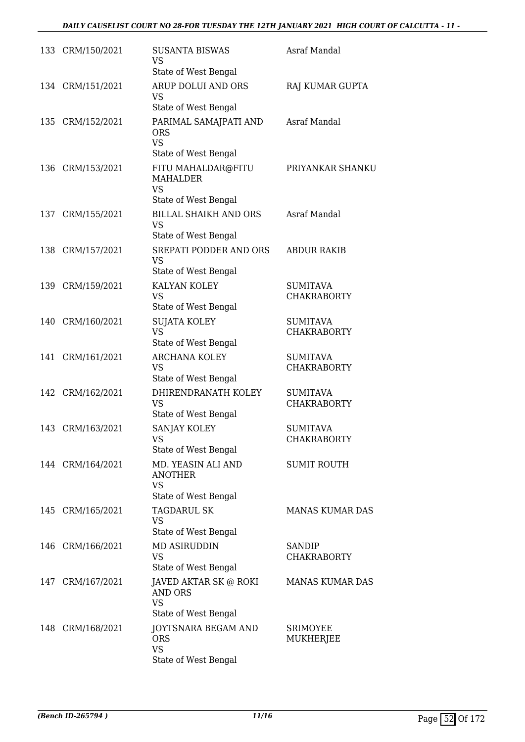|     | 133 CRM/150/2021 | <b>SUSANTA BISWAS</b><br><b>VS</b><br>State of West Bengal                 | Asraf Mandal                          |
|-----|------------------|----------------------------------------------------------------------------|---------------------------------------|
|     | 134 CRM/151/2021 | ARUP DOLUI AND ORS<br><b>VS</b><br>State of West Bengal                    | RAJ KUMAR GUPTA                       |
| 135 | CRM/152/2021     | PARIMAL SAMAJPATI AND<br><b>ORS</b><br><b>VS</b><br>State of West Bengal   | Asraf Mandal                          |
| 136 | CRM/153/2021     | FITU MAHALDAR@FITU<br><b>MAHALDER</b><br><b>VS</b><br>State of West Bengal | PRIYANKAR SHANKU                      |
| 137 | CRM/155/2021     | <b>BILLAL SHAIKH AND ORS</b><br><b>VS</b><br>State of West Bengal          | Asraf Mandal                          |
|     | 138 CRM/157/2021 | SREPATI PODDER AND ORS<br><b>VS</b><br>State of West Bengal                | <b>ABDUR RAKIB</b>                    |
| 139 | CRM/159/2021     | KALYAN KOLEY<br><b>VS</b><br>State of West Bengal                          | <b>SUMITAVA</b><br><b>CHAKRABORTY</b> |
| 140 | CRM/160/2021     | <b>SUJATA KOLEY</b><br><b>VS</b><br>State of West Bengal                   | <b>SUMITAVA</b><br><b>CHAKRABORTY</b> |
| 141 | CRM/161/2021     | <b>ARCHANA KOLEY</b><br><b>VS</b><br>State of West Bengal                  | <b>SUMITAVA</b><br><b>CHAKRABORTY</b> |
|     | 142 CRM/162/2021 | DHIRENDRANATH KOLEY<br><b>VS</b><br>State of West Bengal                   | <b>SUMITAVA</b><br><b>CHAKRABORTY</b> |
|     | 143 CRM/163/2021 | <b>SANJAY KOLEY</b><br><b>VS</b><br>State of West Bengal                   | <b>SUMITAVA</b><br><b>CHAKRABORTY</b> |
|     | 144 CRM/164/2021 | MD. YEASIN ALI AND<br><b>ANOTHER</b><br><b>VS</b><br>State of West Bengal  | <b>SUMIT ROUTH</b>                    |
| 145 | CRM/165/2021     | <b>TAGDARUL SK</b><br><b>VS</b><br>State of West Bengal                    | <b>MANAS KUMAR DAS</b>                |
| 146 | CRM/166/2021     | <b>MD ASIRUDDIN</b><br><b>VS</b><br>State of West Bengal                   | <b>SANDIP</b><br><b>CHAKRABORTY</b>   |
|     | 147 CRM/167/2021 | JAVED AKTAR SK @ ROKI<br>AND ORS<br><b>VS</b><br>State of West Bengal      | <b>MANAS KUMAR DAS</b>                |
|     | 148 CRM/168/2021 | JOYTSNARA BEGAM AND<br><b>ORS</b><br><b>VS</b><br>State of West Bengal     | <b>SRIMOYEE</b><br>MUKHERJEE          |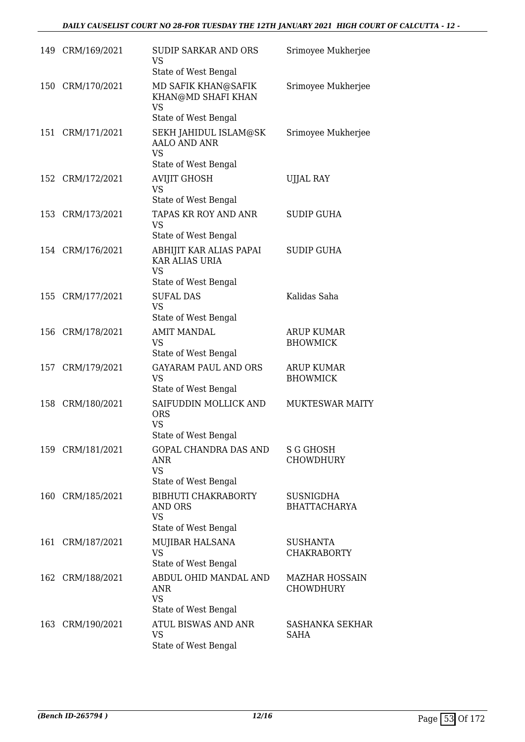|     | 149 CRM/169/2021 | SUDIP SARKAR AND ORS<br>VS<br>State of West Bengal                                | Srimoyee Mukherjee                        |
|-----|------------------|-----------------------------------------------------------------------------------|-------------------------------------------|
|     | 150 CRM/170/2021 | MD SAFIK KHAN@SAFIK<br>KHAN@MD SHAFI KHAN<br>VS<br>State of West Bengal           | Srimoyee Mukherjee                        |
|     | 151 CRM/171/2021 | SEKH JAHIDUL ISLAM@SK<br><b>AALO AND ANR</b><br>VS<br>State of West Bengal        | Srimoyee Mukherjee                        |
| 152 | CRM/172/2021     | <b>AVIJIT GHOSH</b><br><b>VS</b><br>State of West Bengal                          | <b>UJJAL RAY</b>                          |
|     | 153 CRM/173/2021 | TAPAS KR ROY AND ANR<br><b>VS</b><br>State of West Bengal                         | <b>SUDIP GUHA</b>                         |
|     | 154 CRM/176/2021 | ABHIJIT KAR ALIAS PAPAI<br>KAR ALIAS URIA<br><b>VS</b><br>State of West Bengal    | SUDIP GUHA                                |
|     | 155 CRM/177/2021 | <b>SUFAL DAS</b><br><b>VS</b><br>State of West Bengal                             | Kalidas Saha                              |
|     | 156 CRM/178/2021 | <b>AMIT MANDAL</b><br><b>VS</b><br>State of West Bengal                           | <b>ARUP KUMAR</b><br><b>BHOWMICK</b>      |
|     | 157 CRM/179/2021 | <b>GAYARAM PAUL AND ORS</b><br><b>VS</b><br>State of West Bengal                  | <b>ARUP KUMAR</b><br><b>BHOWMICK</b>      |
|     | 158 CRM/180/2021 | SAIFUDDIN MOLLICK AND<br><b>ORS</b><br>VS<br>State of West Bengal                 | <b>MUKTESWAR MAITY</b>                    |
|     | 159 CRM/181/2021 | <b>GOPAL CHANDRA DAS AND</b><br><b>ANR</b><br><b>VS</b><br>State of West Bengal   | <b>S G GHOSH</b><br><b>CHOWDHURY</b>      |
|     | 160 CRM/185/2021 | <b>BIBHUTI CHAKRABORTY</b><br><b>AND ORS</b><br><b>VS</b><br>State of West Bengal | <b>SUSNIGDHA</b><br><b>BHATTACHARYA</b>   |
|     | 161 CRM/187/2021 | MUJIBAR HALSANA<br><b>VS</b><br>State of West Bengal                              | <b>SUSHANTA</b><br><b>CHAKRABORTY</b>     |
|     | 162 CRM/188/2021 | ABDUL OHID MANDAL AND<br>ANR<br><b>VS</b><br>State of West Bengal                 | <b>MAZHAR HOSSAIN</b><br><b>CHOWDHURY</b> |
|     | 163 CRM/190/2021 | ATUL BISWAS AND ANR<br><b>VS</b><br>State of West Bengal                          | SASHANKA SEKHAR<br>SAHA                   |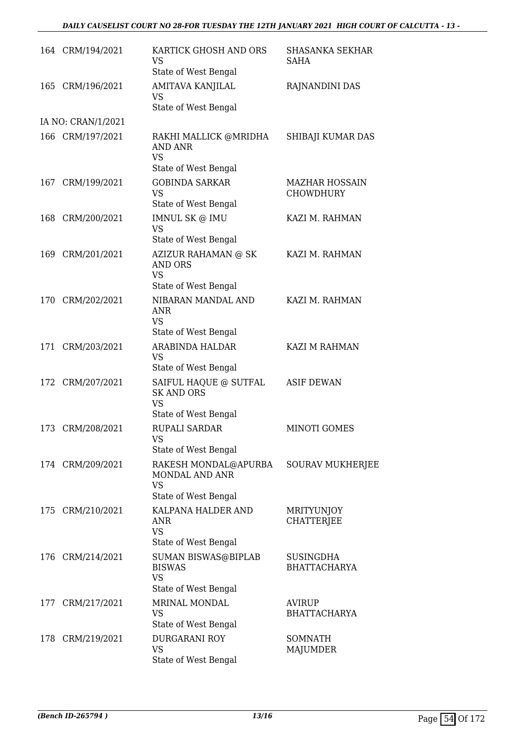|     | 164 CRM/194/2021   | KARTICK GHOSH AND ORS<br>VS<br>State of West Bengal                             | SHASANKA SEKHAR<br>SAHA                   |
|-----|--------------------|---------------------------------------------------------------------------------|-------------------------------------------|
| 165 | CRM/196/2021       | AMITAVA KANJILAL<br><b>VS</b><br>State of West Bengal                           | RAJNANDINI DAS                            |
|     | IA NO: CRAN/1/2021 |                                                                                 |                                           |
|     | 166 CRM/197/2021   | RAKHI MALLICK @MRIDHA<br><b>AND ANR</b><br><b>VS</b><br>State of West Bengal    | SHIBAJI KUMAR DAS                         |
| 167 | CRM/199/2021       | <b>GOBINDA SARKAR</b><br><b>VS</b><br>State of West Bengal                      | <b>MAZHAR HOSSAIN</b><br><b>CHOWDHURY</b> |
|     | 168 CRM/200/2021   | IMNUL SK @ IMU<br><b>VS</b><br>State of West Bengal                             | KAZI M. RAHMAN                            |
|     | 169 CRM/201/2021   | AZIZUR RAHAMAN @ SK<br><b>AND ORS</b><br><b>VS</b><br>State of West Bengal      | KAZI M. RAHMAN                            |
| 170 | CRM/202/2021       | NIBARAN MANDAL AND<br><b>ANR</b><br><b>VS</b><br>State of West Bengal           | KAZI M. RAHMAN                            |
|     | 171 CRM/203/2021   | ARABINDA HALDAR<br><b>VS</b><br>State of West Bengal                            | KAZI M RAHMAN                             |
|     | 172 CRM/207/2021   | SAIFUL HAQUE @ SUTFAL<br><b>SK AND ORS</b><br><b>VS</b><br>State of West Bengal | <b>ASIF DEWAN</b>                         |
|     | 173 CRM/208/2021   | <b>RUPALI SARDAR</b><br>VS<br>State of West Bengal                              | <b>MINOTI GOMES</b>                       |
|     | 174 CRM/209/2021   | RAKESH MONDAL@APURBA<br>MONDAL AND ANR<br><b>VS</b><br>State of West Bengal     | <b>SOURAV MUKHERJEE</b>                   |
|     | 175 CRM/210/2021   | KALPANA HALDER AND<br>ANR<br><b>VS</b><br>State of West Bengal                  | MRITYUNJOY<br><b>CHATTERJEE</b>           |
| 176 | CRM/214/2021       | SUMAN BISWAS@BIPLAB<br><b>BISWAS</b><br><b>VS</b><br>State of West Bengal       | <b>SUSINGDHA</b><br><b>BHATTACHARYA</b>   |
|     | 177 CRM/217/2021   | MRINAL MONDAL<br><b>VS</b><br>State of West Bengal                              | <b>AVIRUP</b><br><b>BHATTACHARYA</b>      |
|     | 178 CRM/219/2021   | <b>DURGARANI ROY</b><br><b>VS</b><br>State of West Bengal                       | <b>SOMNATH</b><br>MAJUMDER                |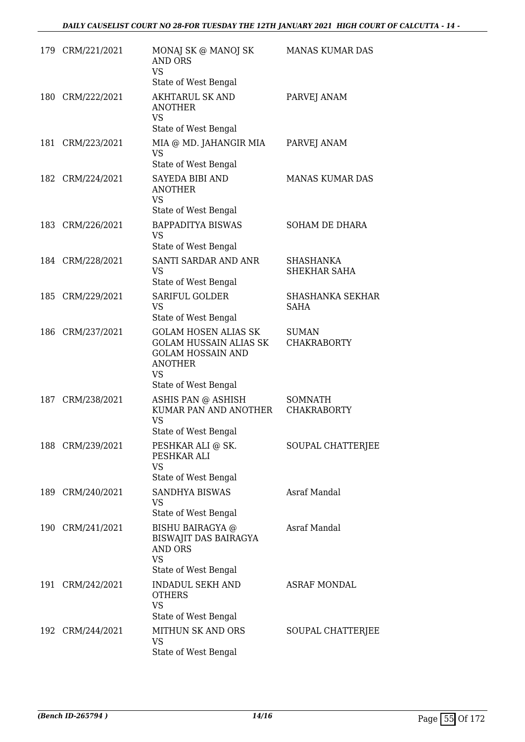|     | 179 CRM/221/2021 | MONAJ SK @ MANOJ SK<br><b>AND ORS</b><br><b>VS</b><br>State of West Bengal                                                                      | <b>MANAS KUMAR DAS</b>                 |
|-----|------------------|-------------------------------------------------------------------------------------------------------------------------------------------------|----------------------------------------|
|     | 180 CRM/222/2021 | <b>AKHTARUL SK AND</b><br><b>ANOTHER</b><br><b>VS</b><br>State of West Bengal                                                                   | PARVEJ ANAM                            |
|     | 181 CRM/223/2021 | MIA @ MD. JAHANGIR MIA<br><b>VS</b><br>State of West Bengal                                                                                     | PARVEJ ANAM                            |
|     | 182 CRM/224/2021 | <b>SAYEDA BIBI AND</b><br><b>ANOTHER</b><br>VS<br>State of West Bengal                                                                          | <b>MANAS KUMAR DAS</b>                 |
|     | 183 CRM/226/2021 | <b>BAPPADITYA BISWAS</b><br><b>VS</b><br>State of West Bengal                                                                                   | SOHAM DE DHARA                         |
|     | 184 CRM/228/2021 | SANTI SARDAR AND ANR<br><b>VS</b><br>State of West Bengal                                                                                       | <b>SHASHANKA</b><br>SHEKHAR SAHA       |
| 185 | CRM/229/2021     | <b>SARIFUL GOLDER</b><br><b>VS</b><br>State of West Bengal                                                                                      | <b>SHASHANKA SEKHAR</b><br><b>SAHA</b> |
|     | 186 CRM/237/2021 | <b>GOLAM HOSEN ALIAS SK</b><br><b>GOLAM HUSSAIN ALIAS SK</b><br><b>GOLAM HOSSAIN AND</b><br><b>ANOTHER</b><br><b>VS</b><br>State of West Bengal | <b>SUMAN</b><br><b>CHAKRABORTY</b>     |
| 187 | CRM/238/2021     | ASHIS PAN @ ASHISH<br>KUMAR PAN AND ANOTHER<br><b>VS</b><br>State of West Bengal                                                                | <b>SOMNATH</b><br><b>CHAKRABORTY</b>   |
|     | 188 CRM/239/2021 | PESHKAR ALI @ SK.<br>PESHKAR ALI<br><b>VS</b><br>State of West Bengal                                                                           | SOUPAL CHATTERJEE                      |
|     | 189 CRM/240/2021 | <b>SANDHYA BISWAS</b><br>VS<br>State of West Bengal                                                                                             | Asraf Mandal                           |
|     | 190 CRM/241/2021 | <b>BISHU BAIRAGYA</b> @<br><b>BISWAJIT DAS BAIRAGYA</b><br><b>AND ORS</b><br><b>VS</b><br>State of West Bengal                                  | Asraf Mandal                           |
|     | 191 CRM/242/2021 | <b>INDADUL SEKH AND</b><br><b>OTHERS</b><br><b>VS</b><br>State of West Bengal                                                                   | ASRAF MONDAL                           |
|     | 192 CRM/244/2021 | MITHUN SK AND ORS<br><b>VS</b><br>State of West Bengal                                                                                          | SOUPAL CHATTERJEE                      |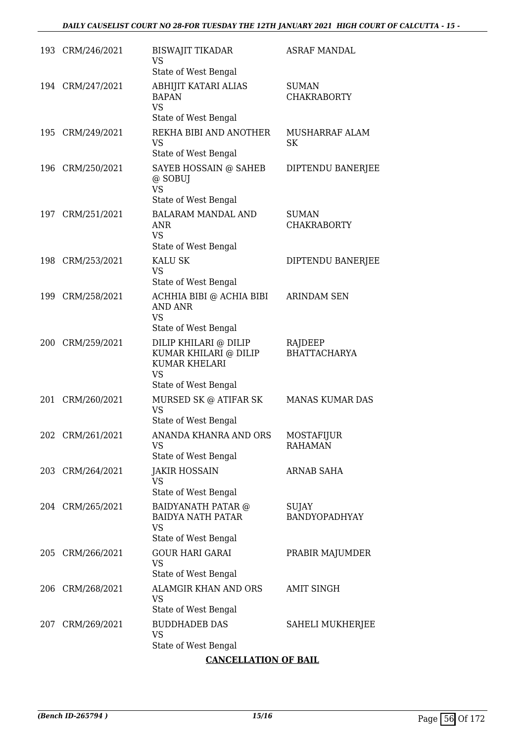| 193 CRM/246/2021 | <b>BISWAJIT TIKADAR</b><br><b>VS</b><br>State of West Bengal                                                | <b>ASRAF MANDAL</b>                 |
|------------------|-------------------------------------------------------------------------------------------------------------|-------------------------------------|
| 194 CRM/247/2021 | ABHIJIT KATARI ALIAS<br><b>BAPAN</b><br><b>VS</b><br>State of West Bengal                                   | <b>SUMAN</b><br><b>CHAKRABORTY</b>  |
| 195 CRM/249/2021 | REKHA BIBI AND ANOTHER<br><b>VS</b><br>State of West Bengal                                                 | MUSHARRAF ALAM<br>SK                |
| 196 CRM/250/2021 | SAYEB HOSSAIN @ SAHEB<br>@ SOBUJ<br><b>VS</b><br>State of West Bengal                                       | DIPTENDU BANERJEE                   |
| 197 CRM/251/2021 | <b>BALARAM MANDAL AND</b><br><b>ANR</b><br><b>VS</b><br>State of West Bengal                                | <b>SUMAN</b><br><b>CHAKRABORTY</b>  |
| 198 CRM/253/2021 | <b>KALU SK</b><br><b>VS</b><br>State of West Bengal                                                         | DIPTENDU BANERJEE                   |
| 199 CRM/258/2021 | ACHHIA BIBI @ ACHIA BIBI<br><b>AND ANR</b><br><b>VS</b><br>State of West Bengal                             | <b>ARINDAM SEN</b>                  |
| 200 CRM/259/2021 | DILIP KHILARI @ DILIP<br>KUMAR KHILARI @ DILIP<br><b>KUMAR KHELARI</b><br><b>VS</b><br>State of West Bengal | RAJDEEP<br><b>BHATTACHARYA</b>      |
| 201 CRM/260/2021 | MURSED SK @ ATIFAR SK<br><b>VS</b><br>State of West Bengal                                                  | MANAS KUMAR DAS                     |
| 202 CRM/261/2021 | ANANDA KHANRA AND ORS<br><b>VS</b><br>State of West Bengal                                                  | <b>MOSTAFIJUR</b><br><b>RAHAMAN</b> |
| 203 CRM/264/2021 | <b>JAKIR HOSSAIN</b><br><b>VS</b><br>State of West Bengal                                                   | <b>ARNAB SAHA</b>                   |
| 204 CRM/265/2021 | BAIDYANATH PATAR @<br><b>BAIDYA NATH PATAR</b><br><b>VS</b><br>State of West Bengal                         | <b>SUJAY</b><br>BANDYOPADHYAY       |
| 205 CRM/266/2021 | <b>GOUR HARI GARAI</b><br><b>VS</b><br>State of West Bengal                                                 | PRABIR MAJUMDER                     |
| 206 CRM/268/2021 | ALAMGIR KHAN AND ORS<br><b>VS</b><br>State of West Bengal                                                   | <b>AMIT SINGH</b>                   |
| 207 CRM/269/2021 | <b>BUDDHADEB DAS</b><br><b>VS</b><br>State of West Bengal                                                   | SAHELI MUKHERJEE                    |

## **CANCELLATION OF BAIL**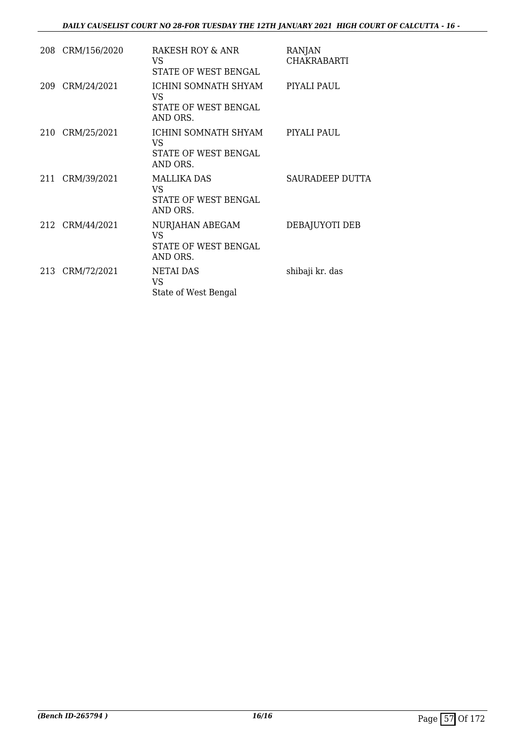| 208 CRM/156/2020 | RAKESH ROY & ANR<br>VS.<br>STATE OF WEST BENGAL                | <b>RANJAN</b><br><b>CHAKRABARTI</b> |
|------------------|----------------------------------------------------------------|-------------------------------------|
| 209 CRM/24/2021  | ICHINI SOMNATH SHYAM<br>VS<br>STATE OF WEST BENGAL<br>AND ORS. | PIYALI PAUL                         |
| 210 CRM/25/2021  | ICHINI SOMNATH SHYAM<br>VS<br>STATE OF WEST BENGAL<br>AND ORS. | PIYALI PAUL                         |
| 211 CRM/39/2021  | <b>MALLIKA DAS</b><br>VS.<br>STATE OF WEST BENGAL<br>AND ORS.  | SAURADEEP DUTTA                     |
| 212 CRM/44/2021  | NURJAHAN ABEGAM<br>VS.<br>STATE OF WEST BENGAL<br>AND ORS.     | DEBAJUYOTI DEB                      |
| 213 CRM/72/2021  | <b>NETAI DAS</b><br>VS.<br>State of West Bengal                | shibaji kr. das                     |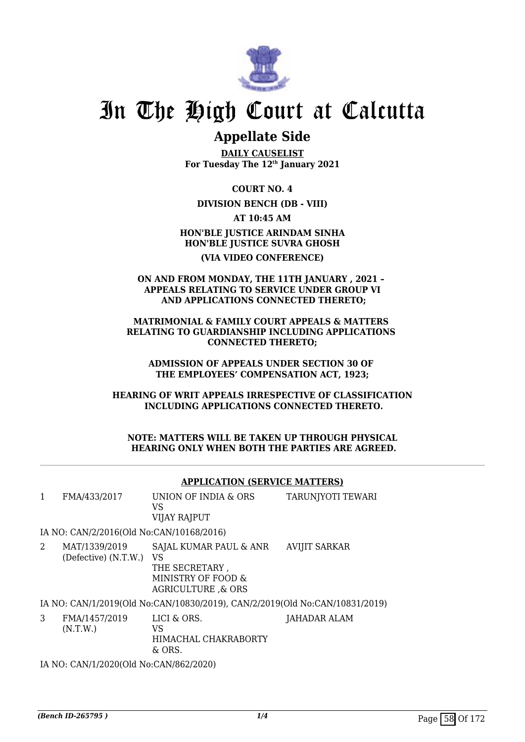

# **Appellate Side**

**DAILY CAUSELIST For Tuesday The 12th January 2021**

**COURT NO. 4**

**DIVISION BENCH (DB - VIII)**

**AT 10:45 AM**

**HON'BLE JUSTICE ARINDAM SINHA HON'BLE JUSTICE SUVRA GHOSH (VIA VIDEO CONFERENCE)**

**ON AND FROM MONDAY, THE 11TH JANUARY , 2021 – APPEALS RELATING TO SERVICE UNDER GROUP VI AND APPLICATIONS CONNECTED THERETO;**

**MATRIMONIAL & FAMILY COURT APPEALS & MATTERS RELATING TO GUARDIANSHIP INCLUDING APPLICATIONS CONNECTED THERETO;**

**ADMISSION OF APPEALS UNDER SECTION 30 OF THE EMPLOYEES' COMPENSATION ACT, 1923;**

**HEARING OF WRIT APPEALS IRRESPECTIVE OF CLASSIFICATION INCLUDING APPLICATIONS CONNECTED THERETO.**

**NOTE: MATTERS WILL BE TAKEN UP THROUGH PHYSICAL HEARING ONLY WHEN BOTH THE PARTIES ARE AGREED.**

### **APPLICATION (SERVICE MATTERS)**

| 1 | FMA/433/2017                             | UNION OF INDIA & ORS<br>VS<br><b>VIJAY RAJPUT</b>                                                    | TARUNJYOTI TEWARI    |  |  |  |
|---|------------------------------------------|------------------------------------------------------------------------------------------------------|----------------------|--|--|--|
|   | IA NO: CAN/2/2016(Old No:CAN/10168/2016) |                                                                                                      |                      |  |  |  |
| 2 | MAT/1339/2019<br>(Defective) (N.T.W.)    | SAJAL KUMAR PAUL & ANR<br>VS<br>THE SECRETARY,<br>MINISTRY OF FOOD &<br><b>AGRICULTURE &amp; ORS</b> | <b>AVIJIT SARKAR</b> |  |  |  |
|   |                                          | IA NO: CAN/1/2019(Old No:CAN/10830/2019), CAN/2/2019(Old No:CAN/10831/2019)                          |                      |  |  |  |
| 3 | FMA/1457/2019<br>(N.T.W.)                | LICI & ORS.<br>VS<br>HIMACHAL CHAKRABORTY<br>& ORS.                                                  | <b>JAHADAR ALAM</b>  |  |  |  |
|   | IA NO: CAN/1/2020(Old No:CAN/862/2020)   |                                                                                                      |                      |  |  |  |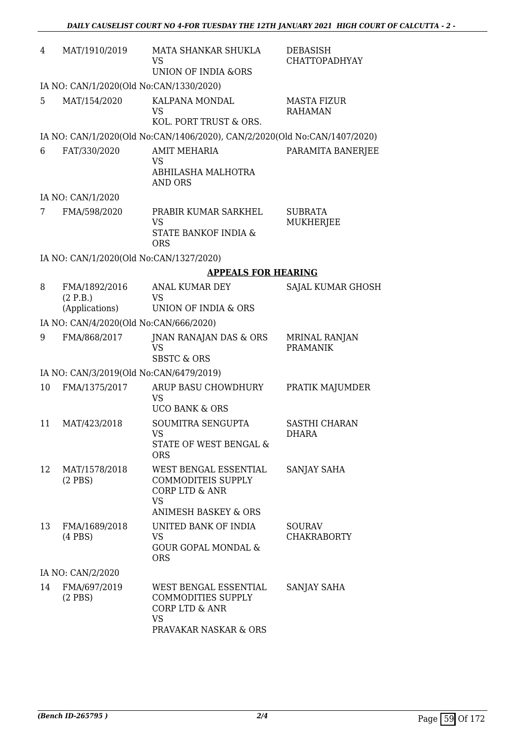| 4  | MAT/1910/2019                               | MATA SHANKAR SHUKLA<br>VS<br><b>UNION OF INDIA &amp;ORS</b>                                                                            | <b>DEBASISH</b><br><b>CHATTOPADHYAY</b> |  |  |
|----|---------------------------------------------|----------------------------------------------------------------------------------------------------------------------------------------|-----------------------------------------|--|--|
|    | IA NO: CAN/1/2020(Old No:CAN/1330/2020)     |                                                                                                                                        |                                         |  |  |
| 5  | MAT/154/2020                                | KALPANA MONDAL<br>VS<br>KOL. PORT TRUST & ORS.                                                                                         | <b>MASTA FIZUR</b><br><b>RAHAMAN</b>    |  |  |
|    |                                             | IA NO: CAN/1/2020(Old No:CAN/1406/2020), CAN/2/2020(Old No:CAN/1407/2020)                                                              |                                         |  |  |
| 6  | FAT/330/2020                                | <b>AMIT MEHARIA</b><br>VS<br>ABHILASHA MALHOTRA<br><b>AND ORS</b>                                                                      | PARAMITA BANERJEE                       |  |  |
|    | IA NO: CAN/1/2020                           |                                                                                                                                        |                                         |  |  |
| 7  | FMA/598/2020                                | PRABIR KUMAR SARKHEL<br>VS<br>STATE BANKOF INDIA &<br><b>ORS</b>                                                                       | <b>SUBRATA</b><br>MUKHERJEE             |  |  |
|    | IA NO: CAN/1/2020(Old No:CAN/1327/2020)     |                                                                                                                                        |                                         |  |  |
|    |                                             | <b>APPEALS FOR HEARING</b>                                                                                                             |                                         |  |  |
| 8  | FMA/1892/2016<br>(2 P.B.)<br>(Applications) | ANAL KUMAR DEY<br><b>VS</b><br>UNION OF INDIA & ORS                                                                                    | SAJAL KUMAR GHOSH                       |  |  |
|    | IA NO: CAN/4/2020(Old No:CAN/666/2020)      |                                                                                                                                        |                                         |  |  |
| 9  | FMA/868/2017                                | JNAN RANAJAN DAS & ORS<br><b>VS</b><br><b>SBSTC &amp; ORS</b>                                                                          | <b>MRINAL RANJAN</b><br><b>PRAMANIK</b> |  |  |
|    | IA NO: CAN/3/2019(Old No:CAN/6479/2019)     |                                                                                                                                        |                                         |  |  |
| 10 | FMA/1375/2017                               | ARUP BASU CHOWDHURY<br><b>VS</b><br><b>UCO BANK &amp; ORS</b>                                                                          | PRATIK MAJUMDER                         |  |  |
| 11 | MAT/423/2018                                | SOUMITRA SENGUPTA<br><b>VS</b><br><b>STATE OF WEST BENGAL &amp;</b><br><b>ORS</b>                                                      | <b>SASTHI CHARAN</b><br><b>DHARA</b>    |  |  |
| 12 | MAT/1578/2018<br>$(2$ PBS)                  | <b>WEST BENGAL ESSENTIAL</b><br><b>COMMODITEIS SUPPLY</b><br><b>CORP LTD &amp; ANR</b><br><b>VS</b><br><b>ANIMESH BASKEY &amp; ORS</b> | SANJAY SAHA                             |  |  |
| 13 | FMA/1689/2018<br>$(4$ PBS $)$               | UNITED BANK OF INDIA<br>VS.<br><b>GOUR GOPAL MONDAL &amp;</b><br><b>ORS</b>                                                            | <b>SOURAV</b><br><b>CHAKRABORTY</b>     |  |  |
|    | IA NO: CAN/2/2020                           |                                                                                                                                        |                                         |  |  |
| 14 | FMA/697/2019<br>$(2$ PBS)                   | WEST BENGAL ESSENTIAL<br><b>COMMODITIES SUPPLY</b><br><b>CORP LTD &amp; ANR</b><br><b>VS</b><br>PRAVAKAR NASKAR & ORS                  | SANJAY SAHA                             |  |  |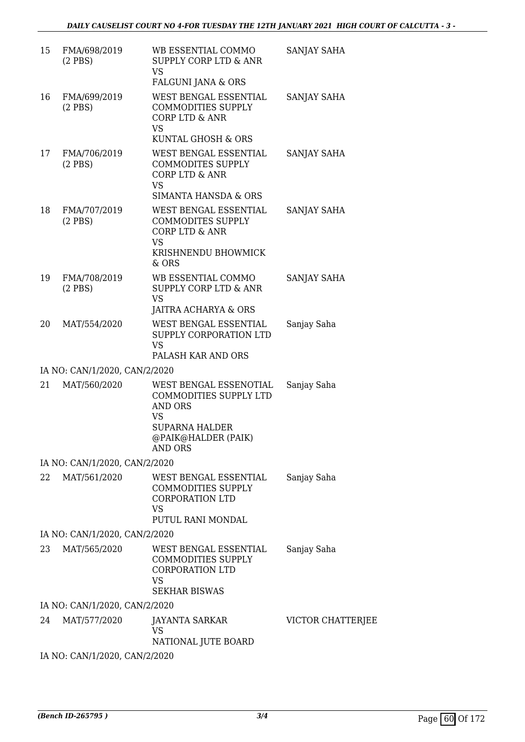| FMA/698/2019<br>$(2$ PBS $)$ | WB ESSENTIAL COMMO<br>SUPPLY CORP LTD & ANR<br>VS<br>FALGUNI JANA & ORS                                                                               | SANJAY SAHA                                                                                                                                                                                                                                                                        |
|------------------------------|-------------------------------------------------------------------------------------------------------------------------------------------------------|------------------------------------------------------------------------------------------------------------------------------------------------------------------------------------------------------------------------------------------------------------------------------------|
| FMA/699/2019<br>$(2$ PBS $)$ | WEST BENGAL ESSENTIAL<br><b>COMMODITIES SUPPLY</b><br>CORP LTD & ANR<br><b>VS</b>                                                                     | SANJAY SAHA                                                                                                                                                                                                                                                                        |
| FMA/706/2019<br>$(2$ PBS $)$ | WEST BENGAL ESSENTIAL<br><b>COMMODITES SUPPLY</b><br><b>CORP LTD &amp; ANR</b><br><b>VS</b>                                                           | SANJAY SAHA                                                                                                                                                                                                                                                                        |
| FMA/707/2019<br>$(2$ PBS)    | <b>SIMANTA HANSDA &amp; ORS</b><br>WEST BENGAL ESSENTIAL<br><b>COMMODITES SUPPLY</b><br><b>CORP LTD &amp; ANR</b><br><b>VS</b><br>KRISHNENDU BHOWMICK | SANJAY SAHA                                                                                                                                                                                                                                                                        |
| FMA/708/2019<br>$(2$ PBS $)$ | WB ESSENTIAL COMMO<br><b>SUPPLY CORP LTD &amp; ANR</b><br><b>VS</b>                                                                                   | <b>SANJAY SAHA</b>                                                                                                                                                                                                                                                                 |
| MAT/554/2020                 | WEST BENGAL ESSENTIAL<br>SUPPLY CORPORATION LTD<br><b>VS</b>                                                                                          | Sanjay Saha                                                                                                                                                                                                                                                                        |
|                              |                                                                                                                                                       |                                                                                                                                                                                                                                                                                    |
| MAT/560/2020                 | WEST BENGAL ESSENOTIAL<br>COMMODITIES SUPPLY LTD<br><b>AND ORS</b><br>VS<br><b>SUPARNA HALDER</b><br>@PAIK@HALDER (PAIK)<br><b>AND ORS</b>            | Sanjay Saha                                                                                                                                                                                                                                                                        |
|                              |                                                                                                                                                       |                                                                                                                                                                                                                                                                                    |
| MAT/561/2020                 | WEST BENGAL ESSENTIAL<br><b>COMMODITIES SUPPLY</b><br><b>CORPORATION LTD</b><br>VS<br>PUTUL RANI MONDAL                                               | Sanjay Saha                                                                                                                                                                                                                                                                        |
|                              |                                                                                                                                                       |                                                                                                                                                                                                                                                                                    |
| MAT/565/2020                 | WEST BENGAL ESSENTIAL<br><b>COMMODITIES SUPPLY</b><br><b>CORPORATION LTD</b><br><b>VS</b><br><b>SEKHAR BISWAS</b>                                     | Sanjay Saha                                                                                                                                                                                                                                                                        |
|                              |                                                                                                                                                       |                                                                                                                                                                                                                                                                                    |
| MAT/577/2020                 | JAYANTA SARKAR<br><b>VS</b>                                                                                                                           | VICTOR CHATTERJEE                                                                                                                                                                                                                                                                  |
|                              |                                                                                                                                                       |                                                                                                                                                                                                                                                                                    |
|                              |                                                                                                                                                       | KUNTAL GHOSH & ORS<br>$&$ ORS<br><b>JAITRA ACHARYA &amp; ORS</b><br>PALASH KAR AND ORS<br>IA NO: CAN/1/2020, CAN/2/2020<br>IA NO: CAN/1/2020, CAN/2/2020<br>IA NO: CAN/1/2020, CAN/2/2020<br>IA NO: CAN/1/2020, CAN/2/2020<br>NATIONAL JUTE BOARD<br>IA NO: CAN/1/2020, CAN/2/2020 |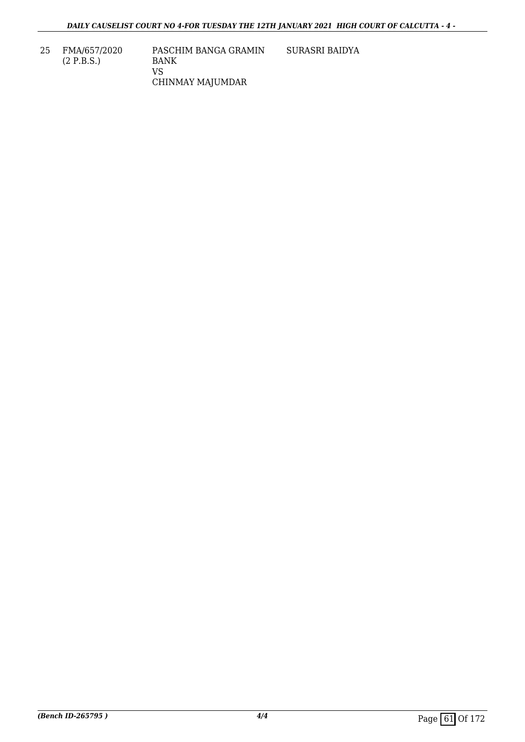25 FMA/657/2020 (2 P.B.S.)

VS

PASCHIM BANGA GRAMIN BANK CHINMAY MAJUMDAR SURASRI BAIDYA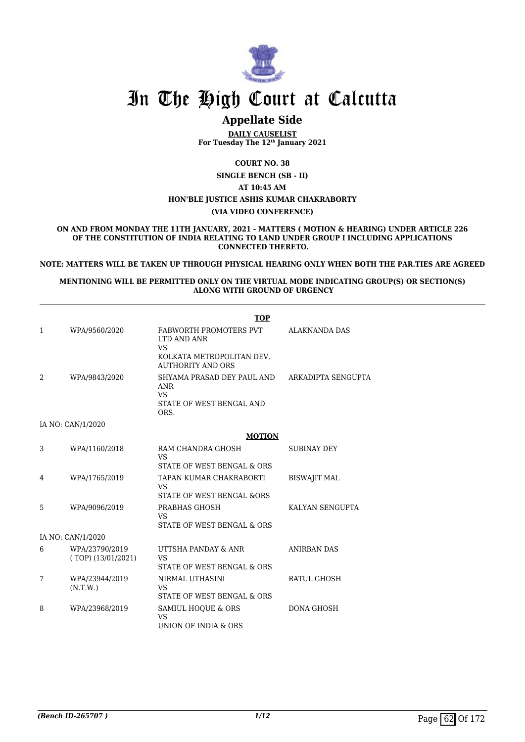

# **Appellate Side**

**DAILY CAUSELIST For Tuesday The 12th January 2021**

**COURT NO. 38**

**SINGLE BENCH (SB - II)**

**AT 10:45 AM HON'BLE JUSTICE ASHIS KUMAR CHAKRABORTY (VIA VIDEO CONFERENCE)**

**ON AND FROM MONDAY THE 11TH JANUARY, 2021 - MATTERS ( MOTION & HEARING) UNDER ARTICLE 226 OF THE CONSTITUTION OF INDIA RELATING TO LAND UNDER GROUP I INCLUDING APPLICATIONS CONNECTED THERETO.**

**NOTE: MATTERS WILL BE TAKEN UP THROUGH PHYSICAL HEARING ONLY WHEN BOTH THE PAR.TIES ARE AGREED**

#### **MENTIONING WILL BE PERMITTED ONLY ON THE VIRTUAL MODE INDICATING GROUP(S) OR SECTION(S) ALONG WITH GROUND OF URGENCY**

|   |                                        | <b>TOP</b>                                                                                                   |                     |
|---|----------------------------------------|--------------------------------------------------------------------------------------------------------------|---------------------|
| 1 | WPA/9560/2020                          | FABWORTH PROMOTERS PVT<br>LTD AND ANR<br><b>VS</b><br>KOLKATA METROPOLITAN DEV.<br><b>AUTHORITY AND ORS</b>  | ALAKNANDA DAS       |
| 2 | WPA/9843/2020                          | SHYAMA PRASAD DEY PAUL AND ARKADIPTA SENGUPTA<br><b>ANR</b><br><b>VS</b><br>STATE OF WEST BENGAL AND<br>ORS. |                     |
|   | IA NO: CAN/1/2020                      |                                                                                                              |                     |
|   |                                        | <b>MOTION</b>                                                                                                |                     |
| 3 | WPA/1160/2018                          | RAM CHANDRA GHOSH<br><b>VS</b><br>STATE OF WEST BENGAL & ORS                                                 | <b>SUBINAY DEY</b>  |
| 4 | WPA/1765/2019                          | TAPAN KUMAR CHAKRABORTI<br><b>VS</b><br>STATE OF WEST BENGAL &ORS                                            | <b>BISWAJIT MAL</b> |
| 5 | WPA/9096/2019                          | PRABHAS GHOSH<br><b>VS</b><br>STATE OF WEST BENGAL & ORS                                                     | KALYAN SENGUPTA     |
|   | IA NO: CAN/1/2020                      |                                                                                                              |                     |
| 6 | WPA/23790/2019<br>$(TOP)$ (13/01/2021) | UTTSHA PANDAY & ANR<br><b>VS</b><br>STATE OF WEST BENGAL & ORS                                               | <b>ANIRBAN DAS</b>  |
| 7 | WPA/23944/2019<br>(N.T.W.)             | NIRMAL UTHASINI<br><b>VS</b><br>STATE OF WEST BENGAL & ORS                                                   | <b>RATUL GHOSH</b>  |
| 8 | WPA/23968/2019                         | SAMIUL HOQUE & ORS<br><b>VS</b><br>UNION OF INDIA & ORS                                                      | <b>DONA GHOSH</b>   |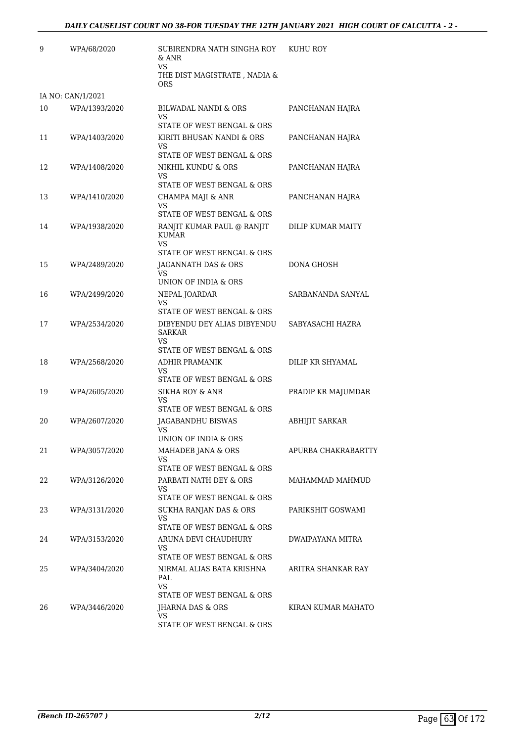| 9  | WPA/68/2020       | SUBIRENDRA NATH SINGHA ROY<br>& ANR<br>VS.                                        | KUHU ROY              |
|----|-------------------|-----------------------------------------------------------------------------------|-----------------------|
|    |                   | THE DIST MAGISTRATE, NADIA &<br><b>ORS</b>                                        |                       |
|    | IA NO: CAN/1/2021 |                                                                                   |                       |
| 10 | WPA/1393/2020     | BILWADAL NANDI & ORS<br>VS                                                        | PANCHANAN HAJRA       |
|    |                   | STATE OF WEST BENGAL & ORS                                                        |                       |
| 11 | WPA/1403/2020     | KIRITI BHUSAN NANDI & ORS<br>VS<br>STATE OF WEST BENGAL & ORS                     | PANCHANAN HAJRA       |
| 12 | WPA/1408/2020     | NIKHIL KUNDU & ORS                                                                | PANCHANAN HAJRA       |
|    |                   | VS<br>STATE OF WEST BENGAL & ORS                                                  |                       |
| 13 | WPA/1410/2020     | CHAMPA MAJI & ANR                                                                 | PANCHANAN HAJRA       |
|    |                   | VS<br>STATE OF WEST BENGAL & ORS                                                  |                       |
| 14 | WPA/1938/2020     | RANJIT KUMAR PAUL @ RANJIT<br><b>KUMAR</b><br>VS.<br>STATE OF WEST BENGAL & ORS   | DILIP KUMAR MAITY     |
| 15 | WPA/2489/2020     | JAGANNATH DAS & ORS                                                               | DONA GHOSH            |
|    |                   | VS<br>UNION OF INDIA & ORS                                                        |                       |
| 16 | WPA/2499/2020     | NEPAL JOARDAR                                                                     | SARBANANDA SANYAL     |
|    |                   | VS<br>STATE OF WEST BENGAL & ORS                                                  |                       |
| 17 | WPA/2534/2020     | DIBYENDU DEY ALIAS DIBYENDU<br><b>SARKAR</b><br>VS.<br>STATE OF WEST BENGAL & ORS | SABYASACHI HAZRA      |
| 18 | WPA/2568/2020     | <b>ADHIR PRAMANIK</b>                                                             | DILIP KR SHYAMAL      |
|    |                   | VS.<br>STATE OF WEST BENGAL & ORS                                                 |                       |
| 19 | WPA/2605/2020     | <b>SIKHA ROY &amp; ANR</b><br>VS                                                  | PRADIP KR MAJUMDAR    |
|    |                   | STATE OF WEST BENGAL & ORS                                                        |                       |
| 20 | WPA/2607/2020     | JAGABANDHU BISWAS<br>VS<br>UNION OF INDIA & ORS                                   | <b>ABHIJIT SARKAR</b> |
| 21 |                   |                                                                                   | APURBA CHAKRABARTTY   |
|    | WPA/3057/2020     | MAHADEB JANA & ORS<br>VS<br>STATE OF WEST BENGAL & ORS                            |                       |
| 22 | WPA/3126/2020     | PARBATI NATH DEY & ORS<br>VS.                                                     | MAHAMMAD MAHMUD       |
|    |                   | STATE OF WEST BENGAL & ORS                                                        |                       |
| 23 | WPA/3131/2020     | SUKHA RANJAN DAS & ORS<br>VS                                                      | PARIKSHIT GOSWAMI     |
|    |                   | STATE OF WEST BENGAL & ORS                                                        |                       |
| 24 | WPA/3153/2020     | ARUNA DEVI CHAUDHURY<br>VS.<br>STATE OF WEST BENGAL & ORS                         | DWAIPAYANA MITRA      |
| 25 | WPA/3404/2020     | NIRMAL ALIAS BATA KRISHNA<br>PAL<br>VS.                                           | ARITRA SHANKAR RAY    |
|    |                   | STATE OF WEST BENGAL & ORS                                                        |                       |
| 26 | WPA/3446/2020     | JHARNA DAS & ORS<br>VS<br>STATE OF WEST BENGAL & ORS                              | KIRAN KUMAR MAHATO    |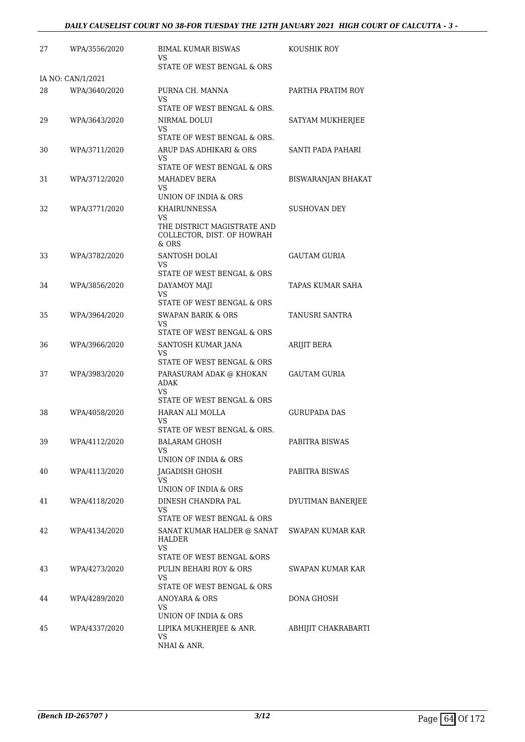| 27 | WPA/3556/2020     | BIMAL KUMAR BISWAS<br>VS                                                 | KOUSHIK ROY               |
|----|-------------------|--------------------------------------------------------------------------|---------------------------|
|    |                   | STATE OF WEST BENGAL & ORS                                               |                           |
|    | IA NO: CAN/1/2021 |                                                                          |                           |
| 28 | WPA/3640/2020     | PURNA CH. MANNA<br>VS                                                    | PARTHA PRATIM ROY         |
|    |                   | STATE OF WEST BENGAL & ORS.                                              |                           |
| 29 | WPA/3643/2020     | NIRMAL DOLUI<br>VS<br>STATE OF WEST BENGAL & ORS.                        | SATYAM MUKHERJEE          |
|    |                   | ARUP DAS ADHIKARI & ORS                                                  | SANTI PADA PAHARI         |
| 30 | WPA/3711/2020     | VS<br>STATE OF WEST BENGAL & ORS                                         |                           |
| 31 | WPA/3712/2020     | MAHADEV BERA                                                             | <b>BISWARANJAN BHAKAT</b> |
|    |                   | VS<br>UNION OF INDIA & ORS                                               |                           |
| 32 | WPA/3771/2020     | <b>KHAIRUNNESSA</b>                                                      | SUSHOVAN DEY              |
|    |                   | VS<br>THE DISTRICT MAGISTRATE AND<br>COLLECTOR, DIST. OF HOWRAH<br>& ORS |                           |
| 33 | WPA/3782/2020     | SANTOSH DOLAI                                                            | <b>GAUTAM GURIA</b>       |
|    |                   | VS                                                                       |                           |
|    |                   | STATE OF WEST BENGAL & ORS                                               |                           |
| 34 | WPA/3856/2020     | DAYAMOY MAJI<br><b>VS</b>                                                | TAPAS KUMAR SAHA          |
|    |                   | STATE OF WEST BENGAL & ORS                                               |                           |
| 35 | WPA/3964/2020     | SWAPAN BARIK & ORS<br>VS                                                 | TANUSRI SANTRA            |
|    |                   | STATE OF WEST BENGAL & ORS                                               |                           |
| 36 | WPA/3966/2020     | SANTOSH KUMAR JANA<br>VS<br>STATE OF WEST BENGAL & ORS                   | ARIJIT BERA               |
| 37 | WPA/3983/2020     | PARASURAM ADAK @ KHOKAN                                                  | GAUTAM GURIA              |
|    |                   | ADAK                                                                     |                           |
|    |                   | <b>VS</b><br>STATE OF WEST BENGAL & ORS                                  |                           |
| 38 | WPA/4058/2020     | HARAN ALI MOLLA                                                          | <b>GURUPADA DAS</b>       |
|    |                   | VS                                                                       |                           |
|    |                   | STATE OF WEST BENGAL & ORS.                                              |                           |
| 39 | WPA/4112/2020     | <b>BALARAM GHOSH</b><br>VS                                               | PABITRA BISWAS            |
|    |                   | UNION OF INDIA & ORS                                                     |                           |
| 40 | WPA/4113/2020     | JAGADISH GHOSH<br>VS                                                     | PABITRA BISWAS            |
|    |                   | UNION OF INDIA & ORS                                                     |                           |
| 41 | WPA/4118/2020     | DINESH CHANDRA PAL<br>VS                                                 | DYUTIMAN BANERJEE         |
|    |                   | STATE OF WEST BENGAL & ORS                                               |                           |
| 42 | WPA/4134/2020     | SANAT KUMAR HALDER @ SANAT<br>HALDER                                     | SWAPAN KUMAR KAR          |
|    |                   | VS                                                                       |                           |
|    |                   | STATE OF WEST BENGAL &ORS                                                |                           |
| 43 | WPA/4273/2020     | PULIN BEHARI ROY & ORS<br><b>VS</b><br>STATE OF WEST BENGAL & ORS        | SWAPAN KUMAR KAR          |
| 44 | WPA/4289/2020     | ANOYARA & ORS                                                            | DONA GHOSH                |
|    |                   | VS                                                                       |                           |
|    |                   | UNION OF INDIA & ORS                                                     |                           |
| 45 | WPA/4337/2020     | LIPIKA MUKHERJEE & ANR.<br>VS                                            | ABHIJIT CHAKRABARTI       |
|    |                   | NHAI & ANR.                                                              |                           |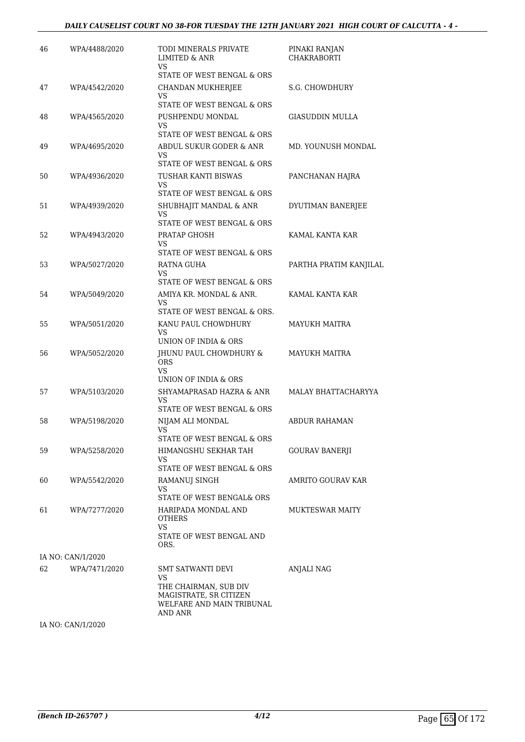| 46 | WPA/4488/2020     | TODI MINERALS PRIVATE<br><b>LIMITED &amp; ANR</b><br>VS                            | PINAKI RANJAN<br><b>CHAKRABORTI</b> |
|----|-------------------|------------------------------------------------------------------------------------|-------------------------------------|
| 47 | WPA/4542/2020     | STATE OF WEST BENGAL & ORS<br>CHANDAN MUKHERJEE                                    | S.G. CHOWDHURY                      |
|    |                   | VS<br>STATE OF WEST BENGAL & ORS                                                   |                                     |
| 48 | WPA/4565/2020     | PUSHPENDU MONDAL                                                                   | <b>GIASUDDIN MULLA</b>              |
|    |                   | VS<br>STATE OF WEST BENGAL & ORS                                                   |                                     |
| 49 | WPA/4695/2020     | ABDUL SUKUR GODER & ANR<br>VS                                                      | MD. YOUNUSH MONDAL                  |
|    |                   | STATE OF WEST BENGAL & ORS                                                         |                                     |
| 50 | WPA/4936/2020     | TUSHAR KANTI BISWAS<br>VS                                                          | PANCHANAN HAJRA                     |
|    |                   | STATE OF WEST BENGAL & ORS                                                         |                                     |
| 51 | WPA/4939/2020     | SHUBHAJIT MANDAL & ANR<br><b>VS</b><br>STATE OF WEST BENGAL & ORS                  | DYUTIMAN BANERJEE                   |
| 52 | WPA/4943/2020     | PRATAP GHOSH                                                                       | KAMAL KANTA KAR                     |
|    |                   | VS                                                                                 |                                     |
|    |                   | STATE OF WEST BENGAL & ORS                                                         |                                     |
| 53 | WPA/5027/2020     | RATNA GUHA<br>VS                                                                   | PARTHA PRATIM KANJILAL              |
|    |                   | STATE OF WEST BENGAL & ORS                                                         |                                     |
| 54 | WPA/5049/2020     | AMIYA KR. MONDAL & ANR.                                                            | KAMAL KANTA KAR                     |
|    |                   | VS<br>STATE OF WEST BENGAL & ORS.                                                  |                                     |
| 55 | WPA/5051/2020     | KANU PAUL CHOWDHURY                                                                | <b>MAYUKH MAITRA</b>                |
|    |                   | VS<br>UNION OF INDIA & ORS                                                         |                                     |
| 56 | WPA/5052/2020     | JHUNU PAUL CHOWDHURY &                                                             | MAYUKH MAITRA                       |
|    |                   | <b>ORS</b><br>VS                                                                   |                                     |
|    |                   | UNION OF INDIA & ORS                                                               |                                     |
| 57 | WPA/5103/2020     | SHYAMAPRASAD HAZRA & ANR<br>VS<br>STATE OF WEST BENGAL & ORS                       | MALAY BHATTACHARYYA                 |
| 58 | WPA/5198/2020     | NIJAM ALI MONDAL                                                                   | <b>ABDUR RAHAMAN</b>                |
|    |                   | VS<br>STATE OF WEST BENGAL & ORS                                                   |                                     |
| 59 | WPA/5258/2020     | HIMANGSHU SEKHAR TAH<br>VS                                                         | <b>GOURAV BANERJI</b>               |
|    |                   | STATE OF WEST BENGAL & ORS                                                         |                                     |
| 60 | WPA/5542/2020     | RAMANUJ SINGH<br>VS                                                                | AMRITO GOURAV KAR                   |
|    |                   | STATE OF WEST BENGAL& ORS                                                          |                                     |
| 61 | WPA/7277/2020     | HARIPADA MONDAL AND<br><b>OTHERS</b><br>VS                                         | <b>MUKTESWAR MAITY</b>              |
|    |                   | STATE OF WEST BENGAL AND<br>ORS.                                                   |                                     |
|    | IA NO: CAN/1/2020 |                                                                                    |                                     |
| 62 | WPA/7471/2020     | SMT SATWANTI DEVI                                                                  | ANJALI NAG                          |
|    |                   | VS<br>THE CHAIRMAN, SUB DIV<br>MAGISTRATE, SR CITIZEN<br>WELFARE AND MAIN TRIBUNAL |                                     |
|    |                   | AND ANR                                                                            |                                     |

IA NO: CAN/1/2020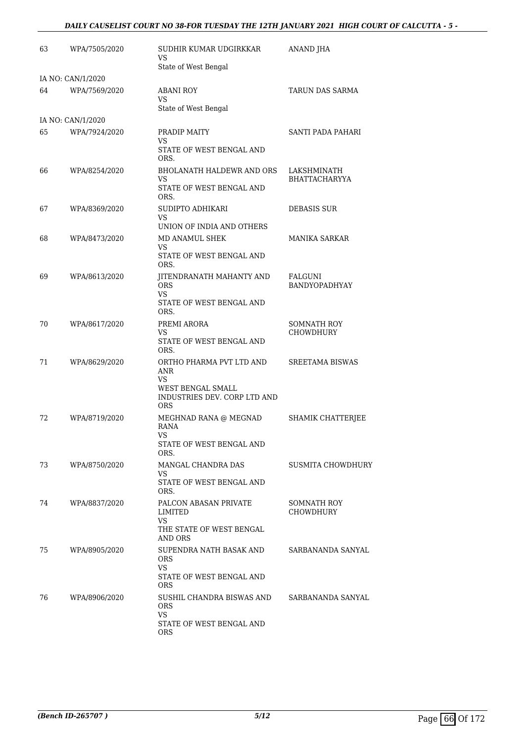### *DAILY CAUSELIST COURT NO 38-FOR TUESDAY THE 12TH JANUARY 2021 HIGH COURT OF CALCUTTA - 5 -*

| 63 | WPA/7505/2020     | SUDHIR KUMAR UDGIRKKAR<br>VS.<br>State of West Bengal                                                     | ANAND JHA                              |
|----|-------------------|-----------------------------------------------------------------------------------------------------------|----------------------------------------|
|    | IA NO: CAN/1/2020 |                                                                                                           |                                        |
| 64 | WPA/7569/2020     | ABANI ROY<br>VS.                                                                                          | TARUN DAS SARMA                        |
|    |                   | State of West Bengal                                                                                      |                                        |
|    | IA NO: CAN/1/2020 |                                                                                                           |                                        |
| 65 | WPA/7924/2020     | PRADIP MAITY<br>VS.<br>STATE OF WEST BENGAL AND<br>ORS.                                                   | SANTI PADA PAHARI                      |
| 66 | WPA/8254/2020     | BHOLANATH HALDEWR AND ORS                                                                                 | LAKSHMINATH                            |
|    |                   | VS.<br>STATE OF WEST BENGAL AND<br>ORS.                                                                   | <b>BHATTACHARYYA</b>                   |
| 67 | WPA/8369/2020     | SUDIPTO ADHIKARI<br>VS                                                                                    | <b>DEBASIS SUR</b>                     |
|    |                   | UNION OF INDIA AND OTHERS                                                                                 |                                        |
| 68 | WPA/8473/2020     | MD ANAMUL SHEK<br>VS.<br>STATE OF WEST BENGAL AND                                                         | MANIKA SARKAR                          |
|    |                   | ORS.                                                                                                      |                                        |
| 69 | WPA/8613/2020     | JITENDRANATH MAHANTY AND<br><b>ORS</b><br>VS.<br>STATE OF WEST BENGAL AND                                 | FALGUNI<br><b>BANDYOPADHYAY</b>        |
|    |                   | ORS.                                                                                                      |                                        |
| 70 | WPA/8617/2020     | PREMI ARORA<br>VS.<br>STATE OF WEST BENGAL AND<br>ORS.                                                    | <b>SOMNATH ROY</b><br><b>CHOWDHURY</b> |
| 71 | WPA/8629/2020     | ORTHO PHARMA PVT LTD AND<br>ANR<br>VS.<br>WEST BENGAL SMALL<br>INDUSTRIES DEV. CORP LTD AND<br><b>ORS</b> | SREETAMA BISWAS                        |
| 72 | WPA/8719/2020     | MEGHNAD RANA @ MEGNAD<br>RANA<br><b>VS</b><br>STATE OF WEST BENGAL AND                                    | SHAMIK CHATTERJEE                      |
|    |                   | ORS.                                                                                                      |                                        |
| 73 | WPA/8750/2020     | MANGAL CHANDRA DAS<br>VS<br>STATE OF WEST BENGAL AND                                                      | <b>SUSMITA CHOWDHURY</b>               |
|    |                   | ORS.                                                                                                      |                                        |
| 74 | WPA/8837/2020     | PALCON ABASAN PRIVATE<br>LIMITED<br>VS.                                                                   | SOMNATH ROY<br><b>CHOWDHURY</b>        |
|    |                   | THE STATE OF WEST BENGAL<br>AND ORS                                                                       |                                        |
| 75 | WPA/8905/2020     | SUPENDRA NATH BASAK AND<br><b>ORS</b><br>VS.                                                              | SARBANANDA SANYAL                      |
|    |                   | STATE OF WEST BENGAL AND<br><b>ORS</b>                                                                    |                                        |
| 76 | WPA/8906/2020     | SUSHIL CHANDRA BISWAS AND<br><b>ORS</b><br>VS.<br>STATE OF WEST BENGAL AND<br>ORS                         | SARBANANDA SANYAL                      |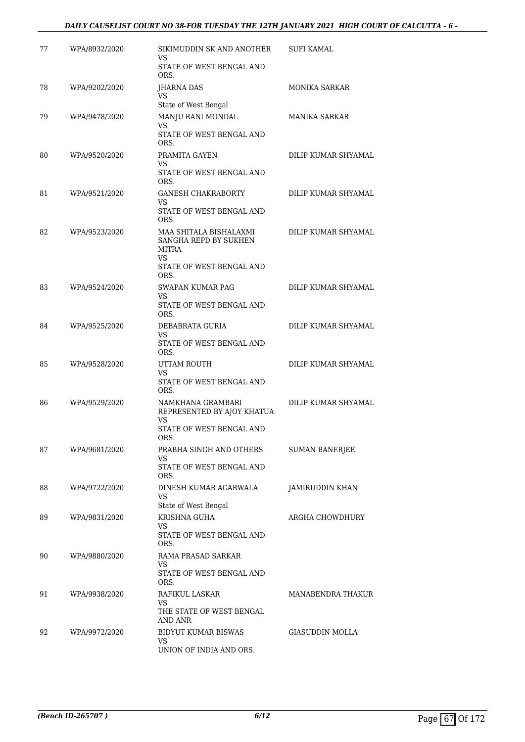### *DAILY CAUSELIST COURT NO 38-FOR TUESDAY THE 12TH JANUARY 2021 HIGH COURT OF CALCUTTA - 6 -*

| 77 | WPA/8932/2020 | SIKIMUDDIN SK AND ANOTHER<br>VS<br>STATE OF WEST BENGAL AND                                       | SUFI KAMAL            |
|----|---------------|---------------------------------------------------------------------------------------------------|-----------------------|
| 78 | WPA/9202/2020 | ORS.<br><b>IHARNA DAS</b><br>VS                                                                   | <b>MONIKA SARKAR</b>  |
| 79 | WPA/9478/2020 | State of West Bengal<br>MANJU RANI MONDAL<br>VS<br>STATE OF WEST BENGAL AND<br>ORS.               | <b>MANIKA SARKAR</b>  |
| 80 | WPA/9520/2020 | PRAMITA GAYEN<br>VS<br>STATE OF WEST BENGAL AND<br>ORS.                                           | DILIP KUMAR SHYAMAL   |
| 81 | WPA/9521/2020 | <b>GANESH CHAKRABORTY</b><br>VS<br>STATE OF WEST BENGAL AND<br>ORS.                               | DILIP KUMAR SHYAMAL   |
| 82 | WPA/9523/2020 | MAA SHITALA BISHALAXMI<br>SANGHA REPD BY SUKHEN<br>MITRA<br>VS<br>STATE OF WEST BENGAL AND        | DILIP KUMAR SHYAMAL   |
|    |               | ORS.                                                                                              |                       |
| 83 | WPA/9524/2020 | SWAPAN KUMAR PAG<br>VS<br>STATE OF WEST BENGAL AND<br>ORS.                                        | DILIP KUMAR SHYAMAL   |
| 84 | WPA/9525/2020 | DEBABRATA GURIA<br>VS<br>STATE OF WEST BENGAL AND                                                 | DILIP KUMAR SHYAMAL   |
| 85 | WPA/9528/2020 | ORS.<br>UTTAM ROUTH<br>VS<br>STATE OF WEST BENGAL AND                                             | DILIP KUMAR SHYAMAL   |
| 86 | WPA/9529/2020 | ORS.<br>NAMKHANA GRAMBARI<br>REPRESENTED BY AJOY KHATUA<br>VS<br>STATE OF WEST BENGAL AND<br>ORS. | DILIP KUMAR SHYAMAL   |
| 87 | WPA/9681/2020 | PRABHA SINGH AND OTHERS<br>VS<br>STATE OF WEST BENGAL AND<br>ORS.                                 | <b>SUMAN BANERJEE</b> |
| 88 | WPA/9722/2020 | DINESH KUMAR AGARWALA<br>VS<br>State of West Bengal                                               | JAMIRUDDIN KHAN       |
| 89 | WPA/9831/2020 | <b>KRISHNA GUHA</b><br>VS<br>STATE OF WEST BENGAL AND                                             | ARGHA CHOWDHURY       |
| 90 | WPA/9880/2020 | ORS.<br>RAMA PRASAD SARKAR<br>VS<br>STATE OF WEST BENGAL AND                                      |                       |
| 91 | WPA/9938/2020 | ORS.<br>RAFIKUL LASKAR<br>VS<br>THE STATE OF WEST BENGAL                                          | MANABENDRA THAKUR     |
| 92 | WPA/9972/2020 | AND ANR<br>BIDYUT KUMAR BISWAS<br>VS<br>UNION OF INDIA AND ORS.                                   | GIASUDDIN MOLLA       |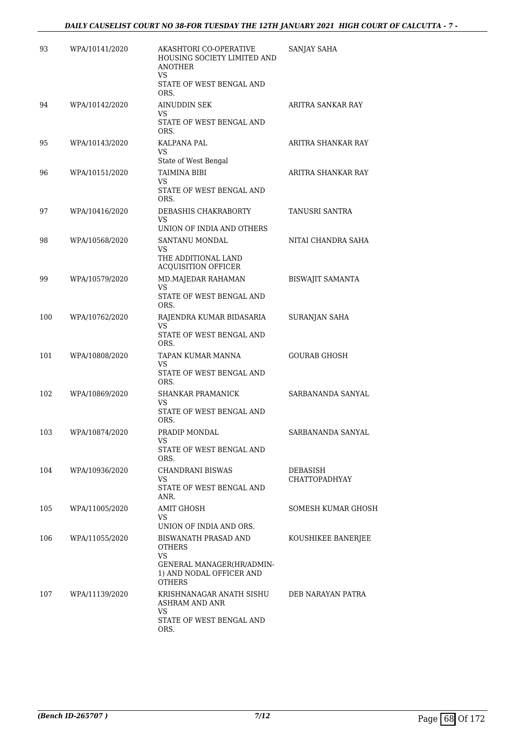| 93  | WPA/10141/2020 | AKASHTORI CO-OPERATIVE<br>HOUSING SOCIETY LIMITED AND<br><b>ANOTHER</b><br>VS<br>STATE OF WEST BENGAL AND             | SANJAY SAHA                      |
|-----|----------------|-----------------------------------------------------------------------------------------------------------------------|----------------------------------|
|     |                | ORS.                                                                                                                  |                                  |
| 94  | WPA/10142/2020 | AINUDDIN SEK<br>VS                                                                                                    | ARITRA SANKAR RAY                |
|     |                | STATE OF WEST BENGAL AND<br>ORS.                                                                                      |                                  |
| 95  | WPA/10143/2020 | KALPANA PAL<br>VS<br>State of West Bengal                                                                             | ARITRA SHANKAR RAY               |
| 96  | WPA/10151/2020 | TAIMINA BIBI<br>VS<br>STATE OF WEST BENGAL AND<br>ORS.                                                                | ARITRA SHANKAR RAY               |
| 97  | WPA/10416/2020 | DEBASHIS CHAKRABORTY<br>VS<br>UNION OF INDIA AND OTHERS                                                               | TANUSRI SANTRA                   |
| 98  | WPA/10568/2020 | SANTANU MONDAL<br>VS                                                                                                  | NITAI CHANDRA SAHA               |
|     |                | THE ADDITIONAL LAND<br><b>ACQUISITION OFFICER</b>                                                                     |                                  |
| 99  | WPA/10579/2020 | MD.MAJEDAR RAHAMAN<br>VS                                                                                              | <b>BISWAJIT SAMANTA</b>          |
|     |                | STATE OF WEST BENGAL AND<br>ORS.                                                                                      |                                  |
| 100 | WPA/10762/2020 | RAJENDRA KUMAR BIDASARIA<br>VS<br>STATE OF WEST BENGAL AND<br>ORS.                                                    | SURANJAN SAHA                    |
| 101 | WPA/10808/2020 | TAPAN KUMAR MANNA<br>VS<br>STATE OF WEST BENGAL AND<br>ORS.                                                           | <b>GOURAB GHOSH</b>              |
| 102 | WPA/10869/2020 | SHANKAR PRAMANICK<br>VS<br>STATE OF WEST BENGAL AND<br>ORS.                                                           | SARBANANDA SANYAL                |
| 103 | WPA/10874/2020 | PRADIP MONDAL<br>VS<br>STATE OF WEST BENGAL AND<br>ORS.                                                               | SARBANANDA SANYAL                |
| 104 | WPA/10936/2020 | CHANDRANI BISWAS<br>VS<br>STATE OF WEST BENGAL AND<br>ANR.                                                            | DEBASISH<br><b>CHATTOPADHYAY</b> |
| 105 | WPA/11005/2020 | AMIT GHOSH<br>VS<br>UNION OF INDIA AND ORS.                                                                           | SOMESH KUMAR GHOSH               |
| 106 | WPA/11055/2020 | BISWANATH PRASAD AND<br><b>OTHERS</b><br>VS<br>GENERAL MANAGER(HR/ADMIN-<br>1) AND NODAL OFFICER AND<br><b>OTHERS</b> | KOUSHIKEE BANERJEE               |
| 107 | WPA/11139/2020 | KRISHNANAGAR ANATH SISHU<br>ASHRAM AND ANR<br>VS<br>STATE OF WEST BENGAL AND<br>ORS.                                  | DEB NARAYAN PATRA                |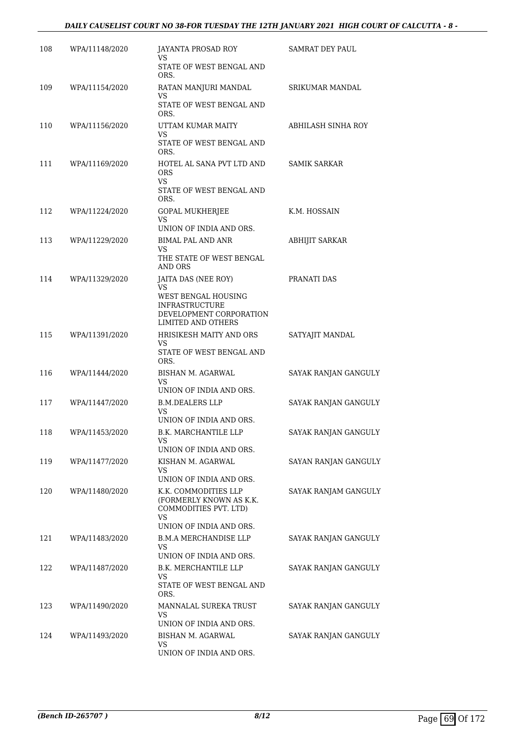### *DAILY CAUSELIST COURT NO 38-FOR TUESDAY THE 12TH JANUARY 2021 HIGH COURT OF CALCUTTA - 8 -*

| 108 | WPA/11148/2020 | JAYANTA PROSAD ROY<br>VS                                | SAMRAT DEY PAUL        |
|-----|----------------|---------------------------------------------------------|------------------------|
|     |                | STATE OF WEST BENGAL AND<br>ORS.                        |                        |
| 109 | WPA/11154/2020 | RATAN MANJURI MANDAL<br>VS                              | <b>SRIKUMAR MANDAL</b> |
|     |                | STATE OF WEST BENGAL AND<br>ORS.                        |                        |
| 110 | WPA/11156/2020 | UTTAM KUMAR MAITY<br>VS.                                | ABHILASH SINHA ROY     |
|     |                | STATE OF WEST BENGAL AND<br>ORS.                        |                        |
| 111 | WPA/11169/2020 | HOTEL AL SANA PVT LTD AND<br><b>ORS</b><br>VS.          | <b>SAMIK SARKAR</b>    |
|     |                | STATE OF WEST BENGAL AND<br>ORS.                        |                        |
| 112 | WPA/11224/2020 | <b>GOPAL MUKHERJEE</b><br>VS.                           | K.M. HOSSAIN           |
|     |                | UNION OF INDIA AND ORS.                                 |                        |
| 113 | WPA/11229/2020 | <b>BIMAL PAL AND ANR</b>                                | <b>ABHIJIT SARKAR</b>  |
|     |                | VS<br>THE STATE OF WEST BENGAL<br>AND ORS               |                        |
| 114 | WPA/11329/2020 | JAITA DAS (NEE ROY)<br><b>VS</b>                        | PRANATI DAS            |
|     |                | WEST BENGAL HOUSING                                     |                        |
|     |                | <b>INFRASTRUCTURE</b><br>DEVELOPMENT CORPORATION        |                        |
|     |                | LIMITED AND OTHERS                                      |                        |
| 115 | WPA/11391/2020 | HRISIKESH MAITY AND ORS<br>VS                           | SATYAJIT MANDAL        |
|     |                | STATE OF WEST BENGAL AND<br>ORS.                        |                        |
| 116 | WPA/11444/2020 | BISHAN M. AGARWAL                                       | SAYAK RANJAN GANGULY   |
|     |                | VS<br>UNION OF INDIA AND ORS.                           |                        |
| 117 | WPA/11447/2020 | <b>B.M.DEALERS LLP</b>                                  | SAYAK RANJAN GANGULY   |
|     |                | VS.<br>UNION OF INDIA AND ORS.                          |                        |
| 118 | WPA/11453/2020 | B.K. MARCHANTILE LLP                                    | SAYAK RANJAN GANGULY   |
|     |                | VS<br>UNION OF INDIA AND ORS.                           |                        |
| 119 | WPA/11477/2020 | KISHAN M. AGARWAL                                       | SAYAN RANJAN GANGULY   |
|     |                | VS<br>UNION OF INDIA AND ORS.                           |                        |
| 120 | WPA/11480/2020 | K.K. COMMODITIES LLP                                    | SAYAK RANJAM GANGULY   |
|     |                | (FORMERLY KNOWN AS K.K.<br>COMMODITIES PVT. LTD)<br>VS. |                        |
|     |                | UNION OF INDIA AND ORS.                                 |                        |
| 121 | WPA/11483/2020 | <b>B.M.A MERCHANDISE LLP</b><br>VS.                     | SAYAK RANJAN GANGULY   |
|     |                | UNION OF INDIA AND ORS.                                 |                        |
| 122 | WPA/11487/2020 | B.K. MERCHANTILE LLP                                    | SAYAK RANJAN GANGULY   |
|     |                | VS<br>STATE OF WEST BENGAL AND<br>ORS.                  |                        |
| 123 | WPA/11490/2020 | MANNALAL SUREKA TRUST                                   | SAYAK RANJAN GANGULY   |
|     |                | VS<br>UNION OF INDIA AND ORS.                           |                        |
| 124 | WPA/11493/2020 | BISHAN M. AGARWAL                                       | SAYAK RANJAN GANGULY   |
|     |                | VS<br>UNION OF INDIA AND ORS.                           |                        |
|     |                |                                                         |                        |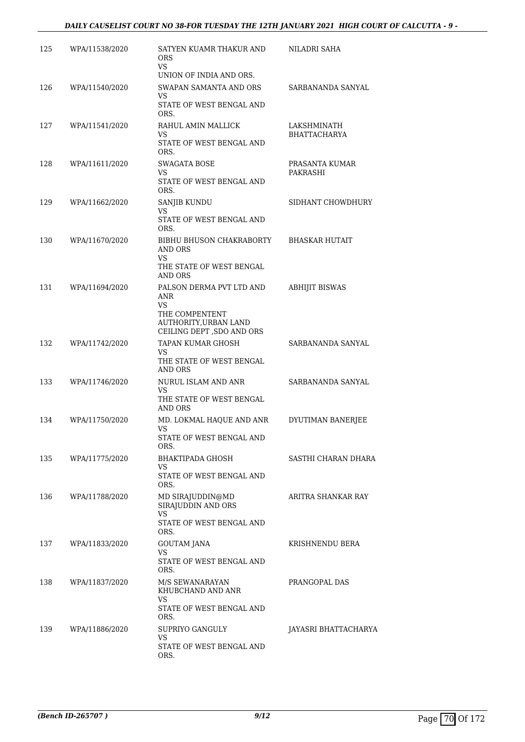### *DAILY CAUSELIST COURT NO 38-FOR TUESDAY THE 12TH JANUARY 2021 HIGH COURT OF CALCUTTA - 9 -*

| 125 | WPA/11538/2020 | SATYEN KUAMR THAKUR AND<br><b>ORS</b><br>VS.                                                                                      | NILADRI SAHA                       |
|-----|----------------|-----------------------------------------------------------------------------------------------------------------------------------|------------------------------------|
| 126 | WPA/11540/2020 | UNION OF INDIA AND ORS.<br>SWAPAN SAMANTA AND ORS<br>VS<br>STATE OF WEST BENGAL AND<br>ORS.                                       | SARBANANDA SANYAL                  |
| 127 | WPA/11541/2020 | RAHUL AMIN MALLICK<br>VS<br>STATE OF WEST BENGAL AND<br>ORS.                                                                      | LAKSHMINATH<br><b>BHATTACHARYA</b> |
| 128 | WPA/11611/2020 | <b>SWAGATA BOSE</b><br>VS.<br>STATE OF WEST BENGAL AND<br>ORS.                                                                    | PRASANTA KUMAR<br>PAKRASHI         |
| 129 | WPA/11662/2020 | SANJIB KUNDU<br>VS<br>STATE OF WEST BENGAL AND<br>ORS.                                                                            | SIDHANT CHOWDHURY                  |
| 130 | WPA/11670/2020 | BIBHU BHUSON CHAKRABORTY<br>AND ORS<br><b>VS</b><br>THE STATE OF WEST BENGAL                                                      | <b>BHASKAR HUTAIT</b>              |
| 131 | WPA/11694/2020 | AND ORS<br>PALSON DERMA PVT LTD AND<br><b>ANR</b><br>VS.<br>THE COMPENTENT<br>AUTHORITY, URBAN LAND<br>CEILING DEPT , SDO AND ORS | <b>ABHIJIT BISWAS</b>              |
| 132 | WPA/11742/2020 | TAPAN KUMAR GHOSH<br>VS.<br>THE STATE OF WEST BENGAL<br>AND ORS                                                                   | SARBANANDA SANYAL                  |
| 133 | WPA/11746/2020 | NURUL ISLAM AND ANR<br>VS.<br>THE STATE OF WEST BENGAL<br><b>AND ORS</b>                                                          | SARBANANDA SANYAL                  |
| 134 | WPA/11750/2020 | MD. LOKMAL HAQUE AND ANR<br>VS<br>STATE OF WEST BENGAL AND<br>ORS.                                                                | DYUTIMAN BANERJEE                  |
| 135 | WPA/11775/2020 | BHAKTIPADA GHOSH<br>VS.<br>STATE OF WEST BENGAL AND<br>ORS.                                                                       | SASTHI CHARAN DHARA                |
| 136 | WPA/11788/2020 | MD SIRAJUDDIN@MD<br>SIRAJUDDIN AND ORS<br>VS<br>STATE OF WEST BENGAL AND<br>ORS.                                                  | ARITRA SHANKAR RAY                 |
| 137 | WPA/11833/2020 | <b>GOUTAM JANA</b><br>VS<br>STATE OF WEST BENGAL AND<br>ORS.                                                                      | KRISHNENDU BERA                    |
| 138 | WPA/11837/2020 | M/S SEWANARAYAN<br>KHUBCHAND AND ANR<br>VS.<br>STATE OF WEST BENGAL AND<br>ORS.                                                   | PRANGOPAL DAS                      |
| 139 | WPA/11886/2020 | SUPRIYO GANGULY<br>VS<br>STATE OF WEST BENGAL AND<br>ORS.                                                                         | JAYASRI BHATTACHARYA               |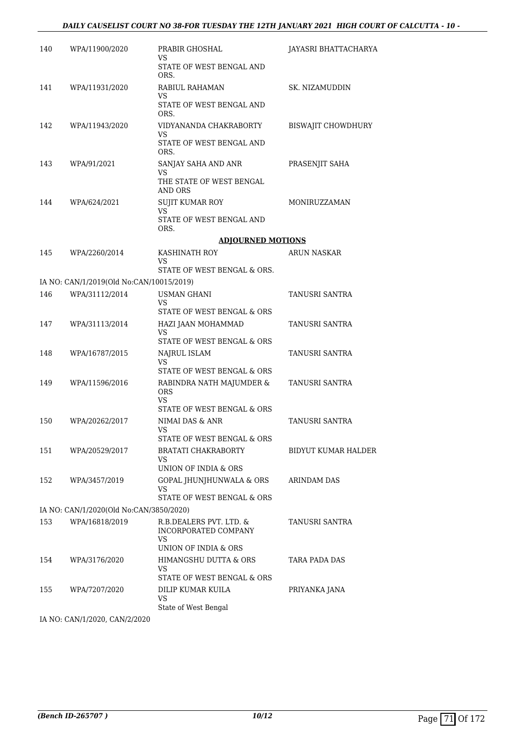### *DAILY CAUSELIST COURT NO 38-FOR TUESDAY THE 12TH JANUARY 2021 HIGH COURT OF CALCUTTA - 10 -*

| 140 | WPA/11900/2020                                             | PRABIR GHOSHAL<br>VS                                                       | JAYASRI BHATTACHARYA       |
|-----|------------------------------------------------------------|----------------------------------------------------------------------------|----------------------------|
|     |                                                            | STATE OF WEST BENGAL AND<br>ORS.                                           |                            |
| 141 | WPA/11931/2020                                             | RABIUL RAHAMAN<br>VS                                                       | SK. NIZAMUDDIN             |
|     |                                                            | STATE OF WEST BENGAL AND<br>ORS.                                           |                            |
| 142 | WPA/11943/2020                                             | VIDYANANDA CHAKRABORTY<br>VS.                                              | <b>BISWAJIT CHOWDHURY</b>  |
|     |                                                            | STATE OF WEST BENGAL AND<br>ORS.                                           |                            |
| 143 | WPA/91/2021                                                | SANJAY SAHA AND ANR<br>VS                                                  | PRASENJIT SAHA             |
|     |                                                            | THE STATE OF WEST BENGAL<br>AND ORS                                        |                            |
| 144 | WPA/624/2021                                               | <b>SUJIT KUMAR ROY</b><br>VS.                                              | MONIRUZZAMAN               |
|     |                                                            | STATE OF WEST BENGAL AND<br>ORS.                                           |                            |
|     |                                                            | <b>ADJOURNED MOTIONS</b>                                                   |                            |
| 145 | WPA/2260/2014                                              | KASHINATH ROY<br>VS.                                                       | <b>ARUN NASKAR</b>         |
|     |                                                            | STATE OF WEST BENGAL & ORS.                                                |                            |
| 146 | IA NO: CAN/1/2019(Old No:CAN/10015/2019)<br>WPA/31112/2014 | <b>USMAN GHANI</b>                                                         | TANUSRI SANTRA             |
|     |                                                            | VS.<br>STATE OF WEST BENGAL & ORS                                          |                            |
| 147 | WPA/31113/2014                                             | HAZI JAAN MOHAMMAD<br>VS.<br>STATE OF WEST BENGAL & ORS                    | TANUSRI SANTRA             |
| 148 | WPA/16787/2015                                             | NAJRUL ISLAM                                                               | TANUSRI SANTRA             |
|     |                                                            | VS<br>STATE OF WEST BENGAL & ORS                                           |                            |
| 149 | WPA/11596/2016                                             | RABINDRA NATH MAJUMDER &<br><b>ORS</b><br>VS<br>STATE OF WEST BENGAL & ORS | TANUSRI SANTRA             |
| 150 | WPA/20262/2017                                             | NIMAI DAS & ANR                                                            | TANUSRI SANTRA             |
|     |                                                            | VS<br>STATE OF WEST BENGAL & ORS                                           |                            |
| 151 | WPA/20529/2017                                             | BRATATI CHAKRABORTY                                                        | <b>BIDYUT KUMAR HALDER</b> |
|     |                                                            | VS<br>UNION OF INDIA & ORS                                                 |                            |
| 152 | WPA/3457/2019                                              | GOPAL JHUNJHUNWALA & ORS<br>VS<br>STATE OF WEST BENGAL & ORS               | ARINDAM DAS                |
|     | IA NO: CAN/1/2020(Old No:CAN/3850/2020)                    |                                                                            |                            |
| 153 | WPA/16818/2019                                             | R.B.DEALERS PVT. LTD. &<br>INCORPORATED COMPANY<br>VS.                     | TANUSRI SANTRA             |
|     |                                                            | UNION OF INDIA & ORS                                                       |                            |
| 154 | WPA/3176/2020                                              | HIMANGSHU DUTTA & ORS<br>VS<br>STATE OF WEST BENGAL & ORS                  | TARA PADA DAS              |
| 155 | WPA/7207/2020                                              | DILIP KUMAR KUILA                                                          | PRIYANKA JANA              |
|     |                                                            | VS<br>State of West Bengal                                                 |                            |

IA NO: CAN/1/2020, CAN/2/2020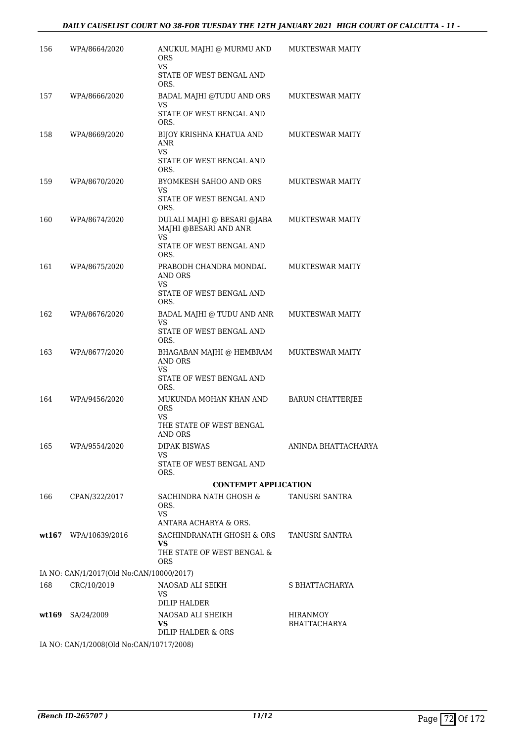| 156   | WPA/8664/2020                                           | ANUKUL MAJHI @ MURMU AND<br><b>ORS</b><br>VS.                  | <b>MUKTESWAR MAITY</b>                 |
|-------|---------------------------------------------------------|----------------------------------------------------------------|----------------------------------------|
|       |                                                         | STATE OF WEST BENGAL AND<br>ORS.                               |                                        |
| 157   | WPA/8666/2020                                           | BADAL MAJHI @TUDU AND ORS                                      | <b>MUKTESWAR MAITY</b>                 |
|       |                                                         | VS<br>STATE OF WEST BENGAL AND<br>ORS.                         |                                        |
| 158   | WPA/8669/2020                                           | BIJOY KRISHNA KHATUA AND<br>ANR<br><b>VS</b>                   | <b>MUKTESWAR MAITY</b>                 |
|       |                                                         | STATE OF WEST BENGAL AND<br>ORS.                               |                                        |
| 159   | WPA/8670/2020                                           | BYOMKESH SAHOO AND ORS<br>VS                                   | <b>MUKTESWAR MAITY</b>                 |
|       |                                                         | STATE OF WEST BENGAL AND<br>ORS.                               |                                        |
| 160   | WPA/8674/2020                                           | DULALI MAJHI @ BESARI @JABA<br>MAJHI @BESARI AND ANR<br>VS.    | <b>MUKTESWAR MAITY</b>                 |
|       |                                                         | STATE OF WEST BENGAL AND<br>ORS.                               |                                        |
| 161   | WPA/8675/2020                                           | PRABODH CHANDRA MONDAL<br><b>AND ORS</b>                       | <b>MUKTESWAR MAITY</b>                 |
|       |                                                         | VS<br>STATE OF WEST BENGAL AND<br>ORS.                         |                                        |
| 162   | WPA/8676/2020                                           | BADAL MAJHI @ TUDU AND ANR                                     | <b>MUKTESWAR MAITY</b>                 |
|       |                                                         | VS<br>STATE OF WEST BENGAL AND<br>ORS.                         |                                        |
| 163   | WPA/8677/2020                                           | BHAGABAN MAJHI @ HEMBRAM<br><b>AND ORS</b><br>VS.              | <b>MUKTESWAR MAITY</b>                 |
|       |                                                         | STATE OF WEST BENGAL AND<br>ORS.                               |                                        |
| 164   | WPA/9456/2020                                           | MUKUNDA MOHAN KHAN AND<br><b>ORS</b><br>VS.                    | <b>BARUN CHATTERJEE</b>                |
|       |                                                         | THE STATE OF WEST BENGAL<br>AND ORS                            |                                        |
| 165   | WPA/9554/2020                                           | <b>DIPAK BISWAS</b>                                            | ANINDA BHATTACHARYA                    |
|       |                                                         | VS<br>STATE OF WEST BENGAL AND<br>ORS.                         |                                        |
|       |                                                         | <b>CONTEMPT APPLICATION</b>                                    |                                        |
| 166   | CPAN/322/2017                                           | SACHINDRA NATH GHOSH &<br>ORS.<br>VS.                          | TANUSRI SANTRA                         |
|       |                                                         | ANTARA ACHARYA & ORS.                                          |                                        |
|       | $wt167$ WPA/10639/2016                                  | SACHINDRANATH GHOSH & ORS<br>VS.<br>THE STATE OF WEST BENGAL & | TANUSRI SANTRA                         |
|       |                                                         | <b>ORS</b>                                                     |                                        |
| 168   | IA NO: CAN/1/2017(Old No:CAN/10000/2017)<br>CRC/10/2019 | NAOSAD ALI SEIKH                                               | S BHATTACHARYA                         |
|       |                                                         | VS.<br>DILIP HALDER                                            |                                        |
| wt169 | SA/24/2009                                              | NAOSAD ALI SHEIKH<br><b>VS</b><br>DILIP HALDER & ORS           | <b>HIRANMOY</b><br><b>BHATTACHARYA</b> |
|       | IA NO: CAN/1/2008(Old No:CAN/10717/2008)                |                                                                |                                        |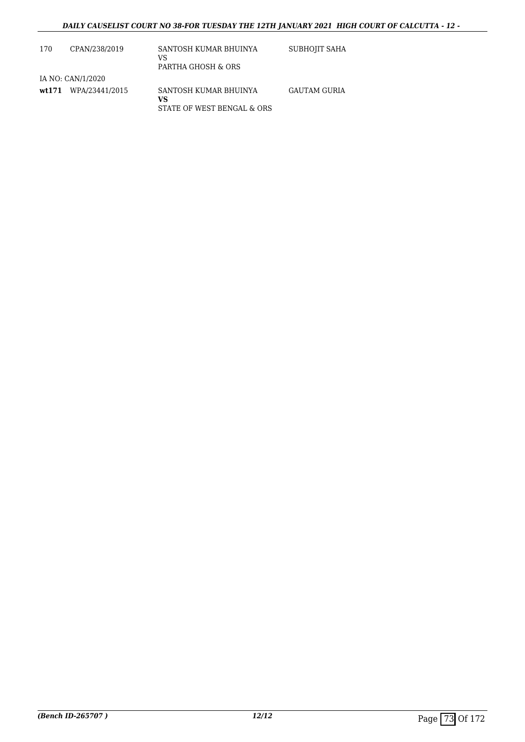| 170 | CPAN/238/2019        | SANTOSH KUMAR BHUINYA<br>VS<br>PARTHA GHOSH & ORS         | SUBHOJIT SAHA       |
|-----|----------------------|-----------------------------------------------------------|---------------------|
|     | IA NO: CAN/1/2020    |                                                           |                     |
|     | wt171 WPA/23441/2015 | SANTOSH KUMAR BHUINYA<br>vs<br>STATE OF WEST BENGAL & ORS | <b>GAUTAM GURIA</b> |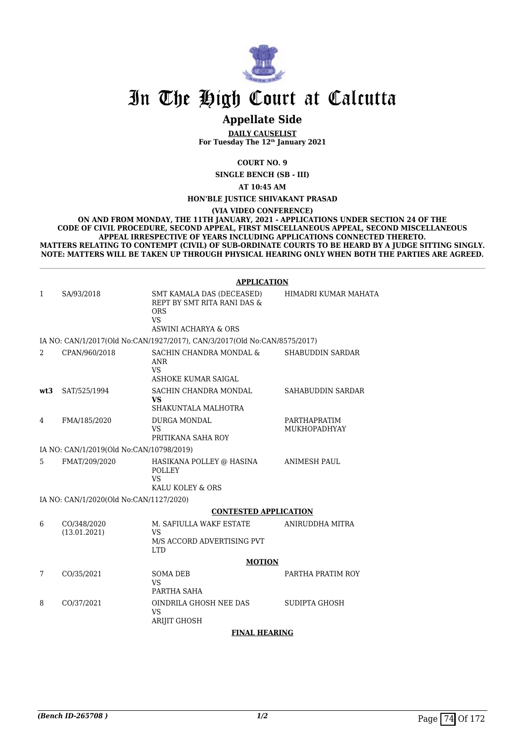

# **Appellate Side**

**DAILY CAUSELIST For Tuesday The 12th January 2021**

**COURT NO. 9**

**SINGLE BENCH (SB - III)**

**AT 10:45 AM**

**HON'BLE JUSTICE SHIVAKANT PRASAD**

**(VIA VIDEO CONFERENCE)**

**ON AND FROM MONDAY, THE 11TH JANUARY, 2021 - APPLICATIONS UNDER SECTION 24 OF THE CODE OF CIVIL PROCEDURE, SECOND APPEAL, FIRST MISCELLANEOUS APPEAL, SECOND MISCELLANEOUS APPEAL IRRESPECTIVE OF YEARS INCLUDING APPLICATIONS CONNECTED THERETO. MATTERS RELATING TO CONTEMPT (CIVIL) OF SUB-ORDINATE COURTS TO BE HEARD BY A JUDGE SITTING SINGLY. NOTE: MATTERS WILL BE TAKEN UP THROUGH PHYSICAL HEARING ONLY WHEN BOTH THE PARTIES ARE AGREED.**

|     |                                          | <b>APPLICATION</b>                                                                                    |                                     |
|-----|------------------------------------------|-------------------------------------------------------------------------------------------------------|-------------------------------------|
| 1   | SA/93/2018                               | SMT KAMALA DAS (DECEASED)<br>REPT BY SMT RITA RANI DAS &<br><b>ORS</b><br>VS.<br>ASWINI ACHARYA & ORS | HIMADRI KUMAR MAHATA                |
|     |                                          | IA NO: CAN/1/2017(Old No:CAN/1927/2017), CAN/3/2017(Old No:CAN/8575/2017)                             |                                     |
| 2   | CPAN/960/2018                            | SACHIN CHANDRA MONDAL &<br><b>ANR</b><br><b>VS</b><br>ASHOKE KUMAR SAIGAL                             | <b>SHABUDDIN SARDAR</b>             |
| wt3 | SAT/525/1994                             | SACHIN CHANDRA MONDAL<br>VS<br>SHAKUNTALA MALHOTRA                                                    | SAHABUDDIN SARDAR                   |
| 4   | FMA/185/2020                             | <b>DURGA MONDAL</b><br>VS<br>PRITIKANA SAHA ROY                                                       | PARTHAPRATIM<br><b>MUKHOPADHYAY</b> |
|     | IA NO: CAN/1/2019(Old No:CAN/10798/2019) |                                                                                                       |                                     |
| 5   | FMAT/209/2020                            | HASIKANA POLLEY @ HASINA<br><b>POLLEY</b><br><b>VS</b><br>KALU KOLEY & ORS                            | <b>ANIMESH PAUL</b>                 |
|     | IA NO: CAN/1/2020(Old No:CAN/1127/2020)  |                                                                                                       |                                     |
|     |                                          | <b>CONTESTED APPLICATION</b>                                                                          |                                     |
| 6   | CO/348/2020<br>(13.01.2021)              | M. SAFIULLA WAKF ESTATE<br>VS<br>M/S ACCORD ADVERTISING PVT<br><b>LTD</b>                             | ANIRUDDHA MITRA                     |
|     |                                          | <b>MOTION</b>                                                                                         |                                     |
| 7   | CO/35/2021                               | <b>SOMA DEB</b><br><b>VS</b><br>PARTHA SAHA                                                           | PARTHA PRATIM ROY                   |
| 8   | CO/37/2021                               | OINDRILA GHOSH NEE DAS<br><b>VS</b><br><b>ARIJIT GHOSH</b>                                            | SUDIPTA GHOSH                       |
|     |                                          | <b>FINAL HEARING</b>                                                                                  |                                     |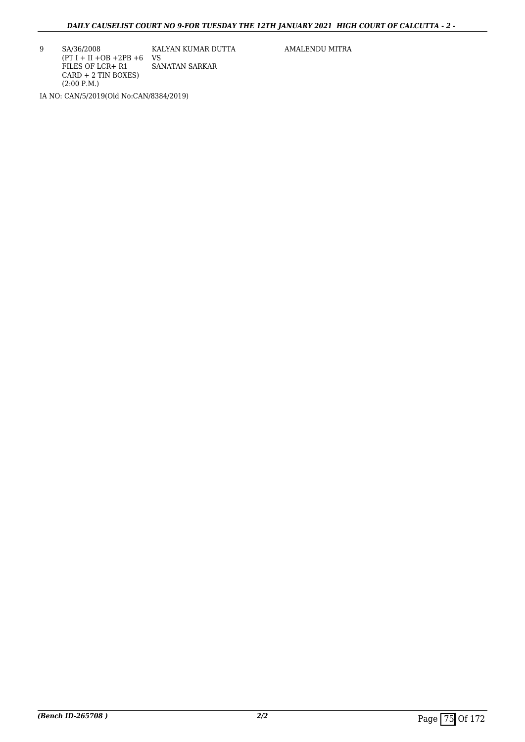9 SA/36/2008  $(PT I + II + OB + 2PB + 6$  VS FILES OF LCR+ R1 CARD + 2 TIN BOXES) (2:00 P.M.) KALYAN KUMAR DUTTA SANATAN SARKAR IA NO: CAN/5/2019(Old No:CAN/8384/2019)

AMALENDU MITRA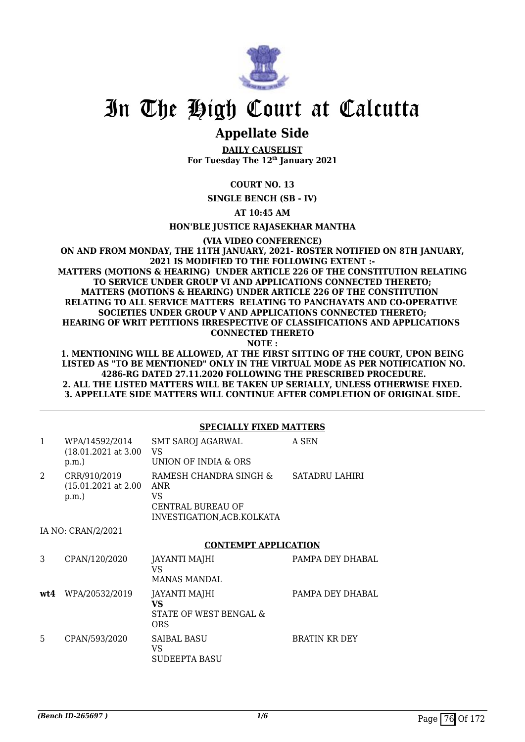

## **Appellate Side**

**DAILY CAUSELIST For Tuesday The 12th January 2021**

## **COURT NO. 13**

**SINGLE BENCH (SB - IV)**

**AT 10:45 AM**

#### **HON'BLE JUSTICE RAJASEKHAR MANTHA**

**(VIA VIDEO CONFERENCE)**

**ON AND FROM MONDAY, THE 11TH JANUARY, 2021- ROSTER NOTIFIED ON 8TH JANUARY, 2021 IS MODIFIED TO THE FOLLOWING EXTENT :- MATTERS (MOTIONS & HEARING) UNDER ARTICLE 226 OF THE CONSTITUTION RELATING TO SERVICE UNDER GROUP VI AND APPLICATIONS CONNECTED THERETO; MATTERS (MOTIONS & HEARING) UNDER ARTICLE 226 OF THE CONSTITUTION RELATING TO ALL SERVICE MATTERS RELATING TO PANCHAYATS AND CO-OPERATIVE SOCIETIES UNDER GROUP V AND APPLICATIONS CONNECTED THERETO; HEARING OF WRIT PETITIONS IRRESPECTIVE OF CLASSIFICATIONS AND APPLICATIONS CONNECTED THERETO NOTE :**

**1. MENTIONING WILL BE ALLOWED, AT THE FIRST SITTING OF THE COURT, UPON BEING LISTED AS "TO BE MENTIONED" ONLY IN THE VIRTUAL MODE AS PER NOTIFICATION NO. 4286-RG DATED 27.11.2020 FOLLOWING THE PRESCRIBED PROCEDURE. 2. ALL THE LISTED MATTERS WILL BE TAKEN UP SERIALLY, UNLESS OTHERWISE FIXED. 3. APPELLATE SIDE MATTERS WILL CONTINUE AFTER COMPLETION OF ORIGINAL SIDE.**

#### **SPECIALLY FIXED MATTERS**

| $\mathbf{1}$   | WPA/14592/2014<br>$(18.01.2021 \text{ at } 3.00$<br>p.m. | <b>SMT SAROJ AGARWAL</b><br>VS<br>UNION OF INDIA & ORS                                         | A SEN            |
|----------------|----------------------------------------------------------|------------------------------------------------------------------------------------------------|------------------|
| $\mathfrak{D}$ | CRR/910/2019<br>$(15.01.2021$ at 2.00<br>p.m.            | RAMESH CHANDRA SINGH &<br><b>ANR</b><br>VS<br>CENTRAL BUREAU OF<br>INVESTIGATION, ACB. KOLKATA | SATADRU LAHIRI   |
|                | IA NO: CRAN/2/2021                                       |                                                                                                |                  |
|                |                                                          | <b>CONTEMPT APPLICATION</b>                                                                    |                  |
| 3              | CPAN/120/2020                                            | JAYANTI MAJHI<br>VS<br><b>MANAS MANDAL</b>                                                     | PAMPA DEY DHABAL |
|                | wt4 WPA/20532/2019                                       | JAYANTI MAJHI<br>VS                                                                            | PAMPA DEY DHABAL |
|                |                                                          | STATE OF WEST BENGAL &<br><b>ORS</b>                                                           |                  |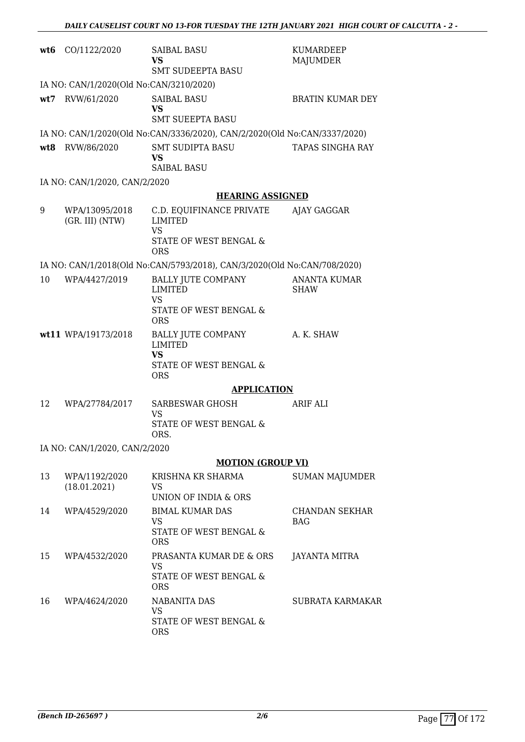| wt6 | CO/1122/2020                            | <b>SAIBAL BASU</b><br>VS<br><b>SMT SUDEEPTA BASU</b>                                      | KUMARDEEP<br>MAJUMDER              |
|-----|-----------------------------------------|-------------------------------------------------------------------------------------------|------------------------------------|
|     | IA NO: CAN/1/2020(Old No:CAN/3210/2020) |                                                                                           |                                    |
| wt7 | RVW/61/2020                             | <b>SAIBAL BASU</b><br>VS<br><b>SMT SUEEPTA BASU</b>                                       | <b>BRATIN KUMAR DEY</b>            |
|     |                                         | IA NO: CAN/1/2020(Old No:CAN/3336/2020), CAN/2/2020(Old No:CAN/3337/2020)                 |                                    |
| wt8 | RVW/86/2020                             | SMT SUDIPTA BASU<br><b>VS</b><br><b>SAIBAL BASU</b>                                       | TAPAS SINGHA RAY                   |
|     | IA NO: CAN/1/2020, CAN/2/2020           |                                                                                           |                                    |
|     |                                         | <b>HEARING ASSIGNED</b>                                                                   |                                    |
| 9   | WPA/13095/2018<br>(GR. III) (NTW)       | C.D. EQUIFINANCE PRIVATE<br>LIMITED<br><b>VS</b><br>STATE OF WEST BENGAL &<br><b>ORS</b>  | AJAY GAGGAR                        |
|     |                                         | IA NO: CAN/1/2018(Old No:CAN/5793/2018), CAN/3/2020(Old No:CAN/708/2020)                  |                                    |
| 10  | WPA/4427/2019                           | BALLY JUTE COMPANY<br><b>LIMITED</b><br><b>VS</b><br>STATE OF WEST BENGAL &               | <b>ANANTA KUMAR</b><br><b>SHAW</b> |
|     |                                         | <b>ORS</b>                                                                                |                                    |
|     | wt11 WPA/19173/2018                     | BALLY JUTE COMPANY<br><b>LIMITED</b><br><b>VS</b><br>STATE OF WEST BENGAL &<br><b>ORS</b> | A. K. SHAW                         |
|     |                                         | <b>APPLICATION</b>                                                                        |                                    |
| 12  | WPA/27784/2017                          | SARBESWAR GHOSH<br>VS<br>STATE OF WEST BENGAL &<br>ORS.                                   | <b>ARIF ALI</b>                    |
|     | IA NO: CAN/1/2020, CAN/2/2020           |                                                                                           |                                    |
|     |                                         | <b>MOTION (GROUP VI)</b>                                                                  |                                    |
| 13  | WPA/1192/2020<br>(18.01.2021)           | KRISHNA KR SHARMA<br><b>VS</b><br>UNION OF INDIA & ORS                                    | <b>SUMAN MAJUMDER</b>              |
| 14  | WPA/4529/2020                           | <b>BIMAL KUMAR DAS</b><br>VS.<br>STATE OF WEST BENGAL &<br><b>ORS</b>                     | <b>CHANDAN SEKHAR</b><br>BAG       |
| 15  | WPA/4532/2020                           | PRASANTA KUMAR DE & ORS<br>VS<br>STATE OF WEST BENGAL &<br><b>ORS</b>                     | JAYANTA MITRA                      |
| 16  | WPA/4624/2020                           | <b>NABANITA DAS</b><br><b>VS</b><br>STATE OF WEST BENGAL &<br><b>ORS</b>                  | SUBRATA KARMAKAR                   |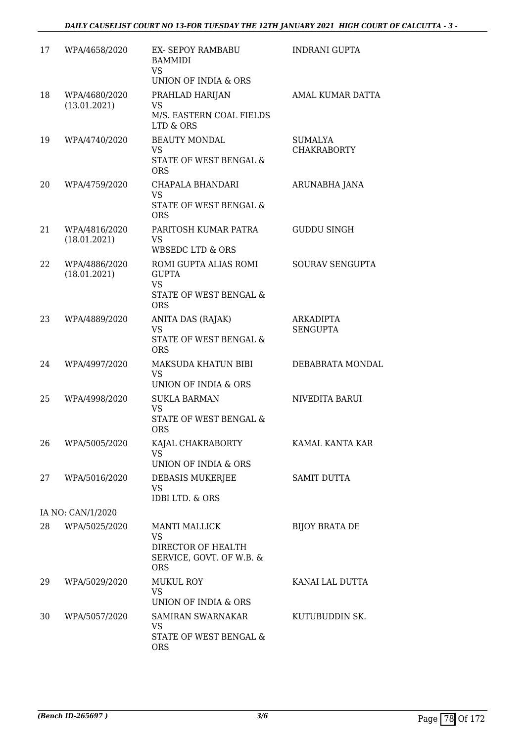| 17 | WPA/4658/2020                 | <b>EX- SEPOY RAMBABU</b><br><b>BAMMIDI</b><br><b>VS</b><br>UNION OF INDIA & ORS                   | <b>INDRANI GUPTA</b>                 |
|----|-------------------------------|---------------------------------------------------------------------------------------------------|--------------------------------------|
| 18 | WPA/4680/2020<br>(13.01.2021) | PRAHLAD HARIJAN<br>VS<br>M/S. EASTERN COAL FIELDS<br>LTD & ORS                                    | AMAL KUMAR DATTA                     |
| 19 | WPA/4740/2020                 | <b>BEAUTY MONDAL</b><br>VS.<br>STATE OF WEST BENGAL &<br><b>ORS</b>                               | <b>SUMALYA</b><br><b>CHAKRABORTY</b> |
| 20 | WPA/4759/2020                 | CHAPALA BHANDARI<br><b>VS</b><br>STATE OF WEST BENGAL &<br><b>ORS</b>                             | ARUNABHA JANA                        |
| 21 | WPA/4816/2020<br>(18.01.2021) | PARITOSH KUMAR PATRA<br><b>VS</b><br><b>WBSEDC LTD &amp; ORS</b>                                  | <b>GUDDU SINGH</b>                   |
| 22 | WPA/4886/2020<br>(18.01.2021) | ROMI GUPTA ALIAS ROMI<br><b>GUPTA</b><br><b>VS</b><br>STATE OF WEST BENGAL &<br><b>ORS</b>        | <b>SOURAV SENGUPTA</b>               |
| 23 | WPA/4889/2020                 | ANITA DAS (RAJAK)<br><b>VS</b><br>STATE OF WEST BENGAL &<br><b>ORS</b>                            | <b>ARKADIPTA</b><br><b>SENGUPTA</b>  |
| 24 | WPA/4997/2020                 | MAKSUDA KHATUN BIBI<br><b>VS</b><br>UNION OF INDIA & ORS                                          | DEBABRATA MONDAL                     |
| 25 | WPA/4998/2020                 | <b>SUKLA BARMAN</b><br><b>VS</b><br>STATE OF WEST BENGAL &<br><b>ORS</b>                          | NIVEDITA BARUI                       |
| 26 | WPA/5005/2020                 | KAJAL CHAKRABORTY<br>VS<br>UNION OF INDIA & ORS                                                   | KAMAL KANTA KAR                      |
| 27 | WPA/5016/2020                 | DEBASIS MUKERJEE<br><b>VS</b><br>IDBI LTD. & ORS                                                  | <b>SAMIT DUTTA</b>                   |
|    | IA NO: CAN/1/2020             |                                                                                                   |                                      |
| 28 | WPA/5025/2020                 | <b>MANTI MALLICK</b><br><b>VS</b><br>DIRECTOR OF HEALTH<br>SERVICE, GOVT. OF W.B. &<br><b>ORS</b> | <b>BIJOY BRATA DE</b>                |
| 29 | WPA/5029/2020                 | MUKUL ROY<br><b>VS</b><br>UNION OF INDIA & ORS                                                    | KANAI LAL DUTTA                      |
| 30 | WPA/5057/2020                 | <b>SAMIRAN SWARNAKAR</b><br>VS<br>STATE OF WEST BENGAL &<br><b>ORS</b>                            | KUTUBUDDIN SK.                       |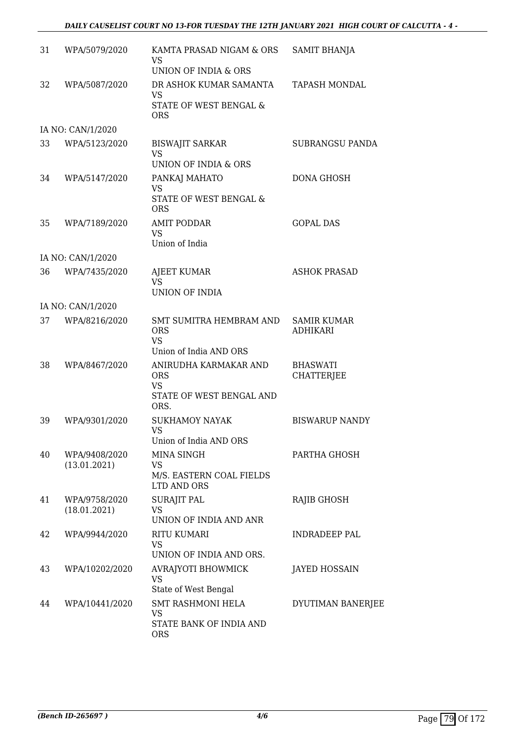| 31 | WPA/5079/2020                 | KAMTA PRASAD NIGAM & ORS<br>VS                                                               | <b>SAMIT BHANJA</b>                   |
|----|-------------------------------|----------------------------------------------------------------------------------------------|---------------------------------------|
| 32 | WPA/5087/2020                 | UNION OF INDIA & ORS<br>DR ASHOK KUMAR SAMANTA<br>VS<br>STATE OF WEST BENGAL &<br><b>ORS</b> | <b>TAPASH MONDAL</b>                  |
|    | IA NO: CAN/1/2020             |                                                                                              |                                       |
| 33 | WPA/5123/2020                 | <b>BISWAJIT SARKAR</b><br>VS<br>UNION OF INDIA & ORS                                         | <b>SUBRANGSU PANDA</b>                |
| 34 | WPA/5147/2020                 | PANKAJ MAHATO<br>VS<br>STATE OF WEST BENGAL &<br><b>ORS</b>                                  | DONA GHOSH                            |
| 35 | WPA/7189/2020                 | <b>AMIT PODDAR</b><br>VS<br>Union of India                                                   | <b>GOPAL DAS</b>                      |
|    | IA NO: CAN/1/2020             |                                                                                              |                                       |
| 36 | WPA/7435/2020                 | <b>AJEET KUMAR</b><br>VS<br>UNION OF INDIA                                                   | <b>ASHOK PRASAD</b>                   |
|    | IA NO: CAN/1/2020             |                                                                                              |                                       |
| 37 | WPA/8216/2020                 | SMT SUMITRA HEMBRAM AND<br><b>ORS</b><br><b>VS</b><br>Union of India AND ORS                 | <b>SAMIR KUMAR</b><br><b>ADHIKARI</b> |
| 38 | WPA/8467/2020                 | ANIRUDHA KARMAKAR AND<br><b>ORS</b><br>VS<br>STATE OF WEST BENGAL AND<br>ORS.                | <b>BHASWATI</b><br><b>CHATTERJEE</b>  |
| 39 | WPA/9301/2020                 | <b>SUKHAMOY NAYAK</b><br><b>VS</b><br>Union of India AND ORS                                 | <b>BISWARUP NANDY</b>                 |
| 40 | WPA/9408/2020<br>(13.01.2021) | MINA SINGH<br>VS<br>M/S. EASTERN COAL FIELDS<br>LTD AND ORS                                  | PARTHA GHOSH                          |
| 41 | WPA/9758/2020<br>(18.01.2021) | SURAJIT PAL<br>VS<br>UNION OF INDIA AND ANR                                                  | RAJIB GHOSH                           |
| 42 | WPA/9944/2020                 | <b>RITU KUMARI</b><br>VS<br>UNION OF INDIA AND ORS.                                          | <b>INDRADEEP PAL</b>                  |
| 43 | WPA/10202/2020                | AVRAJYOTI BHOWMICK<br><b>VS</b><br>State of West Bengal                                      | JAYED HOSSAIN                         |
| 44 | WPA/10441/2020                | <b>SMT RASHMONI HELA</b><br>VS<br>STATE BANK OF INDIA AND<br><b>ORS</b>                      | DYUTIMAN BANERJEE                     |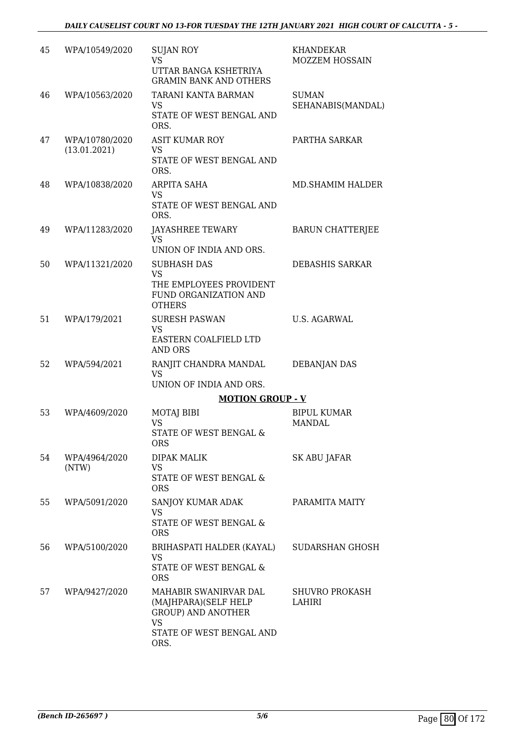| 45 | WPA/10549/2020                 | <b>SUJAN ROY</b><br><b>VS</b><br>UTTAR BANGA KSHETRIYA<br><b>GRAMIN BANK AND OTHERS</b>                                     | KHANDEKAR<br><b>MOZZEM HOSSAIN</b>  |
|----|--------------------------------|-----------------------------------------------------------------------------------------------------------------------------|-------------------------------------|
| 46 | WPA/10563/2020                 | TARANI KANTA BARMAN<br>VS<br>STATE OF WEST BENGAL AND<br>ORS.                                                               | <b>SUMAN</b><br>SEHANABIS(MANDAL)   |
| 47 | WPA/10780/2020<br>(13.01.2021) | <b>ASIT KUMAR ROY</b><br>VS<br>STATE OF WEST BENGAL AND<br>ORS.                                                             | PARTHA SARKAR                       |
| 48 | WPA/10838/2020                 | ARPITA SAHA<br>VS<br>STATE OF WEST BENGAL AND<br>ORS.                                                                       | MD.SHAMIM HALDER                    |
| 49 | WPA/11283/2020                 | JAYASHREE TEWARY<br>VS.<br>UNION OF INDIA AND ORS.                                                                          | <b>BARUN CHATTERJEE</b>             |
| 50 | WPA/11321/2020                 | <b>SUBHASH DAS</b><br><b>VS</b><br>THE EMPLOYEES PROVIDENT<br>FUND ORGANIZATION AND<br><b>OTHERS</b>                        | <b>DEBASHIS SARKAR</b>              |
| 51 | WPA/179/2021                   | <b>SURESH PASWAN</b><br><b>VS</b><br>EASTERN COALFIELD LTD<br>AND ORS                                                       | U.S. AGARWAL                        |
| 52 | WPA/594/2021                   | RANJIT CHANDRA MANDAL<br><b>VS</b><br>UNION OF INDIA AND ORS.                                                               | <b>DEBANJAN DAS</b>                 |
|    |                                | <b>MOTION GROUP - V</b>                                                                                                     |                                     |
| 53 | WPA/4609/2020                  | MOTAJ BIBI<br><b>VS</b><br>STATE OF WEST BENGAL &<br><b>ORS</b>                                                             | <b>BIPUL KUMAR</b><br><b>MANDAL</b> |
| 54 | WPA/4964/2020<br>(NTW)         | <b>DIPAK MALIK</b><br>VS<br>STATE OF WEST BENGAL &<br><b>ORS</b>                                                            | SK ABU JAFAR                        |
| 55 | WPA/5091/2020                  | SANJOY KUMAR ADAK<br>VS<br>STATE OF WEST BENGAL &<br><b>ORS</b>                                                             | PARAMITA MAITY                      |
| 56 | WPA/5100/2020                  | BRIHASPATI HALDER (KAYAL)<br><b>VS</b><br>STATE OF WEST BENGAL &<br><b>ORS</b>                                              | SUDARSHAN GHOSH                     |
| 57 | WPA/9427/2020                  | MAHABIR SWANIRVAR DAL<br>(MAJHPARA)(SELF HELP<br><b>GROUP) AND ANOTHER</b><br><b>VS</b><br>STATE OF WEST BENGAL AND<br>ORS. | <b>SHUVRO PROKASH</b><br>LAHIRI     |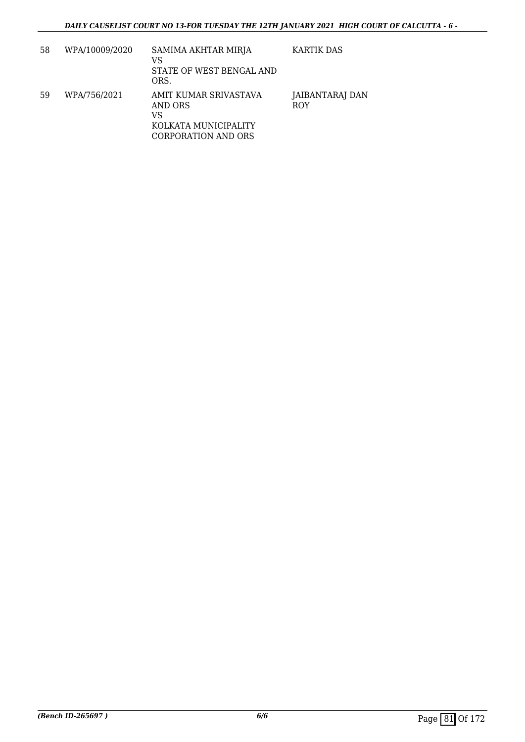| 58 | WPA/10009/2020 | SAMIMA AKHTAR MIRJA<br>VS<br>STATE OF WEST BENGAL AND<br>ORS.                         | <b>KARTIK DAS</b>             |
|----|----------------|---------------------------------------------------------------------------------------|-------------------------------|
| 59 | WPA/756/2021   | AMIT KUMAR SRIVASTAVA<br>AND ORS<br>VS<br>KOLKATA MUNICIPALITY<br>CORPORATION AND ORS | JAIBANTARAJ DAN<br><b>ROY</b> |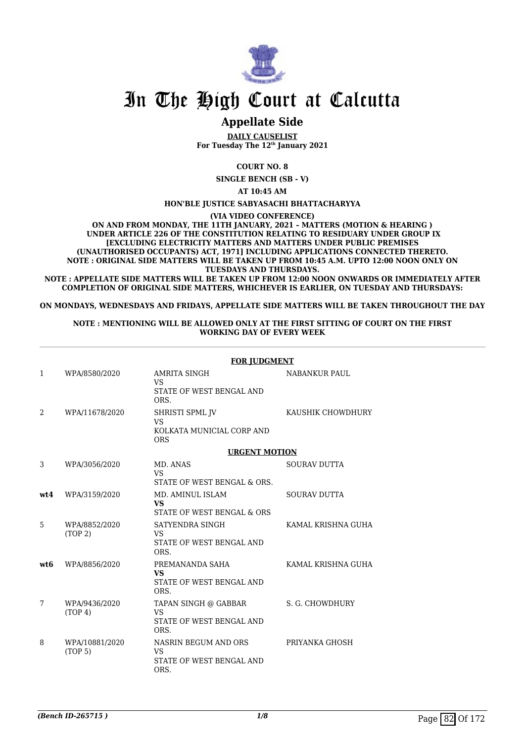

## **Appellate Side**

**DAILY CAUSELIST For Tuesday The 12th January 2021**

**COURT NO. 8**

**SINGLE BENCH (SB - V)**

**AT 10:45 AM**

#### **HON'BLE JUSTICE SABYASACHI BHATTACHARYYA**

**(VIA VIDEO CONFERENCE)**

**ON AND FROM MONDAY, THE 11TH JANUARY, 2021 – MATTERS (MOTION & HEARING ) UNDER ARTICLE 226 OF THE CONSTITUTION RELATING TO RESIDUARY UNDER GROUP IX [EXCLUDING ELECTRICITY MATTERS AND MATTERS UNDER PUBLIC PREMISES (UNAUTHORISED OCCUPANTS) ACT, 1971] INCLUDING APPLICATIONS CONNECTED THERETO. NOTE : ORIGINAL SIDE MATTERS WILL BE TAKEN UP FROM 10:45 A.M. UPTO 12:00 NOON ONLY ON TUESDAYS AND THURSDAYS.**

**NOTE : APPELLATE SIDE MATTERS WILL BE TAKEN UP FROM 12:00 NOON ONWARDS OR IMMEDIATELY AFTER COMPLETION OF ORIGINAL SIDE MATTERS, WHICHEVER IS EARLIER, ON TUESDAY AND THURSDAYS:**

**ON MONDAYS, WEDNESDAYS AND FRIDAYS, APPELLATE SIDE MATTERS WILL BE TAKEN THROUGHOUT THE DAY**

#### **NOTE : MENTIONING WILL BE ALLOWED ONLY AT THE FIRST SITTING OF COURT ON THE FIRST WORKING DAY OF EVERY WEEK**

|              |                                       | <b>FOR JUDGMENT</b>                                                     |                      |  |
|--------------|---------------------------------------|-------------------------------------------------------------------------|----------------------|--|
| $\mathbf{1}$ | WPA/8580/2020                         | AMRITA SINGH<br><b>VS</b><br>STATE OF WEST BENGAL AND<br>ORS.           | <b>NABANKUR PAUL</b> |  |
| 2            | WPA/11678/2020                        | SHRISTI SPML JV<br><b>VS</b><br>KOLKATA MUNICIAL CORP AND<br><b>ORS</b> | KAUSHIK CHOWDHURY    |  |
|              |                                       | <b>URGENT MOTION</b>                                                    |                      |  |
| 3            | WPA/3056/2020                         | MD. ANAS<br><b>VS</b><br>STATE OF WEST BENGAL & ORS.                    | <b>SOURAV DUTTA</b>  |  |
| wt4          | WPA/3159/2020                         | MD. AMINUL ISLAM<br>VS.<br>STATE OF WEST BENGAL & ORS                   | <b>SOURAV DUTTA</b>  |  |
| 5            | WPA/8852/2020<br>(TOP <sub>2</sub> )  | SATYENDRA SINGH<br><b>VS</b><br>STATE OF WEST BENGAL AND<br>ORS.        | KAMAL KRISHNA GUHA   |  |
| wt6          | WPA/8856/2020                         | PREMANANDA SAHA<br><b>VS</b><br>STATE OF WEST BENGAL AND<br>ORS.        | KAMAL KRISHNA GUHA   |  |
| 7            | WPA/9436/2020<br>(TOP 4)              | TAPAN SINGH @ GABBAR<br><b>VS</b><br>STATE OF WEST BENGAL AND<br>ORS.   | S. G. CHOWDHURY      |  |
| 8            | WPA/10881/2020<br>(TOP <sub>5</sub> ) | NASRIN BEGUM AND ORS<br><b>VS</b><br>STATE OF WEST BENGAL AND<br>ORS.   | PRIYANKA GHOSH       |  |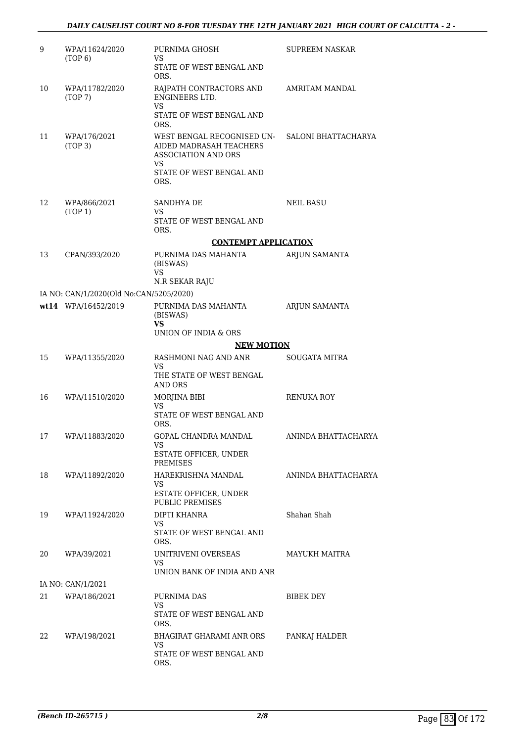| 9  | WPA/11624/2020<br>(TOP 6)               | PURNIMA GHOSH<br><b>VS</b>                                                         | <b>SUPREEM NASKAR</b> |
|----|-----------------------------------------|------------------------------------------------------------------------------------|-----------------------|
|    |                                         | STATE OF WEST BENGAL AND<br>ORS.                                                   |                       |
| 10 | WPA/11782/2020<br>(TOP7)                | RAJPATH CONTRACTORS AND<br><b>ENGINEERS LTD.</b>                                   | AMRITAM MANDAL        |
|    |                                         | VS<br>STATE OF WEST BENGAL AND<br>ORS.                                             |                       |
| 11 | WPA/176/2021<br>(TOP <sub>3</sub> )     | WEST BENGAL RECOGNISED UN-<br>AIDED MADRASAH TEACHERS<br>ASSOCIATION AND ORS<br>VS | SALONI BHATTACHARYA   |
|    |                                         | STATE OF WEST BENGAL AND<br>ORS.                                                   |                       |
| 12 | WPA/866/2021<br>(TOP 1)                 | SANDHYA DE<br>VS                                                                   | <b>NEIL BASU</b>      |
|    |                                         | STATE OF WEST BENGAL AND<br>ORS.                                                   |                       |
|    |                                         | <b>CONTEMPT APPLICATION</b>                                                        |                       |
| 13 | CPAN/393/2020                           | PURNIMA DAS MAHANTA<br>(BISWAS)<br><b>VS</b>                                       | ARJUN SAMANTA         |
|    |                                         | N.R SEKAR RAJU                                                                     |                       |
|    | IA NO: CAN/1/2020(Old No:CAN/5205/2020) |                                                                                    |                       |
|    | wt14 WPA/16452/2019                     | PURNIMA DAS MAHANTA<br>(BISWAS)<br><b>VS</b>                                       | ARJUN SAMANTA         |
|    |                                         | UNION OF INDIA & ORS                                                               |                       |
|    |                                         | <b>NEW MOTION</b>                                                                  |                       |
| 15 | WPA/11355/2020                          | RASHMONI NAG AND ANR<br>VS                                                         | <b>SOUGATA MITRA</b>  |
|    |                                         | THE STATE OF WEST BENGAL<br>AND ORS                                                |                       |
| 16 | WPA/11510/2020                          | MORJINA BIBI                                                                       | <b>RENUKA ROY</b>     |
|    |                                         | VS<br>STATE OF WEST BENGAL AND<br>ORS.                                             |                       |
| 17 | WPA/11883/2020                          | GOPAL CHANDRA MANDAL<br>VS                                                         | ANINDA BHATTACHARYA   |
|    |                                         | ESTATE OFFICER, UNDER<br>PREMISES                                                  |                       |
| 18 | WPA/11892/2020                          | HAREKRISHNA MANDAL<br>VS                                                           | ANINDA BHATTACHARYA   |
|    |                                         | ESTATE OFFICER, UNDER<br>PUBLIC PREMISES                                           |                       |
| 19 | WPA/11924/2020                          | DIPTI KHANRA<br>VS                                                                 | Shahan Shah           |
|    |                                         | STATE OF WEST BENGAL AND<br>ORS.                                                   |                       |
| 20 | WPA/39/2021                             | UNITRIVENI OVERSEAS<br>VS<br>UNION BANK OF INDIA AND ANR                           | MAYUKH MAITRA         |
|    | IA NO: CAN/1/2021                       |                                                                                    |                       |
| 21 | WPA/186/2021                            | PURNIMA DAS                                                                        | BIBEK DEY             |
|    |                                         | <b>VS</b><br>STATE OF WEST BENGAL AND<br>ORS.                                      |                       |
| 22 | WPA/198/2021                            | <b>BHAGIRAT GHARAMI ANR ORS</b><br>VS                                              | PANKAJ HALDER         |
|    |                                         | STATE OF WEST BENGAL AND<br>ORS.                                                   |                       |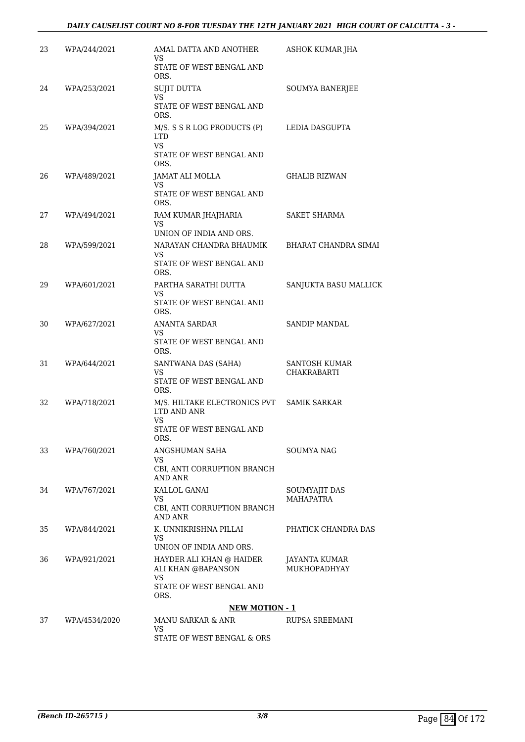### *DAILY CAUSELIST COURT NO 8-FOR TUESDAY THE 12TH JANUARY 2021 HIGH COURT OF CALCUTTA - 3 -*

| 23 | WPA/244/2021  | AMAL DATTA AND ANOTHER<br>VS                                                               | ASHOK KUMAR JHA                      |
|----|---------------|--------------------------------------------------------------------------------------------|--------------------------------------|
|    |               | STATE OF WEST BENGAL AND<br>ORS.                                                           |                                      |
| 24 | WPA/253/2021  | <b>SUJIT DUTTA</b><br><b>VS</b>                                                            | SOUMYA BANERJEE                      |
|    |               | STATE OF WEST BENGAL AND<br>ORS.                                                           |                                      |
| 25 | WPA/394/2021  | M/S. S S R LOG PRODUCTS (P)<br><b>LTD</b><br><b>VS</b><br>STATE OF WEST BENGAL AND<br>ORS. | LEDIA DASGUPTA                       |
| 26 | WPA/489/2021  | JAMAT ALI MOLLA<br>VS<br>STATE OF WEST BENGAL AND<br>ORS.                                  | <b>GHALIB RIZWAN</b>                 |
| 27 | WPA/494/2021  | RAM KUMAR JHAJHARIA<br>VS<br>UNION OF INDIA AND ORS.                                       | <b>SAKET SHARMA</b>                  |
| 28 | WPA/599/2021  | NARAYAN CHANDRA BHAUMIK<br>VS.<br>STATE OF WEST BENGAL AND<br>ORS.                         | BHARAT CHANDRA SIMAI                 |
| 29 | WPA/601/2021  | PARTHA SARATHI DUTTA<br>VS.<br>STATE OF WEST BENGAL AND<br>ORS.                            | SANJUKTA BASU MALLICK                |
| 30 | WPA/627/2021  | ANANTA SARDAR<br>VS<br>STATE OF WEST BENGAL AND<br>ORS.                                    | SANDIP MANDAL                        |
| 31 | WPA/644/2021  | SANTWANA DAS (SAHA)<br>VS<br>STATE OF WEST BENGAL AND<br>ORS.                              | SANTOSH KUMAR<br>CHAKRABARTI         |
| 32 | WPA/718/2021  | M/S. HILTAKE ELECTRONICS PVT<br>LTD AND ANR<br>VS<br>STATE OF WEST BENGAL AND<br>ORS.      | <b>SAMIK SARKAR</b>                  |
| 33 | WPA/760/2021  | ANGSHUMAN SAHA<br>VS<br>CBI, ANTI CORRUPTION BRANCH<br><b>AND ANR</b>                      | SOUMYA NAG                           |
| 34 | WPA/767/2021  | KALLOL GANAI<br>VS.<br>CBI, ANTI CORRUPTION BRANCH<br><b>AND ANR</b>                       | SOUMYAJIT DAS<br>MAHAPATRA           |
| 35 | WPA/844/2021  | K. UNNIKRISHNA PILLAI<br>VS.<br>UNION OF INDIA AND ORS.                                    | PHATICK CHANDRA DAS                  |
| 36 | WPA/921/2021  | HAYDER ALI KHAN @ HAIDER<br>ALI KHAN @BAPANSON<br>VS<br>STATE OF WEST BENGAL AND<br>ORS.   | <b>JAYANTA KUMAR</b><br>MUKHOPADHYAY |
|    |               | <b>NEW MOTION - 1</b>                                                                      |                                      |
| 37 | WPA/4534/2020 | MANU SARKAR & ANR<br>VS                                                                    | RUPSA SREEMANI                       |
|    |               | STATE OF WEST BENGAL & ORS                                                                 |                                      |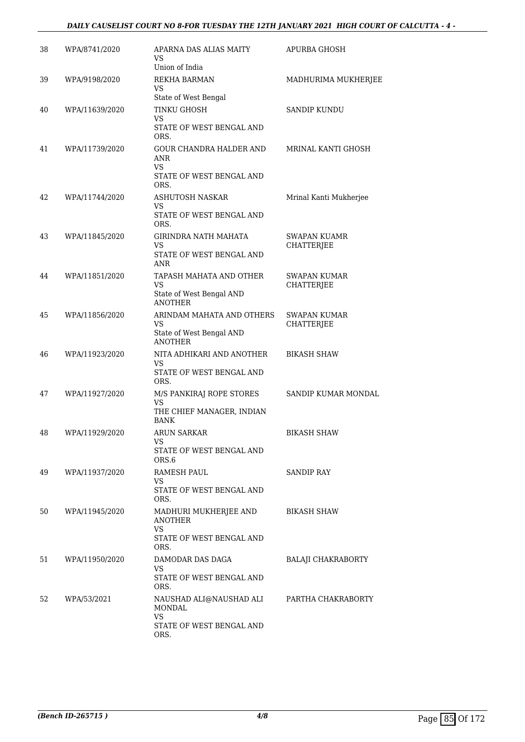### *DAILY CAUSELIST COURT NO 8-FOR TUESDAY THE 12TH JANUARY 2021 HIGH COURT OF CALCUTTA - 4 -*

| 38 | WPA/8741/2020  | APARNA DAS ALIAS MAITY<br>VS.<br>Union of India                                    | APURBA GHOSH                             |
|----|----------------|------------------------------------------------------------------------------------|------------------------------------------|
| 39 | WPA/9198/2020  | REKHA BARMAN<br><b>VS</b><br>State of West Bengal                                  | MADHURIMA MUKHERJEE                      |
| 40 | WPA/11639/2020 | TINKU GHOSH<br>VS<br>STATE OF WEST BENGAL AND<br>ORS.                              | <b>SANDIP KUNDU</b>                      |
| 41 | WPA/11739/2020 | GOUR CHANDRA HALDER AND<br>ANR<br>VS<br>STATE OF WEST BENGAL AND<br>ORS.           | MRINAL KANTI GHOSH                       |
| 42 | WPA/11744/2020 | <b>ASHUTOSH NASKAR</b><br>VS<br>STATE OF WEST BENGAL AND<br>ORS.                   | Mrinal Kanti Mukherjee                   |
| 43 | WPA/11845/2020 | GIRINDRA NATH MAHATA<br><b>VS</b><br>STATE OF WEST BENGAL AND<br>ANR               | <b>SWAPAN KUAMR</b><br>CHATTERJEE        |
| 44 | WPA/11851/2020 | TAPASH MAHATA AND OTHER<br>VS<br>State of West Bengal AND<br><b>ANOTHER</b>        | SWAPAN KUMAR<br><b>CHATTERJEE</b>        |
| 45 | WPA/11856/2020 | ARINDAM MAHATA AND OTHERS<br>VS<br>State of West Bengal AND<br><b>ANOTHER</b>      | <b>SWAPAN KUMAR</b><br><b>CHATTERJEE</b> |
| 46 | WPA/11923/2020 | NITA ADHIKARI AND ANOTHER<br>VS<br>STATE OF WEST BENGAL AND<br>ORS.                | <b>BIKASH SHAW</b>                       |
| 47 | WPA/11927/2020 | M/S PANKIRAJ ROPE STORES<br><b>VS</b><br>THE CHIEF MANAGER, INDIAN<br>BANK         | SANDIP KUMAR MONDAL                      |
| 48 | WPA/11929/2020 | <b>ARUN SARKAR</b><br>VS<br>STATE OF WEST BENGAL AND<br>ORS.6                      | <b>BIKASH SHAW</b>                       |
| 49 | WPA/11937/2020 | RAMESH PAUL<br>VS<br>STATE OF WEST BENGAL AND<br>ORS.                              | SANDIP RAY                               |
| 50 | WPA/11945/2020 | MADHURI MUKHERJEE AND<br>ANOTHER<br>VS.<br>STATE OF WEST BENGAL AND<br>ORS.        | <b>BIKASH SHAW</b>                       |
| 51 | WPA/11950/2020 | DAMODAR DAS DAGA<br>VS<br>STATE OF WEST BENGAL AND<br>ORS.                         | <b>BALAJI CHAKRABORTY</b>                |
| 52 | WPA/53/2021    | NAUSHAD ALI@NAUSHAD ALI<br><b>MONDAL</b><br>VS<br>STATE OF WEST BENGAL AND<br>ORS. | PARTHA CHAKRABORTY                       |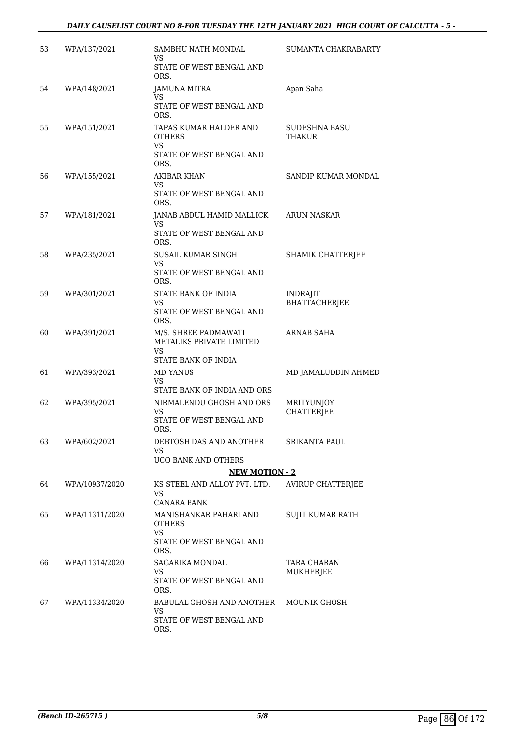### *DAILY CAUSELIST COURT NO 8-FOR TUESDAY THE 12TH JANUARY 2021 HIGH COURT OF CALCUTTA - 5 -*

| 53 | WPA/137/2021   | SAMBHU NATH MONDAL<br><b>VS</b>                                                  | SUMANTA CHAKRABARTY                     |
|----|----------------|----------------------------------------------------------------------------------|-----------------------------------------|
|    |                | STATE OF WEST BENGAL AND<br>ORS.                                                 |                                         |
| 54 | WPA/148/2021   | JAMUNA MITRA<br>VS.                                                              | Apan Saha                               |
|    |                | STATE OF WEST BENGAL AND<br>ORS.                                                 |                                         |
| 55 | WPA/151/2021   | TAPAS KUMAR HALDER AND<br><b>OTHERS</b><br><b>VS</b><br>STATE OF WEST BENGAL AND | SUDESHNA BASU<br><b>THAKUR</b>          |
|    |                | ORS.                                                                             |                                         |
| 56 | WPA/155/2021   | <b>AKIBAR KHAN</b><br>VS<br>STATE OF WEST BENGAL AND<br>ORS.                     | SANDIP KUMAR MONDAL                     |
| 57 | WPA/181/2021   | JANAB ABDUL HAMID MALLICK<br>VS.                                                 | <b>ARUN NASKAR</b>                      |
|    |                | STATE OF WEST BENGAL AND<br>ORS.                                                 |                                         |
| 58 | WPA/235/2021   | <b>SUSAIL KUMAR SINGH</b><br><b>VS</b>                                           | SHAMIK CHATTERJEE                       |
|    |                | STATE OF WEST BENGAL AND<br>ORS.                                                 |                                         |
| 59 | WPA/301/2021   | STATE BANK OF INDIA<br>VS                                                        | <b>INDRAJIT</b><br><b>BHATTACHERJEE</b> |
|    |                | STATE OF WEST BENGAL AND<br>ORS.                                                 |                                         |
| 60 | WPA/391/2021   | M/S. SHREE PADMAWATI<br>METALIKS PRIVATE LIMITED<br><b>VS</b>                    | ARNAB SAHA                              |
|    |                | STATE BANK OF INDIA                                                              |                                         |
| 61 | WPA/393/2021   | <b>MD YANUS</b><br><b>VS</b><br>STATE BANK OF INDIA AND ORS                      | MD JAMALUDDIN AHMED                     |
| 62 | WPA/395/2021   | NIRMALENDU GHOSH AND ORS                                                         | MRITYUNJOY                              |
|    |                | <b>VS</b><br>STATE OF WEST BENGAL AND<br>ORS.                                    | <b>CHATTERJEE</b>                       |
| 63 | WPA/602/2021   | DEBTOSH DAS AND ANOTHER                                                          | <b>SRIKANTA PAUL</b>                    |
|    |                | VS.<br>UCO BANK AND OTHERS                                                       |                                         |
|    |                | <b>NEW MOTION - 2</b>                                                            |                                         |
| 64 | WPA/10937/2020 | KS STEEL AND ALLOY PVT. LTD.<br><b>VS</b>                                        | <b>AVIRUP CHATTERJEE</b>                |
| 65 | WPA/11311/2020 | <b>CANARA BANK</b><br>MANISHANKAR PAHARI AND<br><b>OTHERS</b>                    | SUJIT KUMAR RATH                        |
|    |                | <b>VS</b><br>STATE OF WEST BENGAL AND<br>ORS.                                    |                                         |
| 66 | WPA/11314/2020 | <b>SAGARIKA MONDAL</b>                                                           | TARA CHARAN                             |
|    |                | VS<br>STATE OF WEST BENGAL AND<br>ORS.                                           | MUKHERJEE                               |
| 67 | WPA/11334/2020 | BABULAL GHOSH AND ANOTHER                                                        | <b>MOUNIK GHOSH</b>                     |
|    |                | <b>VS</b><br>STATE OF WEST BENGAL AND<br>ORS.                                    |                                         |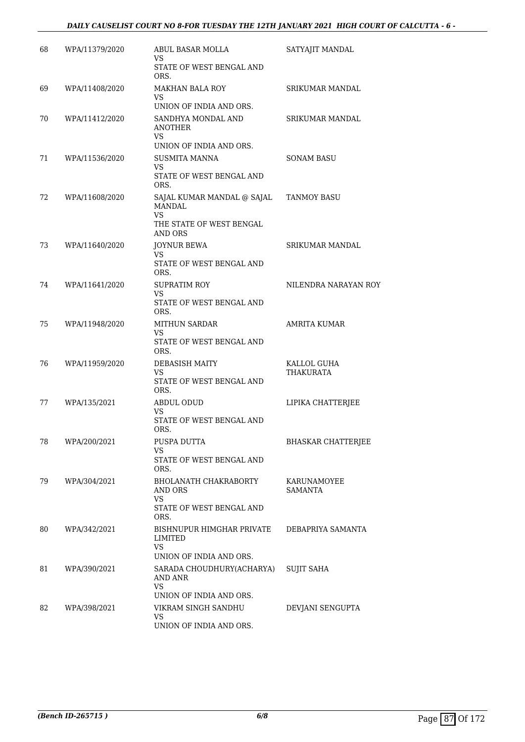### *DAILY CAUSELIST COURT NO 8-FOR TUESDAY THE 12TH JANUARY 2021 HIGH COURT OF CALCUTTA - 6 -*

| 68 | WPA/11379/2020 | ABUL BASAR MOLLA<br><b>VS</b><br>STATE OF WEST BENGAL AND                     | SATYAJIT MANDAL           |
|----|----------------|-------------------------------------------------------------------------------|---------------------------|
|    |                | ORS.                                                                          |                           |
| 69 | WPA/11408/2020 | <b>MAKHAN BALA ROY</b><br>VS                                                  | SRIKUMAR MANDAL           |
|    |                | UNION OF INDIA AND ORS.                                                       |                           |
| 70 | WPA/11412/2020 | SANDHYA MONDAL AND<br>ANOTHER<br>VS                                           | <b>SRIKUMAR MANDAL</b>    |
|    |                | UNION OF INDIA AND ORS.                                                       |                           |
| 71 | WPA/11536/2020 | <b>SUSMITA MANNA</b><br>VS<br>STATE OF WEST BENGAL AND<br>ORS.                | <b>SONAM BASU</b>         |
| 72 | WPA/11608/2020 | SAJAL KUMAR MANDAL @ SAJAL<br><b>MANDAL</b><br>VS<br>THE STATE OF WEST BENGAL | TANMOY BASU               |
|    |                | AND ORS                                                                       |                           |
| 73 | WPA/11640/2020 | <b>JOYNUR BEWA</b><br>VS.                                                     | SRIKUMAR MANDAL           |
|    |                | STATE OF WEST BENGAL AND<br>ORS.                                              |                           |
| 74 | WPA/11641/2020 | <b>SUPRATIM ROY</b>                                                           | NILENDRA NARAYAN ROY      |
|    |                | <b>VS</b><br>STATE OF WEST BENGAL AND<br>ORS.                                 |                           |
| 75 | WPA/11948/2020 | <b>MITHUN SARDAR</b>                                                          | <b>AMRITA KUMAR</b>       |
|    |                | VS<br>STATE OF WEST BENGAL AND<br>ORS.                                        |                           |
| 76 | WPA/11959/2020 | <b>DEBASISH MAITY</b>                                                         | KALLOL GUHA               |
|    |                | VS.<br>STATE OF WEST BENGAL AND<br>ORS.                                       | THAKURATA                 |
| 77 | WPA/135/2021   | <b>ABDUL ODUD</b>                                                             | LIPIKA CHATTERJEE         |
|    |                | VS<br>STATE OF WEST BENGAL AND<br>ORS.                                        |                           |
| 78 | WPA/200/2021   | PUSPA DUTTA                                                                   | <b>BHASKAR CHATTERJEE</b> |
|    |                | VS<br>STATE OF WEST BENGAL AND                                                |                           |
|    |                | ORS.                                                                          |                           |
| 79 | WPA/304/2021   | <b>BHOLANATH CHAKRABORTY</b><br><b>AND ORS</b><br>VS                          | KARUNAMOYEE<br>SAMANTA    |
|    |                | STATE OF WEST BENGAL AND<br>ORS.                                              |                           |
| 80 | WPA/342/2021   | BISHNUPUR HIMGHAR PRIVATE<br>LIMITED                                          | DEBAPRIYA SAMANTA         |
|    |                | VS.<br>UNION OF INDIA AND ORS.                                                |                           |
| 81 | WPA/390/2021   | SARADA CHOUDHURY(ACHARYA)<br>AND ANR                                          | <b>SUJIT SAHA</b>         |
|    |                | VS                                                                            |                           |
|    |                | UNION OF INDIA AND ORS.                                                       |                           |
| 82 | WPA/398/2021   | VIKRAM SINGH SANDHU<br>VS<br>UNION OF INDIA AND ORS.                          | DEVJANI SENGUPTA          |
|    |                |                                                                               |                           |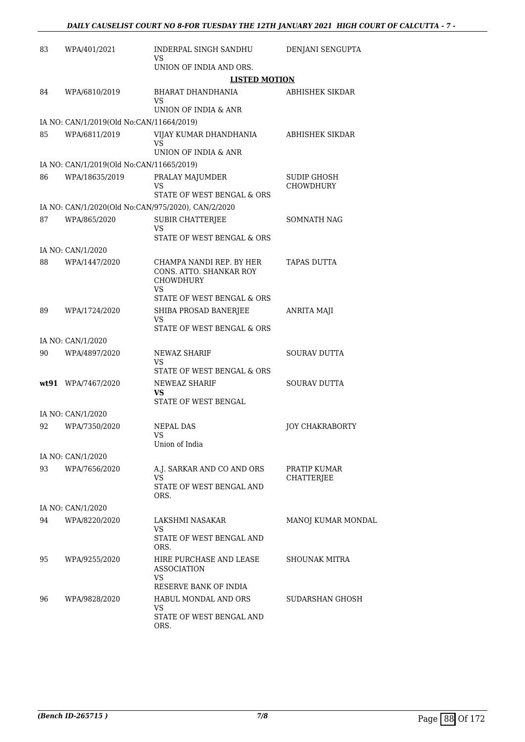| 83 | WPA/401/2021                                       | <b>INDERPAL SINGH SANDHU</b><br>VS                                                      | DENJANI SENGUPTA           |
|----|----------------------------------------------------|-----------------------------------------------------------------------------------------|----------------------------|
|    |                                                    | UNION OF INDIA AND ORS.                                                                 |                            |
|    |                                                    | <b>LISTED MOTION</b>                                                                    |                            |
| 84 | WPA/6810/2019                                      | <b>BHARAT DHANDHANIA</b><br>VS                                                          | ABHISHEK SIKDAR            |
|    |                                                    | UNION OF INDIA & ANR                                                                    |                            |
|    | IA NO: CAN/1/2019(Old No:CAN/11664/2019)           |                                                                                         |                            |
| 85 | WPA/6811/2019                                      | VIJAY KUMAR DHANDHANIA<br>VS<br>UNION OF INDIA & ANR                                    | ABHISHEK SIKDAR            |
|    | IA NO: CAN/1/2019(Old No:CAN/11665/2019)           |                                                                                         |                            |
| 86 | WPA/18635/2019                                     | PRALAY MAJUMDER<br>VS                                                                   | SUDIP GHOSH<br>CHOWDHURY   |
|    |                                                    | STATE OF WEST BENGAL & ORS                                                              |                            |
|    | IA NO: CAN/1/2020(Old No:CAN/975/2020), CAN/2/2020 |                                                                                         |                            |
| 87 | WPA/865/2020                                       | <b>SUBIR CHATTERJEE</b><br>VS<br>STATE OF WEST BENGAL & ORS                             | <b>SOMNATH NAG</b>         |
|    | IA NO: CAN/1/2020                                  |                                                                                         |                            |
| 88 | WPA/1447/2020                                      | CHAMPA NANDI REP. BY HER<br>CONS. ATTO. SHANKAR ROY<br><b>CHOWDHURY</b><br>VS           | <b>TAPAS DUTTA</b>         |
|    |                                                    | STATE OF WEST BENGAL & ORS                                                              |                            |
| 89 | WPA/1724/2020                                      | SHIBA PROSAD BANERJEE<br>VS<br>STATE OF WEST BENGAL & ORS                               | <b>ANRITA MAJI</b>         |
|    | IA NO: CAN/1/2020                                  |                                                                                         |                            |
| 90 | WPA/4897/2020                                      | <b>NEWAZ SHARIF</b>                                                                     | <b>SOURAV DUTTA</b>        |
|    |                                                    | VS<br>STATE OF WEST BENGAL & ORS                                                        |                            |
|    | wt91 WPA/7467/2020                                 | NEWEAZ SHARIF<br><b>VS</b><br>STATE OF WEST BENGAL                                      | <b>SOURAV DUTTA</b>        |
|    | IA NO: CAN/1/2020                                  |                                                                                         |                            |
| 92 | WPA/7350/2020                                      | <b>NEPAL DAS</b><br>VS<br>Union of India                                                | <b>JOY CHAKRABORTY</b>     |
|    | IA NO: CAN/1/2020                                  |                                                                                         |                            |
| 93 | WPA/7656/2020                                      | A.J. SARKAR AND CO AND ORS<br>VS.                                                       | PRATIP KUMAR<br>CHATTERJEE |
|    |                                                    | STATE OF WEST BENGAL AND<br>ORS.                                                        |                            |
|    | IA NO: CAN/1/2020                                  |                                                                                         |                            |
| 94 | WPA/8220/2020                                      | LAKSHMI NASAKAR<br>VS<br>STATE OF WEST BENGAL AND<br>ORS.                               | MANOJ KUMAR MONDAL         |
| 95 | WPA/9255/2020                                      | HIRE PURCHASE AND LEASE<br><b>ASSOCIATION</b><br>VS                                     | <b>SHOUNAK MITRA</b>       |
| 96 | WPA/9828/2020                                      | RESERVE BANK OF INDIA<br>HABUL MONDAL AND ORS<br>VS<br>STATE OF WEST BENGAL AND<br>ORS. | SUDARSHAN GHOSH            |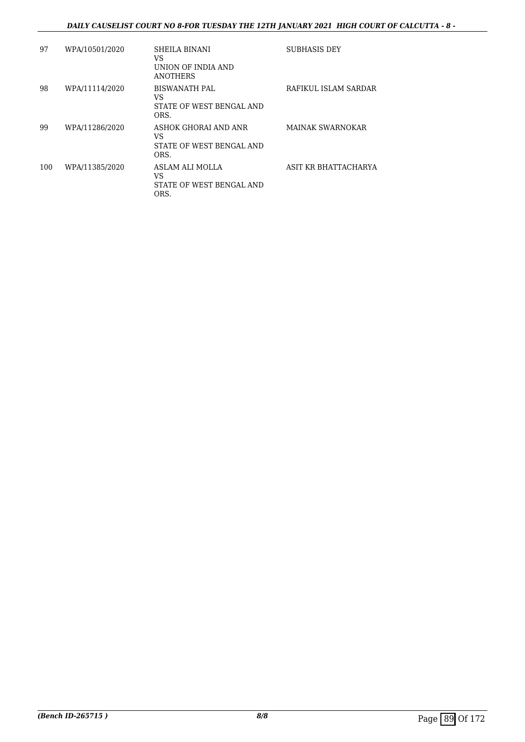### *DAILY CAUSELIST COURT NO 8-FOR TUESDAY THE 12TH JANUARY 2021 HIGH COURT OF CALCUTTA - 8 -*

| 97  | WPA/10501/2020 | SHEILA BINANI<br>VS<br>UNION OF INDIA AND<br><b>ANOTHERS</b>   | <b>SUBHASIS DEY</b>     |
|-----|----------------|----------------------------------------------------------------|-------------------------|
| 98  | WPA/11114/2020 | <b>BISWANATH PAL</b><br>VS<br>STATE OF WEST BENGAL AND<br>ORS. | RAFIKUL ISLAM SARDAR    |
| 99  | WPA/11286/2020 | ASHOK GHORAI AND ANR<br>VS<br>STATE OF WEST BENGAL AND<br>ORS. | <b>MAINAK SWARNOKAR</b> |
| 100 | WPA/11385/2020 | ASLAM ALI MOLLA<br>VS<br>STATE OF WEST BENGAL AND<br>ORS.      | ASIT KR BHATTACHARYA    |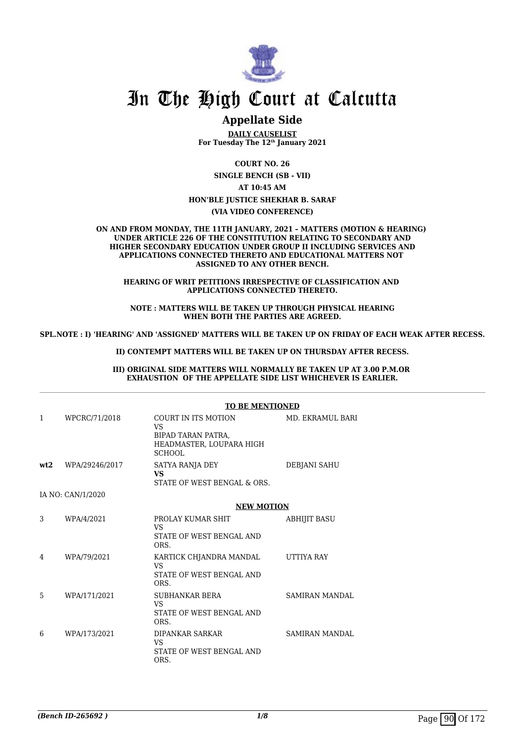

## **Appellate Side**

**DAILY CAUSELIST For Tuesday The 12th January 2021**

**COURT NO. 26 SINGLE BENCH (SB - VII) AT 10:45 AM HON'BLE JUSTICE SHEKHAR B. SARAF (VIA VIDEO CONFERENCE)**

**ON AND FROM MONDAY, THE 11TH JANUARY, 2021 – MATTERS (MOTION & HEARING) UNDER ARTICLE 226 OF THE CONSTITUTION RELATING TO SECONDARY AND HIGHER SECONDARY EDUCATION UNDER GROUP II INCLUDING SERVICES AND APPLICATIONS CONNECTED THERETO AND EDUCATIONAL MATTERS NOT ASSIGNED TO ANY OTHER BENCH.**

**HEARING OF WRIT PETITIONS IRRESPECTIVE OF CLASSIFICATION AND APPLICATIONS CONNECTED THERETO.**

**NOTE : MATTERS WILL BE TAKEN UP THROUGH PHYSICAL HEARING WHEN BOTH THE PARTIES ARE AGREED.**

**SPL.NOTE : I) 'HEARING' AND 'ASSIGNED' MATTERS WILL BE TAKEN UP ON FRIDAY OF EACH WEAK AFTER RECESS.**

**II) CONTEMPT MATTERS WILL BE TAKEN UP ON THURSDAY AFTER RECESS.**

**III) ORIGINAL SIDE MATTERS WILL NORMALLY BE TAKEN UP AT 3.00 P.M.OR EXHAUSTION OF THE APPELLATE SIDE LIST WHICHEVER IS EARLIER.**

|     | <b>TO BE MENTIONED</b> |                                                                                                     |                       |  |
|-----|------------------------|-----------------------------------------------------------------------------------------------------|-----------------------|--|
| 1   | WPCRC/71/2018          | COURT IN ITS MOTION<br><b>VS</b><br>BIPAD TARAN PATRA,<br>HEADMASTER, LOUPARA HIGH<br><b>SCHOOL</b> | MD. EKRAMUL BARI      |  |
| wt2 | WPA/29246/2017         | SATYA RANJA DEY<br><b>VS</b><br>STATE OF WEST BENGAL & ORS.                                         | DEBJANI SAHU          |  |
|     | IA NO: CAN/1/2020      |                                                                                                     |                       |  |
|     |                        | <b>NEW MOTION</b>                                                                                   |                       |  |
| 3   | WPA/4/2021             | PROLAY KUMAR SHIT<br><b>VS</b><br>STATE OF WEST BENGAL AND<br>ORS.                                  | <b>ABHIJIT BASU</b>   |  |
| 4   | WPA/79/2021            | KARTICK CHJANDRA MANDAL<br><b>VS</b><br>STATE OF WEST BENGAL AND<br>ORS.                            | <b>UTTIYA RAY</b>     |  |
| 5   | WPA/171/2021           | <b>SUBHANKAR BERA</b><br>VS.<br>STATE OF WEST BENGAL AND<br>ORS.                                    | <b>SAMIRAN MANDAL</b> |  |
| 6   | WPA/173/2021           | DIPANKAR SARKAR<br><b>VS</b><br>STATE OF WEST BENGAL AND<br>ORS.                                    | <b>SAMIRAN MANDAL</b> |  |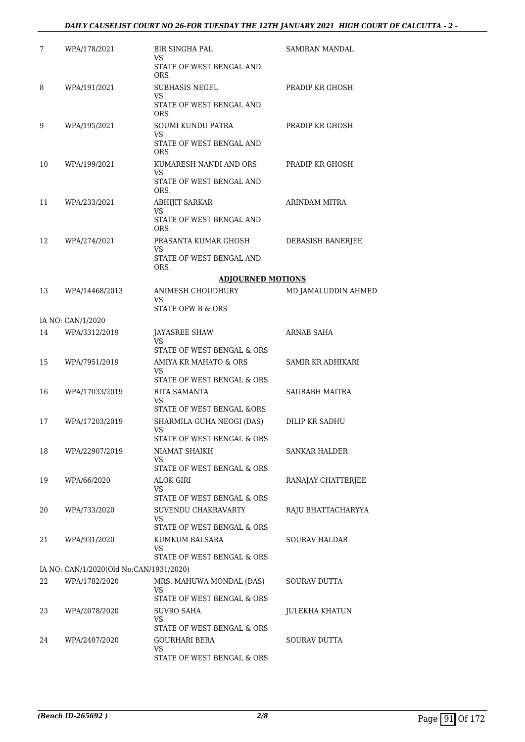| 7  | WPA/178/2021                            | <b>BIR SINGHA PAL</b><br>VS.<br>STATE OF WEST BENGAL AND | <b>SAMIRAN MANDAL</b> |
|----|-----------------------------------------|----------------------------------------------------------|-----------------------|
|    |                                         | ORS.                                                     |                       |
| 8  | WPA/191/2021                            | SUBHASIS NEGEL<br>VS                                     | PRADIP KR GHOSH       |
|    |                                         | STATE OF WEST BENGAL AND<br>ORS.                         |                       |
| 9  | WPA/195/2021                            | <b>SOUMI KUNDU PATRA</b>                                 | PRADIP KR GHOSH       |
|    |                                         | VS<br>STATE OF WEST BENGAL AND<br>ORS.                   |                       |
| 10 | WPA/199/2021                            | KUMARESH NANDI AND ORS                                   | PRADIP KR GHOSH       |
|    |                                         | VS<br>STATE OF WEST BENGAL AND<br>ORS.                   |                       |
| 11 | WPA/233/2021                            | <b>ABHIJIT SARKAR</b>                                    | ARINDAM MITRA         |
|    |                                         | VS<br>STATE OF WEST BENGAL AND<br>ORS.                   |                       |
| 12 | WPA/274/2021                            | PRASANTA KUMAR GHOSH                                     | DEBASISH BANERJEE     |
|    |                                         | VS<br>STATE OF WEST BENGAL AND<br>ORS.                   |                       |
|    |                                         | <b>ADJOURNED MOTIONS</b>                                 |                       |
| 13 | WPA/14468/2013                          | ANIMESH CHOUDHURY                                        | MD JAMALUDDIN AHMED   |
|    |                                         | VS<br>STATE OFW B & ORS                                  |                       |
|    | IA NO: CAN/1/2020                       |                                                          |                       |
| 14 | WPA/3312/2019                           | JAYASREE SHAW                                            | ARNAB SAHA            |
|    |                                         | <b>VS</b><br>STATE OF WEST BENGAL & ORS                  |                       |
| 15 | WPA/7951/2019                           | AMIYA KR MAHATO & ORS<br>VS                              | SAMIR KR ADHIKARI     |
|    |                                         | STATE OF WEST BENGAL & ORS                               |                       |
| 16 | WPA/17033/2019                          | RITA SAMANTA                                             | SAURABH MAITRA        |
|    |                                         | VS<br>STATE OF WEST BENGAL &ORS                          |                       |
| 17 | WPA/17203/2019                          | SHARMILA GUHA NEOGI (DAS)                                | DILIP KR SADHU        |
|    |                                         | VS<br>STATE OF WEST BENGAL & ORS                         |                       |
| 18 | WPA/22907/2019                          | NIAMAT SHAIKH                                            | SANKAR HALDER         |
|    |                                         | VS                                                       |                       |
|    |                                         | STATE OF WEST BENGAL & ORS                               |                       |
| 19 | WPA/66/2020                             | ALOK GIRI<br>VS                                          | RANAJAY CHATTERJEE    |
|    |                                         | STATE OF WEST BENGAL & ORS                               |                       |
| 20 | WPA/733/2020                            | SUVENDU CHAKRAVARTY<br>VS                                | RAJU BHATTACHARYYA    |
|    |                                         | STATE OF WEST BENGAL & ORS                               |                       |
| 21 | WPA/931/2020                            | KUMKUM BALSARA                                           | <b>SOURAV HALDAR</b>  |
|    |                                         | VS.<br>STATE OF WEST BENGAL & ORS                        |                       |
|    | IA NO: CAN/1/2020(Old No:CAN/1931/2020) |                                                          |                       |
| 22 | WPA/1782/2020                           | MRS. MAHUWA MONDAL (DAS)                                 | SOURAV DUTTA          |
|    |                                         | VS<br>STATE OF WEST BENGAL & ORS                         |                       |
| 23 | WPA/2078/2020                           | SUVRO SAHA                                               | JULEKHA KHATUN        |
|    |                                         | VS<br>STATE OF WEST BENGAL & ORS                         |                       |
| 24 | WPA/2407/2020                           | GOURHARI BERA                                            | SOURAV DUTTA          |
|    |                                         | VS.                                                      |                       |
|    |                                         | STATE OF WEST BENGAL & ORS                               |                       |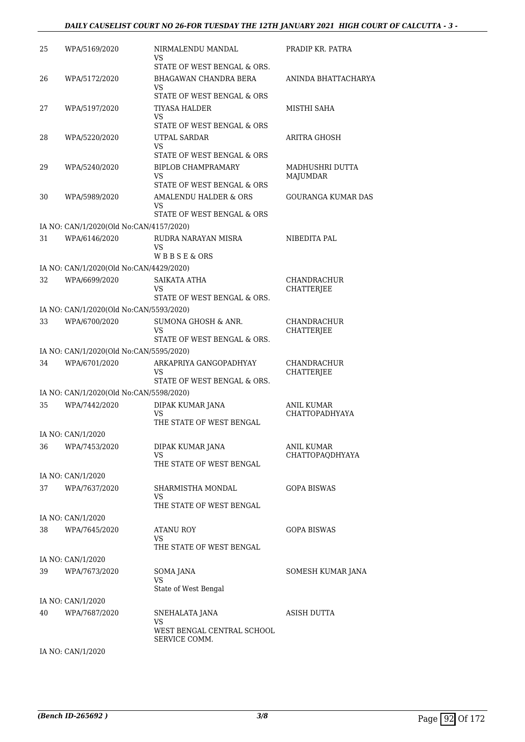#### *DAILY CAUSELIST COURT NO 26-FOR TUESDAY THE 12TH JANUARY 2021 HIGH COURT OF CALCUTTA - 3 -*

| 25 | WPA/5169/2020                                            | NIRMALENDU MANDAL<br>VS                              | PRADIP KR. PATRA                 |
|----|----------------------------------------------------------|------------------------------------------------------|----------------------------------|
| 26 | WPA/5172/2020                                            | STATE OF WEST BENGAL & ORS.<br>BHAGAWAN CHANDRA BERA | ANINDA BHATTACHARYA              |
|    |                                                          | VS<br>STATE OF WEST BENGAL & ORS                     |                                  |
| 27 | WPA/5197/2020                                            | <b>TIYASA HALDER</b>                                 | MISTHI SAHA                      |
|    |                                                          | VS                                                   |                                  |
| 28 | WPA/5220/2020                                            | STATE OF WEST BENGAL & ORS<br>UTPAL SARDAR           | ARITRA GHOSH                     |
|    |                                                          | VS<br>STATE OF WEST BENGAL & ORS                     |                                  |
| 29 | WPA/5240/2020                                            | <b>BIPLOB CHAMPRAMARY</b>                            | MADHUSHRI DUTTA                  |
|    |                                                          | VS<br>STATE OF WEST BENGAL & ORS                     | MAJUMDAR                         |
| 30 | WPA/5989/2020                                            | AMALENDU HALDER & ORS                                | <b>GOURANGA KUMAR DAS</b>        |
|    |                                                          | VS                                                   |                                  |
|    |                                                          | STATE OF WEST BENGAL & ORS                           |                                  |
| 31 | IA NO: CAN/1/2020(Old No:CAN/4157/2020)<br>WPA/6146/2020 | RUDRA NARAYAN MISRA                                  | NIBEDITA PAL                     |
|    |                                                          | VS                                                   |                                  |
|    |                                                          | WBBSE&ORS                                            |                                  |
|    | IA NO: CAN/1/2020(Old No:CAN/4429/2020)                  |                                                      |                                  |
| 32 | WPA/6699/2020                                            | SAIKATA ATHA<br>VS                                   | <b>CHANDRACHUR</b><br>CHATTERJEE |
|    |                                                          | STATE OF WEST BENGAL & ORS.                          |                                  |
|    | IA NO: CAN/1/2020(Old No:CAN/5593/2020)                  |                                                      |                                  |
| 33 | WPA/6700/2020                                            | SUMONA GHOSH & ANR.                                  | CHANDRACHUR                      |
|    |                                                          | VS<br>STATE OF WEST BENGAL & ORS.                    | CHATTERJEE                       |
|    | IA NO: CAN/1/2020(Old No:CAN/5595/2020)                  |                                                      |                                  |
| 34 | WPA/6701/2020                                            | ARKAPRIYA GANGOPADHYAY                               | <b>CHANDRACHUR</b>               |
|    |                                                          | VS<br>STATE OF WEST BENGAL & ORS.                    | CHATTERJEE                       |
|    | IA NO: CAN/1/2020(Old No:CAN/5598/2020)                  |                                                      |                                  |
| 35 | WPA/7442/2020                                            | DIPAK KUMAR JANA                                     | ANIL KUMAR                       |
|    |                                                          | VS<br>THE STATE OF WEST BENGAL                       | <b>CHATTOPADHYAYA</b>            |
|    | IA NO: CAN/1/2020                                        |                                                      |                                  |
| 36 | WPA/7453/2020                                            | DIPAK KUMAR JANA                                     | ANIL KUMAR                       |
|    |                                                          | VS                                                   | CHATTOPAQDHYAYA                  |
|    |                                                          | THE STATE OF WEST BENGAL                             |                                  |
|    | IA NO: CAN/1/2020<br>WPA/7637/2020                       | SHARMISTHA MONDAL                                    |                                  |
| 37 |                                                          | VS<br>THE STATE OF WEST BENGAL                       | GOPA BISWAS                      |
|    | IA NO: CAN/1/2020                                        |                                                      |                                  |
| 38 | WPA/7645/2020                                            | ATANU ROY                                            | <b>GOPA BISWAS</b>               |
|    |                                                          | VS                                                   |                                  |
|    | IA NO: CAN/1/2020                                        | THE STATE OF WEST BENGAL                             |                                  |
| 39 | WPA/7673/2020                                            | SOMA JANA                                            | SOMESH KUMAR JANA                |
|    |                                                          | VS                                                   |                                  |
|    |                                                          | State of West Bengal                                 |                                  |
|    | IA NO: CAN/1/2020                                        |                                                      |                                  |
| 40 | WPA/7687/2020                                            | SNEHALATA JANA<br>VS                                 | ASISH DUTTA                      |
|    |                                                          | WEST BENGAL CENTRAL SCHOOL<br>SERVICE COMM.          |                                  |
|    | IA NO: CAN/1/2020                                        |                                                      |                                  |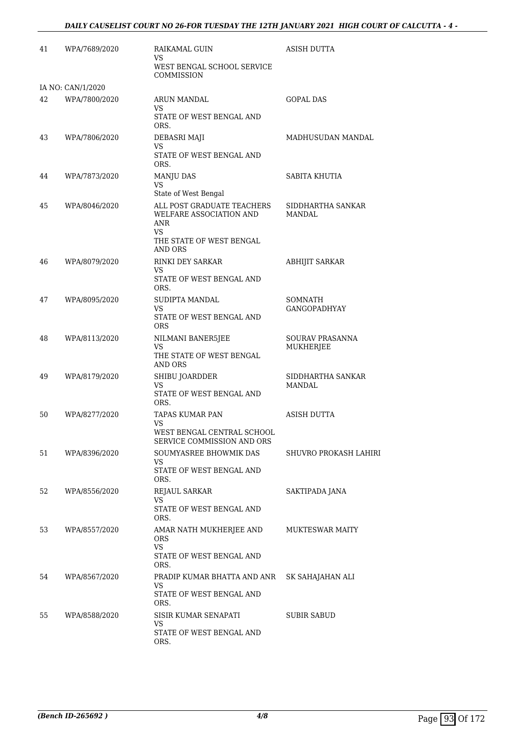| 41 | WPA/7689/2020                      | RAIKAMAL GUIN<br><b>VS</b><br>WEST BENGAL SCHOOL SERVICE                                                   | ASISH DUTTA                    |
|----|------------------------------------|------------------------------------------------------------------------------------------------------------|--------------------------------|
|    |                                    | COMMISSION                                                                                                 |                                |
| 42 | IA NO: CAN/1/2020<br>WPA/7800/2020 | <b>ARUN MANDAL</b><br>VS.<br>STATE OF WEST BENGAL AND<br>ORS.                                              | <b>GOPAL DAS</b>               |
| 43 | WPA/7806/2020                      | DEBASRI MAJI<br>VS<br>STATE OF WEST BENGAL AND<br>ORS.                                                     | MADHUSUDAN MANDAL              |
| 44 | WPA/7873/2020                      | <b>MANJU DAS</b><br>VS<br>State of West Bengal                                                             | SABITA KHUTIA                  |
| 45 | WPA/8046/2020                      | ALL POST GRADUATE TEACHERS<br>WELFARE ASSOCIATION AND<br>ANR<br>VS.<br>THE STATE OF WEST BENGAL<br>AND ORS | SIDDHARTHA SANKAR<br>MANDAL    |
| 46 | WPA/8079/2020                      | RINKI DEY SARKAR<br>VS.<br>STATE OF WEST BENGAL AND<br>ORS.                                                | <b>ABHIJIT SARKAR</b>          |
| 47 | WPA/8095/2020                      | SUDIPTA MANDAL<br>VS.<br>STATE OF WEST BENGAL AND<br><b>ORS</b>                                            | SOMNATH<br><b>GANGOPADHYAY</b> |
| 48 | WPA/8113/2020                      | NILMANI BANER5JEE<br>VS.<br>THE STATE OF WEST BENGAL<br>AND ORS                                            | SOURAV PRASANNA<br>MUKHERJEE   |
| 49 | WPA/8179/2020                      | SHIBU JOARDDER<br>VS<br>STATE OF WEST BENGAL AND<br>ORS.                                                   | SIDDHARTHA SANKAR<br>MANDAL    |
| 50 | WPA/8277/2020                      | TAPAS KUMAR PAN<br>VS<br>WEST BENGAL CENTRAL SCHOOL<br>SERVICE COMMISSION AND ORS                          | ASISH DUTTA                    |
| 51 | WPA/8396/2020                      | SOUMYASREE BHOWMIK DAS<br>VS<br>STATE OF WEST BENGAL AND<br>ORS.                                           | SHUVRO PROKASH LAHIRI          |
| 52 | WPA/8556/2020                      | REJAUL SARKAR<br><b>VS</b><br>STATE OF WEST BENGAL AND<br>ORS.                                             | SAKTIPADA JANA                 |
| 53 | WPA/8557/2020                      | AMAR NATH MUKHERJEE AND<br>ORS<br>VS.<br>STATE OF WEST BENGAL AND<br>ORS.                                  | <b>MUKTESWAR MAITY</b>         |
| 54 | WPA/8567/2020                      | PRADIP KUMAR BHATTA AND ANR<br>VS<br>STATE OF WEST BENGAL AND<br>ORS.                                      | SK SAHAJAHAN ALI               |
| 55 | WPA/8588/2020                      | SISIR KUMAR SENAPATI<br>VS<br>STATE OF WEST BENGAL AND<br>ORS.                                             | SUBIR SABUD                    |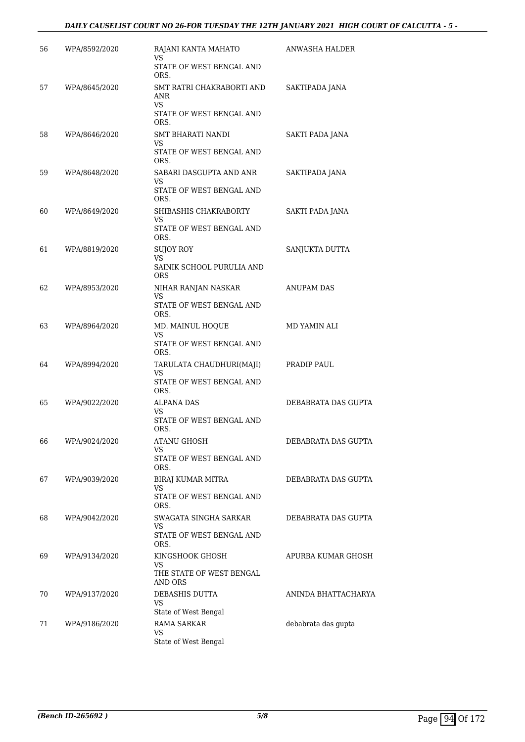| 56 | WPA/8592/2020 | RAJANI KANTA MAHATO<br>VS                                          | ANWASHA HALDER      |
|----|---------------|--------------------------------------------------------------------|---------------------|
|    |               | STATE OF WEST BENGAL AND<br>ORS.                                   |                     |
| 57 | WPA/8645/2020 | SMT RATRI CHAKRABORTI AND<br>ANR<br>VS<br>STATE OF WEST BENGAL AND | SAKTIPADA JANA      |
|    |               | ORS.                                                               |                     |
| 58 | WPA/8646/2020 | SMT BHARATI NANDI<br>VS<br>STATE OF WEST BENGAL AND<br>ORS.        | SAKTI PADA JANA     |
| 59 | WPA/8648/2020 | SABARI DASGUPTA AND ANR                                            | SAKTIPADA JANA      |
|    |               | VS<br>STATE OF WEST BENGAL AND<br>ORS.                             |                     |
| 60 | WPA/8649/2020 | SHIBASHIS CHAKRABORTY                                              | SAKTI PADA JANA     |
|    |               | VS<br>STATE OF WEST BENGAL AND<br>ORS.                             |                     |
| 61 | WPA/8819/2020 | <b>SUJOY ROY</b><br>VS                                             | SANJUKTA DUTTA      |
|    |               | SAINIK SCHOOL PURULIA AND<br><b>ORS</b>                            |                     |
| 62 | WPA/8953/2020 | NIHAR RANJAN NASKAR<br>VS                                          | <b>ANUPAM DAS</b>   |
|    |               | STATE OF WEST BENGAL AND<br>ORS.                                   |                     |
| 63 | WPA/8964/2020 | MD. MAINUL HOQUE<br>VS                                             | MD YAMIN ALI        |
|    |               | STATE OF WEST BENGAL AND<br>ORS.                                   |                     |
| 64 | WPA/8994/2020 | TARULATA CHAUDHURI(MAJI)<br>VS<br>STATE OF WEST BENGAL AND         | PRADIP PAUL         |
| 65 | WPA/9022/2020 | ORS.<br><b>ALPANA DAS</b>                                          | DEBABRATA DAS GUPTA |
|    |               | VS<br>STATE OF WEST BENGAL AND<br>ORS.                             |                     |
| 66 | WPA/9024/2020 | <b>ATANU GHOSH</b>                                                 | DEBABRATA DAS GUPTA |
|    |               | VS<br>STATE OF WEST BENGAL AND<br>ORS.                             |                     |
| 67 | WPA/9039/2020 | BIRAJ KUMAR MITRA                                                  | DEBABRATA DAS GUPTA |
|    |               | VS<br>STATE OF WEST BENGAL AND<br>ORS.                             |                     |
| 68 | WPA/9042/2020 | SWAGATA SINGHA SARKAR<br>VS                                        | DEBABRATA DAS GUPTA |
|    |               | STATE OF WEST BENGAL AND<br>ORS.                                   |                     |
| 69 | WPA/9134/2020 | KINGSHOOK GHOSH<br>VS                                              | APURBA KUMAR GHOSH  |
|    |               | THE STATE OF WEST BENGAL<br><b>AND ORS</b>                         |                     |
| 70 | WPA/9137/2020 | DEBASHIS DUTTA<br>VS<br>State of West Bengal                       | ANINDA BHATTACHARYA |
| 71 | WPA/9186/2020 | <b>RAMA SARKAR</b>                                                 | debabrata das gupta |
|    |               | VS<br>State of West Bengal                                         |                     |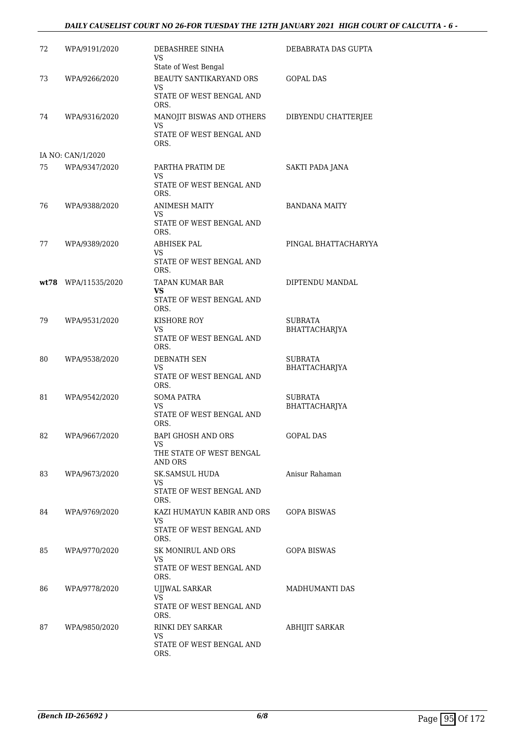### *DAILY CAUSELIST COURT NO 26-FOR TUESDAY THE 12TH JANUARY 2021 HIGH COURT OF CALCUTTA - 6 -*

| 72 | WPA/9191/2020       | DEBASHREE SINHA<br>VS                                                                    | DEBABRATA DAS GUPTA             |
|----|---------------------|------------------------------------------------------------------------------------------|---------------------------------|
| 73 | WPA/9266/2020       | State of West Bengal<br>BEAUTY SANTIKARYAND ORS<br><b>VS</b><br>STATE OF WEST BENGAL AND | <b>GOPAL DAS</b>                |
| 74 | WPA/9316/2020       | ORS.<br>MANOJIT BISWAS AND OTHERS<br>VS<br>STATE OF WEST BENGAL AND                      | DIBYENDU CHATTERJEE             |
|    | IA NO: CAN/1/2020   | ORS.                                                                                     |                                 |
| 75 | WPA/9347/2020       | PARTHA PRATIM DE<br>VS<br>STATE OF WEST BENGAL AND                                       | SAKTI PADA JANA                 |
|    |                     | ORS.                                                                                     |                                 |
| 76 | WPA/9388/2020       | <b>ANIMESH MAITY</b><br>VS                                                               | <b>BANDANA MAITY</b>            |
|    |                     | STATE OF WEST BENGAL AND<br>ORS.                                                         |                                 |
| 77 | WPA/9389/2020       | <b>ABHISEK PAL</b><br>VS                                                                 | PINGAL BHATTACHARYYA            |
|    |                     | STATE OF WEST BENGAL AND<br>ORS.                                                         |                                 |
|    | wt78 WPA/11535/2020 | TAPAN KUMAR BAR<br>VS                                                                    | DIPTENDU MANDAL                 |
|    |                     | STATE OF WEST BENGAL AND<br>ORS.                                                         |                                 |
| 79 | WPA/9531/2020       | KISHORE ROY<br>VS<br>STATE OF WEST BENGAL AND                                            | SUBRATA<br>BHATTACHARJYA        |
|    |                     | ORS.                                                                                     |                                 |
| 80 | WPA/9538/2020       | <b>DEBNATH SEN</b><br>VS<br>STATE OF WEST BENGAL AND                                     | <b>SUBRATA</b><br>BHATTACHARJYA |
|    |                     | ORS.                                                                                     |                                 |
| 81 | WPA/9542/2020       | SOMA PATRA<br>VS<br>STATE OF WEST BENGAL AND                                             | SUBRATA<br>BHATTACHARJYA        |
|    |                     | ORS.                                                                                     |                                 |
| 82 | WPA/9667/2020       | BAPI GHOSH AND ORS<br>VS                                                                 | <b>GOPAL DAS</b>                |
|    |                     | THE STATE OF WEST BENGAL<br>AND ORS                                                      |                                 |
| 83 | WPA/9673/2020       | SK.SAMSUL HUDA                                                                           | Anisur Rahaman                  |
|    |                     | VS.<br>STATE OF WEST BENGAL AND<br>ORS.                                                  |                                 |
| 84 | WPA/9769/2020       | KAZI HUMAYUN KABIR AND ORS                                                               | <b>GOPA BISWAS</b>              |
|    |                     | VS.<br>STATE OF WEST BENGAL AND<br>ORS.                                                  |                                 |
| 85 | WPA/9770/2020       | SK MONIRUL AND ORS<br>VS                                                                 | <b>GOPA BISWAS</b>              |
|    |                     | STATE OF WEST BENGAL AND<br>ORS.                                                         |                                 |
| 86 | WPA/9778/2020       | UJJWAL SARKAR                                                                            | MADHUMANTI DAS                  |
|    |                     | VS<br>STATE OF WEST BENGAL AND<br>ORS.                                                   |                                 |
| 87 | WPA/9850/2020       | RINKI DEY SARKAR<br>VS                                                                   | ABHIJIT SARKAR                  |
|    |                     | STATE OF WEST BENGAL AND<br>ORS.                                                         |                                 |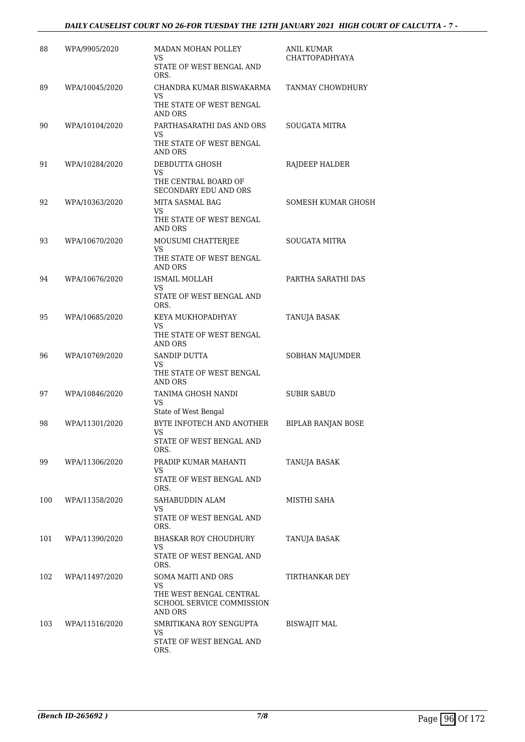### *DAILY CAUSELIST COURT NO 26-FOR TUESDAY THE 12TH JANUARY 2021 HIGH COURT OF CALCUTTA - 7 -*

| 88  | WPA/9905/2020  | <b>MADAN MOHAN POLLEY</b>                                       | <b>ANIL KUMAR</b>         |
|-----|----------------|-----------------------------------------------------------------|---------------------------|
|     |                | VS.<br>STATE OF WEST BENGAL AND<br>ORS.                         | <b>CHATTOPADHYAYA</b>     |
| 89  | WPA/10045/2020 | CHANDRA KUMAR BISWAKARMA<br>VS.<br>THE STATE OF WEST BENGAL     | TANMAY CHOWDHURY          |
|     |                | AND ORS                                                         |                           |
| 90  | WPA/10104/2020 | PARTHASARATHI DAS AND ORS<br>VS<br>THE STATE OF WEST BENGAL     | <b>SOUGATA MITRA</b>      |
|     |                | <b>AND ORS</b>                                                  |                           |
| 91  | WPA/10284/2020 | DEBDUTTA GHOSH<br>VS.                                           | RAJDEEP HALDER            |
|     |                | THE CENTRAL BOARD OF<br>SECONDARY EDU AND ORS                   |                           |
| 92  | WPA/10363/2020 | MITA SASMAL BAG<br>VS                                           | SOMESH KUMAR GHOSH        |
|     |                | THE STATE OF WEST BENGAL<br><b>AND ORS</b>                      |                           |
| 93  | WPA/10670/2020 | MOUSUMI CHATTERJEE                                              | <b>SOUGATA MITRA</b>      |
|     |                | VS.<br>THE STATE OF WEST BENGAL<br>AND ORS                      |                           |
| 94  | WPA/10676/2020 | ISMAIL MOLLAH                                                   | PARTHA SARATHI DAS        |
|     |                | VS<br>STATE OF WEST BENGAL AND<br>ORS.                          |                           |
| 95  | WPA/10685/2020 | KEYA MUKHOPADHYAY                                               | TANUJA BASAK              |
|     |                | VS.<br>THE STATE OF WEST BENGAL<br>AND ORS                      |                           |
| 96  | WPA/10769/2020 | <b>SANDIP DUTTA</b>                                             | SOBHAN MAJUMDER           |
|     |                | VS<br>THE STATE OF WEST BENGAL<br>AND ORS                       |                           |
| 97  | WPA/10846/2020 | TANIMA GHOSH NANDI<br><b>VS</b>                                 | SUBIR SABUD               |
|     |                | State of West Bengal                                            |                           |
| 98  | WPA/11301/2020 | BYTE INFOTECH AND ANOTHER<br>VS<br>STATE OF WEST BENGAL AND     | <b>BIPLAB RANJAN BOSE</b> |
|     |                | ORS.                                                            |                           |
| 99  | WPA/11306/2020 | PRADIP KUMAR MAHANTI<br>VS.                                     | TANUJA BASAK              |
|     |                | STATE OF WEST BENGAL AND<br>ORS.                                |                           |
| 100 | WPA/11358/2020 | SAHABUDDIN ALAM<br>VS.                                          | MISTHI SAHA               |
|     |                | STATE OF WEST BENGAL AND<br>ORS.                                |                           |
| 101 | WPA/11390/2020 | BHASKAR ROY CHOUDHURY<br>VS.                                    | <b>TANUJA BASAK</b>       |
|     |                | STATE OF WEST BENGAL AND<br>ORS.                                |                           |
| 102 | WPA/11497/2020 | SOMA MAITI AND ORS<br>VS.                                       | TIRTHANKAR DEY            |
|     |                | THE WEST BENGAL CENTRAL<br>SCHOOL SERVICE COMMISSION<br>AND ORS |                           |
| 103 | WPA/11516/2020 | SMRITIKANA ROY SENGUPTA<br>VS                                   | <b>BISWAJIT MAL</b>       |
|     |                | STATE OF WEST BENGAL AND<br>ORS.                                |                           |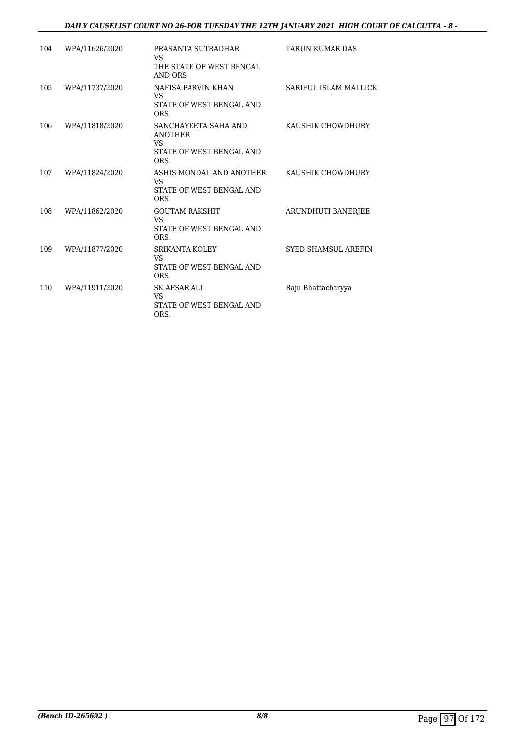### *DAILY CAUSELIST COURT NO 26-FOR TUESDAY THE 12TH JANUARY 2021 HIGH COURT OF CALCUTTA - 8 -*

| 104 | WPA/11626/2020 | PRASANTA SUTRADHAR<br>VS<br>THE STATE OF WEST BENGAL<br>AND ORS                  | <b>TARUN KUMAR DAS</b>     |
|-----|----------------|----------------------------------------------------------------------------------|----------------------------|
| 105 | WPA/11737/2020 | NAFISA PARVIN KHAN<br><b>VS</b><br>STATE OF WEST BENGAL AND<br>ORS.              | SARIFUL ISLAM MALLICK      |
| 106 | WPA/11818/2020 | SANCHAYEETA SAHA AND<br><b>ANOTHER</b><br>VS<br>STATE OF WEST BENGAL AND<br>ORS. | KAUSHIK CHOWDHURY          |
| 107 | WPA/11824/2020 | ASHIS MONDAL AND ANOTHER<br>VS<br>STATE OF WEST BENGAL AND<br>ORS.               | KAUSHIK CHOWDHURY          |
| 108 | WPA/11862/2020 | <b>GOUTAM RAKSHIT</b><br>VS<br>STATE OF WEST BENGAL AND<br>ORS.                  | <b>ARUNDHUTI BANERJEE</b>  |
| 109 | WPA/11877/2020 | <b>SRIKANTA KOLEY</b><br><b>VS</b><br>STATE OF WEST BENGAL AND<br>ORS.           | <b>SYED SHAMSUL AREFIN</b> |
| 110 | WPA/11911/2020 | SK AFSAR ALI<br><b>VS</b><br>STATE OF WEST BENGAL AND<br>ORS.                    | Raju Bhattacharyya         |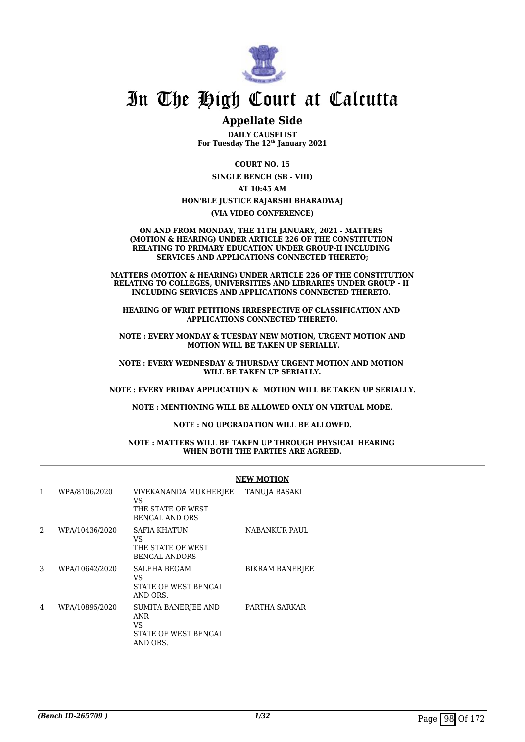

## **Appellate Side**

**DAILY CAUSELIST For Tuesday The 12th January 2021**

> **COURT NO. 15 SINGLE BENCH (SB - VIII)**

> > **AT 10:45 AM**

#### **HON'BLE JUSTICE RAJARSHI BHARADWAJ**

#### **(VIA VIDEO CONFERENCE)**

**ON AND FROM MONDAY, THE 11TH JANUARY, 2021 - MATTERS (MOTION & HEARING) UNDER ARTICLE 226 OF THE CONSTITUTION RELATING TO PRIMARY EDUCATION UNDER GROUP-II INCLUDING SERVICES AND APPLICATIONS CONNECTED THERETO;**

**MATTERS (MOTION & HEARING) UNDER ARTICLE 226 OF THE CONSTITUTION RELATING TO COLLEGES, UNIVERSITIES AND LIBRARIES UNDER GROUP - II INCLUDING SERVICES AND APPLICATIONS CONNECTED THERETO.** 

**HEARING OF WRIT PETITIONS IRRESPECTIVE OF CLASSIFICATION AND APPLICATIONS CONNECTED THERETO.**

**NOTE : EVERY MONDAY & TUESDAY NEW MOTION, URGENT MOTION AND MOTION WILL BE TAKEN UP SERIALLY.**

**NOTE : EVERY WEDNESDAY & THURSDAY URGENT MOTION AND MOTION WILL BE TAKEN UP SERIALLY.**

**NOTE : EVERY FRIDAY APPLICATION & MOTION WILL BE TAKEN UP SERIALLY.**

**NOTE : MENTIONING WILL BE ALLOWED ONLY ON VIRTUAL MODE.**

#### **NOTE : NO UPGRADATION WILL BE ALLOWED.**

#### **NOTE : MATTERS WILL BE TAKEN UP THROUGH PHYSICAL HEARING WHEN BOTH THE PARTIES ARE AGREED.**

|   |                |                                                                             | <b>NEW MOTION</b>      |
|---|----------------|-----------------------------------------------------------------------------|------------------------|
| 1 | WPA/8106/2020  | VIVEKANANDA MUKHERJEE<br>VS<br>THE STATE OF WEST<br><b>BENGAL AND ORS</b>   | TANUJA BASAKI          |
| 2 | WPA/10436/2020 | SAFIA KHATUN<br>VS.<br>THE STATE OF WEST<br><b>BENGAL ANDORS</b>            | NABANKUR PAUL          |
| 3 | WPA/10642/2020 | SALEHA BEGAM<br>VS<br>STATE OF WEST BENGAL<br>AND ORS.                      | <b>BIKRAM BANERJEE</b> |
| 4 | WPA/10895/2020 | SUMITA BANERJEE AND<br><b>ANR</b><br>VS<br>STATE OF WEST BENGAL<br>AND ORS. | PARTHA SARKAR          |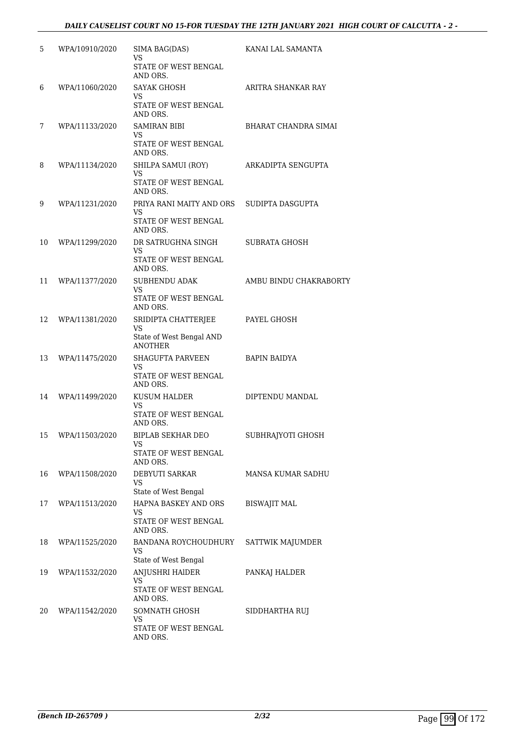| 5  | WPA/10910/2020    | SIMA BAG(DAS)<br><b>VS</b>                         | KANAI LAL SAMANTA      |
|----|-------------------|----------------------------------------------------|------------------------|
|    |                   | STATE OF WEST BENGAL<br>AND ORS.                   |                        |
| 6  | WPA/11060/2020    | <b>SAYAK GHOSH</b><br><b>VS</b>                    | ARITRA SHANKAR RAY     |
|    |                   | STATE OF WEST BENGAL<br>AND ORS.                   |                        |
| 7  | WPA/11133/2020    | <b>SAMIRAN BIBI</b><br>VS                          | BHARAT CHANDRA SIMAI   |
|    |                   | STATE OF WEST BENGAL<br>AND ORS.                   |                        |
| 8  | WPA/11134/2020    | SHILPA SAMUI (ROY)<br>VS                           | ARKADIPTA SENGUPTA     |
|    |                   | STATE OF WEST BENGAL<br>AND ORS.                   |                        |
| 9  | WPA/11231/2020    | PRIYA RANI MAITY AND ORS<br><b>VS</b>              | SUDIPTA DASGUPTA       |
|    |                   | STATE OF WEST BENGAL<br>AND ORS.                   |                        |
| 10 | WPA/11299/2020    | DR SATRUGHNA SINGH<br>VS.                          | SUBRATA GHOSH          |
|    |                   | STATE OF WEST BENGAL<br>AND ORS.                   |                        |
| 11 | WPA/11377/2020    | SUBHENDU ADAK<br>VS                                | AMBU BINDU CHAKRABORTY |
|    |                   | STATE OF WEST BENGAL<br>AND ORS.                   |                        |
| 12 | WPA/11381/2020    | SRIDIPTA CHATTERJEE<br><b>VS</b>                   | PAYEL GHOSH            |
|    |                   | State of West Bengal AND<br><b>ANOTHER</b>         |                        |
| 13 | WPA/11475/2020    | SHAGUFTA PARVEEN<br>VS.                            | <b>BAPIN BAIDYA</b>    |
|    |                   | STATE OF WEST BENGAL<br>AND ORS.                   |                        |
| 14 | WPA/11499/2020    | KUSUM HALDER<br><b>VS</b>                          | DIPTENDU MANDAL        |
|    |                   | STATE OF WEST BENGAL<br>AND ORS.                   |                        |
|    | 15 WPA/11503/2020 | BIPLAB SEKHAR DEO<br>VS                            | SUBHRAJYOTI GHOSH      |
|    |                   | STATE OF WEST BENGAL<br>AND ORS.                   |                        |
| 16 | WPA/11508/2020    | DEBYUTI SARKAR<br><b>VS</b>                        | MANSA KUMAR SADHU      |
|    |                   | State of West Bengal                               |                        |
| 17 | WPA/11513/2020    | HAPNA BASKEY AND ORS<br>VS<br>STATE OF WEST BENGAL | BISWAJIT MAL           |
| 18 | WPA/11525/2020    | AND ORS.<br>BANDANA ROYCHOUDHURY<br>VS             | SATTWIK MAJUMDER       |
|    |                   | State of West Bengal                               |                        |
| 19 | WPA/11532/2020    | ANJUSHRI HAIDER<br>VS                              | PANKAJ HALDER          |
|    |                   | STATE OF WEST BENGAL<br>AND ORS.                   |                        |
| 20 | WPA/11542/2020    | SOMNATH GHOSH<br><b>VS</b>                         | SIDDHARTHA RUJ         |
|    |                   | STATE OF WEST BENGAL<br>AND ORS.                   |                        |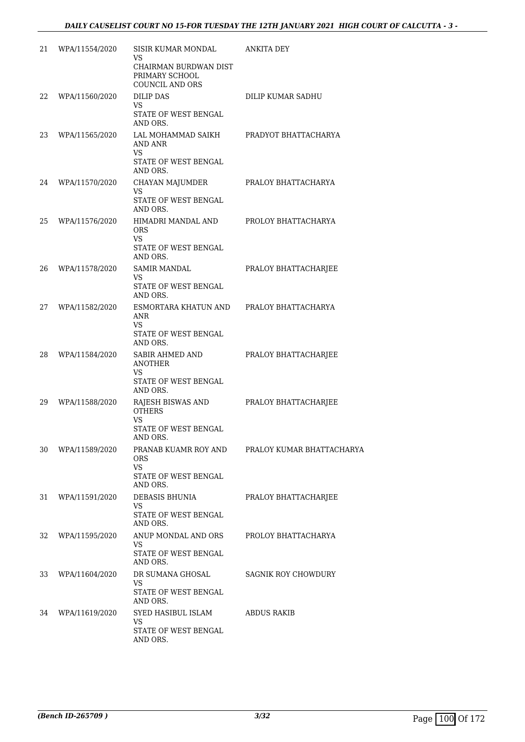| 21 | WPA/11554/2020 | SISIR KUMAR MONDAL<br>VS                                     | ANKITA DEY                |
|----|----------------|--------------------------------------------------------------|---------------------------|
|    |                | CHAIRMAN BURDWAN DIST<br>PRIMARY SCHOOL<br>COUNCIL AND ORS   |                           |
| 22 | WPA/11560/2020 | <b>DILIP DAS</b><br>VS                                       | <b>DILIP KUMAR SADHU</b>  |
|    |                | STATE OF WEST BENGAL<br>AND ORS.                             |                           |
| 23 | WPA/11565/2020 | LAL MOHAMMAD SAIKH<br>AND ANR<br>VS                          | PRADYOT BHATTACHARYA      |
|    |                | STATE OF WEST BENGAL<br>AND ORS.                             |                           |
| 24 | WPA/11570/2020 | CHAYAN MAJUMDER<br>VS                                        | PRALOY BHATTACHARYA       |
|    |                | STATE OF WEST BENGAL<br>AND ORS.                             |                           |
| 25 | WPA/11576/2020 | HIMADRI MANDAL AND<br><b>ORS</b><br>VS.                      | PROLOY BHATTACHARYA       |
|    |                | STATE OF WEST BENGAL<br>AND ORS.                             |                           |
| 26 | WPA/11578/2020 | <b>SAMIR MANDAL</b><br>VS                                    | PRALOY BHATTACHARJEE      |
|    |                | STATE OF WEST BENGAL<br>AND ORS.                             |                           |
| 27 | WPA/11582/2020 | ESMORTARA KHATUN AND PRALOY BHATTACHARYA<br>ANR<br><b>VS</b> |                           |
|    |                | STATE OF WEST BENGAL<br>AND ORS.                             |                           |
| 28 | WPA/11584/2020 | SABIR AHMED AND<br>ANOTHER<br><b>VS</b>                      | PRALOY BHATTACHARJEE      |
|    |                | STATE OF WEST BENGAL<br>AND ORS.                             |                           |
| 29 | WPA/11588/2020 | RAJESH BISWAS AND<br><b>OTHERS</b><br>VS                     | PRALOY BHATTACHARJEE      |
|    |                | STATE OF WEST BENGAL<br>AND ORS.                             |                           |
| 30 | WPA/11589/2020 | PRANAB KUAMR ROY AND<br>ORS.<br>VS.                          | PRALOY KUMAR BHATTACHARYA |
|    |                | STATE OF WEST BENGAL<br>AND ORS.                             |                           |
| 31 | WPA/11591/2020 | DEBASIS BHUNIA<br>VS.                                        | PRALOY BHATTACHARJEE      |
|    |                | STATE OF WEST BENGAL<br>AND ORS.                             |                           |
| 32 | WPA/11595/2020 | ANUP MONDAL AND ORS<br>VS.                                   | PROLOY BHATTACHARYA       |
|    |                | STATE OF WEST BENGAL<br>AND ORS.                             |                           |
| 33 | WPA/11604/2020 | DR SUMANA GHOSAL<br>VS                                       | SAGNIK ROY CHOWDURY       |
|    |                | STATE OF WEST BENGAL<br>AND ORS.                             |                           |
| 34 | WPA/11619/2020 | SYED HASIBUL ISLAM<br><b>VS</b>                              | ABDUS RAKIB               |
|    |                | STATE OF WEST BENGAL<br>AND ORS.                             |                           |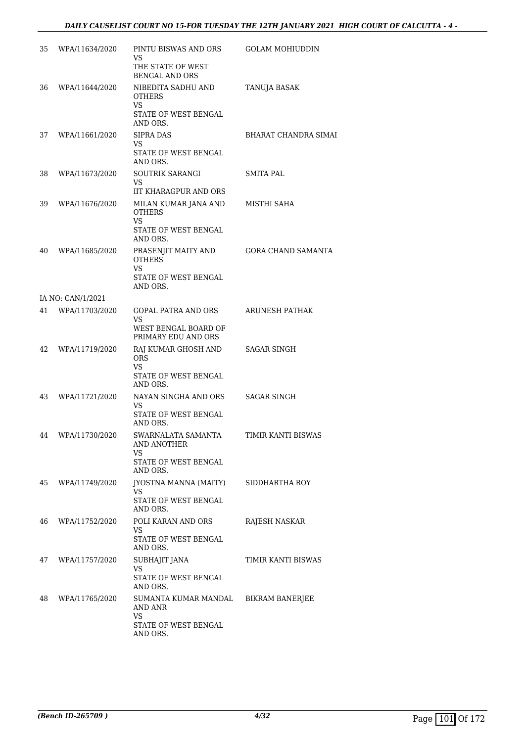| 35 | WPA/11634/2020    | PINTU BISWAS AND ORS<br>VS.<br>THE STATE OF WEST<br><b>BENGAL AND ORS</b>              | <b>GOLAM MOHIUDDIN</b>    |
|----|-------------------|----------------------------------------------------------------------------------------|---------------------------|
| 36 | WPA/11644/2020    | NIBEDITA SADHU AND<br><b>OTHERS</b><br>VS<br>STATE OF WEST BENGAL<br>AND ORS.          | TANUJA BASAK              |
| 37 | WPA/11661/2020    | <b>SIPRA DAS</b><br>VS<br>STATE OF WEST BENGAL<br>AND ORS.                             | BHARAT CHANDRA SIMAI      |
| 38 | WPA/11673/2020    | SOUTRIK SARANGI<br>VS.<br><b>IIT KHARAGPUR AND ORS</b>                                 | SMITA PAL                 |
| 39 | WPA/11676/2020    | MILAN KUMAR JANA AND<br><b>OTHERS</b><br><b>VS</b><br>STATE OF WEST BENGAL<br>AND ORS. | MISTHI SAHA               |
| 40 | WPA/11685/2020    | PRASENJIT MAITY AND<br><b>OTHERS</b><br>VS.<br>STATE OF WEST BENGAL<br>AND ORS.        | <b>GORA CHAND SAMANTA</b> |
|    | IA NO: CAN/1/2021 |                                                                                        |                           |
| 41 | WPA/11703/2020    | <b>GOPAL PATRA AND ORS</b><br>VS<br>WEST BENGAL BOARD OF<br>PRIMARY EDU AND ORS        | ARUNESH PATHAK            |
| 42 | WPA/11719/2020    | RAJ KUMAR GHOSH AND<br>ORS<br>VS<br>STATE OF WEST BENGAL<br>AND ORS.                   | <b>SAGAR SINGH</b>        |
| 43 | WPA/11721/2020    | NAYAN SINGHA AND ORS<br>VS<br>STATE OF WEST BENGAL<br>AND ORS.                         | SAGAR SINGH               |
| 44 | WPA/11730/2020    | SWARNALATA SAMANTA<br><b>AND ANOTHER</b><br>VS<br>STATE OF WEST BENGAL<br>AND ORS.     | TIMIR KANTI BISWAS        |
| 45 | WPA/11749/2020    | JYOSTNA MANNA (MAITY)<br>VS<br>STATE OF WEST BENGAL<br>AND ORS.                        | SIDDHARTHA ROY            |
| 46 | WPA/11752/2020    | POLI KARAN AND ORS<br>VS<br>STATE OF WEST BENGAL<br>AND ORS.                           | RAJESH NASKAR             |
| 47 | WPA/11757/2020    | SUBHAJIT JANA<br>VS.<br>STATE OF WEST BENGAL<br>AND ORS.                               | TIMIR KANTI BISWAS        |
| 48 | WPA/11765/2020    | SUMANTA KUMAR MANDAL<br>AND ANR<br>VS.<br>STATE OF WEST BENGAL<br>AND ORS.             | <b>BIKRAM BANERJEE</b>    |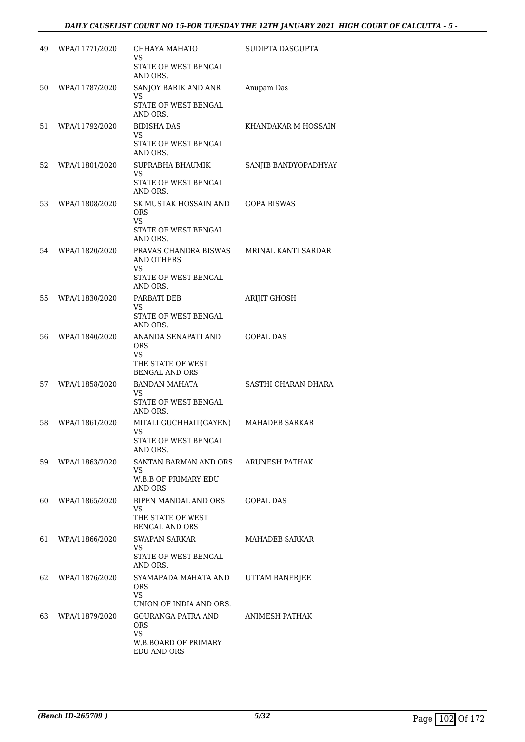| 49 | WPA/11771/2020 | CHHAYA MAHATO<br>VS.<br>STATE OF WEST BENGAL<br>AND ORS.                              | SUDIPTA DASGUPTA     |
|----|----------------|---------------------------------------------------------------------------------------|----------------------|
| 50 | WPA/11787/2020 | SANJOY BARIK AND ANR<br>VS<br>STATE OF WEST BENGAL<br>AND ORS.                        | Anupam Das           |
| 51 | WPA/11792/2020 | <b>BIDISHA DAS</b><br>VS.<br>STATE OF WEST BENGAL<br>AND ORS.                         | KHANDAKAR M HOSSAIN  |
| 52 | WPA/11801/2020 | SUPRABHA BHAUMIK<br>VS<br>STATE OF WEST BENGAL<br>AND ORS.                            | SANJIB BANDYOPADHYAY |
| 53 | WPA/11808/2020 | SK MUSTAK HOSSAIN AND<br>ORS<br><b>VS</b><br>STATE OF WEST BENGAL<br>AND ORS.         | <b>GOPA BISWAS</b>   |
| 54 | WPA/11820/2020 | PRAVAS CHANDRA BISWAS<br>AND OTHERS<br><b>VS</b><br>STATE OF WEST BENGAL<br>AND ORS.  | MRINAL KANTI SARDAR  |
| 55 | WPA/11830/2020 | PARBATI DEB<br>VS<br>STATE OF WEST BENGAL<br>AND ORS.                                 | <b>ARIJIT GHOSH</b>  |
| 56 | WPA/11840/2020 | ANANDA SENAPATI AND<br><b>ORS</b><br>VS<br>THE STATE OF WEST<br><b>BENGAL AND ORS</b> | <b>GOPAL DAS</b>     |
| 57 | WPA/11858/2020 | <b>BANDAN MAHATA</b><br>VS<br>STATE OF WEST BENGAL<br>AND ORS.                        | SASTHI CHARAN DHARA  |
| 58 | WPA/11861/2020 | MITALI GUCHHAIT(GAYEN)<br>VS<br>STATE OF WEST BENGAL<br>AND ORS.                      | MAHADEB SARKAR       |
| 59 | WPA/11863/2020 | SANTAN BARMAN AND ORS<br>VS.<br>W.B.B OF PRIMARY EDU<br>AND ORS                       | ARUNESH PATHAK       |
| 60 | WPA/11865/2020 | BIPEN MANDAL AND ORS<br>VS.<br>THE STATE OF WEST<br><b>BENGAL AND ORS</b>             | GOPAL DAS            |
| 61 | WPA/11866/2020 | SWAPAN SARKAR<br>VS<br>STATE OF WEST BENGAL<br>AND ORS.                               | MAHADEB SARKAR       |
| 62 | WPA/11876/2020 | SYAMAPADA MAHATA AND<br>ORS.<br><b>VS</b><br>UNION OF INDIA AND ORS.                  | UTTAM BANERJEE       |
| 63 | WPA/11879/2020 | GOURANGA PATRA AND<br>ORS.<br><b>VS</b><br>W.B.BOARD OF PRIMARY<br>EDU AND ORS        | ANIMESH PATHAK       |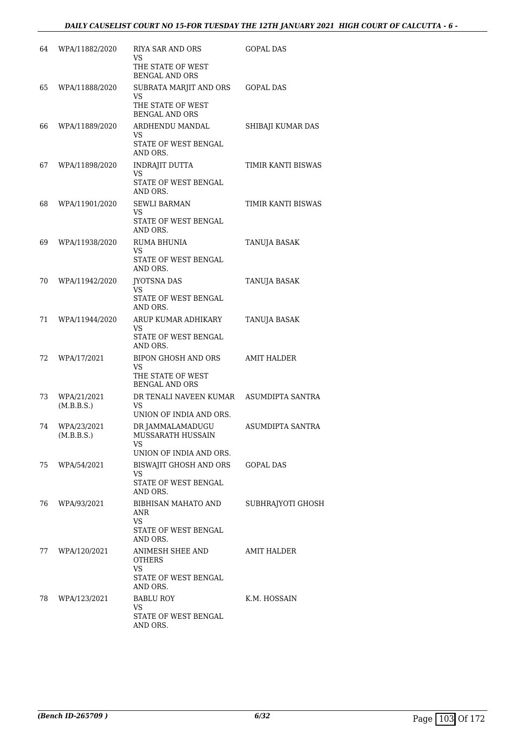| 64 | WPA/11882/2020            | RIYA SAR AND ORS<br>VS<br>THE STATE OF WEST<br><b>BENGAL AND ORS</b>        | <b>GOPAL DAS</b>        |
|----|---------------------------|-----------------------------------------------------------------------------|-------------------------|
| 65 | WPA/11888/2020            | SUBRATA MARJIT AND ORS<br>VS<br>THE STATE OF WEST<br><b>BENGAL AND ORS</b>  | <b>GOPAL DAS</b>        |
| 66 | WPA/11889/2020            | ARDHENDU MANDAL<br>VS<br>STATE OF WEST BENGAL<br>AND ORS.                   | SHIBAJI KUMAR DAS       |
| 67 | WPA/11898/2020            | INDRAJIT DUTTA<br>VS<br>STATE OF WEST BENGAL<br>AND ORS.                    | TIMIR KANTI BISWAS      |
| 68 | WPA/11901/2020            | <b>SEWLI BARMAN</b><br>VS<br>STATE OF WEST BENGAL<br>AND ORS.               | TIMIR KANTI BISWAS      |
| 69 | WPA/11938/2020            | RUMA BHUNIA<br>VS<br>STATE OF WEST BENGAL<br>AND ORS.                       | TANUJA BASAK            |
| 70 | WPA/11942/2020            | <b>JYOTSNA DAS</b><br>VS<br>STATE OF WEST BENGAL<br>AND ORS.                | TANUJA BASAK            |
| 71 | WPA/11944/2020            | ARUP KUMAR ADHIKARY<br>VS<br>STATE OF WEST BENGAL<br>AND ORS.               | TANUJA BASAK            |
| 72 | WPA/17/2021               | BIPON GHOSH AND ORS<br>VS<br>THE STATE OF WEST<br><b>BENGAL AND ORS</b>     | <b>AMIT HALDER</b>      |
| 73 | WPA/21/2021<br>(M.B.B.S.) | DR TENALI NAVEEN KUMAR<br>VS<br>UNION OF INDIA AND ORS.                     | <b>ASUMDIPTA SANTRA</b> |
| 74 | WPA/23/2021<br>(M.B.B.S.) | DR JAMMALAMADUGU<br>MUSSARATH HUSSAIN<br>VS<br>UNION OF INDIA AND ORS.      | ASUMDIPTA SANTRA        |
| 75 | WPA/54/2021               | BISWAJIT GHOSH AND ORS<br>VS<br>STATE OF WEST BENGAL<br>AND ORS.            | <b>GOPAL DAS</b>        |
| 76 | WPA/93/2021               | BIBHISAN MAHATO AND<br>ANR<br>VS.<br>STATE OF WEST BENGAL                   | SUBHRAJYOTI GHOSH       |
| 77 | WPA/120/2021              | AND ORS.<br>ANIMESH SHEE AND<br>OTHERS<br><b>VS</b><br>STATE OF WEST BENGAL | AMIT HALDER             |
| 78 | WPA/123/2021              | AND ORS.<br>BABLU ROY<br>VS<br>STATE OF WEST BENGAL<br>AND ORS.             | K.M. HOSSAIN            |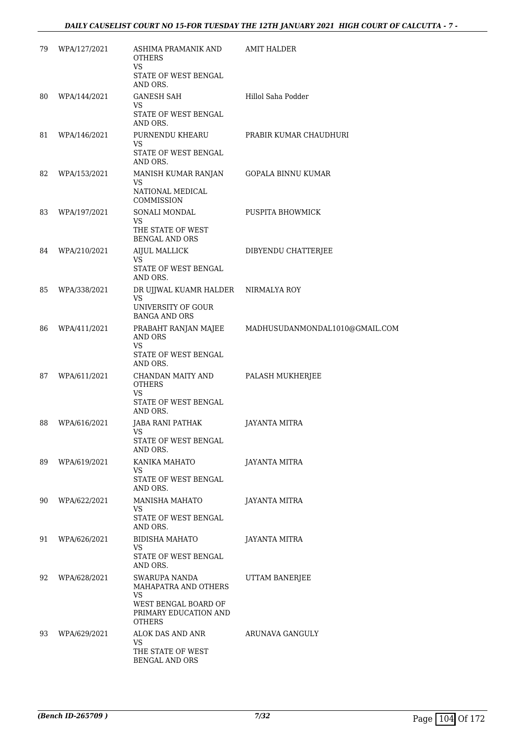| 79 | WPA/127/2021 | ASHIMA PRAMANIK AND<br><b>OTHERS</b><br>VS                                 | AMIT HALDER                    |
|----|--------------|----------------------------------------------------------------------------|--------------------------------|
|    |              | STATE OF WEST BENGAL<br>AND ORS.                                           |                                |
| 80 | WPA/144/2021 | <b>GANESH SAH</b><br>VS                                                    | Hillol Saha Podder             |
|    |              | STATE OF WEST BENGAL<br>AND ORS.                                           |                                |
| 81 | WPA/146/2021 | PURNENDU KHEARU<br><b>VS</b>                                               | PRABIR KUMAR CHAUDHURI         |
|    |              | STATE OF WEST BENGAL<br>AND ORS.                                           |                                |
| 82 | WPA/153/2021 | MANISH KUMAR RANJAN<br>VS                                                  | <b>GOPALA BINNU KUMAR</b>      |
|    |              | NATIONAL MEDICAL<br>COMMISSION                                             |                                |
| 83 | WPA/197/2021 | SONALI MONDAL<br><b>VS</b>                                                 | PUSPITA BHOWMICK               |
|    |              | THE STATE OF WEST<br><b>BENGAL AND ORS</b>                                 |                                |
| 84 | WPA/210/2021 | AIJUL MALLICK<br>VS                                                        | DIBYENDU CHATTERJEE            |
|    |              | STATE OF WEST BENGAL<br>AND ORS.                                           |                                |
| 85 | WPA/338/2021 | DR UJJWAL KUAMR HALDER NIRMALYA ROY<br><b>VS</b>                           |                                |
|    |              | UNIVERSITY OF GOUR<br><b>BANGA AND ORS</b>                                 |                                |
| 86 | WPA/411/2021 | PRABAHT RANJAN MAJEE<br>AND ORS                                            | MADHUSUDANMONDAL1010@GMAIL.COM |
|    |              | VS<br>STATE OF WEST BENGAL<br>AND ORS.                                     |                                |
| 87 | WPA/611/2021 | CHANDAN MAITY AND<br><b>OTHERS</b>                                         | PALASH MUKHERJEE               |
|    |              | VS<br>STATE OF WEST BENGAL<br>AND ORS.                                     |                                |
| 88 | WPA/616/2021 | JABA RANI PATHAK<br><b>VS</b>                                              | <b>JAYANTA MITRA</b>           |
|    |              | STATE OF WEST BENGAL<br>AND ORS.                                           |                                |
| 89 | WPA/619/2021 | KANIKA MAHATO<br>VS                                                        | <b>JAYANTA MITRA</b>           |
|    |              | STATE OF WEST BENGAL<br>AND ORS.                                           |                                |
| 90 | WPA/622/2021 | MANISHA MAHATO<br>VS                                                       | JAYANTA MITRA                  |
|    |              | STATE OF WEST BENGAL<br>AND ORS.                                           |                                |
| 91 | WPA/626/2021 | BIDISHA MAHATO<br><b>VS</b>                                                | <b>JAYANTA MITRA</b>           |
|    |              | STATE OF WEST BENGAL<br>AND ORS.                                           |                                |
| 92 | WPA/628/2021 | SWARUPA NANDA<br>MAHAPATRA AND OTHERS<br><b>VS</b><br>WEST BENGAL BOARD OF | UTTAM BANERJEE                 |
|    |              | PRIMARY EDUCATION AND<br><b>OTHERS</b>                                     |                                |
| 93 | WPA/629/2021 | ALOK DAS AND ANR<br><b>VS</b><br>THE STATE OF WEST                         | ARUNAVA GANGULY                |
|    |              | BENGAL AND ORS                                                             |                                |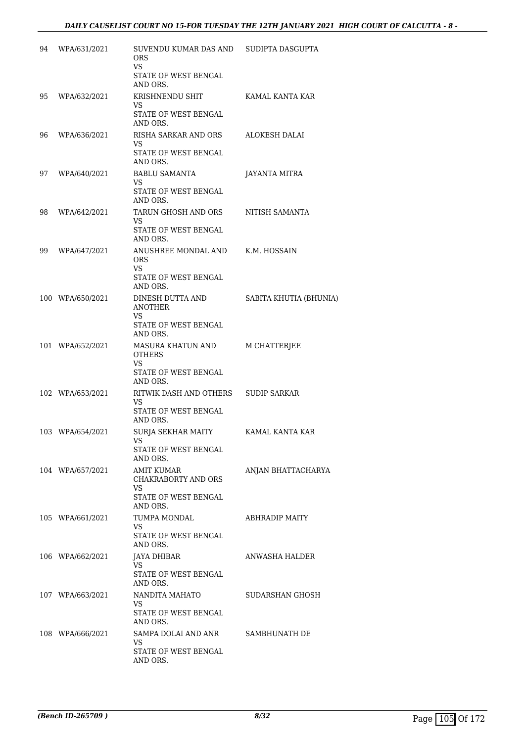| 94 | WPA/631/2021     | SUVENDU KUMAR DAS AND<br>ORS.<br>VS<br>STATE OF WEST BENGAL                    | SUDIPTA DASGUPTA       |
|----|------------------|--------------------------------------------------------------------------------|------------------------|
| 95 | WPA/632/2021     | AND ORS.<br>KRISHNENDU SHIT<br>VS                                              | KAMAL KANTA KAR        |
|    |                  | STATE OF WEST BENGAL<br>AND ORS.                                               |                        |
| 96 | WPA/636/2021     | RISHA SARKAR AND ORS<br>VS<br>STATE OF WEST BENGAL                             | ALOKESH DALAI          |
|    |                  | AND ORS.                                                                       |                        |
| 97 | WPA/640/2021     | <b>BABLU SAMANTA</b><br>VS<br>STATE OF WEST BENGAL                             | JAYANTA MITRA          |
| 98 | WPA/642/2021     | AND ORS.<br>TARUN GHOSH AND ORS                                                | NITISH SAMANTA         |
|    |                  | VS.<br>STATE OF WEST BENGAL<br>AND ORS.                                        |                        |
| 99 | WPA/647/2021     | ANUSHREE MONDAL AND<br><b>ORS</b><br>VS.<br>STATE OF WEST BENGAL               | K.M. HOSSAIN           |
|    |                  | AND ORS.                                                                       |                        |
|    | 100 WPA/650/2021 | DINESH DUTTA AND<br><b>ANOTHER</b><br>VS.                                      | SABITA KHUTIA (BHUNIA) |
|    |                  | STATE OF WEST BENGAL<br>AND ORS.                                               |                        |
|    | 101 WPA/652/2021 | MASURA KHATUN AND<br><b>OTHERS</b><br><b>VS</b><br>STATE OF WEST BENGAL        | M CHATTERJEE           |
|    |                  | AND ORS.                                                                       |                        |
|    | 102 WPA/653/2021 | RITWIK DASH AND OTHERS<br>VS.<br>STATE OF WEST BENGAL<br>AND ORS.              | <b>SUDIP SARKAR</b>    |
|    | 103 WPA/654/2021 | SURJA SEKHAR MAITY<br>STATE OF WEST BENGAL                                     | KAMAL KANTA KAR        |
|    |                  | AND ORS.                                                                       |                        |
|    | 104 WPA/657/2021 | <b>AMIT KUMAR</b><br>CHAKRABORTY AND ORS<br>VS.<br><b>STATE OF WEST BENGAL</b> | ANJAN BHATTACHARYA     |
|    | 105 WPA/661/2021 | AND ORS.<br>TUMPA MONDAL                                                       | ABHRADIP MAITY         |
|    |                  | VS<br>STATE OF WEST BENGAL<br>AND ORS.                                         |                        |
|    | 106 WPA/662/2021 | JAYA DHIBAR<br>VS<br>STATE OF WEST BENGAL<br>AND ORS.                          | ANWASHA HALDER         |
|    | 107 WPA/663/2021 | NANDITA MAHATO<br>VS.<br>STATE OF WEST BENGAL<br>AND ORS.                      | SUDARSHAN GHOSH        |
|    | 108 WPA/666/2021 | SAMPA DOLAI AND ANR<br>VS<br>STATE OF WEST BENGAL<br>AND ORS.                  | SAMBHUNATH DE          |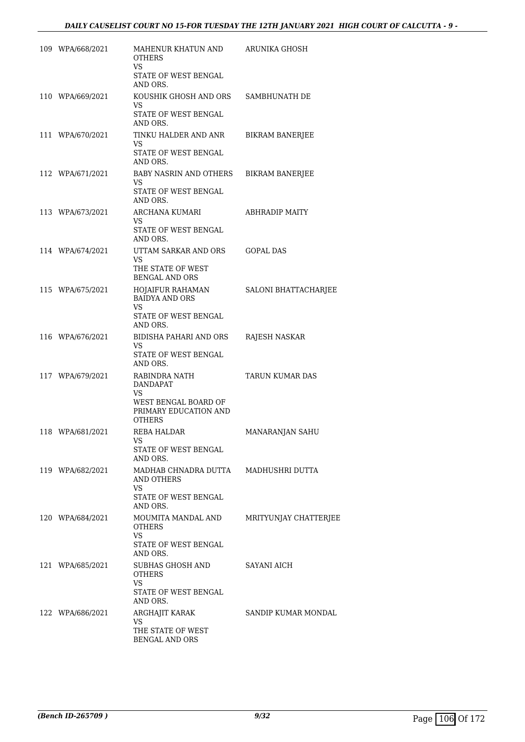| 109 WPA/668/2021 | MAHENUR KHATUN AND<br><b>OTHERS</b><br>VS.                                        | <b>ARUNIKA GHOSH</b>   |
|------------------|-----------------------------------------------------------------------------------|------------------------|
|                  | STATE OF WEST BENGAL<br>AND ORS.                                                  |                        |
| 110 WPA/669/2021 | KOUSHIK GHOSH AND ORS<br>VS<br>STATE OF WEST BENGAL                               | SAMBHUNATH DE          |
|                  | AND ORS.                                                                          |                        |
| 111 WPA/670/2021 | TINKU HALDER AND ANR<br>VS<br>STATE OF WEST BENGAL                                | <b>BIKRAM BANERJEE</b> |
|                  | AND ORS.                                                                          |                        |
| 112 WPA/671/2021 | <b>BABY NASRIN AND OTHERS</b><br>VS.<br>STATE OF WEST BENGAL<br>AND ORS.          | <b>BIKRAM BANERJEE</b> |
| 113 WPA/673/2021 | ARCHANA KUMARI<br>VS<br>STATE OF WEST BENGAL<br>AND ORS.                          | ABHRADIP MAITY         |
| 114 WPA/674/2021 | UTTAM SARKAR AND ORS<br>VS<br>THE STATE OF WEST<br><b>BENGAL AND ORS</b>          | GOPAL DAS              |
| 115 WPA/675/2021 | HOJAIFUR RAHAMAN<br><b>BAIDYA AND ORS</b><br>VS.                                  | SALONI BHATTACHARJEE   |
|                  | STATE OF WEST BENGAL<br>AND ORS.                                                  |                        |
| 116 WPA/676/2021 | BIDISHA PAHARI AND ORS<br>VS.<br>STATE OF WEST BENGAL<br>AND ORS.                 | RAJESH NASKAR          |
| 117 WPA/679/2021 | RABINDRA NATH<br>DANDAPAT<br><b>VS</b>                                            | TARUN KUMAR DAS        |
|                  | WEST BENGAL BOARD OF<br>PRIMARY EDUCATION AND<br><b>OTHERS</b>                    |                        |
| 118 WPA/681/2021 | <b>REBA HALDAR</b><br>VS<br>STATE OF WEST BENGAL                                  | MANARANJAN SAHU        |
|                  | AND ORS.                                                                          |                        |
| 119 WPA/682/2021 | MADHAB CHNADRA DUTTA MADHUSHRI DUTTA<br>AND OTHERS<br>VS.<br>STATE OF WEST BENGAL |                        |
|                  | AND ORS.                                                                          |                        |
| 120 WPA/684/2021 | MOUMITA MANDAL AND<br><b>OTHERS</b><br>VS.<br>STATE OF WEST BENGAL                | MRITYUNJAY CHATTERJEE  |
| 121 WPA/685/2021 | AND ORS.<br>SUBHAS GHOSH AND                                                      | SAYANI AICH            |
|                  | <b>OTHERS</b><br>VS                                                               |                        |
|                  | STATE OF WEST BENGAL<br>AND ORS.                                                  |                        |
| 122 WPA/686/2021 | ARGHAJIT KARAK<br>VS.                                                             | SANDIP KUMAR MONDAL    |
|                  | THE STATE OF WEST<br><b>BENGAL AND ORS</b>                                        |                        |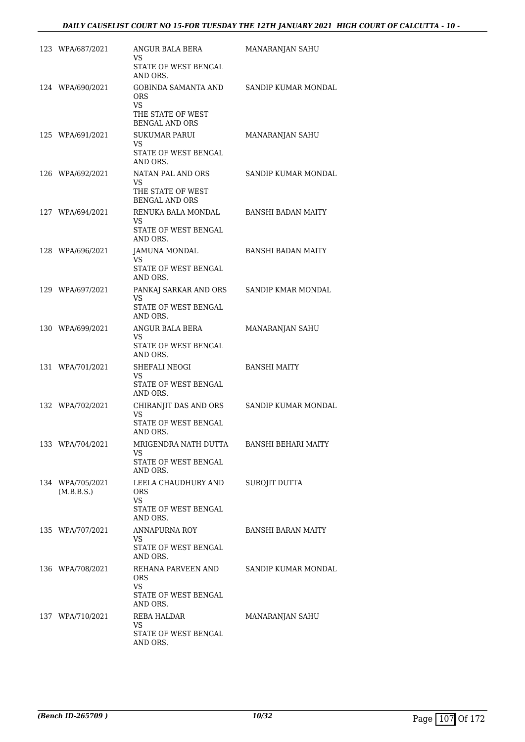| 123 WPA/687/2021               | ANGUR BALA BERA<br>VS.<br>STATE OF WEST BENGAL                                | MANARANJAN SAHU            |
|--------------------------------|-------------------------------------------------------------------------------|----------------------------|
| 124 WPA/690/2021               | AND ORS.<br><b>GOBINDA SAMANTA AND</b><br>ORS.                                | SANDIP KUMAR MONDAL        |
|                                | <b>VS</b><br>THE STATE OF WEST<br><b>BENGAL AND ORS</b>                       |                            |
| 125 WPA/691/2021               | <b>SUKUMAR PARUI</b><br>VS.<br>STATE OF WEST BENGAL<br>AND ORS.               | MANARANJAN SAHU            |
| 126 WPA/692/2021               | NATAN PAL AND ORS<br>VS.<br>THE STATE OF WEST<br><b>BENGAL AND ORS</b>        | SANDIP KUMAR MONDAL        |
| 127 WPA/694/2021               | RENUKA BALA MONDAL<br>VS.<br>STATE OF WEST BENGAL<br>AND ORS.                 | BANSHI BADAN MAITY         |
| 128 WPA/696/2021               | JAMUNA MONDAL<br>VS.<br>STATE OF WEST BENGAL<br>AND ORS.                      | BANSHI BADAN MAITY         |
| 129 WPA/697/2021               | PANKAJ SARKAR AND ORS<br>VS.<br>STATE OF WEST BENGAL<br>AND ORS.              | SANDIP KMAR MONDAL         |
| 130 WPA/699/2021               | ANGUR BALA BERA<br>VS.<br>STATE OF WEST BENGAL<br>AND ORS.                    | MANARANJAN SAHU            |
| 131 WPA/701/2021               | SHEFALI NEOGI<br><b>VS</b><br>STATE OF WEST BENGAL<br>AND ORS.                | <b>BANSHI MAITY</b>        |
| 132 WPA/702/2021               | CHIRANJIT DAS AND ORS<br><b>VS</b><br><b>STATE OF WEST BENGAL</b><br>AND ORS. | SANDIP KUMAR MONDAL        |
| 133 WPA/704/2021               | MRIGENDRA NATH DUTTA<br>VS.<br>STATE OF WEST BENGAL<br>AND ORS.               | <b>BANSHI BEHARI MAITY</b> |
| 134 WPA/705/2021<br>(M.B.B.S.) | LEELA CHAUDHURY AND<br>ORS.<br><b>VS</b><br>STATE OF WEST BENGAL<br>AND ORS.  | SUROJIT DUTTA              |
| 135 WPA/707/2021               | ANNAPURNA ROY<br>VS<br>STATE OF WEST BENGAL<br>AND ORS.                       | <b>BANSHI BARAN MAITY</b>  |
| 136 WPA/708/2021               | REHANA PARVEEN AND<br><b>ORS</b><br>VS.<br>STATE OF WEST BENGAL               | SANDIP KUMAR MONDAL        |
| 137 WPA/710/2021               | AND ORS.<br>REBA HALDAR<br>VS.<br>STATE OF WEST BENGAL<br>AND ORS.            | MANARANJAN SAHU            |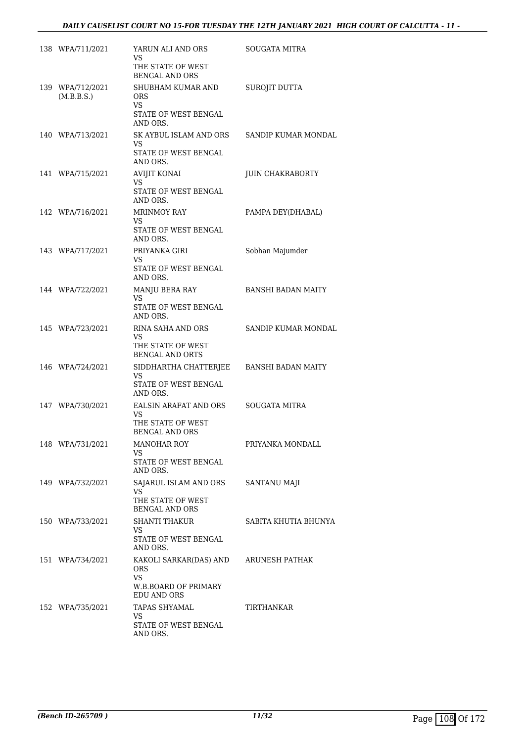# *DAILY CAUSELIST COURT NO 15-FOR TUESDAY THE 12TH JANUARY 2021 HIGH COURT OF CALCUTTA - 11 -*

| 138 WPA/711/2021               | YARUN ALI AND ORS<br>VS<br>THE STATE OF WEST<br><b>BENGAL AND ORS</b>             | SOUGATA MITRA             |
|--------------------------------|-----------------------------------------------------------------------------------|---------------------------|
| 139 WPA/712/2021<br>(M.B.B.S.) | SHUBHAM KUMAR AND<br>ORS.<br>VS<br>STATE OF WEST BENGAL<br>AND ORS.               | SUROJIT DUTTA             |
| 140 WPA/713/2021               | SK AYBUL ISLAM AND ORS<br>VS<br>STATE OF WEST BENGAL<br>AND ORS.                  | SANDIP KUMAR MONDAL       |
| 141 WPA/715/2021               | AVIJIT KONAI<br>VS<br>STATE OF WEST BENGAL<br>AND ORS.                            | <b>JUIN CHAKRABORTY</b>   |
| 142 WPA/716/2021               | MRINMOY RAY<br>VS<br>STATE OF WEST BENGAL<br>AND ORS.                             | PAMPA DEY(DHABAL)         |
| 143 WPA/717/2021               | PRIYANKA GIRI<br>VS<br>STATE OF WEST BENGAL<br>AND ORS.                           | Sobhan Majumder           |
| 144 WPA/722/2021               | MANJU BERA RAY<br>VS<br>STATE OF WEST BENGAL<br>AND ORS.                          | <b>BANSHI BADAN MAITY</b> |
| 145 WPA/723/2021               | RINA SAHA AND ORS<br>VS<br>THE STATE OF WEST<br><b>BENGAL AND ORTS</b>            | SANDIP KUMAR MONDAL       |
| 146 WPA/724/2021               | SIDDHARTHA CHATTERJEE<br>VS<br>STATE OF WEST BENGAL<br>AND ORS.                   | BANSHI BADAN MAITY        |
| 147 WPA/730/2021               | EALSIN ARAFAT AND ORS<br>VS.<br>THE STATE OF WEST<br><b>BENGAL AND ORS</b>        | SOUGATA MITRA             |
| 148 WPA/731/2021               | <b>MANOHAR ROY</b><br>VS<br>STATE OF WEST BENGAL<br>AND ORS.                      | PRIYANKA MONDALL          |
| 149 WPA/732/2021               | SAJARUL ISLAM AND ORS<br>VS<br>THE STATE OF WEST<br><b>BENGAL AND ORS</b>         | <b>SANTANU MAJI</b>       |
| 150 WPA/733/2021               | <b>SHANTI THAKUR</b><br>VS<br>STATE OF WEST BENGAL<br>AND ORS.                    | SABITA KHUTIA BHUNYA      |
| 151 WPA/734/2021               | KAKOLI SARKAR(DAS) AND ARUNESH PATHAK<br>ORS<br><b>VS</b><br>W.B.BOARD OF PRIMARY |                           |
| 152 WPA/735/2021               | EDU AND ORS<br>TAPAS SHYAMAL<br>VS.<br>STATE OF WEST BENGAL<br>AND ORS.           | TIRTHANKAR                |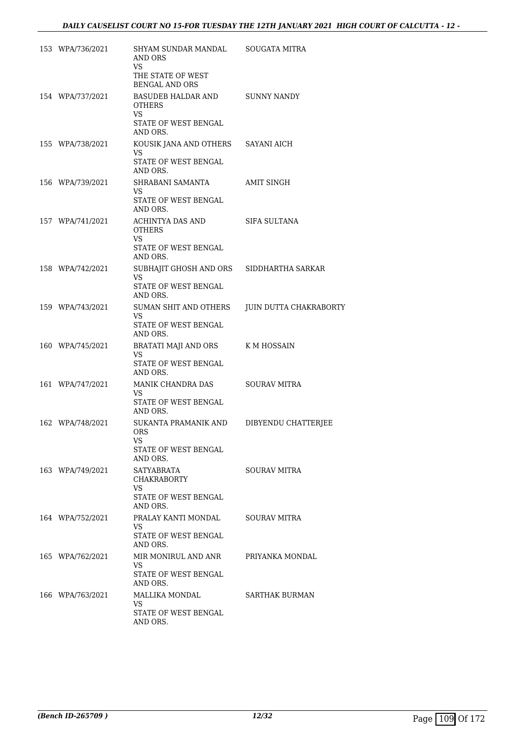| 153 WPA/736/2021 | SHYAM SUNDAR MANDAL<br>AND ORS<br>VS                                           | SOUGATA MITRA          |
|------------------|--------------------------------------------------------------------------------|------------------------|
|                  | THE STATE OF WEST<br><b>BENGAL AND ORS</b>                                     |                        |
| 154 WPA/737/2021 | BASUDEB HALDAR AND<br>OTHERS<br>VS.                                            | SUNNY NANDY            |
|                  | STATE OF WEST BENGAL<br>AND ORS.                                               |                        |
| 155 WPA/738/2021 | KOUSIK JANA AND OTHERS<br><b>VS</b><br>STATE OF WEST BENGAL                    | SAYANI AICH            |
| 156 WPA/739/2021 | AND ORS.<br>SHRABANI SAMANTA<br>VS.<br>STATE OF WEST BENGAL<br>AND ORS.        | AMIT SINGH             |
| 157 WPA/741/2021 | ACHINTYA DAS AND<br><b>OTHERS</b><br>VS.<br>STATE OF WEST BENGAL<br>AND ORS.   | SIFA SULTANA           |
| 158 WPA/742/2021 | SUBHAJIT GHOSH AND ORS<br>VS.<br>STATE OF WEST BENGAL<br>AND ORS.              | SIDDHARTHA SARKAR      |
| 159 WPA/743/2021 | SUMAN SHIT AND OTHERS<br>VS.<br>STATE OF WEST BENGAL<br>AND ORS.               | JUIN DUTTA CHAKRABORTY |
| 160 WPA/745/2021 | BRATATI MAJI AND ORS<br>VS<br>STATE OF WEST BENGAL<br>AND ORS.                 | K M HOSSAIN            |
| 161 WPA/747/2021 | MANIK CHANDRA DAS<br><b>VS</b><br>STATE OF WEST BENGAL<br>AND ORS.             | <b>SOURAV MITRA</b>    |
| 162 WPA/748/2021 | SUKANTA PRAMANIK AND<br><b>ORS</b><br>VS<br>STATE OF WEST BENGAL<br>AND ORS.   | DIBYENDU CHATTERJEE    |
| 163 WPA/749/2021 | SATYABRATA<br><b>CHAKRABORTY</b><br>VS.<br>STATE OF WEST BENGAL<br>AND ORS.    | <b>SOURAV MITRA</b>    |
| 164 WPA/752/2021 | PRALAY KANTI MONDAL<br>VS.<br>STATE OF WEST BENGAL<br>AND ORS.                 | SOURAV MITRA           |
| 165 WPA/762/2021 | MIR MONIRUL AND ANR PRIYANKA MONDAL<br>VS.<br>STATE OF WEST BENGAL<br>AND ORS. |                        |
| 166 WPA/763/2021 | MALLIKA MONDAL<br>VS<br>STATE OF WEST BENGAL<br>AND ORS.                       | SARTHAK BURMAN         |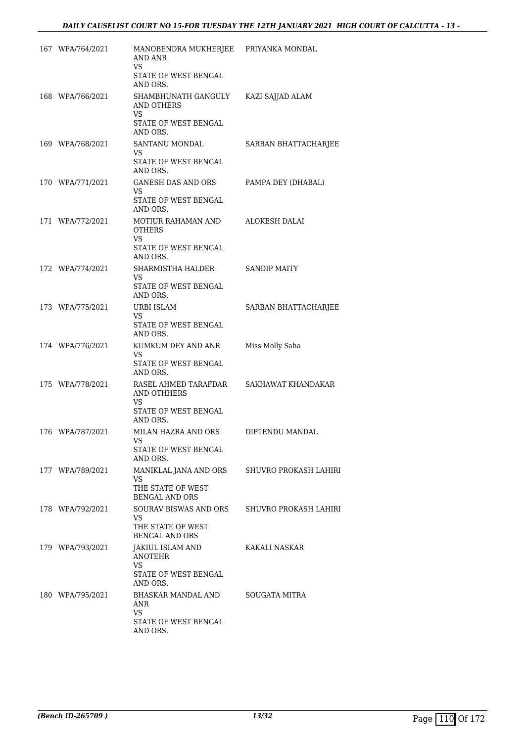| 167 WPA/764/2021 | MANOBENDRA MUKHERJEE<br><b>AND ANR</b><br>VS                              | PRIYANKA MONDAL       |
|------------------|---------------------------------------------------------------------------|-----------------------|
|                  | STATE OF WEST BENGAL<br>AND ORS.                                          |                       |
| 168 WPA/766/2021 | SHAMBHUNATH GANGULY<br>AND OTHERS<br>VS                                   | KAZI SAJJAD ALAM      |
|                  | STATE OF WEST BENGAL<br>AND ORS.                                          |                       |
| 169 WPA/768/2021 | SANTANU MONDAL<br>VS                                                      | SARBAN BHATTACHARJEE  |
|                  | STATE OF WEST BENGAL<br>AND ORS.                                          |                       |
| 170 WPA/771/2021 | GANESH DAS AND ORS<br>VS<br>STATE OF WEST BENGAL<br>AND ORS.              | PAMPA DEY (DHABAL)    |
| 171 WPA/772/2021 | MOTIUR RAHAMAN AND<br><b>OTHERS</b><br>VS                                 | <b>ALOKESH DALAI</b>  |
|                  | STATE OF WEST BENGAL<br>AND ORS.                                          |                       |
| 172 WPA/774/2021 | SHARMISTHA HALDER<br>VS.                                                  | <b>SANDIP MAITY</b>   |
|                  | STATE OF WEST BENGAL<br>AND ORS.                                          |                       |
| 173 WPA/775/2021 | URBI ISLAM<br>VS<br>STATE OF WEST BENGAL<br>AND ORS.                      | SARBAN BHATTACHARJEE  |
| 174 WPA/776/2021 | KUMKUM DEY AND ANR<br>VS                                                  | Miss Molly Saha       |
|                  | STATE OF WEST BENGAL<br>AND ORS.                                          |                       |
| 175 WPA/778/2021 | RASEL AHMED TARAFDAR<br>AND OTHHERS<br>VS                                 | SAKHAWAT KHANDAKAR    |
|                  | STATE OF WEST BENGAL<br>AND ORS.                                          |                       |
| 176 WPA/787/2021 | MILAN HAZRA AND ORS<br>VS                                                 | DIPTENDU MANDAL       |
|                  | STATE OF WEST BENGAL<br>AND ORS.                                          |                       |
| 177 WPA/789/2021 | MANIKLAL JANA AND ORS<br>VS<br>THE STATE OF WEST<br><b>BENGAL AND ORS</b> | SHUVRO PROKASH LAHIRI |
| 178 WPA/792/2021 | SOURAV BISWAS AND ORS<br>VS<br>THE STATE OF WEST                          | SHUVRO PROKASH LAHIRI |
| 179 WPA/793/2021 | <b>BENGAL AND ORS</b><br>JAKIUL ISLAM AND                                 | KAKALI NASKAR         |
|                  | <b>ANOTEHR</b><br>VS<br>STATE OF WEST BENGAL<br>AND ORS.                  |                       |
| 180 WPA/795/2021 | BHASKAR MANDAL AND<br>ANR<br>VS.<br>STATE OF WEST BENGAL<br>AND ORS.      | SOUGATA MITRA         |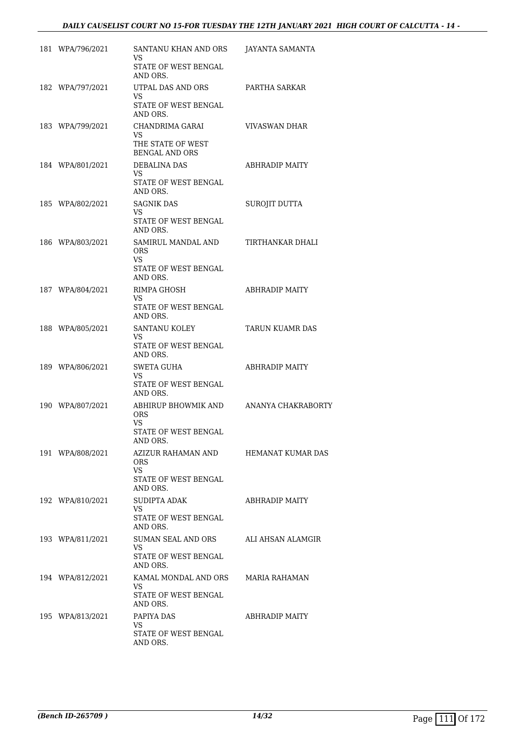| 181 WPA/796/2021 | SANTANU KHAN AND ORS<br>VS<br>STATE OF WEST BENGAL                          | JAYANTA SAMANTA    |
|------------------|-----------------------------------------------------------------------------|--------------------|
| 182 WPA/797/2021 | AND ORS.<br>UTPAL DAS AND ORS                                               | PARTHA SARKAR      |
|                  | VS.<br>STATE OF WEST BENGAL<br>AND ORS.                                     |                    |
| 183 WPA/799/2021 | CHANDRIMA GARAI<br>VS.<br>THE STATE OF WEST                                 | VIVASWAN DHAR      |
| 184 WPA/801/2021 | <b>BENGAL AND ORS</b><br>DEBALINA DAS<br>VS<br>STATE OF WEST BENGAL         | ABHRADIP MAITY     |
|                  | AND ORS.                                                                    |                    |
| 185 WPA/802/2021 | <b>SAGNIK DAS</b><br>VS<br>STATE OF WEST BENGAL<br>AND ORS.                 | SUROJIT DUTTA      |
| 186 WPA/803/2021 | SAMIRUL MANDAL AND<br><b>ORS</b><br>VS<br>STATE OF WEST BENGAL<br>AND ORS.  | TIRTHANKAR DHALI   |
| 187 WPA/804/2021 | RIMPA GHOSH<br>VS<br>STATE OF WEST BENGAL<br>AND ORS.                       | ABHRADIP MAITY     |
| 188 WPA/805/2021 | SANTANU KOLEY<br>VS<br>STATE OF WEST BENGAL<br>AND ORS.                     | TARUN KUAMR DAS    |
| 189 WPA/806/2021 | <b>SWETA GUHA</b><br>VS.<br>STATE OF WEST BENGAL<br>AND ORS.                | ABHRADIP MAITY     |
| 190 WPA/807/2021 | ABHIRUP BHOWMIK AND<br><b>ORS</b><br>VS<br>STATE OF WEST BENGAL<br>AND ORS. | ANANYA CHAKRABORTY |
| 191 WPA/808/2021 | AZIZUR RAHAMAN AND<br>ORS.<br>VS<br>STATE OF WEST BENGAL<br>AND ORS.        | HEMANAT KUMAR DAS  |
| 192 WPA/810/2021 | SUDIPTA ADAK<br>VS<br>STATE OF WEST BENGAL<br>AND ORS.                      | ABHRADIP MAITY     |
| 193 WPA/811/2021 | SUMAN SEAL AND ORS<br>VS.<br>STATE OF WEST BENGAL<br>AND ORS.               | ALI AHSAN ALAMGIR  |
| 194 WPA/812/2021 | KAMAL MONDAL AND ORS<br>VS.<br>STATE OF WEST BENGAL<br>AND ORS.             | MARIA RAHAMAN      |
| 195 WPA/813/2021 | PAPIYA DAS<br>VS.<br>STATE OF WEST BENGAL<br>AND ORS.                       | ABHRADIP MAITY     |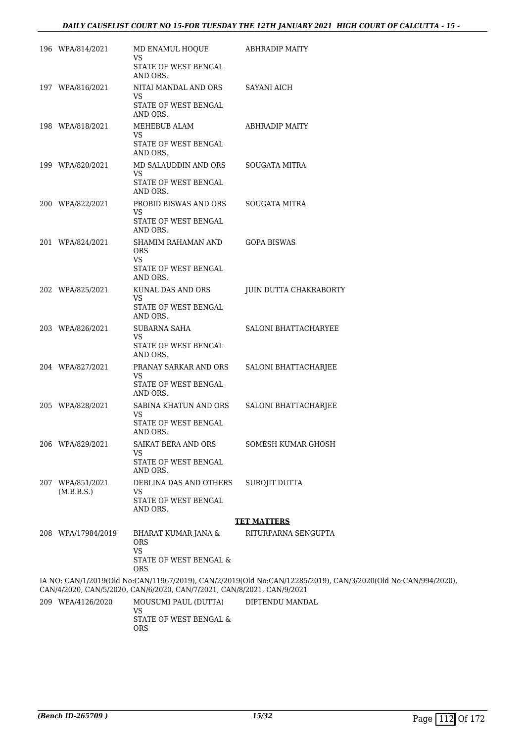| 196 WPA/814/2021               | MD ENAMUL HOQUE<br>VS<br>STATE OF WEST BENGAL                          | ABHRADIP MAITY                                                                                                |
|--------------------------------|------------------------------------------------------------------------|---------------------------------------------------------------------------------------------------------------|
|                                | AND ORS.                                                               |                                                                                                               |
| 197 WPA/816/2021               | NITAI MANDAL AND ORS<br>VS                                             | <b>SAYANI AICH</b>                                                                                            |
|                                | STATE OF WEST BENGAL<br>AND ORS.                                       |                                                                                                               |
| 198 WPA/818/2021               | MEHEBUB ALAM<br>VS                                                     | <b>ABHRADIP MAITY</b>                                                                                         |
|                                | STATE OF WEST BENGAL<br>AND ORS.                                       |                                                                                                               |
| 199 WPA/820/2021               | MD SALAUDDIN AND ORS<br>VS                                             | SOUGATA MITRA                                                                                                 |
|                                | STATE OF WEST BENGAL<br>AND ORS.                                       |                                                                                                               |
| 200 WPA/822/2021               | PROBID BISWAS AND ORS<br>VS                                            | SOUGATA MITRA                                                                                                 |
|                                | STATE OF WEST BENGAL<br>AND ORS.                                       |                                                                                                               |
| 201 WPA/824/2021               | SHAMIM RAHAMAN AND<br><b>ORS</b><br>VS                                 | <b>GOPA BISWAS</b>                                                                                            |
|                                | STATE OF WEST BENGAL<br>AND ORS.                                       |                                                                                                               |
| 202 WPA/825/2021               | KUNAL DAS AND ORS<br>VS                                                | JUIN DUTTA CHAKRABORTY                                                                                        |
|                                | STATE OF WEST BENGAL<br>AND ORS.                                       |                                                                                                               |
| 203 WPA/826/2021               | <b>SUBARNA SAHA</b><br>VS                                              | SALONI BHATTACHARYEE                                                                                          |
|                                | STATE OF WEST BENGAL<br>AND ORS.                                       |                                                                                                               |
| 204 WPA/827/2021               | PRANAY SARKAR AND ORS<br>VS                                            | <b>SALONI BHATTACHARJEE</b>                                                                                   |
|                                | STATE OF WEST BENGAL<br>AND ORS.                                       |                                                                                                               |
| 205 WPA/828/2021               | SABINA KHATUN AND ORS<br>VS                                            | SALONI BHATTACHARJEE                                                                                          |
|                                | STATE OF WEST BENGAL<br>AND ORS.                                       |                                                                                                               |
| 206 WPA/829/2021               | SAIKAT BERA AND ORS<br>VS                                              | SOMESH KUMAR GHOSH                                                                                            |
|                                | STATE OF WEST BENGAL<br>AND ORS.                                       |                                                                                                               |
| 207 WPA/851/2021<br>(M.B.B.S.) | DEBLINA DAS AND OTHERS<br><b>VS</b>                                    | SUROJIT DUTTA                                                                                                 |
|                                | STATE OF WEST BENGAL<br>AND ORS.                                       |                                                                                                               |
|                                |                                                                        | <b>TET MATTERS</b>                                                                                            |
| 208 WPA/17984/2019             | <b>BHARAT KUMAR JANA &amp;</b><br><b>ORS</b><br><b>VS</b>              | RITURPARNA SENGUPTA                                                                                           |
|                                | STATE OF WEST BENGAL &<br>ORS                                          |                                                                                                               |
|                                | CAN/4/2020, CAN/5/2020, CAN/6/2020, CAN/7/2021, CAN/8/2021, CAN/9/2021 | IA NO: CAN/1/2019(Old No:CAN/11967/2019), CAN/2/2019(Old No:CAN/12285/2019), CAN/3/2020(Old No:CAN/994/2020), |
| 209 WPA/4126/2020              | MOUSUMI PAUL (DUTTA)<br>VS                                             | DIPTENDU MANDAL                                                                                               |
|                                | STATE OF WEST BENGAL $\&$<br><b>ORS</b>                                |                                                                                                               |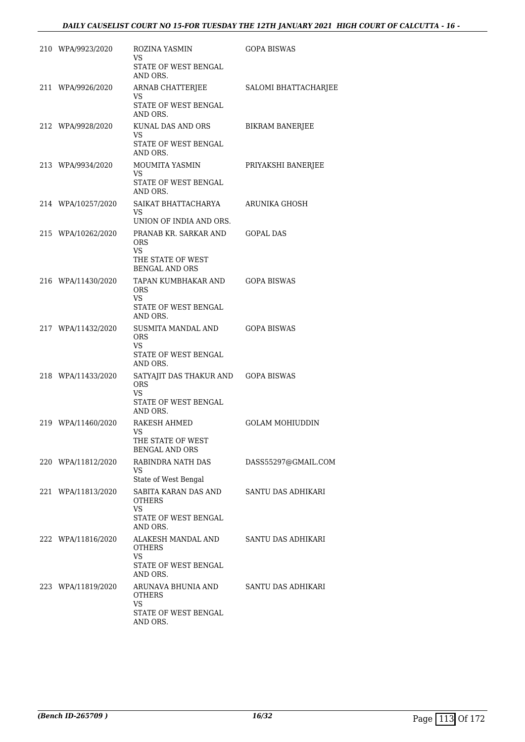| 210 WPA/9923/2020  | ROZINA YASMIN<br>VS<br>STATE OF WEST BENGAL             | GOPA BISWAS            |
|--------------------|---------------------------------------------------------|------------------------|
|                    | AND ORS.                                                |                        |
| 211 WPA/9926/2020  | ARNAB CHATTERJEE<br>VS                                  | SALOMI BHATTACHARJEE   |
|                    | STATE OF WEST BENGAL<br>AND ORS.                        |                        |
| 212 WPA/9928/2020  | KUNAL DAS AND ORS<br>VS.                                | <b>BIKRAM BANERJEE</b> |
|                    | STATE OF WEST BENGAL<br>AND ORS.                        |                        |
| 213 WPA/9934/2020  | MOUMITA YASMIN<br>VS                                    | PRIYAKSHI BANERJEE     |
|                    | STATE OF WEST BENGAL<br>AND ORS.                        |                        |
| 214 WPA/10257/2020 | SAIKAT BHATTACHARYA<br>VS.                              | ARUNIKA GHOSH          |
|                    | UNION OF INDIA AND ORS.                                 |                        |
| 215 WPA/10262/2020 | PRANAB KR. SARKAR AND<br><b>ORS</b><br>VS               | <b>GOPAL DAS</b>       |
|                    | THE STATE OF WEST<br><b>BENGAL AND ORS</b>              |                        |
| 216 WPA/11430/2020 | TAPAN KUMBHAKAR AND<br><b>ORS</b>                       | <b>GOPA BISWAS</b>     |
|                    | VS.<br>STATE OF WEST BENGAL<br>AND ORS.                 |                        |
| 217 WPA/11432/2020 | SUSMITA MANDAL AND<br><b>ORS</b>                        | <b>GOPA BISWAS</b>     |
|                    | VS<br>STATE OF WEST BENGAL<br>AND ORS.                  |                        |
| 218 WPA/11433/2020 | SATYAJIT DAS THAKUR AND GOPA BISWAS<br>ORS<br><b>VS</b> |                        |
|                    | STATE OF WEST BENGAL<br>AND ORS.                        |                        |
| 219 WPA/11460/2020 | RAKESH AHMED<br>VS                                      | <b>GOLAM MOHIUDDIN</b> |
|                    | THE STATE OF WEST<br><b>BENGAL AND ORS</b>              |                        |
| 220 WPA/11812/2020 | RABINDRA NATH DAS<br><b>VS</b>                          | DASS55297@GMAIL.COM    |
| 221 WPA/11813/2020 | State of West Bengal<br>SABITA KARAN DAS AND            | SANTU DAS ADHIKARI     |
|                    | <b>OTHERS</b><br>VS.<br>STATE OF WEST BENGAL            |                        |
| 222 WPA/11816/2020 | AND ORS.<br>ALAKESH MANDAL AND                          | SANTU DAS ADHIKARI     |
|                    | <b>OTHERS</b><br>VS<br>STATE OF WEST BENGAL             |                        |
| 223 WPA/11819/2020 | AND ORS.<br>ARUNAVA BHUNIA AND                          | SANTU DAS ADHIKARI     |
|                    | OTHERS<br>VS                                            |                        |
|                    | STATE OF WEST BENGAL<br>AND ORS.                        |                        |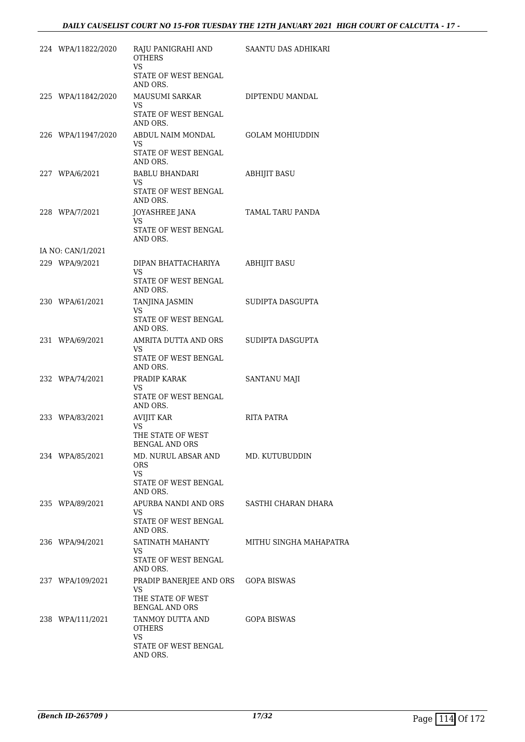| 224 WPA/11822/2020 | RAJU PANIGRAHI AND<br><b>OTHERS</b><br><b>VS</b> | SAANTU DAS ADHIKARI    |
|--------------------|--------------------------------------------------|------------------------|
|                    | STATE OF WEST BENGAL<br>AND ORS.                 |                        |
| 225 WPA/11842/2020 | MAUSUMI SARKAR<br>VS                             | DIPTENDU MANDAL        |
|                    | STATE OF WEST BENGAL<br>AND ORS.                 |                        |
| 226 WPA/11947/2020 | ABDUL NAIM MONDAL<br>VS.                         | <b>GOLAM MOHIUDDIN</b> |
|                    | STATE OF WEST BENGAL<br>AND ORS.                 |                        |
| 227 WPA/6/2021     | BABLU BHANDARI<br>VS.                            | ABHIJIT BASU           |
|                    | STATE OF WEST BENGAL<br>AND ORS.                 |                        |
| 228 WPA/7/2021     | JOYASHREE JANA<br>VS                             | TAMAL TARU PANDA       |
|                    | STATE OF WEST BENGAL<br>AND ORS.                 |                        |
| IA NO: CAN/1/2021  |                                                  |                        |
| 229 WPA/9/2021     | DIPAN BHATTACHARIYA<br>VS.                       | <b>ABHIJIT BASU</b>    |
|                    | STATE OF WEST BENGAL<br>AND ORS.                 |                        |
| 230 WPA/61/2021    | TANJINA JASMIN<br>VS.                            | SUDIPTA DASGUPTA       |
|                    | STATE OF WEST BENGAL<br>AND ORS.                 |                        |
| 231 WPA/69/2021    | AMRITA DUTTA AND ORS<br>VS                       | SUDIPTA DASGUPTA       |
|                    | STATE OF WEST BENGAL<br>AND ORS.                 |                        |
| 232 WPA/74/2021    | PRADIP KARAK<br>VS                               | SANTANU MAJI           |
|                    | STATE OF WEST BENGAL<br>AND ORS.                 |                        |
| 233 WPA/83/2021    | AVIJIT KAR<br>VS.                                | RITA PATRA             |
|                    | THE STATE OF WEST<br><b>BENGAL AND ORS</b>       |                        |
| 234 WPA/85/2021    | MD. NURUL ABSAR AND<br>ORS.<br><b>VS</b>         | MD. KUTUBUDDIN         |
|                    | STATE OF WEST BENGAL<br>AND ORS.                 |                        |
| 235 WPA/89/2021    | APURBA NANDI AND ORS<br>VS.                      | SASTHI CHARAN DHARA    |
|                    | STATE OF WEST BENGAL<br>AND ORS.                 |                        |
| 236 WPA/94/2021    | SATINATH MAHANTY<br>VS                           | MITHU SINGHA MAHAPATRA |
|                    | STATE OF WEST BENGAL<br>AND ORS.                 |                        |
| 237 WPA/109/2021   | PRADIP BANERJEE AND ORS<br>VS.                   | <b>GOPA BISWAS</b>     |
|                    | THE STATE OF WEST<br><b>BENGAL AND ORS</b>       |                        |
| 238 WPA/111/2021   | TANMOY DUTTA AND<br>OTHERS                       | <b>GOPA BISWAS</b>     |
|                    | <b>VS</b><br>STATE OF WEST BENGAL<br>AND ORS.    |                        |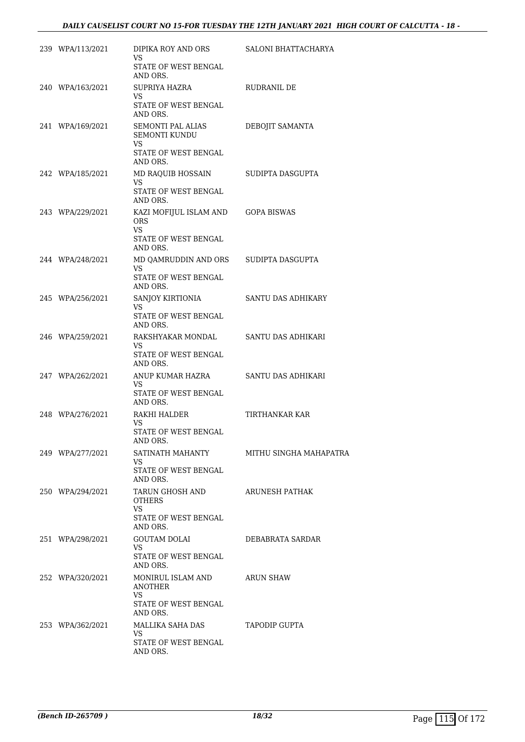| 239 WPA/113/2021 | DIPIKA ROY AND ORS<br>VS                         | SALONI BHATTACHARYA    |
|------------------|--------------------------------------------------|------------------------|
|                  | <b>STATE OF WEST BENGAL</b><br>AND ORS.          |                        |
| 240 WPA/163/2021 | SUPRIYA HAZRA<br>VS.                             | RUDRANIL DE            |
|                  | STATE OF WEST BENGAL<br>AND ORS.                 |                        |
| 241 WPA/169/2021 | SEMONTI PAL ALIAS<br><b>SEMONTI KUNDU</b><br>VS. | DEBOJIT SAMANTA        |
|                  | STATE OF WEST BENGAL<br>AND ORS.                 |                        |
| 242 WPA/185/2021 | MD RAQUIB HOSSAIN<br>VS                          | SUDIPTA DASGUPTA       |
|                  | STATE OF WEST BENGAL<br>AND ORS.                 |                        |
| 243 WPA/229/2021 | KAZI MOFIJUL ISLAM AND<br><b>ORS</b><br>VS.      | <b>GOPA BISWAS</b>     |
|                  | STATE OF WEST BENGAL<br>AND ORS.                 |                        |
| 244 WPA/248/2021 | MD QAMRUDDIN AND ORS<br>VS                       | SUDIPTA DASGUPTA       |
|                  | STATE OF WEST BENGAL<br>AND ORS.                 |                        |
| 245 WPA/256/2021 | SANJOY KIRTIONIA<br>VS.                          | SANTU DAS ADHIKARY     |
|                  | STATE OF WEST BENGAL<br>AND ORS.                 |                        |
| 246 WPA/259/2021 | RAKSHYAKAR MONDAL<br>VS.                         | SANTU DAS ADHIKARI     |
|                  | STATE OF WEST BENGAL<br>AND ORS.                 |                        |
| 247 WPA/262/2021 | ANUP KUMAR HAZRA<br>VS.                          | SANTU DAS ADHIKARI     |
|                  | STATE OF WEST BENGAL<br>AND ORS.                 |                        |
| 248 WPA/276/2021 | RAKHI HALDER<br>VS                               | TIRTHANKAR KAR         |
|                  | STATE OF WEST BENGAL<br>AND ORS.                 |                        |
| 249 WPA/277/2021 | SATINATH MAHANTY<br>VS.                          | MITHU SINGHA MAHAPATRA |
|                  | STATE OF WEST BENGAL<br>AND ORS.                 |                        |
| 250 WPA/294/2021 | TARUN GHOSH AND<br>OTHERS                        | ARUNESH PATHAK         |
|                  | VS.<br>STATE OF WEST BENGAL<br>AND ORS.          |                        |
| 251 WPA/298/2021 | <b>GOUTAM DOLAI</b><br>VS.                       | DEBABRATA SARDAR       |
|                  | STATE OF WEST BENGAL<br>AND ORS.                 |                        |
| 252 WPA/320/2021 | MONIRUL ISLAM AND<br><b>ANOTHER</b>              | ARUN SHAW              |
|                  | VS<br>STATE OF WEST BENGAL<br>AND ORS.           |                        |
| 253 WPA/362/2021 | MALLIKA SAHA DAS<br><b>VS</b>                    | TAPODIP GUPTA          |
|                  | STATE OF WEST BENGAL<br>AND ORS.                 |                        |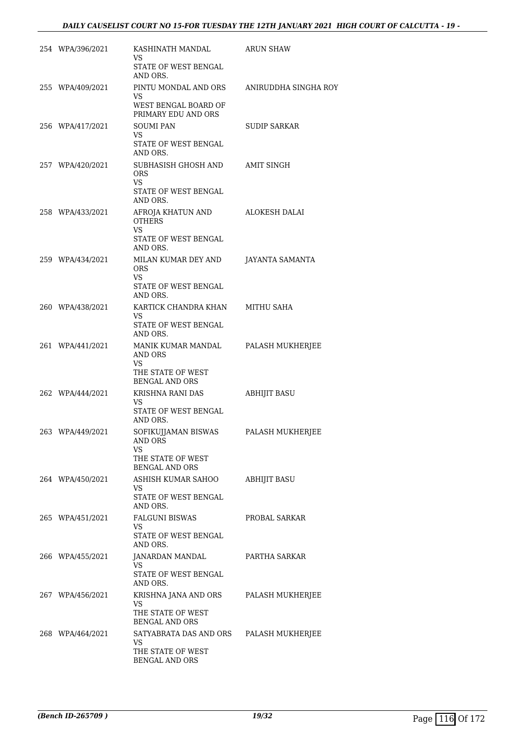| 254 WPA/396/2021 | KASHINATH MANDAL<br>VS<br>STATE OF WEST BENGAL<br>AND ORS.                               | ARUN SHAW            |
|------------------|------------------------------------------------------------------------------------------|----------------------|
| 255 WPA/409/2021 | PINTU MONDAL AND ORS<br>VS.<br>WEST BENGAL BOARD OF<br>PRIMARY EDU AND ORS               | ANIRUDDHA SINGHA ROY |
| 256 WPA/417/2021 | <b>SOUMI PAN</b><br>VS.<br>STATE OF WEST BENGAL<br>AND ORS.                              | <b>SUDIP SARKAR</b>  |
| 257 WPA/420/2021 | SUBHASISH GHOSH AND<br>ORS.<br>VS<br>STATE OF WEST BENGAL                                | AMIT SINGH           |
| 258 WPA/433/2021 | AND ORS.<br>AFROJA KHATUN AND<br><b>OTHERS</b><br>VS<br>STATE OF WEST BENGAL<br>AND ORS. | <b>ALOKESH DALAI</b> |
| 259 WPA/434/2021 | MILAN KUMAR DEY AND<br>ORS.<br><b>VS</b><br>STATE OF WEST BENGAL<br>AND ORS.             | JAYANTA SAMANTA      |
| 260 WPA/438/2021 | KARTICK CHANDRA KHAN<br>VS<br>STATE OF WEST BENGAL<br>AND ORS.                           | MITHU SAHA           |
| 261 WPA/441/2021 | MANIK KUMAR MANDAL<br>AND ORS<br>VS.<br>THE STATE OF WEST<br><b>BENGAL AND ORS</b>       | PALASH MUKHERJEE     |
| 262 WPA/444/2021 | KRISHNA RANI DAS<br>VS.<br>STATE OF WEST BENGAL<br>AND ORS.                              | <b>ABHIJIT BASU</b>  |
| 263 WPA/449/2021 | SOFIKUJJAMAN BISWAS<br>AND ORS<br>VS<br>THE STATE OF WEST<br><b>BENGAL AND ORS</b>       | PALASH MUKHERJEE     |
| 264 WPA/450/2021 | ASHISH KUMAR SAHOO<br>VS.<br>STATE OF WEST BENGAL<br>AND ORS.                            | <b>ABHIJIT BASU</b>  |
| 265 WPA/451/2021 | FALGUNI BISWAS<br>VS.<br>STATE OF WEST BENGAL<br>AND ORS.                                | PROBAL SARKAR        |
| 266 WPA/455/2021 | JANARDAN MANDAL<br>VS<br>STATE OF WEST BENGAL<br>AND ORS.                                | PARTHA SARKAR        |
| 267 WPA/456/2021 | KRISHNA JANA AND ORS<br>VS.<br>THE STATE OF WEST<br><b>BENGAL AND ORS</b>                | PALASH MUKHERJEE     |
| 268 WPA/464/2021 | SATYABRATA DAS AND ORS<br>VS.<br>THE STATE OF WEST<br><b>BENGAL AND ORS</b>              | PALASH MUKHERJEE     |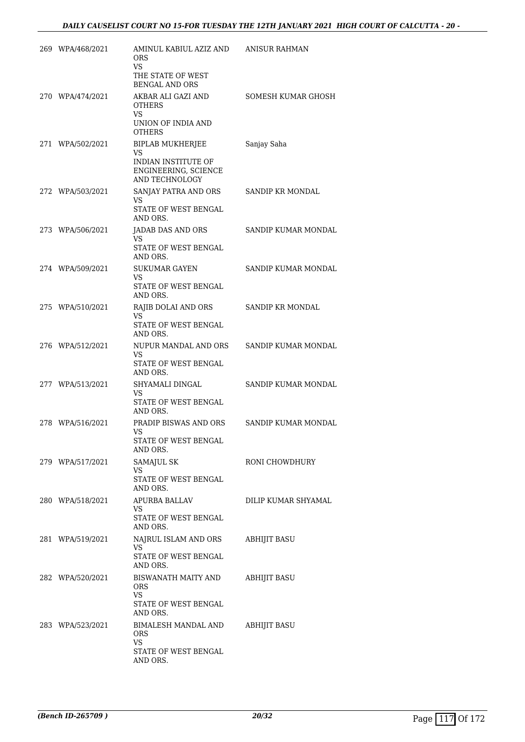| 269 WPA/468/2021 | AMINUL KABIUL AZIZ AND<br><b>ORS</b><br>VS                                                     | ANISUR RAHMAN           |
|------------------|------------------------------------------------------------------------------------------------|-------------------------|
|                  | THE STATE OF WEST<br><b>BENGAL AND ORS</b>                                                     |                         |
| 270 WPA/474/2021 | AKBAR ALI GAZI AND<br><b>OTHERS</b><br>VS<br>UNION OF INDIA AND<br><b>OTHERS</b>               | SOMESH KUMAR GHOSH      |
| 271 WPA/502/2021 | <b>BIPLAB MUKHERJEE</b><br>VS<br>INDIAN INSTITUTE OF<br>ENGINEERING, SCIENCE<br>AND TECHNOLOGY | Sanjay Saha             |
| 272 WPA/503/2021 | SANJAY PATRA AND ORS<br>VS<br>STATE OF WEST BENGAL<br>AND ORS.                                 | <b>SANDIP KR MONDAL</b> |
| 273 WPA/506/2021 | JADAB DAS AND ORS<br>VS<br>STATE OF WEST BENGAL<br>AND ORS.                                    | SANDIP KUMAR MONDAL     |
| 274 WPA/509/2021 | <b>SUKUMAR GAYEN</b><br><b>VS</b><br>STATE OF WEST BENGAL<br>AND ORS.                          | SANDIP KUMAR MONDAL     |
| 275 WPA/510/2021 | RAJIB DOLAI AND ORS<br>VS<br>STATE OF WEST BENGAL<br>AND ORS.                                  | <b>SANDIP KR MONDAL</b> |
| 276 WPA/512/2021 | NUPUR MANDAL AND ORS<br>VS<br>STATE OF WEST BENGAL<br>AND ORS.                                 | SANDIP KUMAR MONDAL     |
| 277 WPA/513/2021 | SHYAMALI DINGAL<br>VS<br>STATE OF WEST BENGAL<br>AND ORS.                                      | SANDIP KUMAR MONDAL     |
| 278 WPA/516/2021 | PRADIP BISWAS AND ORS<br>VS<br>STATE OF WEST BENGAL<br>AND ORS.                                | SANDIP KUMAR MONDAL     |
| 279 WPA/517/2021 | SAMAJUL SK<br>VS<br>STATE OF WEST BENGAL<br>AND ORS.                                           | RONI CHOWDHURY          |
| 280 WPA/518/2021 | APURBA BALLAV<br>VS.<br>STATE OF WEST BENGAL<br>AND ORS.                                       | DILIP KUMAR SHYAMAL     |
| 281 WPA/519/2021 | NAJRUL ISLAM AND ORS<br>VS<br>STATE OF WEST BENGAL<br>AND ORS.                                 | <b>ABHIJIT BASU</b>     |
| 282 WPA/520/2021 | BISWANATH MAITY AND<br><b>ORS</b><br>VS<br>STATE OF WEST BENGAL                                | <b>ABHIJIT BASU</b>     |
| 283 WPA/523/2021 | AND ORS.<br>BIMALESH MANDAL AND<br>ORS<br>VS<br>STATE OF WEST BENGAL<br>AND ORS.               | <b>ABHIJIT BASU</b>     |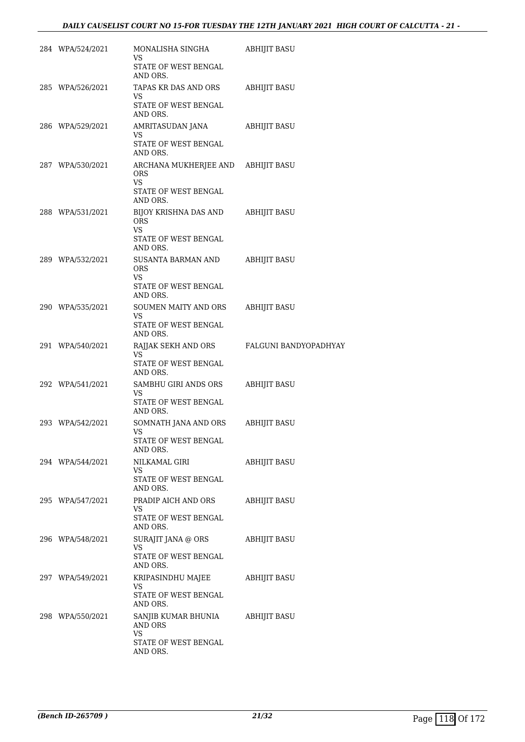| 284 WPA/524/2021 | MONALISHA SINGHA<br>VS.<br>STATE OF WEST BENGAL<br>AND ORS.                                | ABHIJIT BASU          |
|------------------|--------------------------------------------------------------------------------------------|-----------------------|
| 285 WPA/526/2021 | TAPAS KR DAS AND ORS<br>VS<br>STATE OF WEST BENGAL<br>AND ORS.                             | <b>ABHIJIT BASU</b>   |
| 286 WPA/529/2021 | AMRITASUDAN JANA<br>VS<br>STATE OF WEST BENGAL<br>AND ORS.                                 | ABHIJIT BASU          |
| 287 WPA/530/2021 | ARCHANA MUKHERJEE AND ABHIJIT BASU<br>ORS<br><b>VS</b><br>STATE OF WEST BENGAL<br>AND ORS. |                       |
| 288 WPA/531/2021 | BIJOY KRISHNA DAS AND<br><b>ORS</b><br>VS.<br>STATE OF WEST BENGAL<br>AND ORS.             | <b>ABHIJIT BASU</b>   |
| 289 WPA/532/2021 | SUSANTA BARMAN AND<br><b>ORS</b><br>VS<br>STATE OF WEST BENGAL<br>AND ORS.                 | ABHIJIT BASU          |
| 290 WPA/535/2021 | SOUMEN MAITY AND ORS<br>VS<br>STATE OF WEST BENGAL<br>AND ORS.                             | <b>ABHIJIT BASU</b>   |
| 291 WPA/540/2021 | RAJJAK SEKH AND ORS<br>VS<br>STATE OF WEST BENGAL<br>AND ORS.                              | FALGUNI BANDYOPADHYAY |
| 292 WPA/541/2021 | SAMBHU GIRI ANDS ORS<br>VS<br>STATE OF WEST BENGAL<br>AND ORS.                             | ABHIJIT BASU          |
| 293 WPA/542/2021 | SOMNATH JANA AND ORS<br>VS<br>STATE OF WEST BENGAL<br>AND ORS.                             | <b>ABHIJIT BASU</b>   |
| 294 WPA/544/2021 | NILKAMAL GIRI<br>VS<br>STATE OF WEST BENGAL<br>AND ORS.                                    | <b>ABHIJIT BASU</b>   |
| 295 WPA/547/2021 | PRADIP AICH AND ORS<br>VS<br>STATE OF WEST BENGAL<br>AND ORS.                              | <b>ABHIJIT BASU</b>   |
| 296 WPA/548/2021 | SURAJIT JANA @ ORS<br>VS<br>STATE OF WEST BENGAL<br>AND ORS.                               | ABHIJIT BASU          |
| 297 WPA/549/2021 | KRIPASINDHU MAJEE<br>VS<br>STATE OF WEST BENGAL<br>AND ORS.                                | ABHIJIT BASU          |
| 298 WPA/550/2021 | SANJIB KUMAR BHUNIA<br>AND ORS<br>VS.<br>STATE OF WEST BENGAL<br>AND ORS.                  | ABHIJIT BASU          |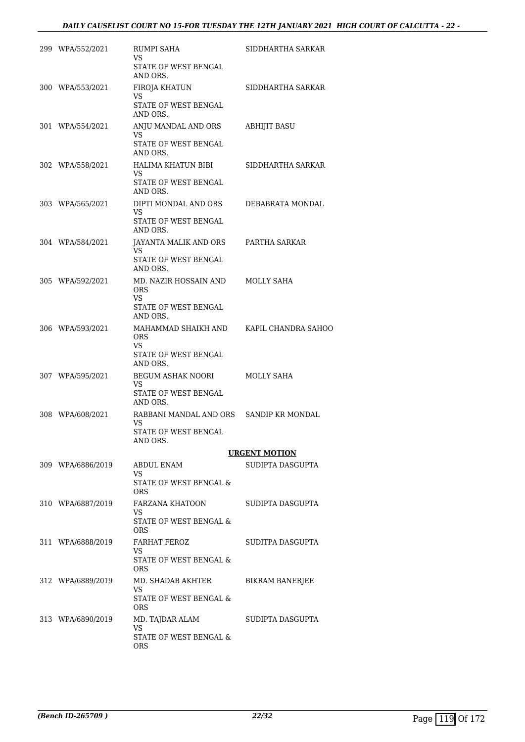| 299 WPA/552/2021  | RUMPI SAHA<br>VS.<br>STATE OF WEST BENGAL<br>AND ORS.                          | SIDDHARTHA SARKAR       |
|-------------------|--------------------------------------------------------------------------------|-------------------------|
| 300 WPA/553/2021  | FIROJA KHATUN<br>VS<br>STATE OF WEST BENGAL<br>AND ORS.                        | SIDDHARTHA SARKAR       |
| 301 WPA/554/2021  | ANJU MANDAL AND ORS<br>VS.<br>STATE OF WEST BENGAL<br>AND ORS.                 | <b>ABHIJIT BASU</b>     |
| 302 WPA/558/2021  | HALIMA KHATUN BIBI<br>VS.<br>STATE OF WEST BENGAL<br>AND ORS.                  | SIDDHARTHA SARKAR       |
| 303 WPA/565/2021  | DIPTI MONDAL AND ORS<br>VS<br>STATE OF WEST BENGAL<br>AND ORS.                 | DEBABRATA MONDAL        |
| 304 WPA/584/2021  | JAYANTA MALIK AND ORS<br>VS.<br>STATE OF WEST BENGAL<br>AND ORS.               | PARTHA SARKAR           |
| 305 WPA/592/2021  | MD. NAZIR HOSSAIN AND<br><b>ORS</b><br>VS.<br>STATE OF WEST BENGAL<br>AND ORS. | MOLLY SAHA              |
| 306 WPA/593/2021  | MAHAMMAD SHAIKH AND<br><b>ORS</b><br>VS<br>STATE OF WEST BENGAL<br>AND ORS.    | KAPIL CHANDRA SAHOO     |
| 307 WPA/595/2021  | BEGUM ASHAK NOORI<br>VS.<br>STATE OF WEST BENGAL<br>AND ORS.                   | MOLLY SAHA              |
| 308 WPA/608/2021  | RABBANI MANDAL AND ORS<br>VS<br>STATE OF WEST BENGAL<br>AND ORS.               | <b>SANDIP KR MONDAL</b> |
|                   |                                                                                | <b>URGENT MOTION</b>    |
| 309 WPA/6886/2019 | ABDUL ENAM<br>VS.<br>STATE OF WEST BENGAL &<br><b>ORS</b>                      | SUDIPTA DASGUPTA        |
| 310 WPA/6887/2019 | FARZANA KHATOON<br>VS.<br>STATE OF WEST BENGAL &<br><b>ORS</b>                 | SUDIPTA DASGUPTA        |
| 311 WPA/6888/2019 | FARHAT FEROZ<br>VS.<br>STATE OF WEST BENGAL &<br>ORS.                          | SUDITPA DASGUPTA        |
| 312 WPA/6889/2019 | MD. SHADAB AKHTER<br>VS<br>STATE OF WEST BENGAL &<br><b>ORS</b>                | BIKRAM BANERJEE         |
| 313 WPA/6890/2019 | MD. TAJDAR ALAM<br>VS<br>STATE OF WEST BENGAL &<br>ORS.                        | SUDIPTA DASGUPTA        |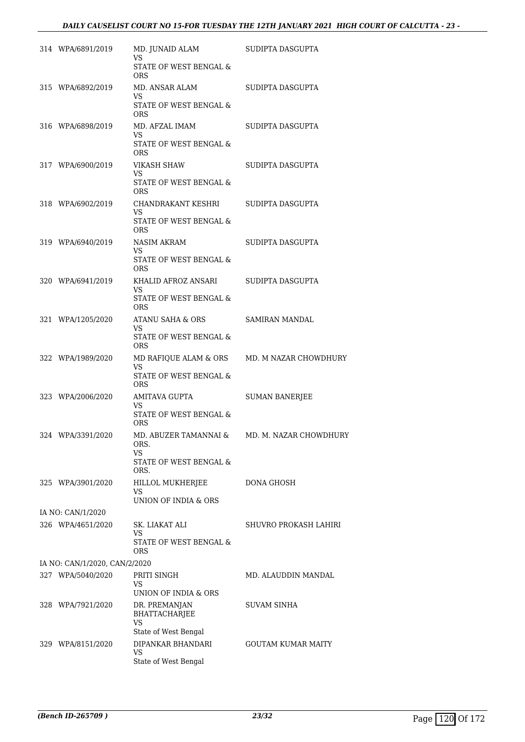| 314 WPA/6891/2019             | MD. JUNAID ALAM<br>VS                       | SUDIPTA DASGUPTA                             |
|-------------------------------|---------------------------------------------|----------------------------------------------|
|                               | STATE OF WEST BENGAL &<br><b>ORS</b>        |                                              |
| 315 WPA/6892/2019             | MD. ANSAR ALAM<br>VS.                       | SUDIPTA DASGUPTA                             |
|                               | STATE OF WEST BENGAL &<br><b>ORS</b>        |                                              |
| 316 WPA/6898/2019             | MD. AFZAL IMAM<br>VS.                       | SUDIPTA DASGUPTA                             |
|                               | STATE OF WEST BENGAL &<br><b>ORS</b>        |                                              |
| 317 WPA/6900/2019             | VIKASH SHAW<br>VS                           | SUDIPTA DASGUPTA                             |
|                               | STATE OF WEST BENGAL &<br><b>ORS</b>        |                                              |
| 318 WPA/6902/2019             | CHANDRAKANT KESHRI<br>VS.                   | SUDIPTA DASGUPTA                             |
|                               | STATE OF WEST BENGAL &<br><b>ORS</b>        |                                              |
| 319 WPA/6940/2019             | NASIM AKRAM<br>VS.                          | SUDIPTA DASGUPTA                             |
|                               | STATE OF WEST BENGAL &<br><b>ORS</b>        |                                              |
| 320 WPA/6941/2019             | KHALID AFROZ ANSARI<br>VS.                  | SUDIPTA DASGUPTA                             |
|                               | STATE OF WEST BENGAL &<br><b>ORS</b>        |                                              |
| 321 WPA/1205/2020             | ATANU SAHA & ORS<br><b>VS</b>               | SAMIRAN MANDAL                               |
|                               | STATE OF WEST BENGAL &<br>ORS               |                                              |
| 322 WPA/1989/2020             | MD RAFIQUE ALAM & ORS<br>VS.                | MD. M NAZAR CHOWDHURY                        |
|                               | STATE OF WEST BENGAL &<br>ORS               |                                              |
| 323 WPA/2006/2020             | AMITAVA GUPTA<br>VS                         | <b>SUMAN BANERJEE</b>                        |
|                               | STATE OF WEST BENGAL &<br>ORS               |                                              |
| 324 WPA/3391/2020             | ORS.<br>VS.                                 | MD. ABUZER TAMANNAI & MD. M. NAZAR CHOWDHURY |
|                               | STATE OF WEST BENGAL &<br>ORS.              |                                              |
| 325 WPA/3901/2020             | HILLOL MUKHERJEE<br>VS                      | DONA GHOSH                                   |
| IA NO: CAN/1/2020             | UNION OF INDIA & ORS                        |                                              |
| 326 WPA/4651/2020             | SK. LIAKAT ALI                              | SHUVRO PROKASH LAHIRI                        |
|                               | VS.<br>STATE OF WEST BENGAL &<br>ORS        |                                              |
| IA NO: CAN/1/2020, CAN/2/2020 |                                             |                                              |
| 327 WPA/5040/2020             | PRITI SINGH                                 | MD. ALAUDDIN MANDAL                          |
|                               | VS<br>UNION OF INDIA & ORS                  |                                              |
| 328 WPA/7921/2020             | DR. PREMANJAN<br>BHATTACHARJEE<br><b>VS</b> | SUVAM SINHA                                  |
|                               | State of West Bengal                        |                                              |
| 329 WPA/8151/2020             | DIPANKAR BHANDARI                           | <b>GOUTAM KUMAR MAITY</b>                    |
|                               | <b>VS</b><br>State of West Bengal           |                                              |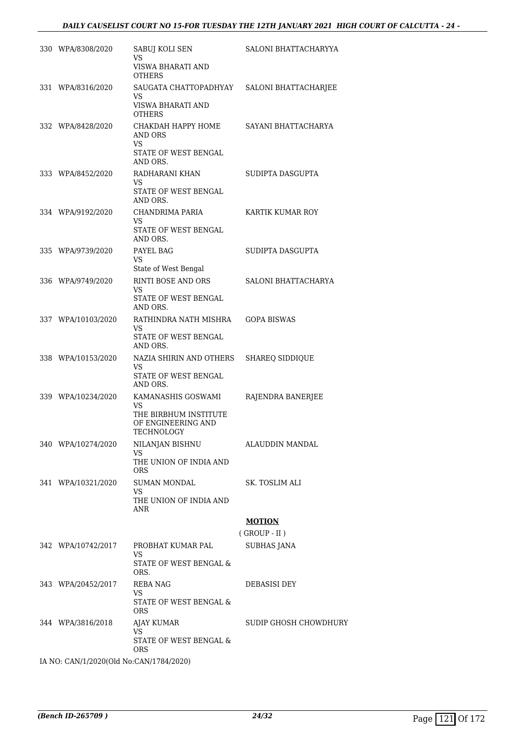| 330 WPA/8308/2020  | SABUJ KOLI SEN<br>VS                                      | SALONI BHATTACHARYYA   |
|--------------------|-----------------------------------------------------------|------------------------|
|                    | VISWA BHARATI AND<br><b>OTHERS</b>                        |                        |
| 331 WPA/8316/2020  | SAUGATA CHATTOPADHYAY<br><b>VS</b>                        | SALONI BHATTACHARJEE   |
|                    | VISWA BHARATI AND<br><b>OTHERS</b>                        |                        |
| 332 WPA/8428/2020  | СНАКДАН НАРРҮ НОМЕ<br>AND ORS<br><b>VS</b>                | SAYANI BHATTACHARYA    |
|                    | STATE OF WEST BENGAL<br>AND ORS.                          |                        |
| 333 WPA/8452/2020  | RADHARANI KHAN<br><b>VS</b>                               | SUDIPTA DASGUPTA       |
|                    | STATE OF WEST BENGAL<br>AND ORS.                          |                        |
| 334 WPA/9192/2020  | CHANDRIMA PARIA<br><b>VS</b>                              | KARTIK KUMAR ROY       |
|                    | STATE OF WEST BENGAL<br>AND ORS.                          |                        |
| 335 WPA/9739/2020  | PAYEL BAG<br><b>VS</b>                                    | SUDIPTA DASGUPTA       |
|                    | State of West Bengal                                      |                        |
| 336 WPA/9749/2020  | RINTI BOSE AND ORS<br>VS                                  | SALONI BHATTACHARYA    |
|                    | STATE OF WEST BENGAL<br>AND ORS.                          |                        |
| 337 WPA/10103/2020 | RATHINDRA NATH MISHRA<br><b>VS</b>                        | <b>GOPA BISWAS</b>     |
|                    | STATE OF WEST BENGAL<br>AND ORS.                          |                        |
| 338 WPA/10153/2020 | NAZIA SHIRIN AND OTHERS<br><b>VS</b>                      | <b>SHAREQ SIDDIQUE</b> |
|                    | STATE OF WEST BENGAL<br>AND ORS.                          |                        |
| 339 WPA/10234/2020 | KAMANASHIS GOSWAMI<br>VS                                  | RAJENDRA BANERJEE      |
|                    | THE BIRBHUM INSTITUTE<br>OF ENGINEERING AND<br>TECHNOLOGY |                        |
| 340 WPA/10274/2020 | NILANJAN BISHNU                                           | ALAUDDIN MANDAL        |
|                    | VS<br>THE UNION OF INDIA AND<br><b>ORS</b>                |                        |
| 341 WPA/10321/2020 | SUMAN MONDAL<br><b>VS</b>                                 | SK. TOSLIM ALI         |
|                    | THE UNION OF INDIA AND<br>ANR                             |                        |
|                    |                                                           | <b>MOTION</b>          |
|                    |                                                           | $($ GROUP - II $)$     |
| 342 WPA/10742/2017 | PROBHAT KUMAR PAL<br><b>VS</b>                            | SUBHAS JANA            |
|                    | STATE OF WEST BENGAL &<br>ORS.                            |                        |
| 343 WPA/20452/2017 | REBA NAG<br>VS                                            | DEBASISI DEY           |
|                    | STATE OF WEST BENGAL &<br>ORS.                            |                        |
| 344 WPA/3816/2018  | AJAY KUMAR<br>VS                                          | SUDIP GHOSH CHOWDHURY  |
|                    | STATE OF WEST BENGAL &<br>ORS.                            |                        |

IA NO: CAN/1/2020(Old No:CAN/1784/2020)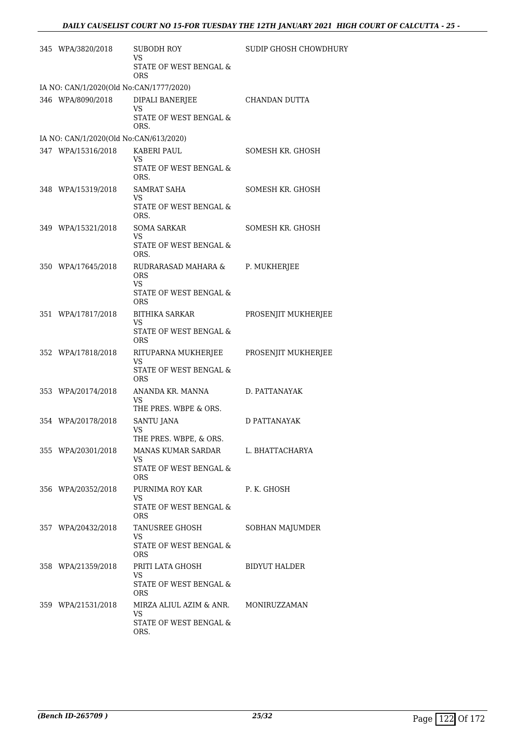| 345 WPA/3820/2018                       | SUBODH ROY<br>VS.<br>STATE OF WEST BENGAL &<br><b>ORS</b>                        | SUDIP GHOSH CHOWDHURY |
|-----------------------------------------|----------------------------------------------------------------------------------|-----------------------|
| IA NO: CAN/1/2020(Old No:CAN/1777/2020) |                                                                                  |                       |
| 346 WPA/8090/2018                       | DIPALI BANERJEE                                                                  | CHANDAN DUTTA         |
|                                         | <b>VS</b><br>STATE OF WEST BENGAL $\&$<br>ORS.                                   |                       |
| IA NO: CAN/1/2020(Old No:CAN/613/2020)  |                                                                                  |                       |
| 347 WPA/15316/2018                      | KABERI PAUL<br>VS<br>STATE OF WEST BENGAL &<br>ORS.                              | SOMESH KR. GHOSH      |
| 348 WPA/15319/2018                      | SAMRAT SAHA<br>VS<br>STATE OF WEST BENGAL &<br>ORS.                              | SOMESH KR. GHOSH      |
| 349 WPA/15321/2018                      | SOMA SARKAR<br><b>VS</b><br>STATE OF WEST BENGAL &<br>ORS.                       | SOMESH KR. GHOSH      |
| 350 WPA/17645/2018                      | RUDRARASAD MAHARA &<br><b>ORS</b><br>VS.<br>STATE OF WEST BENGAL &<br><b>ORS</b> | P. MUKHERJEE          |
| 351 WPA/17817/2018                      | BITHIKA SARKAR<br>VS<br>STATE OF WEST BENGAL &<br><b>ORS</b>                     | PROSENJIT MUKHERJEE   |
| 352 WPA/17818/2018                      | RITUPARNA MUKHERJEE<br>VS<br>STATE OF WEST BENGAL &<br><b>ORS</b>                | PROSENJIT MUKHERJEE   |
| 353 WPA/20174/2018                      | ANANDA KR. MANNA<br>VS<br>THE PRES. WBPE & ORS.                                  | D. PATTANAYAK         |
| 354 WPA/20178/2018                      | SANTU JANA<br>VS<br>THE PRES. WBPE, & ORS.                                       | D PATTANAYAK          |
| 355 WPA/20301/2018                      | MANAS KUMAR SARDAR<br>VS<br>STATE OF WEST BENGAL &<br><b>ORS</b>                 | L. BHATTACHARYA       |
| 356 WPA/20352/2018                      | PURNIMA ROY KAR<br>VS.<br>STATE OF WEST BENGAL &<br><b>ORS</b>                   | P. K. GHOSH           |
| 357 WPA/20432/2018                      | TANUSREE GHOSH<br>VS<br>STATE OF WEST BENGAL &<br>ORS.                           | SOBHAN MAJUMDER       |
| 358 WPA/21359/2018                      | PRITI LATA GHOSH<br>VS<br>STATE OF WEST BENGAL $\&$<br><b>ORS</b>                | BIDYUT HALDER         |
| 359 WPA/21531/2018                      | MIRZA ALIUL AZIM & ANR.<br>VS.<br>STATE OF WEST BENGAL &<br>ORS.                 | MONIRUZZAMAN          |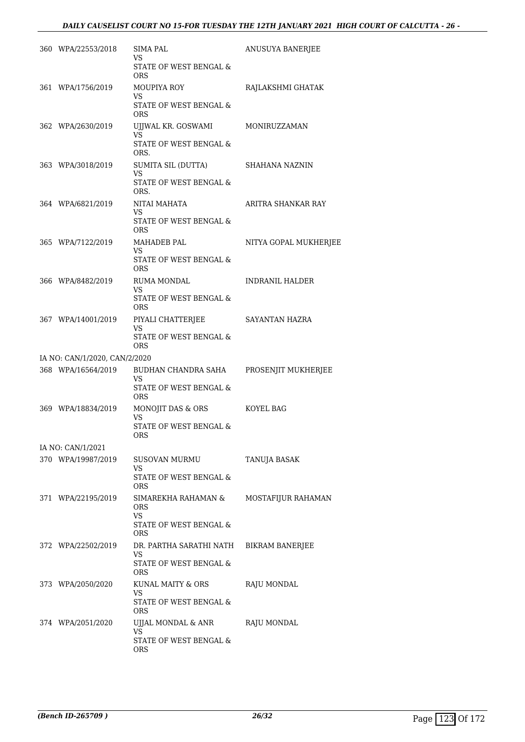| 360 WPA/22553/2018            | <b>SIMA PAL</b><br>VS                      | ANUSUYA BANERJEE       |
|-------------------------------|--------------------------------------------|------------------------|
|                               | STATE OF WEST BENGAL &<br><b>ORS</b>       |                        |
| 361 WPA/1756/2019             | MOUPIYA ROY<br><b>VS</b>                   | RAJLAKSHMI GHATAK      |
|                               | <b>STATE OF WEST BENGAL &amp;</b><br>ORS   |                        |
| 362 WPA/2630/2019             | UJJWAL KR. GOSWAMI<br>VS.                  | MONIRUZZAMAN           |
|                               | STATE OF WEST BENGAL &<br>ORS.             |                        |
| 363 WPA/3018/2019             | SUMITA SIL (DUTTA)                         | SHAHANA NAZNIN         |
|                               | VS<br>STATE OF WEST BENGAL &<br>ORS.       |                        |
| 364 WPA/6821/2019             | NITAI MAHATA                               | ARITRA SHANKAR RAY     |
|                               | VS<br>STATE OF WEST BENGAL &<br><b>ORS</b> |                        |
| 365 WPA/7122/2019             | <b>MAHADEB PAL</b>                         | NITYA GOPAL MUKHERJEE  |
|                               | VS<br>STATE OF WEST BENGAL &<br><b>ORS</b> |                        |
| 366 WPA/8482/2019             | RUMA MONDAL<br>VS                          | <b>INDRANIL HALDER</b> |
|                               | STATE OF WEST BENGAL &<br><b>ORS</b>       |                        |
| 367 WPA/14001/2019            | PIYALI CHATTERJEE<br><b>VS</b>             | SAYANTAN HAZRA         |
|                               | STATE OF WEST BENGAL &<br><b>ORS</b>       |                        |
| IA NO: CAN/1/2020, CAN/2/2020 |                                            |                        |
|                               |                                            |                        |
| 368 WPA/16564/2019            | BUDHAN CHANDRA SAHA<br>VS                  | PROSENJIT MUKHERJEE    |
|                               | STATE OF WEST BENGAL &<br>ORS.             |                        |
| 369 WPA/18834/2019            | MONOJIT DAS & ORS<br>VS                    | KOYEL BAG              |
|                               | STATE OF WEST BENGAL &<br>ORS              |                        |
| IA NO: CAN/1/2021             |                                            |                        |
| 370 WPA/19987/2019            | SUSOVAN MURMU<br>VS                        | TANUJA BASAK           |
|                               | STATE OF WEST BENGAL &<br>ORS              |                        |
| 371 WPA/22195/2019            | SIMAREKHA RAHAMAN &<br>ORS                 | MOSTAFIJUR RAHAMAN     |
|                               | <b>VS</b><br>STATE OF WEST BENGAL &<br>ORS |                        |
| 372 WPA/22502/2019            | DR. PARTHA SARATHI NATH                    | <b>BIKRAM BANERJEE</b> |
|                               | VS<br>STATE OF WEST BENGAL &<br>ORS        |                        |
| 373 WPA/2050/2020             | KUNAL MAITY & ORS                          | RAJU MONDAL            |
|                               | VS.<br>STATE OF WEST BENGAL &<br>ORS       |                        |
| 374 WPA/2051/2020             | UJJAL MONDAL & ANR<br>VS                   | RAJU MONDAL            |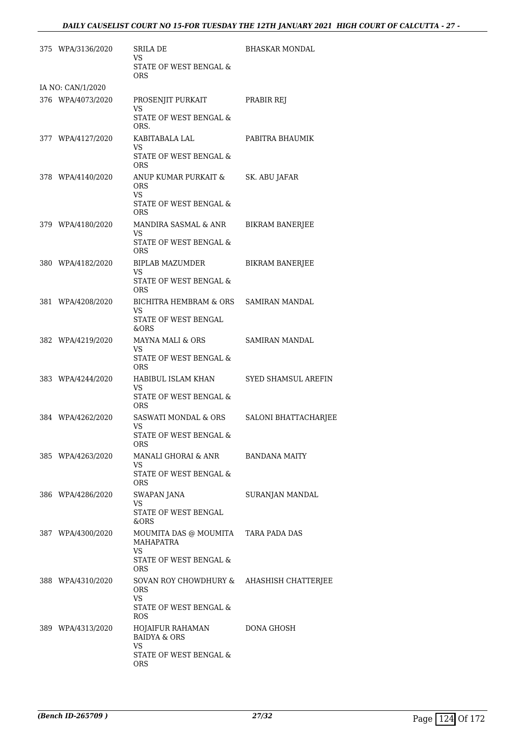|                   | 375 WPA/3136/2020 | SRILA DE<br>VS.                                         | BHASKAR MONDAL         |  |  |
|-------------------|-------------------|---------------------------------------------------------|------------------------|--|--|
|                   |                   | STATE OF WEST BENGAL &<br><b>ORS</b>                    |                        |  |  |
| IA NO: CAN/1/2020 |                   |                                                         |                        |  |  |
|                   | 376 WPA/4073/2020 | PROSENJIT PURKAIT<br>VS                                 | PRABIR REJ             |  |  |
|                   |                   | STATE OF WEST BENGAL &<br>ORS.                          |                        |  |  |
|                   | 377 WPA/4127/2020 | KABITABALA LAL<br>VS.                                   | PABITRA BHAUMIK        |  |  |
|                   |                   | STATE OF WEST BENGAL &<br>ORS.                          |                        |  |  |
|                   | 378 WPA/4140/2020 | ANUP KUMAR PURKAIT &<br>ORS.<br>VS.                     | SK. ABU JAFAR          |  |  |
|                   |                   | STATE OF WEST BENGAL &<br>ORS.                          |                        |  |  |
|                   | 379 WPA/4180/2020 | MANDIRA SASMAL & ANR                                    | BIKRAM BANERJEE        |  |  |
|                   |                   | VS<br>STATE OF WEST BENGAL &<br>ORS.                    |                        |  |  |
|                   | 380 WPA/4182/2020 | BIPLAB MAZUMDER<br>VS.                                  | <b>BIKRAM BANERJEE</b> |  |  |
|                   |                   | STATE OF WEST BENGAL &<br><b>ORS</b>                    |                        |  |  |
|                   | 381 WPA/4208/2020 | BICHITRA HEMBRAM & ORS SAMIRAN MANDAL<br>VS             |                        |  |  |
|                   |                   | STATE OF WEST BENGAL<br>&ORS                            |                        |  |  |
|                   | 382 WPA/4219/2020 | MAYNA MALI & ORS<br><b>VS</b>                           | <b>SAMIRAN MANDAL</b>  |  |  |
|                   |                   | STATE OF WEST BENGAL &<br>ORS.                          |                        |  |  |
|                   | 383 WPA/4244/2020 | HABIBUL ISLAM KHAN<br>VS                                | SYED SHAMSUL AREFIN    |  |  |
|                   |                   | STATE OF WEST BENGAL &<br>ORS.                          |                        |  |  |
|                   | 384 WPA/4262/2020 | SASWATI MONDAL & ORS<br>VS                              | SALONI BHATTACHARJEE   |  |  |
|                   |                   | STATE OF WEST BENGAL &<br><b>ORS</b>                    |                        |  |  |
|                   | 385 WPA/4263/2020 | MANALI GHORAI & ANR<br>VS                               | <b>BANDANA MAITY</b>   |  |  |
|                   |                   | STATE OF WEST BENGAL &<br><b>ORS</b>                    |                        |  |  |
|                   | 386 WPA/4286/2020 | SWAPAN JANA<br>VS                                       | SURANJAN MANDAL        |  |  |
|                   |                   | STATE OF WEST BENGAL<br>&ORS                            |                        |  |  |
|                   | 387 WPA/4300/2020 | MOUMITA DAS @ MOUMITA TARA PADA DAS<br>MAHAPATRA<br>VS. |                        |  |  |
|                   |                   | STATE OF WEST BENGAL &<br>ORS.                          |                        |  |  |
|                   | 388 WPA/4310/2020 | SOVAN ROY CHOWDHURY & AHASHISH CHATTERJEE<br>ORS.<br>VS |                        |  |  |
|                   |                   | STATE OF WEST BENGAL &<br>ROS                           |                        |  |  |
|                   | 389 WPA/4313/2020 | HOJAIFUR RAHAMAN<br><b>BAIDYA &amp; ORS</b>             | DONA GHOSH             |  |  |
|                   |                   | VS<br>STATE OF WEST BENGAL &<br>ORS                     |                        |  |  |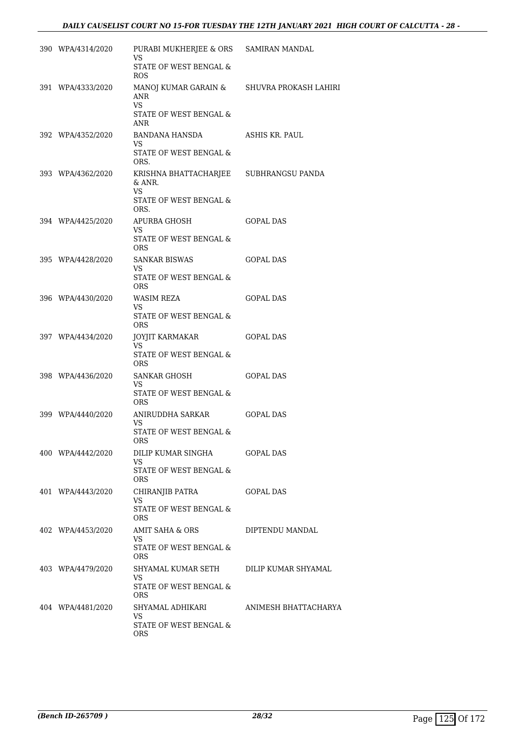| 390 WPA/4314/2020 | PURABI MUKHERJEE & ORS SAMIRAN MANDAL<br><b>VS</b>       |                      |
|-------------------|----------------------------------------------------------|----------------------|
|                   | STATE OF WEST BENGAL &<br><b>ROS</b>                     |                      |
| 391 WPA/4333/2020 | MANOJ KUMAR GARAIN & SHUVRA PROKASH LAHIRI<br>ANR<br>VS. |                      |
|                   | STATE OF WEST BENGAL &<br>ANR                            |                      |
| 392 WPA/4352/2020 | BANDANA HANSDA<br>VS.<br>STATE OF WEST BENGAL &          | ASHIS KR. PAUL       |
|                   | ORS.                                                     |                      |
| 393 WPA/4362/2020 | KRISHNA BHATTACHARJEE SUBHRANGSU PANDA<br>& ANR.<br>VS.  |                      |
|                   | STATE OF WEST BENGAL $\&$<br>ORS.                        |                      |
| 394 WPA/4425/2020 | APURBA GHOSH<br>VS.                                      | <b>GOPAL DAS</b>     |
|                   | STATE OF WEST BENGAL &<br><b>ORS</b>                     |                      |
| 395 WPA/4428/2020 | <b>SANKAR BISWAS</b><br>VS.                              | <b>GOPAL DAS</b>     |
|                   | STATE OF WEST BENGAL &<br><b>ORS</b>                     |                      |
| 396 WPA/4430/2020 | WASIM REZA<br>VS.                                        | <b>GOPAL DAS</b>     |
|                   | STATE OF WEST BENGAL &<br>ORS.                           |                      |
| 397 WPA/4434/2020 | JOYJIT KARMAKAR<br>VS.                                   | GOPAL DAS            |
|                   | STATE OF WEST BENGAL &<br><b>ORS</b>                     |                      |
| 398 WPA/4436/2020 | SANKAR GHOSH<br>VS.                                      | <b>GOPAL DAS</b>     |
|                   | STATE OF WEST BENGAL &<br><b>ORS</b>                     |                      |
| 399 WPA/4440/2020 | ANIRUDDHA SARKAR<br>VS                                   | <b>GOPAL DAS</b>     |
|                   | STATE OF WEST BENGAL &<br>ORS                            |                      |
| 400 WPA/4442/2020 | DILIP KUMAR SINGHA<br>VS                                 | GOPAL DAS            |
|                   | STATE OF WEST BENGAL &<br><b>ORS</b>                     |                      |
| 401 WPA/4443/2020 | CHIRANJIB PATRA<br>VS.                                   | <b>GOPAL DAS</b>     |
|                   | STATE OF WEST BENGAL &<br>ORS                            |                      |
| 402 WPA/4453/2020 | AMIT SAHA & ORS<br>VS.                                   | DIPTENDU MANDAL      |
|                   | STATE OF WEST BENGAL &<br><b>ORS</b>                     |                      |
| 403 WPA/4479/2020 | SHYAMAL KUMAR SETH<br>VS                                 | DILIP KUMAR SHYAMAL  |
|                   | STATE OF WEST BENGAL &<br><b>ORS</b>                     |                      |
| 404 WPA/4481/2020 | SHYAMAL ADHIKARI<br>VS                                   | ANIMESH BHATTACHARYA |
|                   | STATE OF WEST BENGAL &<br><b>ORS</b>                     |                      |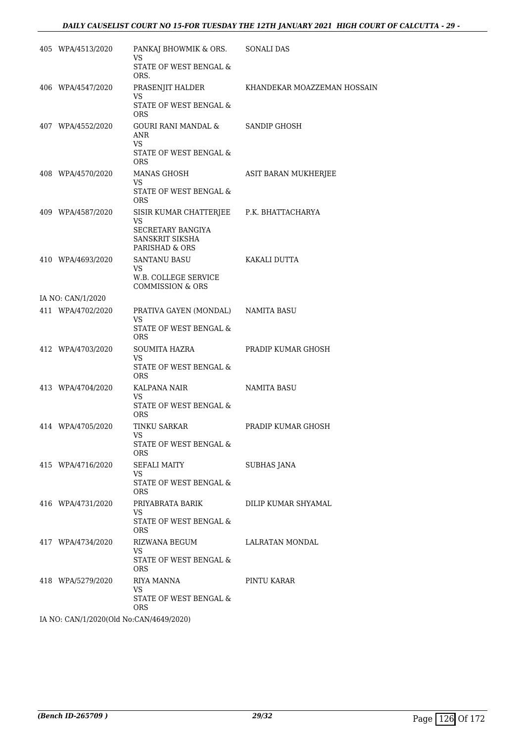| 405 WPA/4513/2020 | PANKAJ BHOWMIK & ORS.<br><b>VS</b>                               | SONALI DAS                  |
|-------------------|------------------------------------------------------------------|-----------------------------|
|                   | STATE OF WEST BENGAL &<br>ORS.                                   |                             |
| 406 WPA/4547/2020 | PRASENJIT HALDER<br>VS                                           | KHANDEKAR MOAZZEMAN HOSSAIN |
|                   | STATE OF WEST BENGAL $\&$<br><b>ORS</b>                          |                             |
| 407 WPA/4552/2020 | GOURI RANI MANDAL &<br>ANR<br>VS<br>STATE OF WEST BENGAL &       | SANDIP GHOSH                |
|                   | <b>ORS</b>                                                       |                             |
| 408 WPA/4570/2020 | <b>MANAS GHOSH</b><br><b>VS</b>                                  | ASIT BARAN MUKHERJEE        |
|                   | STATE OF WEST BENGAL &<br><b>ORS</b>                             |                             |
| 409 WPA/4587/2020 | SISIR KUMAR CHATTERJEE P.K. BHATTACHARYA<br><b>VS</b>            |                             |
|                   | SECRETARY BANGIYA<br>SANSKRIT SIKSHA<br>PARISHAD & ORS           |                             |
| 410 WPA/4693/2020 | <b>SANTANU BASU</b>                                              | KAKALI DUTTA                |
|                   | <b>VS</b><br>W.B. COLLEGE SERVICE<br><b>COMMISSION &amp; ORS</b> |                             |
| IA NO: CAN/1/2020 |                                                                  |                             |
| 411 WPA/4702/2020 | PRATIVA GAYEN (MONDAL) NAMITA BASU<br><b>VS</b>                  |                             |
|                   | STATE OF WEST BENGAL &<br><b>ORS</b>                             |                             |
| 412 WPA/4703/2020 | SOUMITA HAZRA<br>VS                                              | PRADIP KUMAR GHOSH          |
|                   | STATE OF WEST BENGAL &<br><b>ORS</b>                             |                             |
| 413 WPA/4704/2020 | KALPANA NAIR<br><b>VS</b>                                        | NAMITA BASU                 |
|                   | STATE OF WEST BENGAL &<br>ORS.                                   |                             |
| 414 WPA/4705/2020 | TINKU SARKAR<br>VS                                               | PRADIP KUMAR GHOSH          |
|                   | STATE OF WEST BENGAL &<br>ORS.                                   |                             |
| 415 WPA/4716/2020 | SEFALI MAITY<br>VS                                               | <b>SUBHAS JANA</b>          |
|                   | STATE OF WEST BENGAL &<br>ORS.                                   |                             |
| 416 WPA/4731/2020 | PRIYABRATA BARIK<br>VS.                                          | DILIP KUMAR SHYAMAL         |
|                   | STATE OF WEST BENGAL &<br>ORS.                                   |                             |
| 417 WPA/4734/2020 | RIZWANA BEGUM<br>VS                                              | LALRATAN MONDAL             |
|                   | STATE OF WEST BENGAL &<br>ORS.                                   |                             |
| 418 WPA/5279/2020 | RIYA MANNA                                                       | PINTU KARAR                 |
|                   | VS<br>STATE OF WEST BENGAL &<br><b>ORS</b>                       |                             |
|                   | IA NO: CAN/1/2020(Old No:CAN/4649/2020)                          |                             |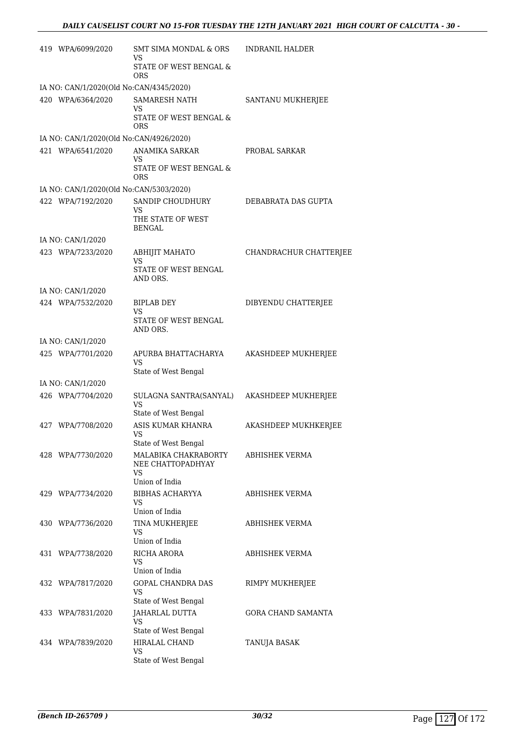| 419 WPA/6099/2020                       | SMT SIMA MONDAL & ORS<br>VS                                 | <b>INDRANIL HALDER</b>    |  |  |
|-----------------------------------------|-------------------------------------------------------------|---------------------------|--|--|
|                                         | STATE OF WEST BENGAL &<br>ORS                               |                           |  |  |
| IA NO: CAN/1/2020(Old No:CAN/4345/2020) |                                                             |                           |  |  |
| 420 WPA/6364/2020                       | <b>SAMARESH NATH</b>                                        | SANTANU MUKHERJEE         |  |  |
|                                         | VS<br>STATE OF WEST BENGAL &<br>ORS                         |                           |  |  |
| IA NO: CAN/1/2020(Old No:CAN/4926/2020) |                                                             |                           |  |  |
| 421 WPA/6541/2020                       | ANAMIKA SARKAR                                              | PROBAL SARKAR             |  |  |
|                                         | <b>VS</b><br>STATE OF WEST BENGAL &<br>ORS                  |                           |  |  |
| IA NO: CAN/1/2020(Old No:CAN/5303/2020) |                                                             |                           |  |  |
| 422 WPA/7192/2020                       | SANDIP CHOUDHURY                                            | DEBABRATA DAS GUPTA       |  |  |
|                                         | VS<br>THE STATE OF WEST<br><b>BENGAL</b>                    |                           |  |  |
| IA NO: CAN/1/2020                       |                                                             |                           |  |  |
| 423 WPA/7233/2020                       | <b>ABHIJIT MAHATO</b><br>VS                                 | CHANDRACHUR CHATTERJEE    |  |  |
|                                         | STATE OF WEST BENGAL<br>AND ORS.                            |                           |  |  |
| IA NO: CAN/1/2020                       |                                                             |                           |  |  |
| 424 WPA/7532/2020                       | BIPLAB DEY<br>VS                                            | DIBYENDU CHATTERJEE       |  |  |
|                                         | STATE OF WEST BENGAL<br>AND ORS.                            |                           |  |  |
| IA NO: CAN/1/2020                       |                                                             |                           |  |  |
| 425 WPA/7701/2020                       | APURBA BHATTACHARYA<br>VS                                   | AKASHDEEP MUKHERJEE       |  |  |
|                                         | State of West Bengal                                        |                           |  |  |
| IA NO: CAN/1/2020                       |                                                             |                           |  |  |
| 426 WPA/7704/2020                       | SULAGNA SANTRA(SANYAL)<br><b>VS</b><br>State of West Bengal | AKASHDEEP MUKHERJEE       |  |  |
| 427 WPA/7708/2020                       | ASIS KUMAR KHANRA                                           | AKASHDEEP MUKHKERJEE      |  |  |
|                                         | VS<br>State of West Bengal                                  |                           |  |  |
| 428 WPA/7730/2020                       | MALABIKA CHAKRABORTY                                        | ABHISHEK VERMA            |  |  |
|                                         | NEE CHATTOPADHYAY<br>VS                                     |                           |  |  |
|                                         | Union of India                                              |                           |  |  |
| 429 WPA/7734/2020                       | BIBHAS ACHARYYA<br>VS<br>Union of India                     | ABHISHEK VERMA            |  |  |
| 430 WPA/7736/2020                       |                                                             | ABHISHEK VERMA            |  |  |
|                                         | TINA MUKHERJEE<br>VS<br>Union of India                      |                           |  |  |
| 431 WPA/7738/2020                       | RICHA ARORA                                                 | ABHISHEK VERMA            |  |  |
|                                         | VS                                                          |                           |  |  |
|                                         | Union of India                                              |                           |  |  |
| 432 WPA/7817/2020                       | GOPAL CHANDRA DAS<br>VS                                     | RIMPY MUKHERJEE           |  |  |
|                                         | State of West Bengal                                        |                           |  |  |
| 433 WPA/7831/2020                       | JAHARLAL DUTTA<br>VS                                        | <b>GORA CHAND SAMANTA</b> |  |  |
|                                         | State of West Bengal                                        |                           |  |  |
| 434 WPA/7839/2020                       | HIRALAL CHAND<br>VS                                         | TANUJA BASAK              |  |  |
|                                         | State of West Bengal                                        |                           |  |  |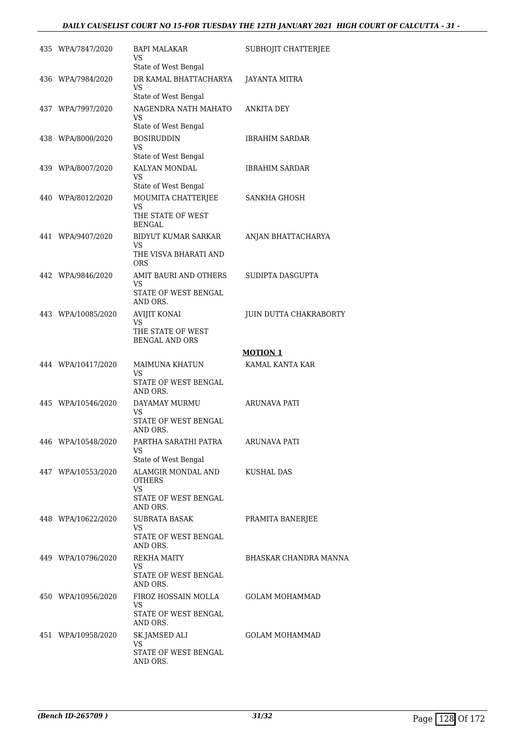# *DAILY CAUSELIST COURT NO 15-FOR TUESDAY THE 12TH JANUARY 2021 HIGH COURT OF CALCUTTA - 31 -*

| 435 WPA/7847/2020  | BAPI MALAKAR<br>VS                                                                  | SUBHOJIT CHATTERJEE    |
|--------------------|-------------------------------------------------------------------------------------|------------------------|
| 436 WPA/7984/2020  | State of West Bengal<br>DR KAMAL BHATTACHARYA<br><b>VS</b>                          | JAYANTA MITRA          |
| 437 WPA/7997/2020  | State of West Bengal<br>NAGENDRA NATH MAHATO<br>VS.                                 | ANKITA DEY             |
| 438 WPA/8000/2020  | State of West Bengal<br><b>BOSIRUDDIN</b><br>VS<br>State of West Bengal             | <b>IBRAHIM SARDAR</b>  |
| 439 WPA/8007/2020  | KALYAN MONDAL<br>VS                                                                 | <b>IBRAHIM SARDAR</b>  |
| 440 WPA/8012/2020  | State of West Bengal<br>MOUMITA CHATTERJEE<br>VS<br>THE STATE OF WEST               | SANKHA GHOSH           |
| 441 WPA/9407/2020  | <b>BENGAL</b><br><b>BIDYUT KUMAR SARKAR</b><br>VS<br>THE VISVA BHARATI AND          | ANJAN BHATTACHARYA     |
| 442 WPA/9846/2020  | <b>ORS</b><br>AMIT BAURI AND OTHERS<br><b>VS</b><br>STATE OF WEST BENGAL            | SUDIPTA DASGUPTA       |
| 443 WPA/10085/2020 | AND ORS.<br><b>AVIJIT KONAI</b><br>VS<br>THE STATE OF WEST<br><b>BENGAL AND ORS</b> | JUIN DUTTA CHAKRABORTY |
|                    |                                                                                     | <b>MOTION 1</b>        |
| 444 WPA/10417/2020 | MAIMUNA KHATUN<br>VS<br>STATE OF WEST BENGAL                                        | KAMAL KANTA KAR        |
| 445 WPA/10546/2020 | AND ORS.<br>DAYAMAY MURMU<br>VS.<br>STATE OF WEST BENGAL<br>AND ORS.                | ARUNAVA PATI           |
| 446 WPA/10548/2020 | PARTHA SARATHI PATRA<br>VS.<br>State of West Bengal                                 | ARUNAVA PATI           |
| 447 WPA/10553/2020 | ALAMGIR MONDAL AND<br><b>OTHERS</b><br>VS<br>STATE OF WEST BENGAL<br>AND ORS.       | KUSHAL DAS             |
| 448 WPA/10622/2020 | SUBRATA BASAK<br>VS.<br>STATE OF WEST BENGAL<br>AND ORS.                            | PRAMITA BANERJEE       |
| 449 WPA/10796/2020 | REKHA MAITY<br>VS.<br>STATE OF WEST BENGAL<br>AND ORS.                              | BHASKAR CHANDRA MANNA  |
| 450 WPA/10956/2020 | FIROZ HOSSAIN MOLLA<br><b>VS</b><br>STATE OF WEST BENGAL<br>AND ORS.                | <b>GOLAM MOHAMMAD</b>  |
| 451 WPA/10958/2020 | SK.JAMSED ALI<br>VS<br>STATE OF WEST BENGAL<br>AND ORS.                             | GOLAM MOHAMMAD         |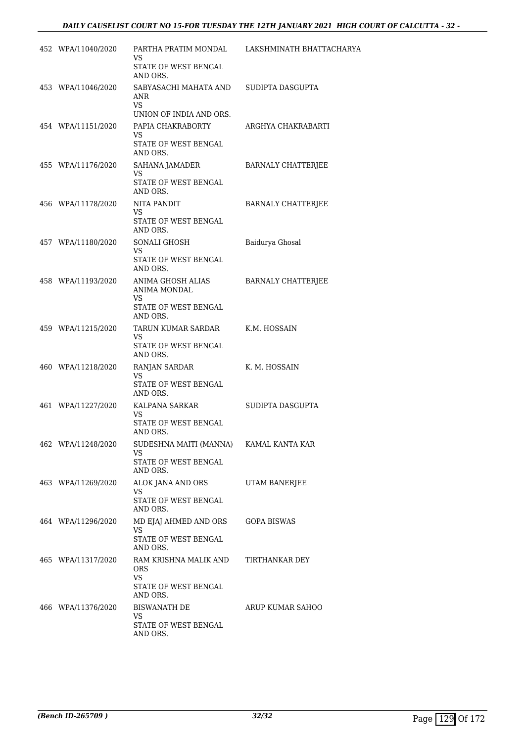| 452 WPA/11040/2020 | VS                                                           | PARTHA PRATIM MONDAL LAKSHMINATH BHATTACHARYA |
|--------------------|--------------------------------------------------------------|-----------------------------------------------|
|                    | STATE OF WEST BENGAL<br>AND ORS.                             |                                               |
| 453 WPA/11046/2020 | SABYASACHI MAHATA AND SUDIPTA DASGUPTA<br>ANR<br>VS          |                                               |
|                    | UNION OF INDIA AND ORS.                                      |                                               |
| 454 WPA/11151/2020 | PAPIA CHAKRABORTY<br>VS.<br>STATE OF WEST BENGAL<br>AND ORS. | ARGHYA CHAKRABARTI                            |
| 455 WPA/11176/2020 | SAHANA JAMADER                                               | <b>BARNALY CHATTERJEE</b>                     |
|                    | VS<br>STATE OF WEST BENGAL<br>AND ORS.                       |                                               |
| 456 WPA/11178/2020 | NITA PANDIT<br>VS.                                           | <b>BARNALY CHATTERJEE</b>                     |
|                    | STATE OF WEST BENGAL<br>AND ORS.                             |                                               |
| 457 WPA/11180/2020 | SONALI GHOSH<br>VS                                           | Baidurya Ghosal                               |
|                    | STATE OF WEST BENGAL<br>AND ORS.                             |                                               |
| 458 WPA/11193/2020 | ANIMA GHOSH ALIAS<br>ANIMA MONDAL<br>VS.                     | <b>BARNALY CHATTERJEE</b>                     |
|                    | STATE OF WEST BENGAL<br>AND ORS.                             |                                               |
| 459 WPA/11215/2020 | TARUN KUMAR SARDAR<br>VS.                                    | K.M. HOSSAIN                                  |
|                    | STATE OF WEST BENGAL<br>AND ORS.                             |                                               |
| 460 WPA/11218/2020 | RANJAN SARDAR                                                | K. M. HOSSAIN                                 |
|                    | VS<br>STATE OF WEST BENGAL<br>AND ORS.                       |                                               |
| 461 WPA/11227/2020 | KALPANA SARKAR<br>VS.                                        | SUDIPTA DASGUPTA                              |
|                    | STATE OF WEST BENGAL<br>AND ORS.                             |                                               |
| 462 WPA/11248/2020 | SUDESHNA MAITI (MANNA) KAMAL KANTA KAR<br>VS.                |                                               |
|                    | STATE OF WEST BENGAL<br>AND ORS.                             |                                               |
| 463 WPA/11269/2020 | ALOK JANA AND ORS<br>VS.                                     | UTAM BANERJEE                                 |
|                    | STATE OF WEST BENGAL<br>AND ORS.                             |                                               |
| 464 WPA/11296/2020 | MD EJAJ AHMED AND ORS<br>VS.                                 | GOPA BISWAS                                   |
|                    | STATE OF WEST BENGAL<br>AND ORS.                             |                                               |
| 465 WPA/11317/2020 | RAM KRISHNA MALIK AND<br>ORS<br>VS.                          | TIRTHANKAR DEY                                |
|                    | STATE OF WEST BENGAL<br>AND ORS.                             |                                               |
| 466 WPA/11376/2020 | <b>BISWANATH DE</b><br>VS.                                   | ARUP KUMAR SAHOO                              |
|                    | STATE OF WEST BENGAL<br>AND ORS.                             |                                               |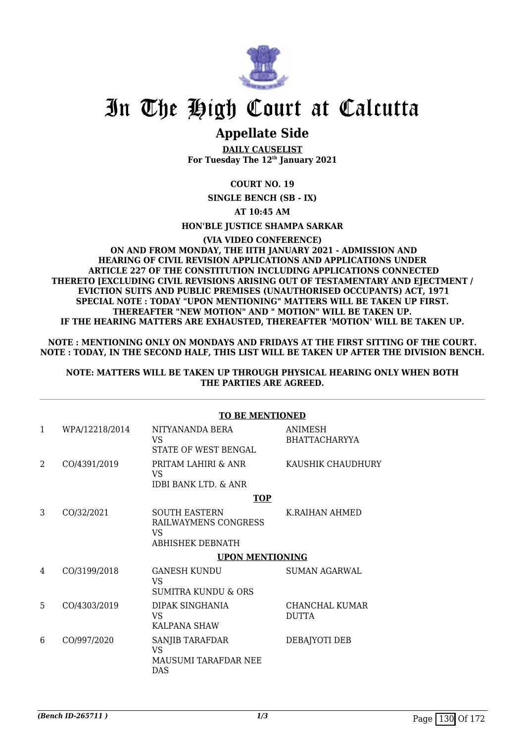

# In The High Court at Calcutta

# **Appellate Side**

**DAILY CAUSELIST For Tuesday The 12th January 2021**

# **COURT NO. 19**

**SINGLE BENCH (SB - IX)**

**AT 10:45 AM**

## **HON'BLE JUSTICE SHAMPA SARKAR**

#### **(VIA VIDEO CONFERENCE) ON AND FROM MONDAY, THE IITH JANUARY 2021 - ADMISSION AND HEARING OF CIVIL REVISION APPLICATIONS AND APPLICATIONS UNDER ARTICLE 227 OF THE CONSTITUTION INCLUDING APPLICATIONS CONNECTED THERETO [EXCLUDING CIVIL REVISIONS ARISING OUT OF TESTAMENTARY AND EJECTMENT / EVICTION SUITS AND PUBLIC PREMISES (UNAUTHORISED OCCUPANTS) ACT, 1971 SPECIAL NOTE : TODAY "UPON MENTIONING" MATTERS WILL BE TAKEN UP FIRST. THEREAFTER "NEW MOTION" AND " MOTION" WILL BE TAKEN UP. IF THE HEARING MATTERS ARE EXHAUSTED, THEREAFTER 'MOTION' WILL BE TAKEN UP.**

**NOTE : MENTIONING ONLY ON MONDAYS AND FRIDAYS AT THE FIRST SITTING OF THE COURT. NOTE : TODAY, IN THE SECOND HALF, THIS LIST WILL BE TAKEN UP AFTER THE DIVISION BENCH.**

**NOTE: MATTERS WILL BE TAKEN UP THROUGH PHYSICAL HEARING ONLY WHEN BOTH THE PARTIES ARE AGREED.**

## **TO BE MENTIONED**

| 1              | WPA/12218/2014 | NITYANANDA BERA<br>VS.<br>STATE OF WEST BENGAL                                | ANIMESH<br><b>BHATTACHARYYA</b> |
|----------------|----------------|-------------------------------------------------------------------------------|---------------------------------|
| $\mathfrak{D}$ | CO/4391/2019   | PRITAM LAHIRI & ANR<br>VS.<br>IDBI BANK LTD. & ANR                            | KAUSHIK CHAUDHURY               |
|                |                | <b>TOP</b>                                                                    |                                 |
| 3              | CO/32/2021     | <b>SOUTH EASTERN</b><br>RAILWAYMENS CONGRESS<br>VS<br><b>ABHISHEK DEBNATH</b> | K.RAIHAN AHMED                  |
|                |                | <b>UPON MENTIONING</b>                                                        |                                 |
| 4              | CO/3199/2018   | <b>GANESH KUNDU</b><br>VS<br>SUMITRA KUNDU & ORS                              | <b>SUMAN AGARWAL</b>            |
| 5              | CO/4303/2019   | DIPAK SINGHANIA<br>VS<br>KALPANA SHAW                                         | CHANCHAL KUMAR<br><b>DUTTA</b>  |
| 6              | CO/997/2020    | SANJIB TARAFDAR<br>VS.<br>MAUSUMI TARAFDAR NEE<br><b>DAS</b>                  | DEBAJYOTI DEB                   |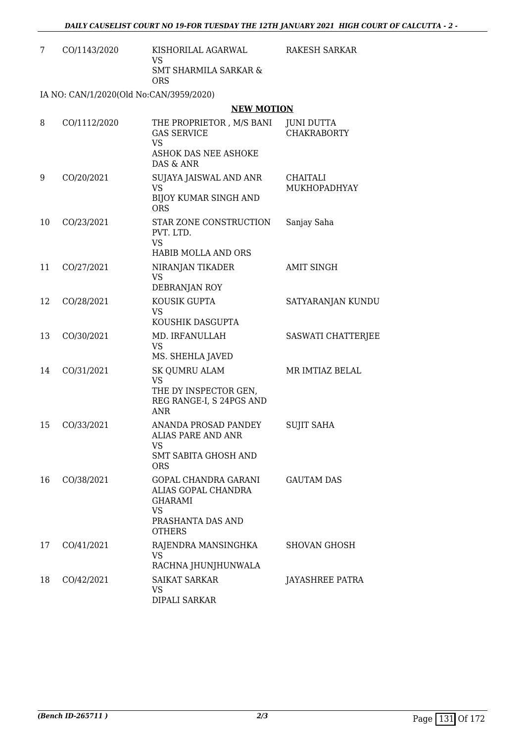| CO/1143/2020 | KISHORILAL AGARWAL<br>VS.<br>SMT SHARMILA SARKAR &<br>ORS | RAKESH SARKAR |
|--------------|-----------------------------------------------------------|---------------|
|              | IA NO: CAN/1/2020(Old No:CAN/3959/2020)                   |               |

#### **NEW MOTION**

| 8  | CO/1112/2020 | THE PROPRIETOR, M/S BANI<br><b>GAS SERVICE</b><br><b>VS</b><br>ASHOK DAS NEE ASHOKE<br>DAS & ANR                 | <b>JUNI DUTTA</b><br><b>CHAKRABORTY</b> |
|----|--------------|------------------------------------------------------------------------------------------------------------------|-----------------------------------------|
| 9  | CO/20/2021   | SUJAYA JAISWAL AND ANR<br>VS.<br>BIJOY KUMAR SINGH AND<br><b>ORS</b>                                             | <b>CHAITALI</b><br>MUKHOPADHYAY         |
| 10 | CO/23/2021   | STAR ZONE CONSTRUCTION<br>PVT. LTD.<br><b>VS</b><br>HABIB MOLLA AND ORS                                          | Sanjay Saha                             |
| 11 | CO/27/2021   | NIRANJAN TIKADER<br><b>VS</b><br>DEBRANJAN ROY                                                                   | <b>AMIT SINGH</b>                       |
| 12 | CO/28/2021   | KOUSIK GUPTA<br>VS<br>KOUSHIK DASGUPTA                                                                           | SATYARANJAN KUNDU                       |
| 13 | CO/30/2021   | MD. IRFANULLAH<br>VS<br>MS. SHEHLA JAVED                                                                         | SASWATI CHATTERJEE                      |
| 14 | CO/31/2021   | <b>SK QUMRU ALAM</b><br><b>VS</b><br>THE DY INSPECTOR GEN,<br>REG RANGE-I, S 24PGS AND<br>ANR                    | MR IMTIAZ BELAL                         |
| 15 | CO/33/2021   | ANANDA PROSAD PANDEY<br>ALIAS PARE AND ANR<br>VS<br><b>SMT SABITA GHOSH AND</b><br><b>ORS</b>                    | <b>SUJIT SAHA</b>                       |
| 16 | CO/38/2021   | <b>GOPAL CHANDRA GARANI</b><br>ALIAS GOPAL CHANDRA<br><b>GHARAMI</b><br>VS<br>PRASHANTA DAS AND<br><b>OTHERS</b> | <b>GAUTAM DAS</b>                       |
| 17 | CO/41/2021   | RAJENDRA MANSINGHKA<br>VS.<br>RACHNA JHUNJHUNWALA                                                                | <b>SHOVAN GHOSH</b>                     |
| 18 | CO/42/2021   | <b>SAIKAT SARKAR</b><br>VS<br>DIPALI SARKAR                                                                      | <b>JAYASHREE PATRA</b>                  |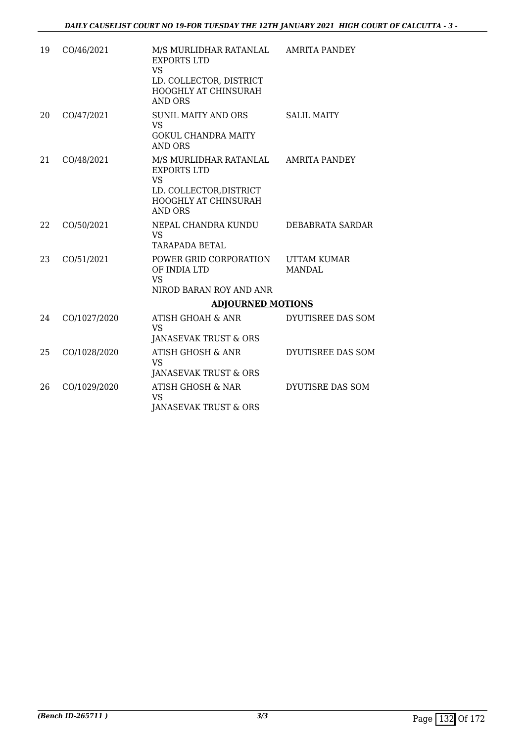| 19  | CO/46/2021   | M/S MURLIDHAR RATANLAL<br><b>EXPORTS LTD</b><br><b>VS</b>                            | <b>AMRITA PANDEY</b>                |
|-----|--------------|--------------------------------------------------------------------------------------|-------------------------------------|
|     |              | LD. COLLECTOR, DISTRICT<br>HOOGHLY AT CHINSURAH<br><b>AND ORS</b>                    |                                     |
| 20  | CO/47/2021   | <b>SUNIL MAITY AND ORS</b><br><b>VS</b><br><b>GOKUL CHANDRA MAITY</b><br>AND ORS     | <b>SALIL MAITY</b>                  |
| 2.1 | CO/48/2021   | M/S MURLIDHAR RATANLAL<br><b>EXPORTS LTD</b><br><b>VS</b><br>LD. COLLECTOR, DISTRICT | AMRITA PANDEY                       |
|     |              | HOOGHLY AT CHINSURAH<br><b>AND ORS</b>                                               |                                     |
| 22  | CO/50/2021   | NEPAL CHANDRA KUNDU<br><b>VS</b><br><b>TARAPADA BETAL</b>                            | DEBABRATA SARDAR                    |
| 23  | CO/51/2021   | POWER GRID CORPORATION<br>OF INDIA LTD<br><b>VS</b>                                  | <b>UTTAM KUMAR</b><br><b>MANDAL</b> |
|     |              | NIROD BARAN ROY AND ANR                                                              |                                     |
|     |              | <b>ADJOURNED MOTIONS</b>                                                             |                                     |
| 24  | CO/1027/2020 | ATISH GHOAH & ANR<br><b>VS</b>                                                       | DYUTISREE DAS SOM                   |
|     |              | JANASEVAK TRUST & ORS                                                                |                                     |
| 25  | CO/1028/2020 | ATISH GHOSH & ANR<br>VS.                                                             | DYUTISREE DAS SOM                   |
|     |              | JANASEVAK TRUST & ORS                                                                |                                     |
| 26  | CO/1029/2020 | ATISH GHOSH & NAR<br><b>VS</b>                                                       | DYUTISRE DAS SOM                    |
|     |              | <b>JANASEVAK TRUST &amp; ORS</b>                                                     |                                     |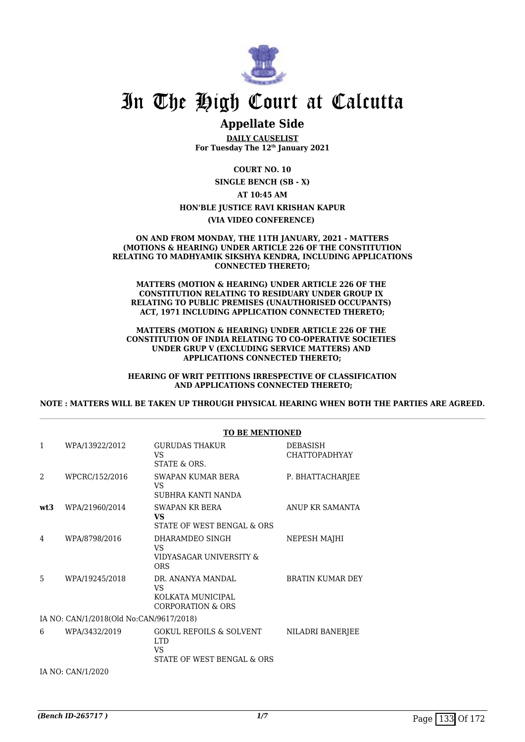

# In The High Court at Calcutta

# **Appellate Side**

**DAILY CAUSELIST For Tuesday The 12th January 2021**

**COURT NO. 10**

**SINGLE BENCH (SB - X) AT 10:45 AM**

# **HON'BLE JUSTICE RAVI KRISHAN KAPUR**

**(VIA VIDEO CONFERENCE)** 

#### **ON AND FROM MONDAY, THE 11TH JANUARY, 2021 - MATTERS (MOTIONS & HEARING) UNDER ARTICLE 226 OF THE CONSTITUTION RELATING TO MADHYAMIK SIKSHYA KENDRA, INCLUDING APPLICATIONS CONNECTED THERETO;**

**MATTERS (MOTION & HEARING) UNDER ARTICLE 226 OF THE CONSTITUTION RELATING TO RESIDUARY UNDER GROUP IX RELATING TO PUBLIC PREMISES (UNAUTHORISED OCCUPANTS) ACT, 1971 INCLUDING APPLICATION CONNECTED THERETO;**

#### **MATTERS (MOTION & HEARING) UNDER ARTICLE 226 OF THE CONSTITUTION OF INDIA RELATING TO CO-OPERATIVE SOCIETIES UNDER GRUP V (EXCLUDING SERVICE MATTERS) AND APPLICATIONS CONNECTED THERETO;**

**HEARING OF WRIT PETITIONS IRRESPECTIVE OF CLASSIFICATION AND APPLICATIONS CONNECTED THERETO;**

**NOTE : MATTERS WILL BE TAKEN UP THROUGH PHYSICAL HEARING WHEN BOTH THE PARTIES ARE AGREED.**

|     |                                         | <b>TO BE MENTIONED</b>                                                       |                                         |
|-----|-----------------------------------------|------------------------------------------------------------------------------|-----------------------------------------|
| 1   | WPA/13922/2012                          | <b>GURUDAS THAKUR</b><br>VS.<br>STATE & ORS.                                 | <b>DEBASISH</b><br><b>CHATTOPADHYAY</b> |
| 2   | WPCRC/152/2016                          | SWAPAN KUMAR BERA<br>VS.<br>SUBHRA KANTI NANDA                               | P. BHATTACHARJEE                        |
| wt3 | WPA/21960/2014                          | <b>SWAPAN KR BERA</b><br>VS<br>STATE OF WEST BENGAL & ORS                    | ANUP KR SAMANTA                         |
| 4   | WPA/8798/2016                           | DHARAMDEO SINGH<br>VS<br>VIDYASAGAR UNIVERSITY &<br><b>ORS</b>               | NEPESH MAJHI                            |
| 5   | WPA/19245/2018                          | DR. ANANYA MANDAL<br>VS<br>KOLKATA MUNICIPAL<br><b>CORPORATION &amp; ORS</b> | BRATIN KUMAR DEY                        |
|     | IA NO: CAN/1/2018(Old No:CAN/9617/2018) |                                                                              |                                         |
| 6   | WPA/3432/2019                           | GOKUL REFOILS & SOLVENT<br><b>LTD</b><br>VS<br>STATE OF WEST BENGAL & ORS    | NILADRI BANERJEE                        |
|     | IA NO: CAN/1/2020                       |                                                                              |                                         |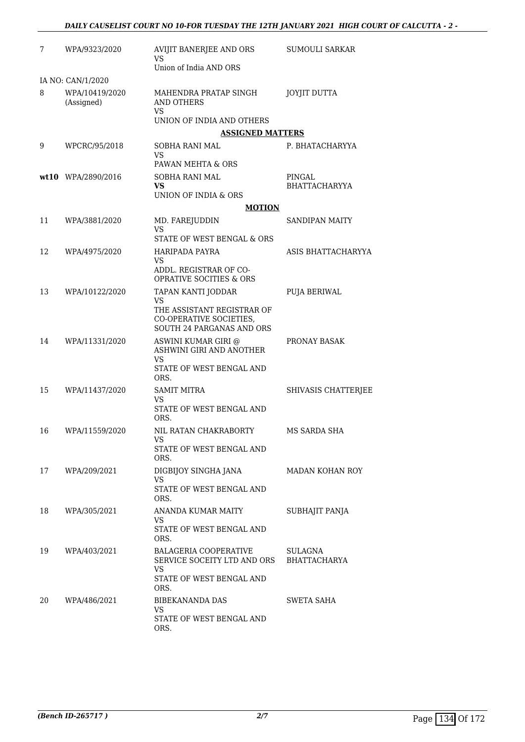| 7  | WPA/9323/2020                                     | AVIJIT BANERJEE AND ORS<br>VS                                                            | <b>SUMOULI SARKAR</b>          |
|----|---------------------------------------------------|------------------------------------------------------------------------------------------|--------------------------------|
|    |                                                   | Union of India AND ORS                                                                   |                                |
| 8  | IA NO: CAN/1/2020<br>WPA/10419/2020<br>(Assigned) | MAHENDRA PRATAP SINGH<br><b>AND OTHERS</b>                                               | <b>JOYJIT DUTTA</b>            |
|    |                                                   | <b>VS</b><br>UNION OF INDIA AND OTHERS                                                   |                                |
|    |                                                   | <b>ASSIGNED MATTERS</b>                                                                  |                                |
| 9  | WPCRC/95/2018                                     | SOBHA RANI MAL                                                                           | P. BHATACHARYYA                |
|    |                                                   | VS<br>PAWAN MEHTA & ORS                                                                  |                                |
|    | wt10 WPA/2890/2016                                | SOBHA RANI MAL                                                                           | PINGAL                         |
|    |                                                   | VS                                                                                       | <b>BHATTACHARYYA</b>           |
|    |                                                   | UNION OF INDIA & ORS                                                                     |                                |
|    |                                                   | <b>MOTION</b>                                                                            |                                |
| 11 | WPA/3881/2020                                     | MD. FAREJUDDIN<br>VS<br>STATE OF WEST BENGAL & ORS                                       | <b>SANDIPAN MAITY</b>          |
| 12 | WPA/4975/2020                                     | HARIPADA PAYRA                                                                           | ASIS BHATTACHARYYA             |
|    |                                                   | <b>VS</b>                                                                                |                                |
|    |                                                   | ADDL. REGISTRAR OF CO-<br><b>OPRATIVE SOCITIES &amp; ORS</b>                             |                                |
| 13 | WPA/10122/2020                                    | TAPAN KANTI JODDAR                                                                       | PUJA BERIWAL                   |
|    |                                                   | VS<br>THE ASSISTANT REGISTRAR OF<br>CO-OPERATIVE SOCIETIES,<br>SOUTH 24 PARGANAS AND ORS |                                |
| 14 | WPA/11331/2020                                    | ASWINI KUMAR GIRI @<br>ASHWINI GIRI AND ANOTHER<br>VS                                    | PRONAY BASAK                   |
|    |                                                   | STATE OF WEST BENGAL AND<br>ORS.                                                         |                                |
| 15 | WPA/11437/2020                                    | <b>SAMIT MITRA</b>                                                                       | SHIVASIS CHATTERJEE            |
|    |                                                   | <b>VS</b><br>STATE OF WEST BENGAL AND<br>ORS.                                            |                                |
| 16 | WPA/11559/2020                                    | NIL RATAN CHAKRABORTY                                                                    | MS SARDA SHA                   |
|    |                                                   | VS<br>STATE OF WEST BENGAL AND<br>ORS.                                                   |                                |
| 17 | WPA/209/2021                                      | DIGBIJOY SINGHA JANA                                                                     | MADAN KOHAN ROY                |
|    |                                                   | VS<br>STATE OF WEST BENGAL AND<br>ORS.                                                   |                                |
| 18 | WPA/305/2021                                      | ANANDA KUMAR MAITY<br>VS.                                                                | SUBHAJIT PANJA                 |
|    |                                                   | STATE OF WEST BENGAL AND<br>ORS.                                                         |                                |
| 19 | WPA/403/2021                                      | <b>BALAGERIA COOPERATIVE</b><br>SERVICE SOCEITY LTD AND ORS                              | SULAGNA<br><b>BHATTACHARYA</b> |
|    |                                                   | VS<br>STATE OF WEST BENGAL AND<br>ORS.                                                   |                                |
| 20 | WPA/486/2021                                      | BIBEKANANDA DAS                                                                          | SWETA SAHA                     |
|    |                                                   | VS<br>STATE OF WEST BENGAL AND<br>ORS.                                                   |                                |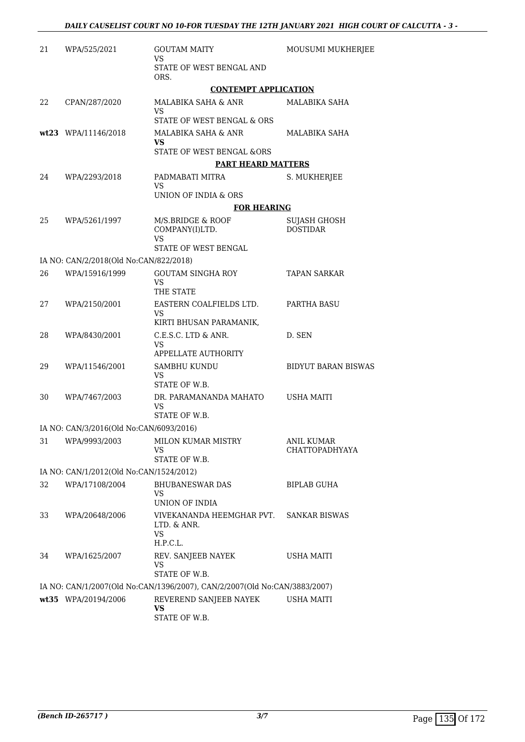| 21 | WPA/525/2021                            | <b>GOUTAM MAITY</b>                                                       | MOUSUMI MUKHERJEE                      |
|----|-----------------------------------------|---------------------------------------------------------------------------|----------------------------------------|
|    |                                         | VS                                                                        |                                        |
|    |                                         | STATE OF WEST BENGAL AND<br>ORS.                                          |                                        |
|    |                                         | <b>CONTEMPT APPLICATION</b>                                               |                                        |
| 22 | CPAN/287/2020                           | MALABIKA SAHA & ANR<br>VS                                                 | MALABIKA SAHA                          |
|    |                                         | STATE OF WEST BENGAL & ORS                                                |                                        |
|    | wt23 WPA/11146/2018                     | MALABIKA SAHA & ANR<br>VS                                                 | MALABIKA SAHA                          |
|    |                                         | <b>STATE OF WEST BENGAL &amp;ORS</b>                                      |                                        |
|    |                                         | <b>PART HEARD MATTERS</b>                                                 |                                        |
| 24 | WPA/2293/2018                           | PADMABATI MITRA<br>VS                                                     | S. MUKHERJEE                           |
|    |                                         | UNION OF INDIA & ORS                                                      |                                        |
|    |                                         | <b>FOR HEARING</b>                                                        |                                        |
| 25 | WPA/5261/1997                           | M/S.BRIDGE & ROOF<br>COMPANY(I)LTD.<br>VS<br>STATE OF WEST BENGAL         | <b>SUJASH GHOSH</b><br><b>DOSTIDAR</b> |
|    | IA NO: CAN/2/2018(Old No:CAN/822/2018)  |                                                                           |                                        |
| 26 | WPA/15916/1999                          | <b>GOUTAM SINGHA ROY</b><br><b>VS</b>                                     | <b>TAPAN SARKAR</b>                    |
|    |                                         | THE STATE                                                                 |                                        |
| 27 | WPA/2150/2001                           | EASTERN COALFIELDS LTD.<br>VS<br>KIRTI BHUSAN PARAMANIK,                  | PARTHA BASU                            |
| 28 | WPA/8430/2001                           | C.E.S.C. LTD & ANR.<br>VS<br>APPELLATE AUTHORITY                          | D. SEN                                 |
| 29 | WPA/11546/2001                          | SAMBHU KUNDU<br>VS<br>STATE OF W.B.                                       | <b>BIDYUT BARAN BISWAS</b>             |
| 30 | WPA/7467/2003                           | DR. PARAMANANDA MAHATO<br>VS<br>STATE OF W.B.                             | <b>USHA MAITI</b>                      |
|    | IA NO: CAN/3/2016(Old No:CAN/6093/2016) |                                                                           |                                        |
| 31 | WPA/9993/2003                           | <b>MILON KUMAR MISTRY</b>                                                 | <b>ANIL KUMAR</b>                      |
|    |                                         | VS<br>STATE OF W.B.                                                       | CHATTOPADHYAYA                         |
|    | IA NO: CAN/1/2012(Old No:CAN/1524/2012) |                                                                           |                                        |
| 32 | WPA/17108/2004                          | <b>BHUBANESWAR DAS</b><br>VS<br>UNION OF INDIA                            | <b>BIPLAB GUHA</b>                     |
| 33 | WPA/20648/2006                          | VIVEKANANDA HEEMGHAR PVT.<br>LTD. & ANR.<br><b>VS</b><br>H.P.C.L.         | <b>SANKAR BISWAS</b>                   |
| 34 | WPA/1625/2007                           | REV. SANJEEB NAYEK<br>VS<br>STATE OF W.B.                                 | USHA MAITI                             |
|    |                                         | IA NO: CAN/1/2007(Old No:CAN/1396/2007), CAN/2/2007(Old No:CAN/3883/2007) |                                        |
|    | wt35 WPA/20194/2006                     | REVEREND SANJEEB NAYEK<br><b>VS</b><br>STATE OF W.B.                      | USHA MAITI                             |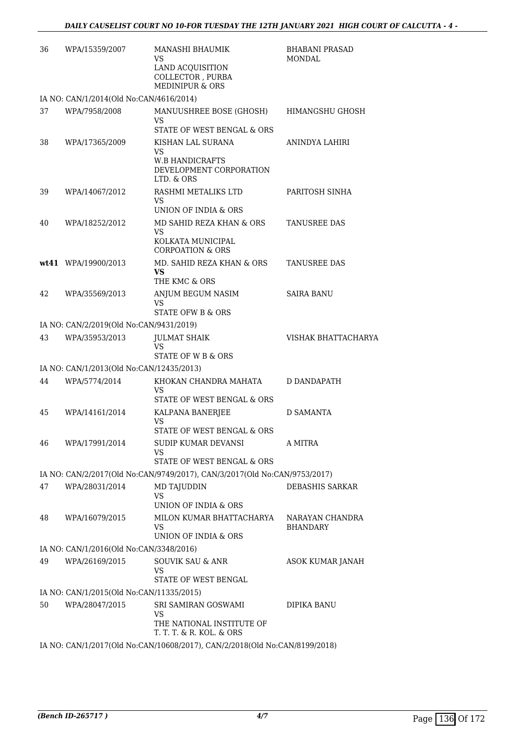| 36 | WPA/15359/2007                           | MANASHI BHAUMIK<br>VS<br>LAND ACQUISITION<br>COLLECTOR, PURBA<br><b>MEDINIPUR &amp; ORS</b> | <b>BHABANI PRASAD</b><br>MONDAL    |
|----|------------------------------------------|---------------------------------------------------------------------------------------------|------------------------------------|
|    | IA NO: CAN/1/2014(Old No:CAN/4616/2014)  |                                                                                             |                                    |
| 37 | WPA/7958/2008                            | MANUUSHREE BOSE (GHOSH)<br>VS<br>STATE OF WEST BENGAL & ORS                                 | HIMANGSHU GHOSH                    |
| 38 | WPA/17365/2009                           | KISHAN LAL SURANA<br>VS<br><b>W.B HANDICRAFTS</b><br>DEVELOPMENT CORPORATION<br>LTD. & ORS  | ANINDYA LAHIRI                     |
| 39 | WPA/14067/2012                           | RASHMI METALIKS LTD<br>VS<br>UNION OF INDIA & ORS                                           | PARITOSH SINHA                     |
| 40 | WPA/18252/2012                           | MD SAHID REZA KHAN & ORS<br><b>VS</b><br>KOLKATA MUNICIPAL<br><b>CORPOATION &amp; ORS</b>   | <b>TANUSREE DAS</b>                |
|    | wt41 WPA/19900/2013                      | MD. SAHID REZA KHAN & ORS<br>VS.<br>THE KMC & ORS                                           | TANUSREE DAS                       |
| 42 | WPA/35569/2013                           | ANJUM BEGUM NASIM<br>VS<br>STATE OFW B & ORS                                                | SAIRA BANU                         |
|    | IA NO: CAN/2/2019(Old No:CAN/9431/2019)  |                                                                                             |                                    |
| 43 | WPA/35953/2013                           | JULMAT SHAIK<br>VS<br>STATE OF W B & ORS                                                    | VISHAK BHATTACHARYA                |
|    | IA NO: CAN/1/2013(Old No:CAN/12435/2013) |                                                                                             |                                    |
| 44 | WPA/5774/2014                            | KHOKAN CHANDRA MAHATA<br>VS<br>STATE OF WEST BENGAL & ORS                                   | D DANDAPATH                        |
| 45 | WPA/14161/2014                           | KALPANA BANERJEE<br><b>VS</b><br>STATE OF WEST BENGAL & ORS                                 | D SAMANTA                          |
| 46 | WPA/17991/2014                           | SUDIP KUMAR DEVANSI<br>VS<br>STATE OF WEST BENGAL & ORS                                     | A MITRA                            |
|    |                                          | IA NO: CAN/2/2017(Old No:CAN/9749/2017), CAN/3/2017(Old No:CAN/9753/2017)                   |                                    |
| 47 | WPA/28031/2014                           | MD TAJUDDIN<br><b>VS</b><br>UNION OF INDIA & ORS                                            | DEBASHIS SARKAR                    |
| 48 | WPA/16079/2015                           | MILON KUMAR BHATTACHARYA<br><b>VS</b><br>UNION OF INDIA & ORS                               | NARAYAN CHANDRA<br><b>BHANDARY</b> |
|    | IA NO: CAN/1/2016(Old No:CAN/3348/2016)  |                                                                                             |                                    |
| 49 | WPA/26169/2015                           | <b>SOUVIK SAU &amp; ANR</b><br><b>VS</b><br>STATE OF WEST BENGAL                            | ASOK KUMAR JANAH                   |
|    | IA NO: CAN/1/2015(Old No:CAN/11335/2015) |                                                                                             |                                    |
| 50 | WPA/28047/2015                           | SRI SAMIRAN GOSWAMI<br>VS<br>THE NATIONAL INSTITUTE OF<br>T. T. T. & R. KOL. & ORS          | DIPIKA BANU                        |
|    |                                          | IA NO: CAN/1/2017(Old No:CAN/10608/2017), CAN/2/2018(Old No:CAN/8199/2018)                  |                                    |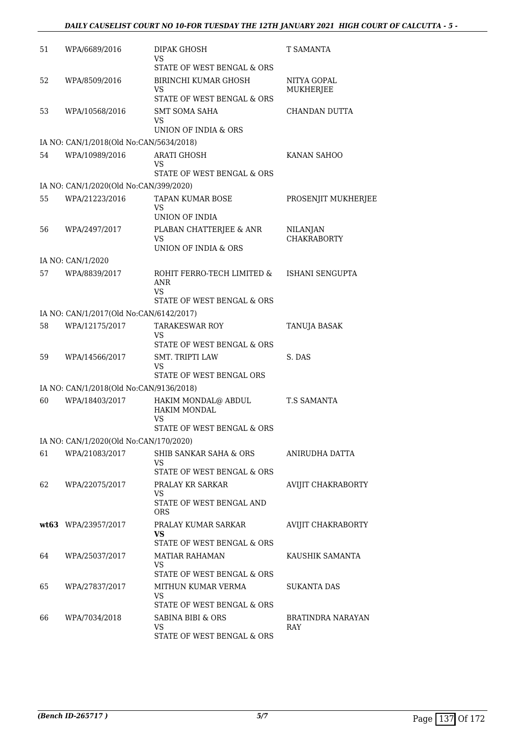| 51 | WPA/6689/2016                           | DIPAK GHOSH<br>VS                                                              | T SAMANTA                      |
|----|-----------------------------------------|--------------------------------------------------------------------------------|--------------------------------|
|    |                                         | STATE OF WEST BENGAL & ORS                                                     |                                |
| 52 | WPA/8509/2016                           | BIRINCHI KUMAR GHOSH<br>VS                                                     | NITYA GOPAL<br>MUKHERJEE       |
|    |                                         | STATE OF WEST BENGAL & ORS                                                     |                                |
| 53 | WPA/10568/2016                          | <b>SMT SOMA SAHA</b><br>VS                                                     | CHANDAN DUTTA                  |
|    |                                         | UNION OF INDIA & ORS                                                           |                                |
|    | IA NO: CAN/1/2018(Old No:CAN/5634/2018) |                                                                                |                                |
| 54 | WPA/10989/2016                          | <b>ARATI GHOSH</b><br>VS<br>STATE OF WEST BENGAL & ORS                         | KANAN SAHOO                    |
|    | IA NO: CAN/1/2020(Old No:CAN/399/2020)  |                                                                                |                                |
| 55 | WPA/21223/2016                          | TAPAN KUMAR BOSE                                                               | PROSENJIT MUKHERJEE            |
|    |                                         | VS<br>UNION OF INDIA                                                           |                                |
| 56 | WPA/2497/2017                           | PLABAN CHATTERJEE & ANR<br>VS                                                  | NILANJAN<br><b>CHAKRABORTY</b> |
|    |                                         | UNION OF INDIA & ORS                                                           |                                |
|    | IA NO: CAN/1/2020                       |                                                                                |                                |
| 57 | WPA/8839/2017                           | ROHIT FERRO-TECH LIMITED &<br>ANR                                              | ISHANI SENGUPTA                |
|    |                                         | VS<br>STATE OF WEST BENGAL & ORS                                               |                                |
|    | IA NO: CAN/1/2017(Old No:CAN/6142/2017) |                                                                                |                                |
|    |                                         |                                                                                |                                |
| 58 | WPA/12175/2017                          | <b>TARAKESWAR ROY</b><br>VS<br>STATE OF WEST BENGAL & ORS                      | TANUJA BASAK                   |
| 59 | WPA/14566/2017                          | <b>SMT. TRIPTI LAW</b>                                                         | S. DAS                         |
|    |                                         | <b>VS</b><br>STATE OF WEST BENGAL ORS                                          |                                |
|    | IA NO: CAN/1/2018(Old No:CAN/9136/2018) |                                                                                |                                |
| 60 | WPA/18403/2017                          | HAKIM MONDAL@ ABDUL<br>HAKIM MONDAL<br><b>VS</b><br>STATE OF WEST BENGAL & ORS | <b>T.S SAMANTA</b>             |
|    | IA NO: CAN/1/2020(Old No:CAN/170/2020)  |                                                                                |                                |
| 61 | WPA/21083/2017                          | <b>SHIB SANKAR SAHA &amp; ORS</b><br>VS                                        | ANIRUDHA DATTA                 |
|    |                                         | STATE OF WEST BENGAL & ORS                                                     |                                |
| 62 | WPA/22075/2017                          | PRALAY KR SARKAR<br>VS<br>STATE OF WEST BENGAL AND<br><b>ORS</b>               | <b>AVIJIT CHAKRABORTY</b>      |
|    | wt63 WPA/23957/2017                     | PRALAY KUMAR SARKAR                                                            | AVIJIT CHAKRABORTY             |
|    |                                         | VS<br>STATE OF WEST BENGAL & ORS                                               |                                |
| 64 | WPA/25037/2017                          | MATIAR RAHAMAN                                                                 | KAUSHIK SAMANTA                |
|    |                                         | VS<br>STATE OF WEST BENGAL & ORS                                               |                                |
| 65 | WPA/27837/2017                          | MITHUN KUMAR VERMA                                                             | SUKANTA DAS                    |
|    |                                         | VS                                                                             |                                |
|    |                                         | STATE OF WEST BENGAL & ORS                                                     |                                |
| 66 | WPA/7034/2018                           | <b>SABINA BIBI &amp; ORS</b><br>VS                                             | BRATINDRA NARAYAN<br>RAY       |
|    |                                         | STATE OF WEST BENGAL & ORS                                                     |                                |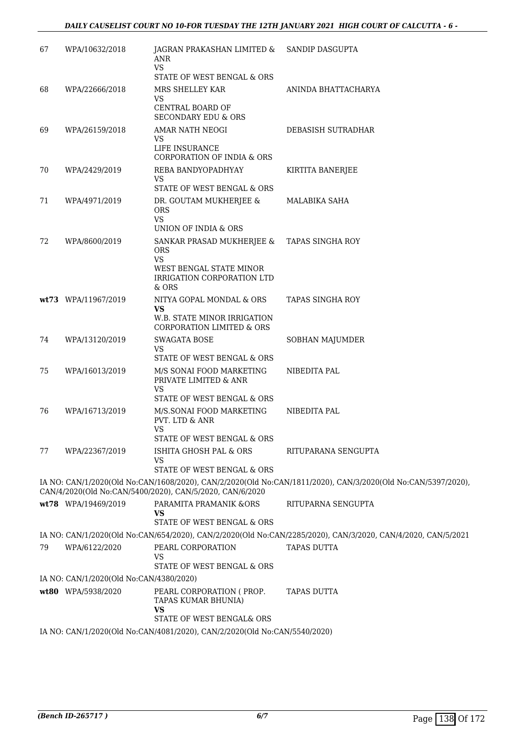| 67 | WPA/10632/2018                          | JAGRAN PRAKASHAN LIMITED & SANDIP DASGUPTA<br>ANR<br><b>VS</b><br>STATE OF WEST BENGAL & ORS                           |                                                                                                                                    |
|----|-----------------------------------------|------------------------------------------------------------------------------------------------------------------------|------------------------------------------------------------------------------------------------------------------------------------|
| 68 | WPA/22666/2018                          | MRS SHELLEY KAR<br><b>VS</b><br>CENTRAL BOARD OF                                                                       | ANINDA BHATTACHARYA                                                                                                                |
|    |                                         | <b>SECONDARY EDU &amp; ORS</b>                                                                                         |                                                                                                                                    |
| 69 | WPA/26159/2018                          | AMAR NATH NEOGI<br>VS                                                                                                  | DEBASISH SUTRADHAR                                                                                                                 |
|    |                                         | LIFE INSURANCE<br>CORPORATION OF INDIA & ORS                                                                           |                                                                                                                                    |
| 70 | WPA/2429/2019                           | REBA BANDYOPADHYAY<br>VS                                                                                               | KIRTITA BANERJEE                                                                                                                   |
|    |                                         | STATE OF WEST BENGAL & ORS                                                                                             |                                                                                                                                    |
| 71 | WPA/4971/2019                           | DR. GOUTAM MUKHERJEE &<br><b>ORS</b><br><b>VS</b><br>UNION OF INDIA & ORS                                              | MALABIKA SAHA                                                                                                                      |
| 72 | WPA/8600/2019                           | SANKAR PRASAD MUKHERJEE &<br><b>ORS</b><br><b>VS</b><br>WEST BENGAL STATE MINOR<br>IRRIGATION CORPORATION LTD<br>& ORS | <b>TAPAS SINGHA ROY</b>                                                                                                            |
|    | wt73 WPA/11967/2019                     | NITYA GOPAL MONDAL & ORS<br><b>VS</b><br>W.B. STATE MINOR IRRIGATION<br>CORPORATION LIMITED & ORS                      | TAPAS SINGHA ROY                                                                                                                   |
| 74 | WPA/13120/2019                          | SWAGATA BOSE<br><b>VS</b><br>STATE OF WEST BENGAL & ORS                                                                | SOBHAN MAJUMDER                                                                                                                    |
| 75 | WPA/16013/2019                          | M/S SONAI FOOD MARKETING<br>PRIVATE LIMITED & ANR<br><b>VS</b>                                                         | NIBEDITA PAL                                                                                                                       |
|    |                                         | STATE OF WEST BENGAL & ORS                                                                                             |                                                                                                                                    |
| 76 | WPA/16713/2019                          | M/S.SONAI FOOD MARKETING<br>PVT. LTD & ANR<br>VS                                                                       | NIBEDITA PAL                                                                                                                       |
|    |                                         | STATE OF WEST BENGAL & ORS                                                                                             |                                                                                                                                    |
| 77 | WPA/22367/2019                          | ISHITA GHOSH PAL & ORS<br>VS                                                                                           | RITUPARANA SENGUPTA                                                                                                                |
|    |                                         | STATE OF WEST BENGAL & ORS                                                                                             |                                                                                                                                    |
|    |                                         | CAN/4/2020(Old No:CAN/5400/2020), CAN/5/2020, CAN/6/2020                                                               | IA NO: CAN/1/2020(Old No:CAN/1608/2020), CAN/2/2020(Old No:CAN/1811/2020), CAN/3/2020(Old No:CAN/5397/2020),                       |
|    | wt78 WPA/19469/2019                     | PARAMITA PRAMANIK &ORS<br>VS                                                                                           | RITUPARNA SENGUPTA                                                                                                                 |
|    |                                         | STATE OF WEST BENGAL & ORS                                                                                             |                                                                                                                                    |
| 79 | WPA/6122/2020                           | PEARL CORPORATION                                                                                                      | IA NO: CAN/1/2020(Old No:CAN/654/2020), CAN/2/2020(Old No:CAN/2285/2020), CAN/3/2020, CAN/4/2020, CAN/5/2021<br><b>TAPAS DUTTA</b> |
|    |                                         | VS<br>STATE OF WEST BENGAL & ORS                                                                                       |                                                                                                                                    |
|    | IA NO: CAN/1/2020(Old No:CAN/4380/2020) |                                                                                                                        |                                                                                                                                    |
|    | wt80 WPA/5938/2020                      | PEARL CORPORATION (PROP.<br>TAPAS KUMAR BHUNIA)<br><b>VS</b>                                                           | <b>TAPAS DUTTA</b>                                                                                                                 |
|    |                                         | STATE OF WEST BENGAL& ORS                                                                                              |                                                                                                                                    |
|    |                                         | IA NO: CAN/1/2020(Old No:CAN/4081/2020), CAN/2/2020(Old No:CAN/5540/2020)                                              |                                                                                                                                    |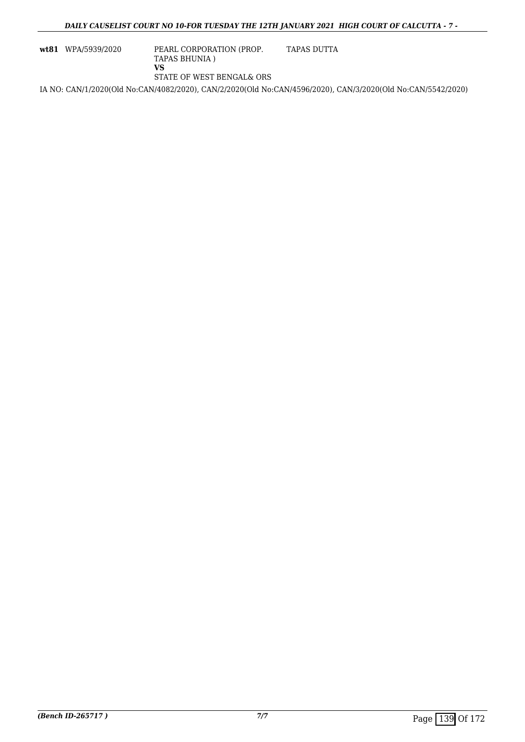**wt81** WPA/5939/2020 PEARL CORPORATION (PROP. TAPAS BHUNIA ) **VS** STATE OF WEST BENGAL& ORS TAPAS DUTTA

IA NO: CAN/1/2020(Old No:CAN/4082/2020), CAN/2/2020(Old No:CAN/4596/2020), CAN/3/2020(Old No:CAN/5542/2020)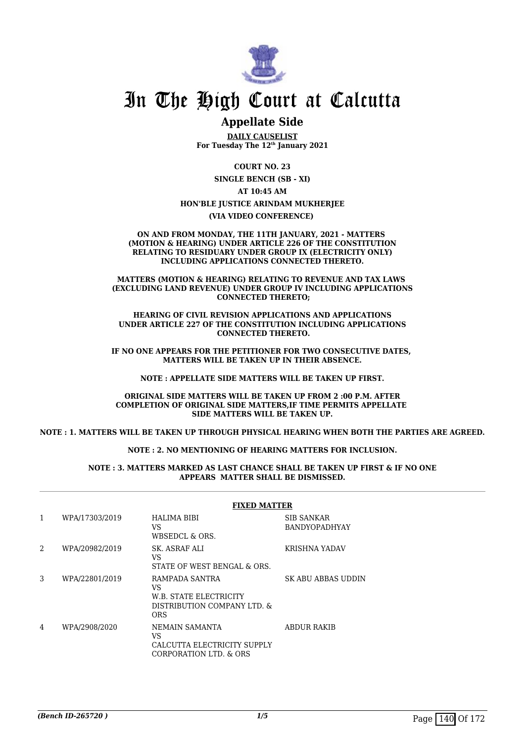

# In The High Court at Calcutta

# **Appellate Side**

**DAILY CAUSELIST For Tuesday The 12th January 2021**

> **COURT NO. 23 SINGLE BENCH (SB - XI)**

> > **AT 10:45 AM**

#### **HON'BLE JUSTICE ARINDAM MUKHERJEE**

**(VIA VIDEO CONFERENCE)** 

#### **ON AND FROM MONDAY, THE 11TH JANUARY, 2021 - MATTERS (MOTION & HEARING) UNDER ARTICLE 226 OF THE CONSTITUTION RELATING TO RESIDUARY UNDER GROUP IX (ELECTRICITY ONLY) INCLUDING APPLICATIONS CONNECTED THERETO.**

**MATTERS (MOTION & HEARING) RELATING TO REVENUE AND TAX LAWS (EXCLUDING LAND REVENUE) UNDER GROUP IV INCLUDING APPLICATIONS CONNECTED THERETO;**

**HEARING OF CIVIL REVISION APPLICATIONS AND APPLICATIONS UNDER ARTICLE 227 OF THE CONSTITUTION INCLUDING APPLICATIONS CONNECTED THERETO.**

**IF NO ONE APPEARS FOR THE PETITIONER FOR TWO CONSECUTIVE DATES, MATTERS WILL BE TAKEN UP IN THEIR ABSENCE.**

**NOTE : APPELLATE SIDE MATTERS WILL BE TAKEN UP FIRST.**

**ORIGINAL SIDE MATTERS WILL BE TAKEN UP FROM 2 :00 P.M. AFTER COMPLETION OF ORIGINAL SIDE MATTERS,IF TIME PERMITS APPELLATE SIDE MATTERS WILL BE TAKEN UP.**

**NOTE : 1. MATTERS WILL BE TAKEN UP THROUGH PHYSICAL HEARING WHEN BOTH THE PARTIES ARE AGREED.**

**NOTE : 2. NO MENTIONING OF HEARING MATTERS FOR INCLUSION.**

#### **NOTE : 3. MATTERS MARKED AS LAST CHANCE SHALL BE TAKEN UP FIRST & IF NO ONE APPEARS MATTER SHALL BE DISMISSED.**

|   |                | <b>FIXED MATTER</b>                                                                         |                                    |  |
|---|----------------|---------------------------------------------------------------------------------------------|------------------------------------|--|
| 1 | WPA/17303/2019 | <b>HALIMA BIBI</b><br>VS<br>WBSEDCL & ORS.                                                  | SIB SANKAR<br><b>BANDYOPADHYAY</b> |  |
| 2 | WPA/20982/2019 | SK. ASRAF ALI<br>VS<br>STATE OF WEST BENGAL & ORS.                                          | KRISHNA YADAV                      |  |
| 3 | WPA/22801/2019 | RAMPADA SANTRA<br>VS<br>W.B. STATE ELECTRICITY<br>DISTRIBUTION COMPANY LTD. &<br><b>ORS</b> | SK ABU ABBAS UDDIN                 |  |
| 4 | WPA/2908/2020  | NEMAIN SAMANTA<br>VS<br>CALCUTTA ELECTRICITY SUPPLY<br>CORPORATION LTD. & ORS               | <b>ABDUR RAKIB</b>                 |  |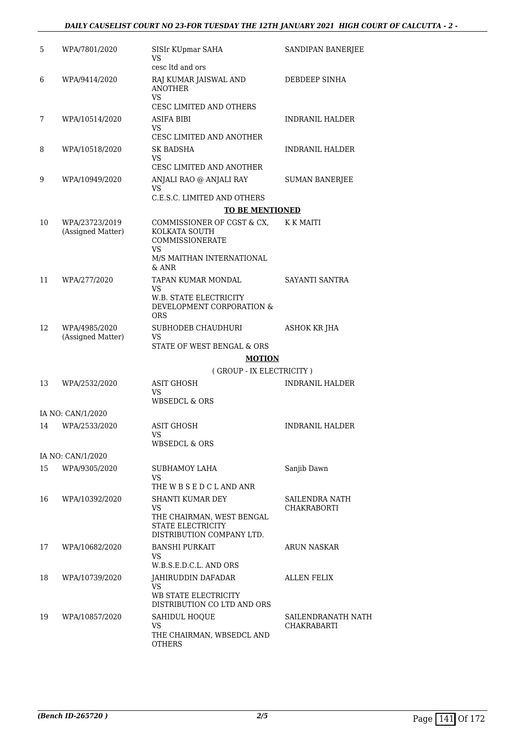## *DAILY CAUSELIST COURT NO 23-FOR TUESDAY THE 12TH JANUARY 2021 HIGH COURT OF CALCUTTA - 2 -*

| 5  | WPA/7801/2020                       | SISIr KUpmar SAHA<br>VS                                                                                    | SANDIPAN BANERJEE                        |
|----|-------------------------------------|------------------------------------------------------------------------------------------------------------|------------------------------------------|
| 6  | WPA/9414/2020                       | cesc ltd and ors<br>RAJ KUMAR JAISWAL AND<br><b>ANOTHER</b><br>VS                                          | DEBDEEP SINHA                            |
|    |                                     | <b>CESC LIMITED AND OTHERS</b>                                                                             |                                          |
| 7  | WPA/10514/2020                      | ASIFA BIBI<br>VS<br><b>CESC LIMITED AND ANOTHER</b>                                                        | <b>INDRANIL HALDER</b>                   |
| 8  | WPA/10518/2020                      | <b>SK BADSHA</b><br>VS<br>CESC LIMITED AND ANOTHER                                                         | <b>INDRANIL HALDER</b>                   |
| 9  | WPA/10949/2020                      | ANJALI RAO @ ANJALI RAY<br>VS                                                                              | <b>SUMAN BANERJEE</b>                    |
|    |                                     | C.E.S.C. LIMITED AND OTHERS                                                                                |                                          |
|    |                                     | <b>TO BE MENTIONED</b>                                                                                     |                                          |
| 10 | WPA/23723/2019<br>(Assigned Matter) | COMMISSIONER OF CGST & CX,<br>KOLKATA SOUTH<br>COMMISSIONERATE<br>VS<br>M/S MAITHAN INTERNATIONAL<br>& ANR | K K MAITI                                |
| 11 | WPA/277/2020                        | TAPAN KUMAR MONDAL<br>VS<br>W.B. STATE ELECTRICITY<br>DEVELOPMENT CORPORATION &<br><b>ORS</b>              | SAYANTI SANTRA                           |
| 12 | WPA/4985/2020<br>(Assigned Matter)  | SUBHODEB CHAUDHURI<br>VS<br>STATE OF WEST BENGAL & ORS                                                     | <b>ASHOK KR JHA</b>                      |
|    |                                     | <b>MOTION</b>                                                                                              |                                          |
|    |                                     | (GROUP - IX ELECTRICITY)                                                                                   |                                          |
| 13 | WPA/2532/2020                       | <b>ASIT GHOSH</b><br>VS<br><b>WBSEDCL &amp; ORS</b>                                                        | <b>INDRANIL HALDER</b>                   |
|    |                                     |                                                                                                            |                                          |
| 14 | IA NO: CAN/1/2020                   | <b>ASIT GHOSH</b>                                                                                          | <b>INDRANIL HALDER</b>                   |
|    | WPA/2533/2020                       | VS<br><b>WBSEDCL &amp; ORS</b>                                                                             |                                          |
|    | IA NO: CAN/1/2020                   |                                                                                                            |                                          |
| 15 | WPA/9305/2020                       | SUBHAMOY LAHA<br>VS<br>THE W B S E D C L AND ANR                                                           | Sanjib Dawn                              |
| 16 | WPA/10392/2020                      | SHANTI KUMAR DEY                                                                                           | SAILENDRA NATH                           |
|    |                                     | VS<br>THE CHAIRMAN, WEST BENGAL<br>STATE ELECTRICITY<br>DISTRIBUTION COMPANY LTD.                          | <b>CHAKRABORTI</b>                       |
| 17 | WPA/10682/2020                      | <b>BANSHI PURKAIT</b><br><b>VS</b><br>W.B.S.E.D.C.L. AND ORS                                               | <b>ARUN NASKAR</b>                       |
| 18 | WPA/10739/2020                      | JAHIRUDDIN DAFADAR<br><b>VS</b><br>WB STATE ELECTRICITY<br>DISTRIBUTION CO LTD AND ORS                     | <b>ALLEN FELIX</b>                       |
| 19 | WPA/10857/2020                      | SAHIDUL HOQUE<br><b>VS</b><br>THE CHAIRMAN, WBSEDCL AND<br><b>OTHERS</b>                                   | SAILENDRANATH NATH<br><b>CHAKRABARTI</b> |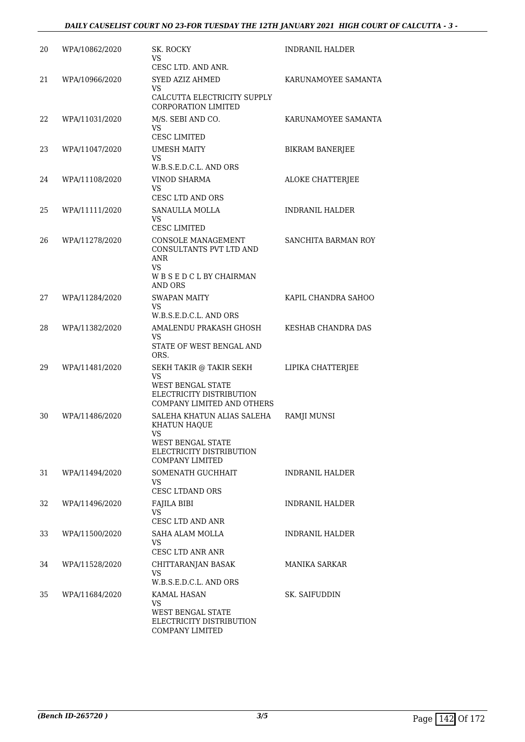| 20 | WPA/10862/2020 | SK. ROCKY<br>VS.<br>CESC LTD. AND ANR.                                                                                              | <b>INDRANIL HALDER</b> |
|----|----------------|-------------------------------------------------------------------------------------------------------------------------------------|------------------------|
| 21 | WPA/10966/2020 | SYED AZIZ AHMED<br>VS.<br>CALCUTTA ELECTRICITY SUPPLY                                                                               | KARUNAMOYEE SAMANTA    |
|    |                | CORPORATION LIMITED                                                                                                                 |                        |
| 22 | WPA/11031/2020 | M/S. SEBI AND CO.<br><b>VS</b><br><b>CESC LIMITED</b>                                                                               | KARUNAMOYEE SAMANTA    |
| 23 | WPA/11047/2020 | UMESH MAITY<br>VS.<br>W.B.S.E.D.C.L. AND ORS                                                                                        | <b>BIKRAM BANERJEE</b> |
| 24 | WPA/11108/2020 | <b>VINOD SHARMA</b><br>VS<br><b>CESC LTD AND ORS</b>                                                                                | ALOKE CHATTERJEE       |
| 25 | WPA/11111/2020 | SANAULLA MOLLA<br><b>VS</b><br><b>CESC LIMITED</b>                                                                                  | <b>INDRANIL HALDER</b> |
| 26 | WPA/11278/2020 | CONSOLE MANAGEMENT<br>CONSULTANTS PVT LTD AND<br><b>ANR</b><br>VS.<br>WBSEDCLBYCHAIRMAN<br><b>AND ORS</b>                           | SANCHITA BARMAN ROY    |
| 27 | WPA/11284/2020 | <b>SWAPAN MAITY</b><br>VS.<br>W.B.S.E.D.C.L. AND ORS                                                                                | KAPIL CHANDRA SAHOO    |
| 28 | WPA/11382/2020 | AMALENDU PRAKASH GHOSH<br>VS.<br>STATE OF WEST BENGAL AND<br>ORS.                                                                   | KESHAB CHANDRA DAS     |
| 29 | WPA/11481/2020 | SEKH TAKIR @ TAKIR SEKH<br><b>VS</b><br>WEST BENGAL STATE<br>ELECTRICITY DISTRIBUTION<br>COMPANY LIMITED AND OTHERS                 | LIPIKA CHATTERJEE      |
| 30 | WPA/11486/2020 | SALEHA KHATUN ALIAS SALEHA<br>KHATUN HAQUE<br>VS.<br><b>WEST BENGAL STATE</b><br>ELECTRICITY DISTRIBUTION<br><b>COMPANY LIMITED</b> | RAMJI MUNSI            |
| 31 | WPA/11494/2020 | SOMENATH GUCHHAIT<br><b>VS</b><br><b>CESC LTDAND ORS</b>                                                                            | <b>INDRANIL HALDER</b> |
| 32 | WPA/11496/2020 | FAJILA BIBI<br><b>VS</b><br><b>CESC LTD AND ANR</b>                                                                                 | <b>INDRANIL HALDER</b> |
| 33 | WPA/11500/2020 | SAHA ALAM MOLLA<br>VS<br><b>CESC LTD ANR ANR</b>                                                                                    | <b>INDRANIL HALDER</b> |
| 34 | WPA/11528/2020 | CHITTARANJAN BASAK<br><b>VS</b><br>W.B.S.E.D.C.L. AND ORS                                                                           | <b>MANIKA SARKAR</b>   |
| 35 | WPA/11684/2020 | <b>KAMAL HASAN</b><br><b>VS</b><br>WEST BENGAL STATE<br>ELECTRICITY DISTRIBUTION<br>COMPANY LIMITED                                 | SK. SAIFUDDIN          |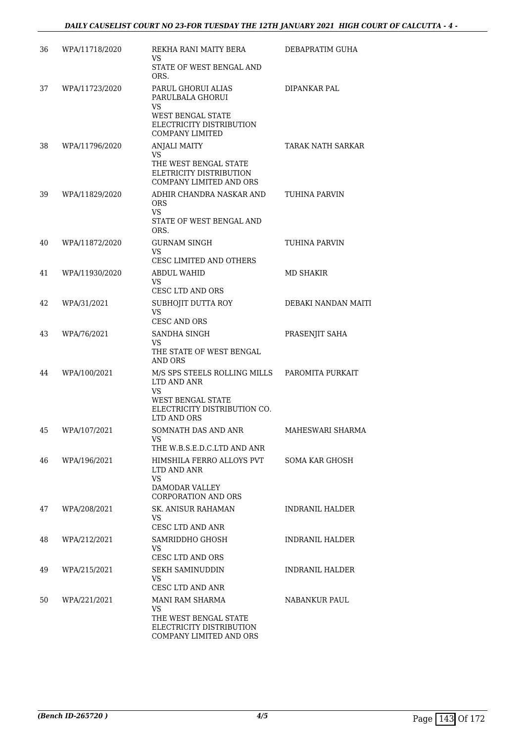| 36 | WPA/11718/2020 | REKHA RANI MAITY BERA<br>VS<br>STATE OF WEST BENGAL AND<br>ORS.                                                                     | DEBAPRATIM GUHA          |
|----|----------------|-------------------------------------------------------------------------------------------------------------------------------------|--------------------------|
| 37 | WPA/11723/2020 | PARUL GHORUI ALIAS<br>PARULBALA GHORUI<br>VS<br><b>WEST BENGAL STATE</b><br>ELECTRICITY DISTRIBUTION<br><b>COMPANY LIMITED</b>      | DIPANKAR PAL             |
| 38 | WPA/11796/2020 | <b>ANJALI MAITY</b><br>VS<br>THE WEST BENGAL STATE<br>ELETRICITY DISTRIBUTION<br>COMPANY LIMITED AND ORS                            | <b>TARAK NATH SARKAR</b> |
| 39 | WPA/11829/2020 | ADHIR CHANDRA NASKAR AND<br><b>ORS</b><br><b>VS</b><br>STATE OF WEST BENGAL AND<br>ORS.                                             | TUHINA PARVIN            |
| 40 | WPA/11872/2020 | <b>GURNAM SINGH</b><br>VS<br><b>CESC LIMITED AND OTHERS</b>                                                                         | TUHINA PARVIN            |
| 41 | WPA/11930/2020 | <b>ABDUL WAHID</b><br>VS<br><b>CESC LTD AND ORS</b>                                                                                 | <b>MD SHAKIR</b>         |
| 42 | WPA/31/2021    | SUBHOJIT DUTTA ROY<br>VS<br>CESC AND ORS                                                                                            | DEBAKI NANDAN MAITI      |
| 43 | WPA/76/2021    | SANDHA SINGH<br>VS<br>THE STATE OF WEST BENGAL<br><b>AND ORS</b>                                                                    | PRASENJIT SAHA           |
| 44 | WPA/100/2021   | M/S SPS STEELS ROLLING MILLS<br>LTD AND ANR<br><b>VS</b><br><b>WEST BENGAL STATE</b><br>ELECTRICITY DISTRIBUTION CO.<br>LTD AND ORS | PAROMITA PURKAIT         |
| 45 | WPA/107/2021   | SOMNATH DAS AND ANR<br>THE W.B.S.E.D.C.LTD AND ANR                                                                                  | MAHESWARI SHARMA         |
| 46 | WPA/196/2021   | HIMSHILA FERRO ALLOYS PVT<br>LTD AND ANR<br>VS.<br>DAMODAR VALLEY<br><b>CORPORATION AND ORS</b>                                     | <b>SOMA KAR GHOSH</b>    |
| 47 | WPA/208/2021   | SK. ANISUR RAHAMAN<br>VS.<br>CESC LTD AND ANR                                                                                       | INDRANIL HALDER          |
| 48 | WPA/212/2021   | SAMRIDDHO GHOSH<br><b>VS</b><br>CESC LTD AND ORS                                                                                    | INDRANIL HALDER          |
| 49 | WPA/215/2021   | <b>SEKH SAMINUDDIN</b><br>VS<br>CESC LTD AND ANR                                                                                    | INDRANIL HALDER          |
| 50 | WPA/221/2021   | MANI RAM SHARMA<br>VS<br>THE WEST BENGAL STATE<br>ELECTRICITY DISTRIBUTION<br>COMPANY LIMITED AND ORS                               | NABANKUR PAUL            |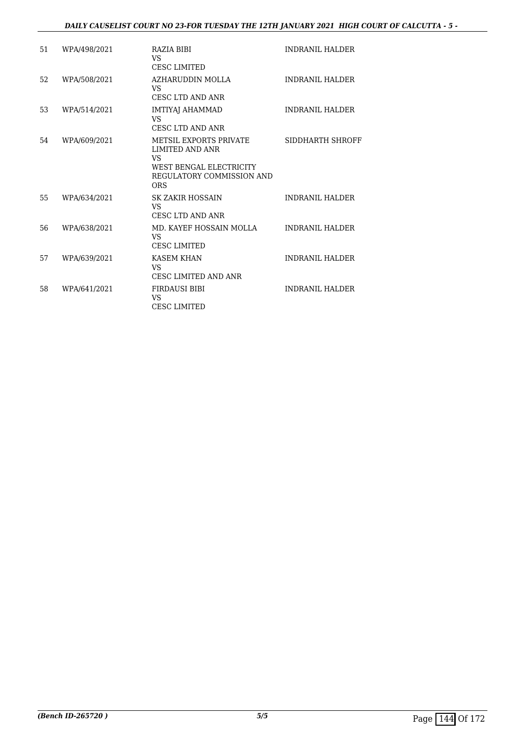### *DAILY CAUSELIST COURT NO 23-FOR TUESDAY THE 12TH JANUARY 2021 HIGH COURT OF CALCUTTA - 5 -*

| 51 | WPA/498/2021 | RAZIA BIBI<br><b>VS</b><br><b>CESC LIMITED</b>                                                                                       | <b>INDRANIL HALDER</b> |
|----|--------------|--------------------------------------------------------------------------------------------------------------------------------------|------------------------|
| 52 | WPA/508/2021 | AZHARUDDIN MOLLA<br>VS.<br>CESC LTD AND ANR                                                                                          | <b>INDRANIL HALDER</b> |
| 53 | WPA/514/2021 | IMTIYAJ AHAMMAD<br>VS.<br><b>CESC LTD AND ANR</b>                                                                                    | <b>INDRANIL HALDER</b> |
| 54 | WPA/609/2021 | <b>METSIL EXPORTS PRIVATE</b><br><b>LIMITED AND ANR</b><br>VS.<br>WEST BENGAL ELECTRICITY<br>REGULATORY COMMISSION AND<br><b>ORS</b> | SIDDHARTH SHROFF       |
| 55 | WPA/634/2021 | <b>SK ZAKIR HOSSAIN</b><br>VS.<br>CESC LTD AND ANR                                                                                   | <b>INDRANIL HALDER</b> |
| 56 | WPA/638/2021 | MD. KAYEF HOSSAIN MOLLA<br><b>VS</b><br><b>CESC LIMITED</b>                                                                          | <b>INDRANIL HALDER</b> |
| 57 | WPA/639/2021 | <b>KASEM KHAN</b><br>VS.<br><b>CESC LIMITED AND ANR</b>                                                                              | <b>INDRANIL HALDER</b> |
| 58 | WPA/641/2021 | <b>FIRDAUSI BIBI</b><br><b>VS</b><br><b>CESC LIMITED</b>                                                                             | <b>INDRANIL HALDER</b> |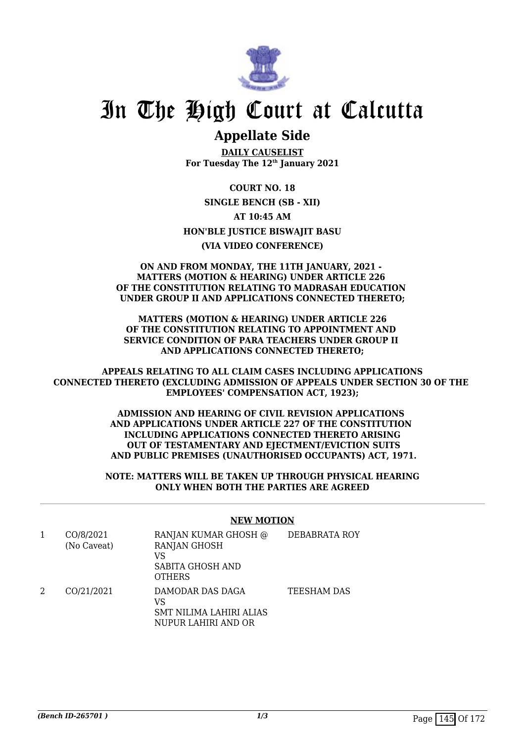

## **Appellate Side**

**DAILY CAUSELIST For Tuesday The 12th January 2021**

**COURT NO. 18 SINGLE BENCH (SB - XII) AT 10:45 AM HON'BLE JUSTICE BISWAJIT BASU (VIA VIDEO CONFERENCE)**

### **ON AND FROM MONDAY, THE 11TH JANUARY, 2021 - MATTERS (MOTION & HEARING) UNDER ARTICLE 226 OF THE CONSTITUTION RELATING TO MADRASAH EDUCATION UNDER GROUP II AND APPLICATIONS CONNECTED THERETO;**

**MATTERS (MOTION & HEARING) UNDER ARTICLE 226 OF THE CONSTITUTION RELATING TO APPOINTMENT AND SERVICE CONDITION OF PARA TEACHERS UNDER GROUP II AND APPLICATIONS CONNECTED THERETO;**

**APPEALS RELATING TO ALL CLAIM CASES INCLUDING APPLICATIONS CONNECTED THERETO (EXCLUDING ADMISSION OF APPEALS UNDER SECTION 30 OF THE EMPLOYEES' COMPENSATION ACT, 1923);**

> **ADMISSION AND HEARING OF CIVIL REVISION APPLICATIONS AND APPLICATIONS UNDER ARTICLE 227 OF THE CONSTITUTION INCLUDING APPLICATIONS CONNECTED THERETO ARISING OUT OF TESTAMENTARY AND EIECTMENT/EVICTION SUITS AND PUBLIC PREMISES (UNAUTHORISED OCCUPANTS) ACT, 1971.**

> **NOTE: MATTERS WILL BE TAKEN UP THROUGH PHYSICAL HEARING ONLY WHEN BOTH THE PARTIES ARE AGREED**

#### **NEW MOTION**

|   | CO/8/2021<br>(No Caveat) | RANJAN KUMAR GHOSH @<br><b>RANJAN GHOSH</b><br>VS<br>SABITA GHOSH AND<br><b>OTHERS</b> | DEBABRATA ROY      |
|---|--------------------------|----------------------------------------------------------------------------------------|--------------------|
| 2 | CO/21/2021               | DAMODAR DAS DAGA<br>VS<br>SMT NILIMA LAHIRI ALIAS<br>NUPUR LAHIRI AND OR               | <b>TEESHAM DAS</b> |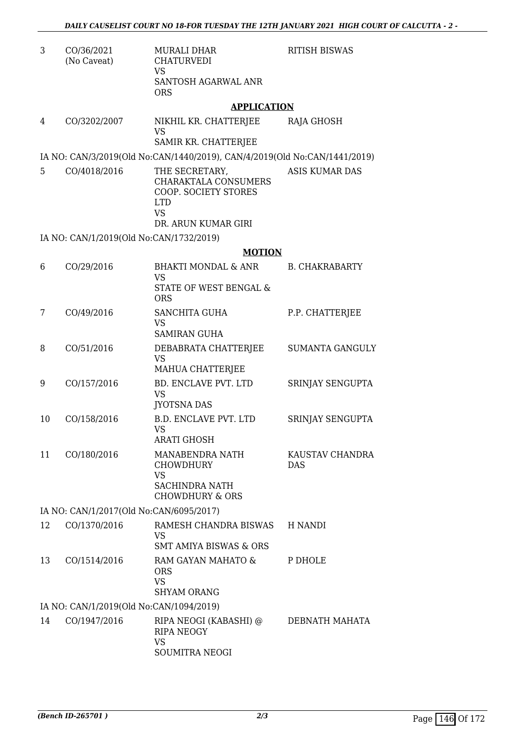RITISH BISWAS

3 CO/36/2021 (No Caveat) MURALI DHAR CHATURVEDI VS SANTOSH AGARWAL ANR ORS

### **APPLICATION**

4 CO/3202/2007 NIKHIL KR. CHATTERJEE VS SAMIR KR. CHATTERJEE RAJA GHOSH

IA NO: CAN/3/2019(Old No:CAN/1440/2019), CAN/4/2019(Old No:CAN/1441/2019)

5 CO/4018/2016 THE SECRETARY, CHARAKTALA CONSUMERS COOP. SOCIETY STORES LTD VS DR. ARUN KUMAR GIRI ASIS KUMAR DAS

IA NO: CAN/1/2019(Old No:CAN/1732/2019)

### **MOTION**

| 6                                       | CO/29/2016                              | <b>BHAKTI MONDAL &amp; ANR</b><br><b>VS</b><br>STATE OF WEST BENGAL &<br><b>ORS</b>                     | <b>B. CHAKRABARTY</b>         |  |
|-----------------------------------------|-----------------------------------------|---------------------------------------------------------------------------------------------------------|-------------------------------|--|
| 7                                       | CO/49/2016                              | <b>SANCHITA GUHA</b><br><b>VS</b><br><b>SAMIRAN GUHA</b>                                                | P.P. CHATTERJEE               |  |
| 8                                       | CO/51/2016                              | DEBABRATA CHATTERJEE<br><b>VS</b><br>MAHUA CHATTERJEE                                                   | <b>SUMANTA GANGULY</b>        |  |
| 9                                       | CO/157/2016                             | BD. ENCLAVE PVT. LTD<br><b>VS</b><br><b>JYOTSNA DAS</b>                                                 | SRINJAY SENGUPTA              |  |
| 10                                      | CO/158/2016                             | <b>B.D. ENCLAVE PVT. LTD</b><br><b>VS</b><br><b>ARATI GHOSH</b>                                         | SRINJAY SENGUPTA              |  |
| 11                                      | CO/180/2016                             | MANABENDRA NATH<br><b>CHOWDHURY</b><br><b>VS</b><br><b>SACHINDRA NATH</b><br><b>CHOWDHURY &amp; ORS</b> | KAUSTAV CHANDRA<br><b>DAS</b> |  |
|                                         | IA NO: CAN/1/2017(Old No:CAN/6095/2017) |                                                                                                         |                               |  |
| 12                                      | CO/1370/2016                            | RAMESH CHANDRA BISWAS<br>VS<br><b>SMT AMIYA BISWAS &amp; ORS</b>                                        | H NANDI                       |  |
| 13                                      | CO/1514/2016                            | RAM GAYAN MAHATO &<br><b>ORS</b><br><b>VS</b><br><b>SHYAM ORANG</b>                                     | P DHOLE                       |  |
| IA NO: CAN/1/2019(Old No:CAN/1094/2019) |                                         |                                                                                                         |                               |  |
| 14                                      | CO/1947/2016                            | RIPA NEOGI (KABASHI) @<br><b>RIPA NEOGY</b><br><b>VS</b><br><b>SOUMITRA NEOGI</b>                       | DEBNATH MAHATA                |  |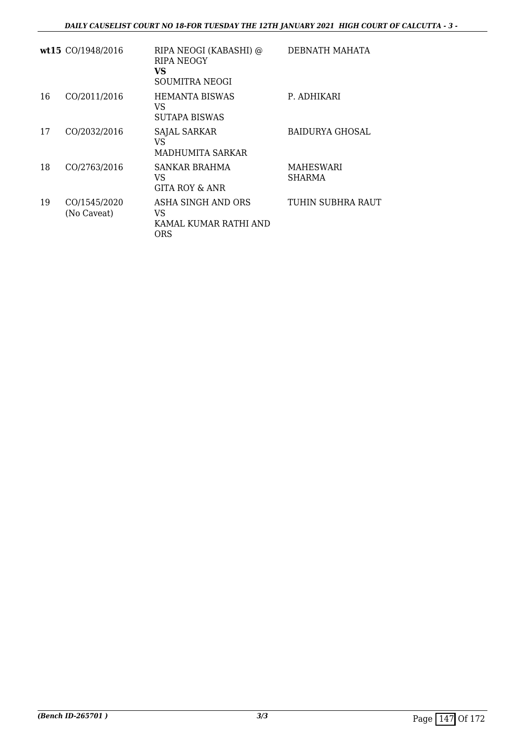|    | wt15 CO/1948/2016           | RIPA NEOGI (KABASHI) @<br><b>RIPA NEOGY</b><br>VS<br>SOUMITRA NEOGI | DEBNATH MAHATA             |
|----|-----------------------------|---------------------------------------------------------------------|----------------------------|
| 16 | CO/2011/2016                | <b>HEMANTA BISWAS</b><br>VS<br>SUTAPA BISWAS                        | P. ADHIKARI                |
| 17 | CO/2032/2016                | SAJAL SARKAR<br>VS<br>MADHUMITA SARKAR                              | BAIDURYA GHOSAL            |
| 18 | CO/2763/2016                | <b>SANKAR BRAHMA</b><br>VS<br>GITA ROY & ANR                        | MAHESWARI<br><b>SHARMA</b> |
| 19 | CO/1545/2020<br>(No Caveat) | ASHA SINGH AND ORS<br>VS<br>KAMAL KUMAR RATHI AND<br>ORS            | TUHIN SUBHRA RAUT          |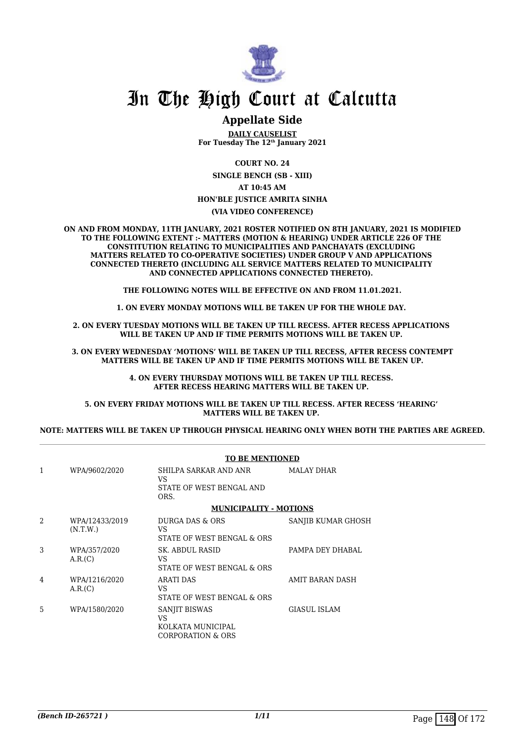

### **Appellate Side**

**DAILY CAUSELIST For Tuesday The 12th January 2021**

**COURT NO. 24**

**SINGLE BENCH (SB - XIII) AT 10:45 AM**

**HON'BLE JUSTICE AMRITA SINHA**

**(VIA VIDEO CONFERENCE)**

**ON AND FROM MONDAY, 11TH JANUARY, 2021 ROSTER NOTIFIED ON 8TH JANUARY, 2021 IS MODIFIED TO THE FOLLOWING EXTENT :- MATTERS (MOTION & HEARING) UNDER ARTICLE 226 OF THE CONSTITUTION RELATING TO MUNICIPALITIES AND PANCHAYATS (EXCLUDING MATTERS RELATED TO CO-OPERATIVE SOCIETIES) UNDER GROUP V AND APPLICATIONS CONNECTED THERETO (INCLUDING ALL SERVICE MATTERS RELATED TO MUNICIPALITY AND CONNECTED APPLICATIONS CONNECTED THERETO).** 

**THE FOLLOWING NOTES WILL BE EFFECTIVE ON AND FROM 11.01.2021.**

**1. ON EVERY MONDAY MOTIONS WILL BE TAKEN UP FOR THE WHOLE DAY.** 

**2. ON EVERY TUESDAY MOTIONS WILL BE TAKEN UP TILL RECESS. AFTER RECESS APPLICATIONS**  WILL BE TAKEN UP AND IF TIME PERMITS MOTIONS WILL BE TAKEN UP.

**3. ON EVERY WEDNESDAY 'MOTIONS' WILL BE TAKEN UP TILL RECESS, AFTER RECESS CONTEMPT MATTERS WILL BE TAKEN UP AND IF TIME PERMITS MOTIONS WILL BE TAKEN UP.**

> **4. ON EVERY THURSDAY MOTIONS WILL BE TAKEN UP TILL RECESS. AFTER RECESS HEARING MATTERS WILL BE TAKEN UP.**

**5. ON EVERY FRIDAY MOTIONS WILL BE TAKEN UP TILL RECESS. AFTER RECESS 'HEARING' MATTERS WILL BE TAKEN UP.** 

**NOTE: MATTERS WILL BE TAKEN UP THROUGH PHYSICAL HEARING ONLY WHEN BOTH THE PARTIES ARE AGREED.**

|                |                            | <b>TO BE MENTIONED</b>                                                   |                    |
|----------------|----------------------------|--------------------------------------------------------------------------|--------------------|
| $\mathbf{1}$   | WPA/9602/2020              | SHILPA SARKAR AND ANR<br>VS<br>STATE OF WEST BENGAL AND<br>ORS.          | <b>MALAY DHAR</b>  |
|                |                            | <b>MUNICIPALITY - MOTIONS</b>                                            |                    |
| $\overline{a}$ | WPA/12433/2019<br>(N.T.W.) | DURGA DAS & ORS<br>VS<br>STATE OF WEST BENGAL & ORS                      | SANJIB KUMAR GHOSH |
| 3              | WPA/357/2020<br>A.R.(C)    | SK. ABDUL RASID<br>VS<br>STATE OF WEST BENGAL & ORS                      | PAMPA DEY DHABAL   |
| $\overline{4}$ | WPA/1216/2020<br>A.R.(C)   | <b>ARATI DAS</b><br>VS<br>STATE OF WEST BENGAL & ORS                     | AMIT BARAN DASH    |
| 5              | WPA/1580/2020              | SANJIT BISWAS<br>VS<br>KOLKATA MUNICIPAL<br><b>CORPORATION &amp; ORS</b> | GIASUL ISLAM       |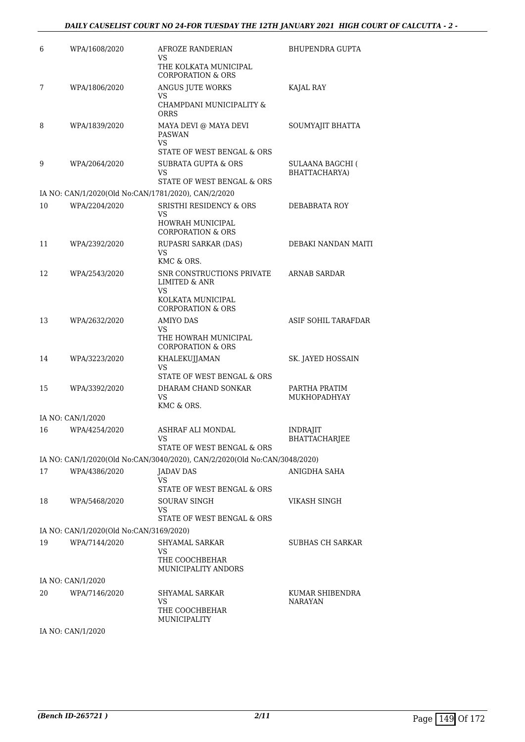| 6  | WPA/1608/2020                           | AFROZE RANDERIAN<br>VS                                                                 | BHUPENDRA GUPTA                          |
|----|-----------------------------------------|----------------------------------------------------------------------------------------|------------------------------------------|
|    |                                         | THE KOLKATA MUNICIPAL<br><b>CORPORATION &amp; ORS</b>                                  |                                          |
| 7  | WPA/1806/2020                           | ANGUS JUTE WORKS<br>VS                                                                 | KAJAL RAY                                |
|    |                                         | CHAMPDANI MUNICIPALITY &<br>ORRS                                                       |                                          |
| 8  | WPA/1839/2020                           | MAYA DEVI @ MAYA DEVI<br>PASWAN<br>VS<br>STATE OF WEST BENGAL & ORS                    | SOUMYAJIT BHATTA                         |
| 9  | WPA/2064/2020                           | <b>SUBRATA GUPTA &amp; ORS</b><br><b>VS</b>                                            | <b>SULAANA BAGCHI (</b><br>BHATTACHARYA) |
|    |                                         | STATE OF WEST BENGAL & ORS                                                             |                                          |
| 10 | WPA/2204/2020                           | IA NO: CAN/1/2020(Old No:CAN/1781/2020), CAN/2/2020<br>SRISTHI RESIDENCY & ORS         | DEBABRATA ROY                            |
|    |                                         | VS<br>HOWRAH MUNICIPAL                                                                 |                                          |
|    |                                         | <b>CORPORATION &amp; ORS</b>                                                           |                                          |
| 11 | WPA/2392/2020                           | RUPASRI SARKAR (DAS)<br>VS<br>KMC & ORS.                                               | DEBAKI NANDAN MAITI                      |
| 12 | WPA/2543/2020                           | SNR CONSTRUCTIONS PRIVATE<br>LIMITED & ANR<br>VS<br>KOLKATA MUNICIPAL                  | ARNAB SARDAR                             |
|    |                                         | <b>CORPORATION &amp; ORS</b>                                                           |                                          |
| 13 | WPA/2632/2020                           | <b>AMIYO DAS</b><br>VS<br>THE HOWRAH MUNICIPAL<br><b>CORPORATION &amp; ORS</b>         | ASIF SOHIL TARAFDAR                      |
| 14 | WPA/3223/2020                           | KHALEKUJJAMAN<br>VS<br>STATE OF WEST BENGAL & ORS                                      | SK. JAYED HOSSAIN                        |
| 15 | WPA/3392/2020                           | DHARAM CHAND SONKAR<br>VS.<br>KMC & ORS.                                               | PARTHA PRATIM<br>MUKHOPADHYAY            |
|    | IA NO: CAN/1/2020                       |                                                                                        |                                          |
| 16 | WPA/4254/2020                           | ASHRAF ALI MONDAL<br>VS                                                                | <b>INDRAJIT</b><br>BHATTACHARJEE         |
|    |                                         | STATE OF WEST BENGAL & ORS                                                             |                                          |
| 17 | WPA/4386/2020                           | IA NO: CAN/1/2020(Old No:CAN/3040/2020), CAN/2/2020(Old No:CAN/3048/2020)<br>JADAV DAS | ANIGDHA SAHA                             |
|    |                                         | VS.<br>STATE OF WEST BENGAL & ORS                                                      |                                          |
| 18 | WPA/5468/2020                           | SOURAV SINGH<br>VS                                                                     | VIKASH SINGH                             |
|    | IA NO: CAN/1/2020(Old No:CAN/3169/2020) | STATE OF WEST BENGAL & ORS                                                             |                                          |
| 19 | WPA/7144/2020                           | SHYAMAL SARKAR                                                                         | SUBHAS CH SARKAR                         |
|    |                                         | VS.<br>THE COOCHBEHAR<br>MUNICIPALITY ANDORS                                           |                                          |
|    | IA NO: CAN/1/2020                       |                                                                                        |                                          |
| 20 | WPA/7146/2020                           | SHYAMAL SARKAR<br>VS.<br>THE COOCHBEHAR                                                | KUMAR SHIBENDRA<br>NARAYAN               |
|    | IA NO: CAN/1/2020                       | MUNICIPALITY                                                                           |                                          |
|    |                                         |                                                                                        |                                          |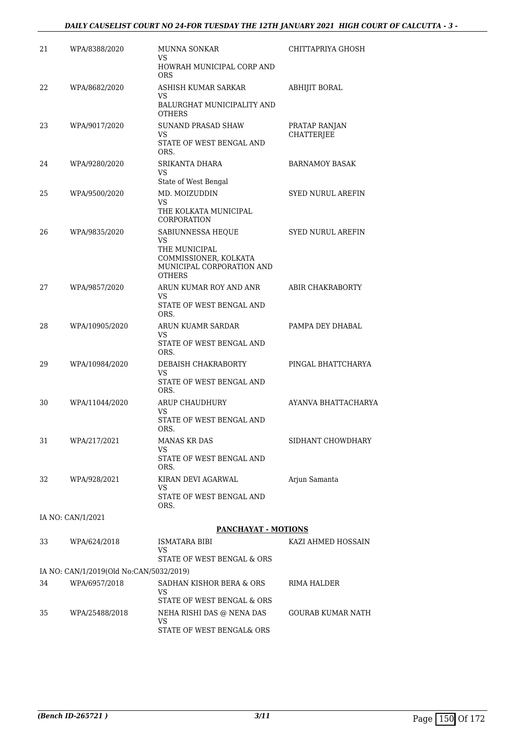### *DAILY CAUSELIST COURT NO 24-FOR TUESDAY THE 12TH JANUARY 2021 HIGH COURT OF CALCUTTA - 3 -*

| 21 | WPA/8388/2020                           | <b>MUNNA SONKAR</b><br>VS.                                                                 | CHITTAPRIYA GHOSH                  |
|----|-----------------------------------------|--------------------------------------------------------------------------------------------|------------------------------------|
|    |                                         | HOWRAH MUNICIPAL CORP AND<br><b>ORS</b>                                                    |                                    |
| 22 | WPA/8682/2020                           | ASHISH KUMAR SARKAR<br>VS.                                                                 | <b>ABHIJIT BORAL</b>               |
|    |                                         | BALURGHAT MUNICIPALITY AND<br><b>OTHERS</b>                                                |                                    |
| 23 | WPA/9017/2020                           | <b>SUNAND PRASAD SHAW</b><br>VS.                                                           | PRATAP RANJAN<br><b>CHATTERJEE</b> |
|    |                                         | STATE OF WEST BENGAL AND<br>ORS.                                                           |                                    |
| 24 | WPA/9280/2020                           | SRIKANTA DHARA<br>VS                                                                       | <b>BARNAMOY BASAK</b>              |
| 25 | WPA/9500/2020                           | State of West Bengal<br>MD. MOIZUDDIN                                                      | <b>SYED NURUL AREFIN</b>           |
|    |                                         | VS.<br>THE KOLKATA MUNICIPAL<br><b>CORPORATION</b>                                         |                                    |
| 26 | WPA/9835/2020                           | SABIUNNESSA HEQUE                                                                          | <b>SYED NURUL AREFIN</b>           |
|    |                                         | VS<br>THE MUNICIPAL<br>COMMISSIONER, KOLKATA<br>MUNICIPAL CORPORATION AND<br><b>OTHERS</b> |                                    |
| 27 | WPA/9857/2020                           | ARUN KUMAR ROY AND ANR<br>VS.                                                              | ABIR CHAKRABORTY                   |
|    |                                         | STATE OF WEST BENGAL AND<br>ORS.                                                           |                                    |
| 28 | WPA/10905/2020                          | ARUN KUAMR SARDAR<br><b>VS</b>                                                             | PAMPA DEY DHABAL                   |
|    |                                         | STATE OF WEST BENGAL AND<br>ORS.                                                           |                                    |
| 29 | WPA/10984/2020                          | DEBAISH CHAKRABORTY<br>VS<br>STATE OF WEST BENGAL AND<br>ORS.                              | PINGAL BHATTCHARYA                 |
| 30 | WPA/11044/2020                          | ARUP CHAUDHURY                                                                             | AYANVA BHATTACHARYA                |
|    |                                         | <b>VS</b><br>STATE OF WEST BENGAL AND<br>ORS.                                              |                                    |
| 31 | WPA/217/2021                            | <b>MANAS KR DAS</b><br>VS                                                                  | SIDHANT CHOWDHARY                  |
|    |                                         | STATE OF WEST BENGAL AND<br>ORS.                                                           |                                    |
| 32 | WPA/928/2021                            | KIRAN DEVI AGARWAL<br>VS.                                                                  | Arjun Samanta                      |
|    |                                         | STATE OF WEST BENGAL AND<br>ORS.                                                           |                                    |
|    | IA NO: CAN/1/2021                       | <b>PANCHAYAT - MOTIONS</b>                                                                 |                                    |
| 33 | WPA/624/2018                            | ISMATARA BIBI                                                                              | KAZI AHMED HOSSAIN                 |
|    |                                         | VS<br>STATE OF WEST BENGAL & ORS                                                           |                                    |
|    | IA NO: CAN/1/2019(Old No:CAN/5032/2019) |                                                                                            |                                    |
| 34 | WPA/6957/2018                           | SADHAN KISHOR BERA & ORS<br>VS.                                                            | RIMA HALDER                        |
|    |                                         | STATE OF WEST BENGAL & ORS                                                                 |                                    |

35 WPA/25488/2018 NEHA RISHI DAS @ NENA DAS VS

STATE OF WEST BENGAL& ORS

GOURAB KUMAR NATH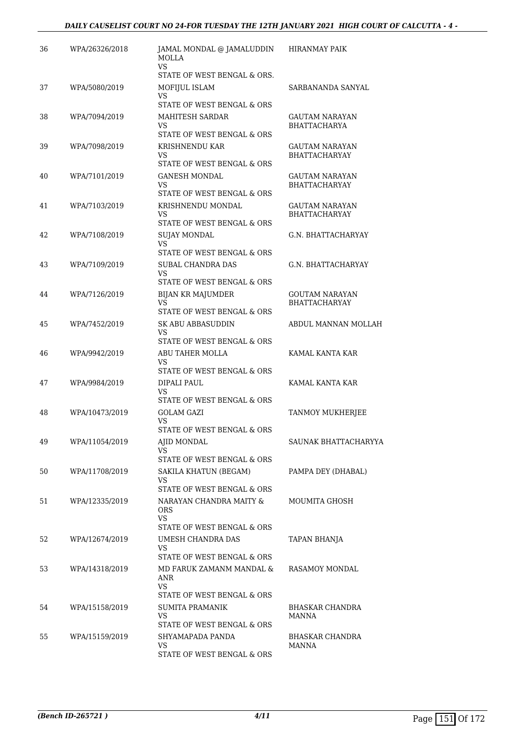| 36 | WPA/26326/2018 | JAMAL MONDAL @ JAMALUDDIN<br>MOLLA<br>VS.                | <b>HIRANMAY PAIK</b>                          |
|----|----------------|----------------------------------------------------------|-----------------------------------------------|
|    |                | STATE OF WEST BENGAL & ORS.                              |                                               |
| 37 | WPA/5080/2019  | MOFIJUL ISLAM<br>VS<br>STATE OF WEST BENGAL & ORS        | SARBANANDA SANYAL                             |
| 38 | WPA/7094/2019  | MAHITESH SARDAR<br>VS                                    | GAUTAM NARAYAN<br><b>BHATTACHARYA</b>         |
|    |                | STATE OF WEST BENGAL & ORS                               |                                               |
| 39 | WPA/7098/2019  | KRISHNENDU KAR<br>VS<br>STATE OF WEST BENGAL & ORS       | GAUTAM NARAYAN<br><b>BHATTACHARYAY</b>        |
| 40 | WPA/7101/2019  | <b>GANESH MONDAL</b><br>VS<br>STATE OF WEST BENGAL & ORS | GAUTAM NARAYAN<br><b>BHATTACHARYAY</b>        |
| 41 | WPA/7103/2019  | KRISHNENDU MONDAL<br>VS                                  | GAUTAM NARAYAN<br><b>BHATTACHARYAY</b>        |
| 42 | WPA/7108/2019  | STATE OF WEST BENGAL & ORS<br><b>SUJAY MONDAL</b><br>VS  | G.N. BHATTACHARYAY                            |
|    |                | STATE OF WEST BENGAL & ORS                               |                                               |
| 43 | WPA/7109/2019  | SUBAL CHANDRA DAS<br>VS                                  | G.N. BHATTACHARYAY                            |
|    |                | STATE OF WEST BENGAL & ORS                               |                                               |
| 44 | WPA/7126/2019  | BIJAN KR MAJUMDER<br>VS<br>STATE OF WEST BENGAL & ORS    | <b>GOUTAM NARAYAN</b><br><b>BHATTACHARYAY</b> |
| 45 | WPA/7452/2019  | SK ABU ABBASUDDIN<br>VS<br>STATE OF WEST BENGAL & ORS    | ABDUL MANNAN MOLLAH                           |
| 46 | WPA/9942/2019  | ABU TAHER MOLLA<br>VS                                    | KAMAL KANTA KAR                               |
|    |                | STATE OF WEST BENGAL & ORS                               |                                               |
| 47 | WPA/9984/2019  | DIPALI PAUL<br>VS<br>STATE OF WEST BENGAL & ORS          | KAMAL KANTA KAR                               |
| 48 | WPA/10473/2019 | <b>GOLAM GAZI</b><br>VS                                  | TANMOY MUKHERJEE                              |
|    |                | STATE OF WEST BENGAL & ORS                               |                                               |
| 49 | WPA/11054/2019 | AJID MONDAL<br>VS<br>STATE OF WEST BENGAL & ORS          | SAUNAK BHATTACHARYYA                          |
| 50 | WPA/11708/2019 | SAKILA KHATUN (BEGAM)                                    | PAMPA DEY (DHABAL)                            |
|    |                | VS.<br>STATE OF WEST BENGAL & ORS                        |                                               |
| 51 | WPA/12335/2019 | NARAYAN CHANDRA MAITY &<br><b>ORS</b><br>VS.             | MOUMITA GHOSH                                 |
|    |                | STATE OF WEST BENGAL & ORS                               |                                               |
| 52 | WPA/12674/2019 | UMESH CHANDRA DAS<br>VS.                                 | TAPAN BHANJA                                  |
| 53 | WPA/14318/2019 | STATE OF WEST BENGAL & ORS<br>MD FARUK ZAMANM MANDAL &   | RASAMOY MONDAL                                |
|    |                | ANR<br><b>VS</b><br>STATE OF WEST BENGAL & ORS           |                                               |
| 54 | WPA/15158/2019 | SUMITA PRAMANIK                                          | BHASKAR CHANDRA                               |
|    |                | VS.                                                      | MANNA                                         |
|    |                | STATE OF WEST BENGAL & ORS                               |                                               |
| 55 | WPA/15159/2019 | SHYAMAPADA PANDA<br>VS.                                  | BHASKAR CHANDRA<br>MANNA                      |
|    |                | STATE OF WEST BENGAL & ORS                               |                                               |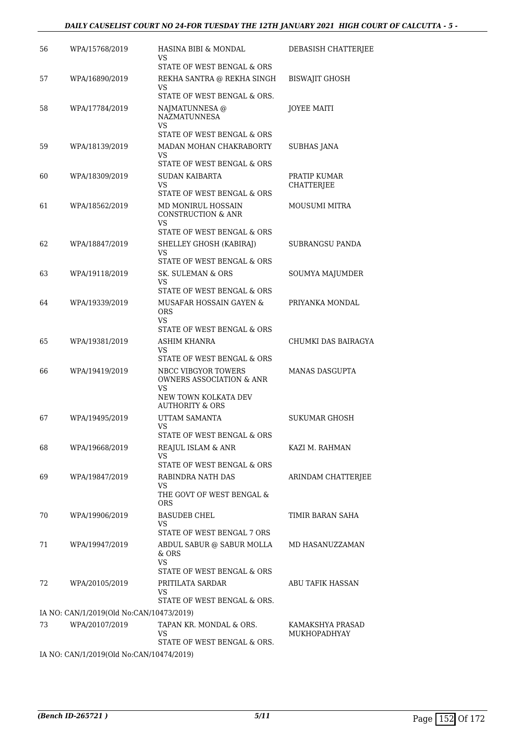| 56 | WPA/15768/2019                           | HASINA BIBI & MONDAL<br>VS                                  | DEBASISH CHATTERJEE              |
|----|------------------------------------------|-------------------------------------------------------------|----------------------------------|
| 57 | WPA/16890/2019                           | STATE OF WEST BENGAL & ORS<br>REKHA SANTRA @ REKHA SINGH    | <b>BISWAJIT GHOSH</b>            |
|    |                                          | VS<br>STATE OF WEST BENGAL & ORS.                           |                                  |
| 58 | WPA/17784/2019                           | NAJMATUNNESA @<br><b>NAZMATUNNESA</b><br>VS                 | <b>JOYEE MAITI</b>               |
|    |                                          | STATE OF WEST BENGAL & ORS                                  |                                  |
| 59 | WPA/18139/2019                           | MADAN MOHAN CHAKRABORTY<br>VS<br>STATE OF WEST BENGAL & ORS | <b>SUBHAS JANA</b>               |
| 60 | WPA/18309/2019                           | SUDAN KAIBARTA<br>VS                                        | PRATIP KUMAR<br>CHATTERJEE       |
|    |                                          | STATE OF WEST BENGAL & ORS                                  |                                  |
| 61 | WPA/18562/2019                           | MD MONIRUL HOSSAIN<br><b>CONSTRUCTION &amp; ANR</b><br>VS   | MOUSUMI MITRA                    |
|    |                                          | STATE OF WEST BENGAL & ORS                                  |                                  |
| 62 | WPA/18847/2019                           | SHELLEY GHOSH (KABIRAJ)<br>VS                               | <b>SUBRANGSU PANDA</b>           |
|    |                                          | STATE OF WEST BENGAL & ORS                                  |                                  |
| 63 | WPA/19118/2019                           | SK. SULEMAN & ORS<br>VS.<br>STATE OF WEST BENGAL & ORS      | SOUMYA MAJUMDER                  |
| 64 | WPA/19339/2019                           | MUSAFAR HOSSAIN GAYEN &<br><b>ORS</b>                       | PRIYANKA MONDAL                  |
|    |                                          | VS.<br>STATE OF WEST BENGAL & ORS                           |                                  |
| 65 | WPA/19381/2019                           | ASHIM KHANRA<br>VS                                          | CHUMKI DAS BAIRAGYA              |
|    |                                          | STATE OF WEST BENGAL & ORS                                  |                                  |
| 66 | WPA/19419/2019                           | NBCC VIBGYOR TOWERS<br>OWNERS ASSOCIATION & ANR<br>VS       | <b>MANAS DASGUPTA</b>            |
|    |                                          | NEW TOWN KOLKATA DEV<br><b>AUTHORITY &amp; ORS</b>          |                                  |
| 67 | WPA/19495/2019                           | UTTAM SAMANTA<br>VS                                         | <b>SUKUMAR GHOSH</b>             |
|    |                                          | STATE OF WEST BENGAL & ORS                                  |                                  |
| 68 | WPA/19668/2019                           | REAJUL ISLAM & ANR<br>VS.<br>STATE OF WEST BENGAL & ORS     | KAZI M. RAHMAN                   |
| 69 | WPA/19847/2019                           | RABINDRA NATH DAS                                           | ARINDAM CHATTERJEE               |
|    |                                          | VS<br>THE GOVT OF WEST BENGAL &<br><b>ORS</b>               |                                  |
| 70 | WPA/19906/2019                           | <b>BASUDEB CHEL</b><br>VS                                   | TIMIR BARAN SAHA                 |
|    |                                          | STATE OF WEST BENGAL 7 ORS                                  |                                  |
| 71 | WPA/19947/2019                           | ABDUL SABUR @ SABUR MOLLA<br>& ORS<br><b>VS</b>             | MD HASANUZZAMAN                  |
|    |                                          | STATE OF WEST BENGAL & ORS                                  |                                  |
| 72 | WPA/20105/2019                           | PRITILATA SARDAR<br>VS<br>STATE OF WEST BENGAL & ORS.       | ABU TAFIK HASSAN                 |
|    | IA NO: CAN/1/2019(Old No:CAN/10473/2019) |                                                             |                                  |
| 73 | WPA/20107/2019                           | TAPAN KR. MONDAL & ORS.<br>VS                               | KAMAKSHYA PRASAD<br>MUKHOPADHYAY |
|    |                                          | STATE OF WEST BENGAL & ORS.                                 |                                  |
|    | IA NO: CAN/1/2019(Old No:CAN/10474/2019) |                                                             |                                  |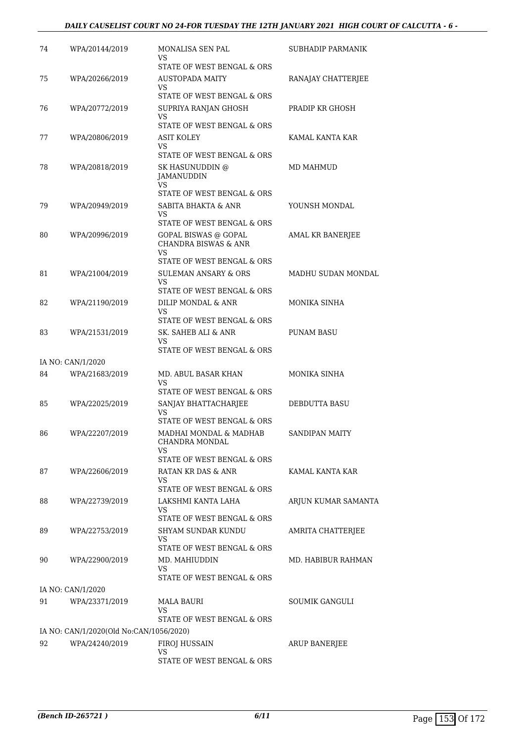### *DAILY CAUSELIST COURT NO 24-FOR TUESDAY THE 12TH JANUARY 2021 HIGH COURT OF CALCUTTA - 6 -*

| 74 | WPA/20144/2019                          | MONALISA SEN PAL<br>VS<br>STATE OF WEST BENGAL & ORS                                        | SUBHADIP PARMANIK   |
|----|-----------------------------------------|---------------------------------------------------------------------------------------------|---------------------|
| 75 | WPA/20266/2019                          | AUSTOPADA MAITY<br>VS                                                                       | RANAJAY CHATTERJEE  |
| 76 | WPA/20772/2019                          | STATE OF WEST BENGAL & ORS<br>SUPRIYA RANJAN GHOSH<br>VS                                    | PRADIP KR GHOSH     |
| 77 | WPA/20806/2019                          | STATE OF WEST BENGAL & ORS<br><b>ASIT KOLEY</b><br>VS<br>STATE OF WEST BENGAL & ORS         | KAMAL KANTA KAR     |
| 78 | WPA/20818/2019                          | SK HASUNUDDIN @<br>JAMANUDDIN<br>VS.                                                        | <b>MD MAHMUD</b>    |
| 79 | WPA/20949/2019                          | STATE OF WEST BENGAL & ORS<br>SABITA BHAKTA & ANR<br>VS                                     | YOUNSH MONDAL       |
| 80 | WPA/20996/2019                          | STATE OF WEST BENGAL & ORS<br>GOPAL BISWAS @ GOPAL<br><b>CHANDRA BISWAS &amp; ANR</b><br>VS | AMAL KR BANERJEE    |
| 81 | WPA/21004/2019                          | STATE OF WEST BENGAL & ORS<br><b>SULEMAN ANSARY &amp; ORS</b><br>VS                         | MADHU SUDAN MONDAL  |
| 82 | WPA/21190/2019                          | STATE OF WEST BENGAL & ORS<br>DILIP MONDAL & ANR<br>VS                                      | MONIKA SINHA        |
| 83 | WPA/21531/2019                          | STATE OF WEST BENGAL & ORS<br>SK. SAHEB ALI & ANR<br>VS<br>STATE OF WEST BENGAL & ORS       | PUNAM BASU          |
|    | IA NO: CAN/1/2020                       |                                                                                             |                     |
| 84 | WPA/21683/2019                          | MD. ABUL BASAR KHAN<br>VS<br>STATE OF WEST BENGAL & ORS                                     | MONIKA SINHA        |
| 85 | WPA/22025/2019                          | SANJAY BHATTACHARJEE<br>VS<br>STATE OF WEST BENGAL & ORS                                    | DEBDUTTA BASU       |
| 86 | WPA/22207/2019                          | MADHAI MONDAL & MADHAB<br>CHANDRA MONDAL<br>VS<br>STATE OF WEST BENGAL & ORS                | SANDIPAN MAITY      |
| 87 | WPA/22606/2019                          | RATAN KR DAS & ANR<br>VS<br>STATE OF WEST BENGAL & ORS                                      | KAMAL KANTA KAR     |
| 88 | WPA/22739/2019                          | LAKSHMI KANTA LAHA<br>VS                                                                    | ARJUN KUMAR SAMANTA |
| 89 | WPA/22753/2019                          | STATE OF WEST BENGAL & ORS<br>SHYAM SUNDAR KUNDU<br>VS<br>STATE OF WEST BENGAL & ORS        | AMRITA CHATTERJEE   |
| 90 | WPA/22900/2019                          | MD. MAHIUDDIN<br>VS<br>STATE OF WEST BENGAL & ORS                                           | MD. HABIBUR RAHMAN  |
|    | IA NO: CAN/1/2020                       |                                                                                             |                     |
| 91 | WPA/23371/2019                          | <b>MALA BAURI</b><br>VS<br>STATE OF WEST BENGAL & ORS                                       | SOUMIK GANGULI      |
|    | IA NO: CAN/1/2020(Old No:CAN/1056/2020) |                                                                                             |                     |
| 92 | WPA/24240/2019                          | FIROJ HUSSAIN<br>VS                                                                         | ARUP BANERJEE       |
|    |                                         | STATE OF WEST BENGAL & ORS                                                                  |                     |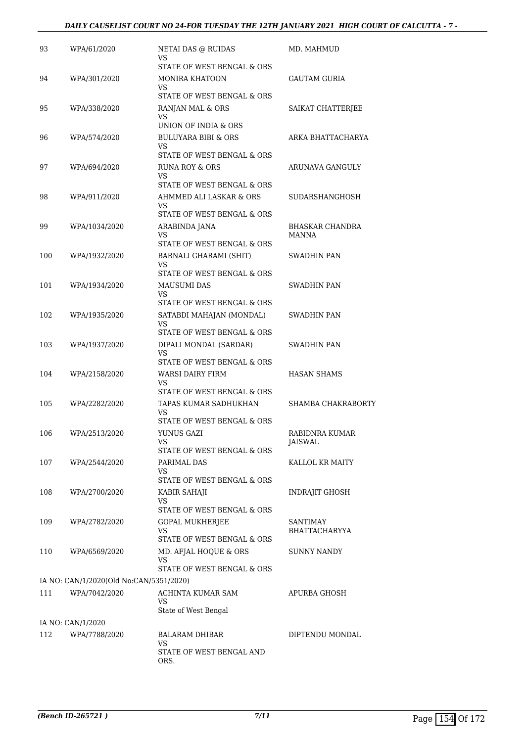| 93  | WPA/61/2020                             | NETAI DAS @ RUIDAS<br>VS                                                                | MD. MAHMUD                       |
|-----|-----------------------------------------|-----------------------------------------------------------------------------------------|----------------------------------|
| 94  | WPA/301/2020                            | STATE OF WEST BENGAL & ORS<br><b>MONIRA KHATOON</b><br>VS.                              | GAUTAM GURIA                     |
| 95  | WPA/338/2020                            | STATE OF WEST BENGAL & ORS<br>RANJAN MAL & ORS<br>VS                                    | SAIKAT CHATTERJEE                |
| 96  | WPA/574/2020                            | UNION OF INDIA & ORS<br><b>BULUYARA BIBI &amp; ORS</b><br>VS                            | ARKA BHATTACHARYA                |
| 97  | WPA/694/2020                            | STATE OF WEST BENGAL & ORS<br>RUNA ROY & ORS<br>VS                                      | ARUNAVA GANGULY                  |
| 98  | WPA/911/2020                            | STATE OF WEST BENGAL & ORS<br>AHMMED ALI LASKAR & ORS<br>VS                             | SUDARSHANGHOSH                   |
| 99  | WPA/1034/2020                           | STATE OF WEST BENGAL & ORS<br>ARABINDA JANA<br>VS                                       | <b>BHASKAR CHANDRA</b><br>MANNA  |
| 100 | WPA/1932/2020                           | STATE OF WEST BENGAL & ORS<br>BARNALI GHARAMI (SHIT)<br>VS                              | SWADHIN PAN                      |
| 101 | WPA/1934/2020                           | STATE OF WEST BENGAL & ORS<br><b>MAUSUMI DAS</b><br>VS                                  | SWADHIN PAN                      |
| 102 | WPA/1935/2020                           | STATE OF WEST BENGAL & ORS<br>SATABDI MAHAJAN (MONDAL)<br>VS                            | SWADHIN PAN                      |
| 103 | WPA/1937/2020                           | STATE OF WEST BENGAL & ORS<br>DIPALI MONDAL (SARDAR)<br>VS                              | SWADHIN PAN                      |
| 104 | WPA/2158/2020                           | STATE OF WEST BENGAL & ORS<br>WARSI DAIRY FIRM<br>VS                                    | <b>HASAN SHAMS</b>               |
| 105 | WPA/2282/2020                           | STATE OF WEST BENGAL & ORS<br>TAPAS KUMAR SADHUKHAN<br>VS<br>STATE OF WEST BENGAL & ORS | SHAMBA CHAKRABORTY               |
| 106 | WPA/2513/2020                           | YUNUS GAZI<br>VS<br>STATE OF WEST BENGAL & ORS                                          | RABIDNRA KUMAR<br><b>JAISWAL</b> |
| 107 | WPA/2544/2020                           | PARIMAL DAS<br>VS<br>STATE OF WEST BENGAL & ORS                                         | KALLOL KR MAITY                  |
| 108 | WPA/2700/2020                           | KABIR SAHAJI<br>VS<br>STATE OF WEST BENGAL & ORS                                        | INDRAJIT GHOSH                   |
| 109 | WPA/2782/2020                           | GOPAL MUKHERJEE<br>VS<br>STATE OF WEST BENGAL & ORS                                     | SANTIMAY<br><b>BHATTACHARYYA</b> |
| 110 | WPA/6569/2020                           | MD. AFJAL HOQUE & ORS<br>VS<br>STATE OF WEST BENGAL & ORS                               | <b>SUNNY NANDY</b>               |
|     | IA NO: CAN/1/2020(Old No:CAN/5351/2020) |                                                                                         |                                  |
| 111 | WPA/7042/2020                           | ACHINTA KUMAR SAM<br>VS<br>State of West Bengal                                         | APURBA GHOSH                     |
|     | IA NO: CAN/1/2020                       |                                                                                         |                                  |
| 112 | WPA/7788/2020                           | <b>BALARAM DHIBAR</b><br>VS<br>STATE OF WEST BENGAL AND<br>ORS.                         | DIPTENDU MONDAL                  |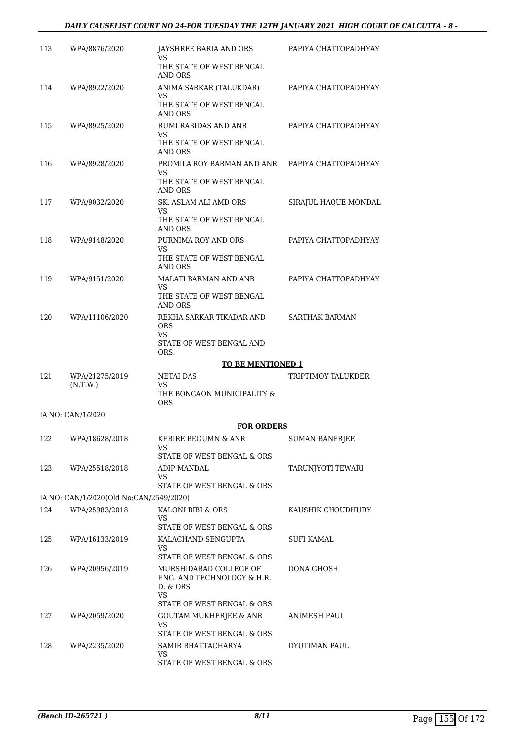### *DAILY CAUSELIST COURT NO 24-FOR TUESDAY THE 12TH JANUARY 2021 HIGH COURT OF CALCUTTA - 8 -*

| 113 | WPA/8876/2020                                             | JAYSHREE BARIA AND ORS<br>VS<br>THE STATE OF WEST BENGAL                                                                           | PAPIYA CHATTOPADHYAY  |
|-----|-----------------------------------------------------------|------------------------------------------------------------------------------------------------------------------------------------|-----------------------|
| 114 | WPA/8922/2020                                             | AND ORS<br>ANIMA SARKAR (TALUKDAR)<br>VS.<br>THE STATE OF WEST BENGAL                                                              | PAPIYA CHATTOPADHYAY  |
|     |                                                           | AND ORS                                                                                                                            |                       |
| 115 | WPA/8925/2020                                             | RUMI RABIDAS AND ANR<br>VS.<br>THE STATE OF WEST BENGAL<br>AND ORS                                                                 | PAPIYA CHATTOPADHYAY  |
| 116 | WPA/8928/2020                                             | PROMILA ROY BARMAN AND ANR PAPIYA CHATTOPADHYAY<br>VS<br>THE STATE OF WEST BENGAL<br>AND ORS                                       |                       |
| 117 | WPA/9032/2020                                             | SK. ASLAM ALI AMD ORS<br>VS.<br>THE STATE OF WEST BENGAL                                                                           | SIRAJUL HAQUE MONDAL  |
| 118 | WPA/9148/2020                                             | AND ORS<br>PURNIMA ROY AND ORS<br>VS.                                                                                              | PAPIYA CHATTOPADHYAY  |
|     |                                                           | THE STATE OF WEST BENGAL<br>AND ORS                                                                                                |                       |
| 119 | WPA/9151/2020                                             | MALATI BARMAN AND ANR<br>VS.                                                                                                       | PAPIYA CHATTOPADHYAY  |
|     |                                                           | THE STATE OF WEST BENGAL<br>AND ORS                                                                                                |                       |
| 120 | WPA/11106/2020                                            | REKHA SARKAR TIKADAR AND<br><b>ORS</b><br>VS<br>STATE OF WEST BENGAL AND                                                           | <b>SARTHAK BARMAN</b> |
|     |                                                           | ORS.                                                                                                                               |                       |
|     |                                                           |                                                                                                                                    |                       |
|     |                                                           | <b>TO BE MENTIONED 1</b>                                                                                                           |                       |
| 121 | WPA/21275/2019<br>(N.T.W.)                                | NETAI DAS<br>VS.<br>THE BONGAON MUNICIPALITY &<br><b>ORS</b>                                                                       | TRIPTIMOY TALUKDER    |
|     | IA NO: CAN/1/2020                                         |                                                                                                                                    |                       |
|     |                                                           | <b>FOR ORDERS</b>                                                                                                                  |                       |
| 122 | WPA/18628/2018                                            | KEBIRE BEGUMN & ANR<br>VS                                                                                                          | <b>SUMAN BANERJEE</b> |
| 123 | WPA/25518/2018                                            | STATE OF WEST BENGAL & ORS<br>ADIP MANDAL<br>VS.                                                                                   | TARUNJYOTI TEWARI     |
|     |                                                           | STATE OF WEST BENGAL & ORS                                                                                                         |                       |
| 124 | IA NO: CAN/1/2020(Old No:CAN/2549/2020)<br>WPA/25983/2018 | KALONI BIBI & ORS<br>VS                                                                                                            | KAUSHIK CHOUDHURY     |
|     |                                                           | STATE OF WEST BENGAL & ORS                                                                                                         |                       |
| 125 | WPA/16133/2019                                            | KALACHAND SENGUPTA<br>VS.                                                                                                          | SUFI KAMAL            |
| 126 | WPA/20956/2019                                            | STATE OF WEST BENGAL & ORS<br>MURSHIDABAD COLLEGE OF<br>ENG. AND TECHNOLOGY & H.R.<br>D. & ORS<br>VS<br>STATE OF WEST BENGAL & ORS | DONA GHOSH            |
| 127 | WPA/2059/2020                                             | <b>GOUTAM MUKHERJEE &amp; ANR</b><br>VS.                                                                                           | ANIMESH PAUL          |
| 128 | WPA/2235/2020                                             | STATE OF WEST BENGAL & ORS<br>SAMIR BHATTACHARYA                                                                                   | DYUTIMAN PAUL         |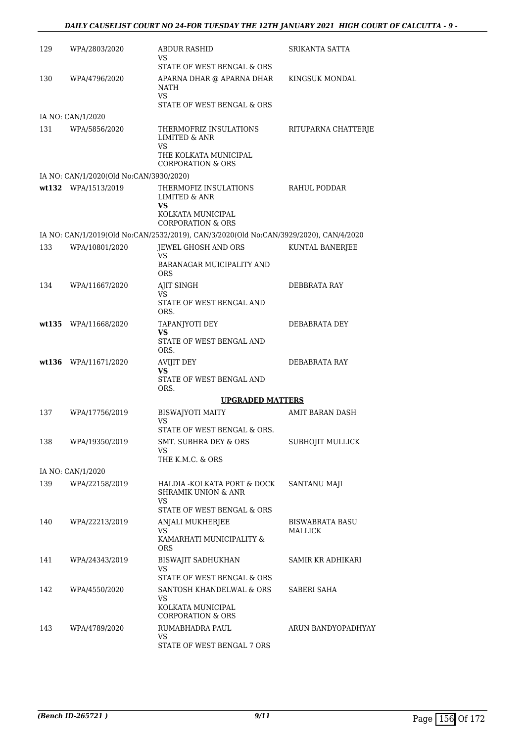| 129 | WPA/2803/2020                           | <b>ABDUR RASHID</b><br>VS.                                                                                        | SRIKANTA SATTA             |
|-----|-----------------------------------------|-------------------------------------------------------------------------------------------------------------------|----------------------------|
|     |                                         | STATE OF WEST BENGAL & ORS                                                                                        |                            |
| 130 | WPA/4796/2020                           | APARNA DHAR @ APARNA DHAR<br>NATH<br>VS.<br>STATE OF WEST BENGAL & ORS                                            | KINGSUK MONDAL             |
|     | IA NO: CAN/1/2020                       |                                                                                                                   |                            |
| 131 | WPA/5856/2020                           | THERMOFRIZ INSULATIONS<br><b>LIMITED &amp; ANR</b><br>VS<br>THE KOLKATA MUNICIPAL<br><b>CORPORATION &amp; ORS</b> | RITUPARNA CHATTERJE        |
|     | IA NO: CAN/1/2020(Old No:CAN/3930/2020) |                                                                                                                   |                            |
|     | wt132 WPA/1513/2019                     | THERMOFIZ INSULATIONS<br><b>LIMITED &amp; ANR</b><br>VS                                                           | RAHUL PODDAR               |
|     |                                         | KOLKATA MUNICIPAL<br><b>CORPORATION &amp; ORS</b>                                                                 |                            |
|     |                                         | IA NO: CAN/1/2019(Old No:CAN/2532/2019), CAN/3/2020(Old No:CAN/3929/2020), CAN/4/2020                             |                            |
| 133 | WPA/10801/2020                          | JEWEL GHOSH AND ORS<br>VS.                                                                                        | KUNTAL BANERJEE            |
|     |                                         | BARANAGAR MUICIPALITY AND<br><b>ORS</b>                                                                           |                            |
| 134 | WPA/11667/2020                          | AJIT SINGH                                                                                                        | DEBBRATA RAY               |
|     |                                         | VS.<br>STATE OF WEST BENGAL AND<br>ORS.                                                                           |                            |
|     | wt135 WPA/11668/2020                    | TAPANJYOTI DEY                                                                                                    | DEBABRATA DEY              |
|     |                                         | VS<br>STATE OF WEST BENGAL AND<br>ORS.                                                                            |                            |
|     | wt136 WPA/11671/2020                    | AVIJIT DEY                                                                                                        | DEBABRATA RAY              |
|     |                                         | <b>VS</b><br>STATE OF WEST BENGAL AND<br>ORS.                                                                     |                            |
|     |                                         | <b>UPGRADED MATTERS</b>                                                                                           |                            |
| 137 | WPA/17756/2019                          | <b>BISWAJYOTI MAITY</b><br>VS<br>STATE OF WEST BENGAL & ORS.                                                      | AMIT BARAN DASH            |
| 138 | WPA/19350/2019                          | <b>SMT. SUBHRA DEY &amp; ORS</b><br>VS.                                                                           | SUBHOJIT MULLICK           |
|     |                                         | THE K.M.C. & ORS                                                                                                  |                            |
|     | IA NO: CAN/1/2020                       |                                                                                                                   |                            |
| 139 | WPA/22158/2019                          | HALDIA -KOLKATA PORT & DOCK<br><b>SHRAMIK UNION &amp; ANR</b><br>VS.                                              | SANTANU MAJI               |
|     |                                         | STATE OF WEST BENGAL & ORS                                                                                        |                            |
| 140 | WPA/22213/2019                          | ANJALI MUKHERJEE<br>VS<br>KAMARHATI MUNICIPALITY &                                                                | BISWABRATA BASU<br>MALLICK |
|     |                                         | <b>ORS</b>                                                                                                        |                            |
| 141 | WPA/24343/2019                          | <b>BISWAJIT SADHUKHAN</b><br>VS.<br>STATE OF WEST BENGAL & ORS                                                    | SAMIR KR ADHIKARI          |
| 142 | WPA/4550/2020                           | SANTOSH KHANDELWAL & ORS                                                                                          | SABERI SAHA                |
|     |                                         | VS<br>KOLKATA MUNICIPAL<br>CORPORATION & ORS                                                                      |                            |
| 143 | WPA/4789/2020                           | RUMABHADRA PAUL                                                                                                   | ARUN BANDYOPADHYAY         |
|     |                                         | VS.<br>STATE OF WEST BENGAL 7 ORS                                                                                 |                            |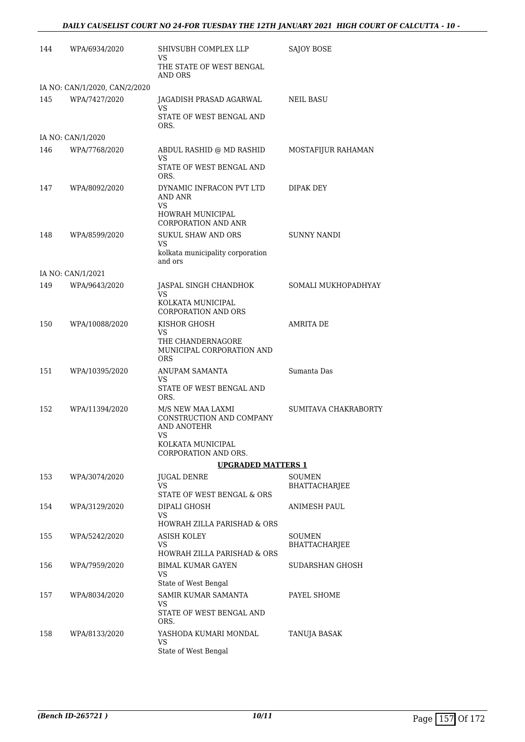### *DAILY CAUSELIST COURT NO 24-FOR TUESDAY THE 12TH JANUARY 2021 HIGH COURT OF CALCUTTA - 10 -*

| 144 | WPA/6934/2020                 | SHIVSUBH COMPLEX LLP<br>VS.                                                | <b>SAJOY BOSE</b>              |
|-----|-------------------------------|----------------------------------------------------------------------------|--------------------------------|
|     |                               | THE STATE OF WEST BENGAL<br><b>AND ORS</b>                                 |                                |
|     | IA NO: CAN/1/2020, CAN/2/2020 |                                                                            |                                |
| 145 | WPA/7427/2020                 | JAGADISH PRASAD AGARWAL<br>VS                                              | NEIL BASU                      |
|     |                               | STATE OF WEST BENGAL AND<br>ORS.                                           |                                |
|     | IA NO: CAN/1/2020             |                                                                            |                                |
| 146 | WPA/7768/2020                 | ABDUL RASHID @ MD RASHID                                                   | MOSTAFIJUR RAHAMAN             |
|     |                               | VS<br>STATE OF WEST BENGAL AND<br>ORS.                                     |                                |
| 147 | WPA/8092/2020                 | DYNAMIC INFRACON PVT LTD<br>AND ANR<br><b>VS</b>                           | DIPAK DEY                      |
|     |                               | HOWRAH MUNICIPAL<br>CORPORATION AND ANR                                    |                                |
| 148 | WPA/8599/2020                 | <b>SUKUL SHAW AND ORS</b><br>VS                                            | SUNNY NANDI                    |
|     |                               | kolkata municipality corporation<br>and ors                                |                                |
|     | IA NO: CAN/1/2021             |                                                                            |                                |
| 149 | WPA/9643/2020                 | JASPAL SINGH CHANDHOK<br>VS                                                | SOMALI MUKHOPADHYAY            |
|     |                               | KOLKATA MUNICIPAL<br><b>CORPORATION AND ORS</b>                            |                                |
| 150 | WPA/10088/2020                | KISHOR GHOSH<br>VS                                                         | <b>AMRITA DE</b>               |
|     |                               | THE CHANDERNAGORE<br>MUNICIPAL CORPORATION AND<br><b>ORS</b>               |                                |
| 151 | WPA/10395/2020                | ANUPAM SAMANTA                                                             | Sumanta Das                    |
|     |                               | VS.<br>STATE OF WEST BENGAL AND<br>ORS.                                    |                                |
| 152 | WPA/11394/2020                | M/S NEW MAA LAXMI<br>CONSTRUCTION AND COMPANY<br><b>AND ANOTEHR</b><br>VS. | SUMITAVA CHAKRABORTY           |
|     |                               | KOLKATA MUNICIPAL<br>CORPORATION AND ORS.                                  |                                |
|     |                               | <b>UPGRADED MATTERS 1</b>                                                  |                                |
| 153 | WPA/3074/2020                 | JUGAL DENRE<br><b>VS</b>                                                   | SOUMEN<br><b>BHATTACHARJEE</b> |
|     |                               | STATE OF WEST BENGAL & ORS                                                 |                                |
| 154 | WPA/3129/2020                 | DIPALI GHOSH<br>VS                                                         | ANIMESH PAUL                   |
|     |                               | HOWRAH ZILLA PARISHAD & ORS                                                |                                |
| 155 | WPA/5242/2020                 | ASISH KOLEY                                                                | SOUMEN                         |
|     |                               | VS<br>HOWRAH ZILLA PARISHAD & ORS                                          | <b>BHATTACHARJEE</b>           |
| 156 | WPA/7959/2020                 | <b>BIMAL KUMAR GAYEN</b>                                                   | SUDARSHAN GHOSH                |
|     |                               | VS<br>State of West Bengal                                                 |                                |
| 157 | WPA/8034/2020                 | SAMIR KUMAR SAMANTA                                                        | PAYEL SHOME                    |
|     |                               | VS<br>STATE OF WEST BENGAL AND<br>ORS.                                     |                                |
| 158 | WPA/8133/2020                 | YASHODA KUMARI MONDAL                                                      | TANUJA BASAK                   |
|     |                               | VS.<br>State of West Bengal                                                |                                |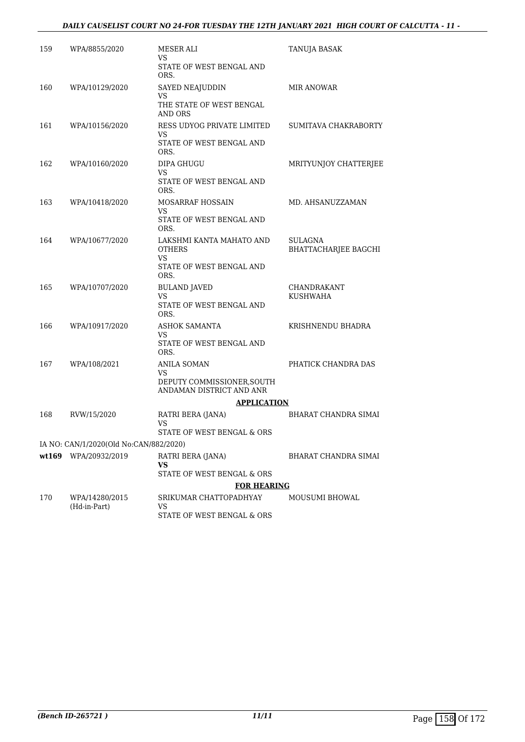### *DAILY CAUSELIST COURT NO 24-FOR TUESDAY THE 12TH JANUARY 2021 HIGH COURT OF CALCUTTA - 11 -*

| 159 | WPA/8855/2020                          | MESER ALI<br>VS<br>STATE OF WEST BENGAL AND                  | TANUJA BASAK                           |
|-----|----------------------------------------|--------------------------------------------------------------|----------------------------------------|
| 160 | WPA/10129/2020                         | ORS.<br>SAYED NEAJUDDIN<br>VS                                | MIR ANOWAR                             |
|     |                                        | THE STATE OF WEST BENGAL<br>AND ORS                          |                                        |
| 161 | WPA/10156/2020                         | RESS UDYOG PRIVATE LIMITED<br>VS<br>STATE OF WEST BENGAL AND | SUMITAVA CHAKRABORTY                   |
|     |                                        | ORS.                                                         |                                        |
| 162 | WPA/10160/2020                         | DIPA GHUGU<br>VS<br>STATE OF WEST BENGAL AND<br>ORS.         | MRITYUNJOY CHATTERJEE                  |
| 163 | WPA/10418/2020                         | MOSARRAF HOSSAIN<br>VS<br>STATE OF WEST BENGAL AND           | MD. AHSANUZZAMAN                       |
| 164 | WPA/10677/2020                         | ORS.<br>LAKSHMI KANTA MAHATO AND                             |                                        |
|     |                                        | <b>OTHERS</b><br><b>VS</b>                                   | SULAGNA<br><b>BHATTACHARJEE BAGCHI</b> |
|     |                                        | STATE OF WEST BENGAL AND<br>ORS.                             |                                        |
| 165 | WPA/10707/2020                         | <b>BULAND JAVED</b><br>VS                                    | <b>CHANDRAKANT</b><br>KUSHWAHA         |
|     |                                        | STATE OF WEST BENGAL AND<br>ORS.                             |                                        |
| 166 | WPA/10917/2020                         | ASHOK SAMANTA<br>VS                                          | KRISHNENDU BHADRA                      |
|     |                                        | STATE OF WEST BENGAL AND<br>ORS.                             |                                        |
| 167 | WPA/108/2021                           | ANILA SOMAN<br>VS                                            | PHATICK CHANDRA DAS                    |
|     |                                        | DEPUTY COMMISSIONER, SOUTH<br>ANDAMAN DISTRICT AND ANR       |                                        |
|     |                                        | <b>APPLICATION</b>                                           |                                        |
| 168 | RVW/15/2020                            | RATRI BERA (JANA)<br>VS<br>STATE OF WEST BENGAL & ORS        | BHARAT CHANDRA SIMAI                   |
|     | IA NO: CAN/1/2020(Old No:CAN/882/2020) |                                                              |                                        |
|     | wt169 WPA/20932/2019                   | RATRI BERA (JANA)<br>VS<br>STATE OF WEST BENGAL & ORS        | BHARAT CHANDRA SIMAI                   |
|     |                                        | <b>FOR HEARING</b>                                           |                                        |
| 170 | WPA/14280/2015<br>(Hd-in-Part)         | SRIKUMAR CHATTOPADHYAY<br>VS<br>STATE OF WEST BENGAL & ORS   | <b>MOUSUMI BHOWAL</b>                  |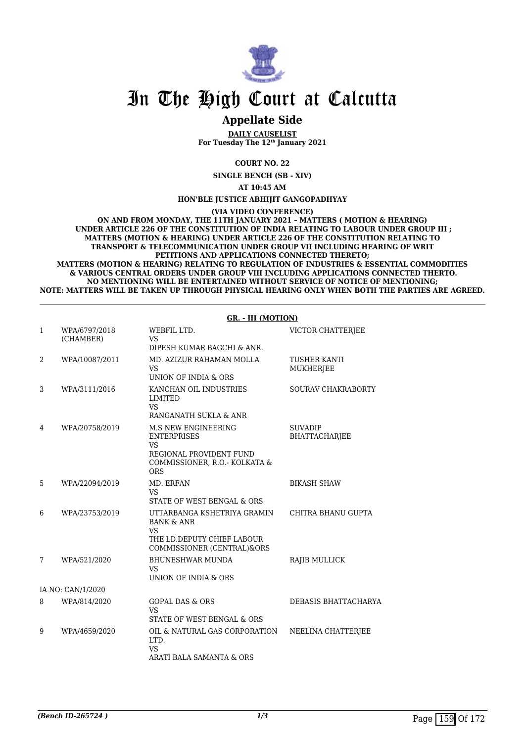

### **Appellate Side**

**DAILY CAUSELIST For Tuesday The 12th January 2021**

**COURT NO. 22**

**SINGLE BENCH (SB - XIV)**

**AT 10:45 AM**

**HON'BLE JUSTICE ABHIJIT GANGOPADHYAY**

**(VIA VIDEO CONFERENCE)**

**ON AND FROM MONDAY, THE 11TH JANUARY 2021 – MATTERS ( MOTION & HEARING) UNDER ARTICLE 226 OF THE CONSTITUTION OF INDIA RELATING TO LABOUR UNDER GROUP III ; MATTERS (MOTION & HEARING) UNDER ARTICLE 226 OF THE CONSTITUTION RELATING TO TRANSPORT & TELECOMMUNICATION UNDER GROUP VII INCLUDING HEARING OF WRIT PETITIONS AND APPLICATIONS CONNECTED THERETO; MATTERS (MOTION & HEARING) RELATING TO REGULATION OF INDUSTRIES & ESSENTIAL COMMODITIES**

 **& VARIOUS CENTRAL ORDERS UNDER GROUP VIII INCLUDING APPLICATIONS CONNECTED THERTO. NO MENTIONING WILL BE ENTERTAINED WITHOUT SERVICE OF NOTICE OF MENTIONING; NOTE: MATTERS WILL BE TAKEN UP THROUGH PHYSICAL HEARING ONLY WHEN BOTH THE PARTIES ARE AGREED.**

#### **GR. - III (MOTION)**

| 1 | WPA/6797/2018<br>(CHAMBER) | WEBFIL LTD.<br><b>VS</b><br>DIPESH KUMAR BAGCHI & ANR.                                                                                  | VICTOR CHATTERJEE                      |
|---|----------------------------|-----------------------------------------------------------------------------------------------------------------------------------------|----------------------------------------|
| 2 | WPA/10087/2011             | MD. AZIZUR RAHAMAN MOLLA<br>VS.<br>UNION OF INDIA & ORS                                                                                 | <b>TUSHER KANTI</b><br>MUKHERJEE       |
| 3 | WPA/3111/2016              | KANCHAN OIL INDUSTRIES<br><b>LIMITED</b><br>VS.<br>RANGANATH SUKLA & ANR                                                                | SOURAV CHAKRABORTY                     |
| 4 | WPA/20758/2019             | <b>M.S NEW ENGINEERING</b><br><b>ENTERPRISES</b><br><b>VS</b><br>REGIONAL PROVIDENT FUND<br>COMMISSIONER, R.O.- KOLKATA &<br><b>ORS</b> | <b>SUVADIP</b><br><b>BHATTACHARJEE</b> |
| 5 | WPA/22094/2019             | MD. ERFAN<br>VS.<br>STATE OF WEST BENGAL & ORS                                                                                          | <b>BIKASH SHAW</b>                     |
| 6 | WPA/23753/2019             | UTTARBANGA KSHETRIYA GRAMIN<br><b>BANK &amp; ANR</b><br>VS.<br>THE LD.DEPUTY CHIEF LABOUR<br>COMMISSIONER (CENTRAL)&ORS                 | CHITRA BHANU GUPTA                     |
| 7 | WPA/521/2020               | <b>BHUNESHWAR MUNDA</b><br><b>VS</b><br>UNION OF INDIA & ORS                                                                            | RAJIB MULLICK                          |
|   | IA NO: CAN/1/2020          |                                                                                                                                         |                                        |
| 8 | WPA/814/2020               | <b>GOPAL DAS &amp; ORS</b><br><b>VS</b><br>STATE OF WEST BENGAL & ORS                                                                   | DEBASIS BHATTACHARYA                   |
| 9 | WPA/4659/2020              | OIL & NATURAL GAS CORPORATION<br>LTD.<br><b>VS</b><br>ARATI BALA SAMANTA & ORS                                                          | NEELINA CHATTERJEE                     |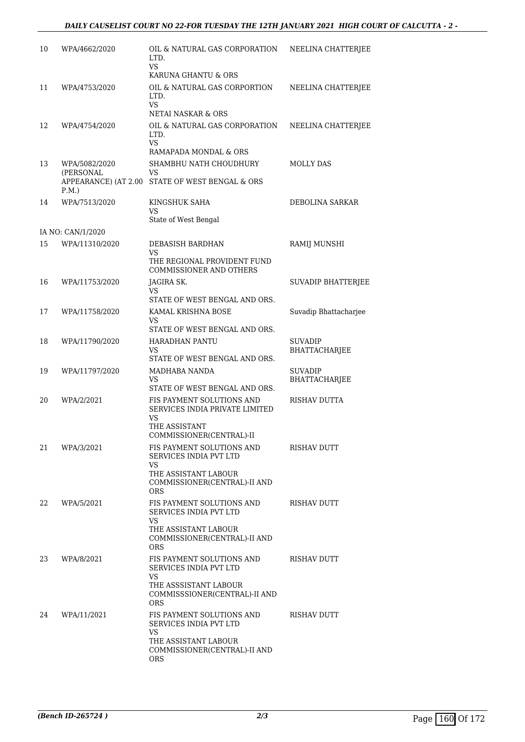| 10 | WPA/4662/2020                    | OIL & NATURAL GAS CORPORATION<br>LTD.<br><b>VS</b>                                                                        | NEELINA CHATTERJEE              |
|----|----------------------------------|---------------------------------------------------------------------------------------------------------------------------|---------------------------------|
|    |                                  | KARUNA GHANTU & ORS                                                                                                       |                                 |
| 11 | WPA/4753/2020                    | OIL & NATURAL GAS CORPORTION<br>LTD.<br><b>VS</b>                                                                         | NEELINA CHATTERJEE              |
|    |                                  | NETAI NASKAR & ORS                                                                                                        |                                 |
| 12 | WPA/4754/2020                    | OIL & NATURAL GAS CORPORATION<br>LTD.<br><b>VS</b>                                                                        | NEELINA CHATTERJEE              |
|    |                                  | RAMAPADA MONDAL & ORS                                                                                                     |                                 |
| 13 | WPA/5082/2020<br>(PERSONAL       | SHAMBHU NATH CHOUDHURY<br>VS                                                                                              | MOLLY DAS                       |
|    | APPEARANCE) (AT 2.00<br>$P.M.$ ) | STATE OF WEST BENGAL & ORS                                                                                                |                                 |
| 14 | WPA/7513/2020                    | KINGSHUK SAHA<br>VS                                                                                                       | DEBOLINA SARKAR                 |
|    |                                  | State of West Bengal                                                                                                      |                                 |
|    | IA NO: CAN/1/2020                |                                                                                                                           |                                 |
| 15 | WPA/11310/2020                   | DEBASISH BARDHAN                                                                                                          | RAMIJ MUNSHI                    |
|    |                                  | VS<br>THE REGIONAL PROVIDENT FUND<br><b>COMMISSIONER AND OTHERS</b>                                                       |                                 |
| 16 | WPA/11753/2020                   | JAGIRA SK.                                                                                                                | SUVADIP BHATTERJEE              |
|    |                                  | VS<br>STATE OF WEST BENGAL AND ORS.                                                                                       |                                 |
| 17 | WPA/11758/2020                   | KAMAL KRISHNA BOSE<br>VS                                                                                                  | Suvadip Bhattacharjee           |
|    |                                  | STATE OF WEST BENGAL AND ORS.                                                                                             |                                 |
| 18 | WPA/11790/2020                   | HARADHAN PANTU                                                                                                            | <b>SUVADIP</b>                  |
|    |                                  | VS                                                                                                                        | BHATTACHARJEE                   |
|    |                                  | STATE OF WEST BENGAL AND ORS.                                                                                             |                                 |
| 19 | WPA/11797/2020                   | MADHABA NANDA<br>VS                                                                                                       | <b>SUVADIP</b><br>BHATTACHARJEE |
|    |                                  | STATE OF WEST BENGAL AND ORS.                                                                                             |                                 |
| 20 | WPA/2/2021                       | FIS PAYMENT SOLUTIONS AND<br>SERVICES INDIA PRIVATE LIMITED<br>VS                                                         | RISHAV DUTTA                    |
|    |                                  | THE ASSISTANT<br>COMMISSIONER(CENTRAL)-II                                                                                 |                                 |
| 21 | WPA/3/2021                       | FIS PAYMENT SOLUTIONS AND<br>SERVICES INDIA PVT LTD                                                                       | RISHAV DUTT                     |
|    |                                  | VS.<br>THE ASSISTANT LABOUR                                                                                               |                                 |
|    |                                  | COMMISSIONER(CENTRAL)-II AND<br><b>ORS</b>                                                                                |                                 |
| 22 | WPA/5/2021                       | FIS PAYMENT SOLUTIONS AND<br>SERVICES INDIA PVT LTD<br>VS.                                                                | RISHAV DUTT                     |
|    |                                  | THE ASSISTANT LABOUR<br>COMMISSIONER(CENTRAL)-II AND<br>ORS.                                                              |                                 |
| 23 | WPA/8/2021                       | FIS PAYMENT SOLUTIONS AND<br>SERVICES INDIA PVT LTD                                                                       | RISHAV DUTT                     |
|    |                                  | VS.<br>THE ASSSISTANT LABOUR<br>COMMISSSIONER(CENTRAL)-II AND<br><b>ORS</b>                                               |                                 |
| 24 | WPA/11/2021                      | FIS PAYMENT SOLUTIONS AND<br>SERVICES INDIA PVT LTD<br>VS.<br>THE ASSISTANT LABOUR<br>COMMISSIONER(CENTRAL)-II AND<br>ORS | RISHAV DUTT                     |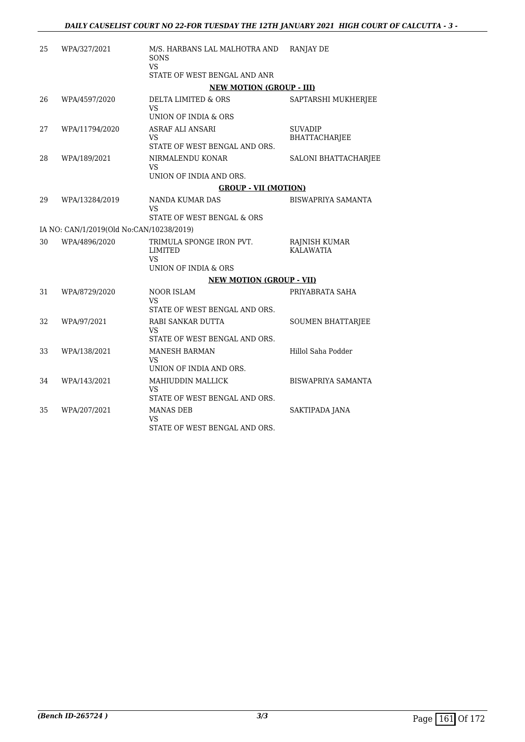| 25 | WPA/327/2021                             | M/S. HARBANS LAL MALHOTRA AND<br>SONS                   | <b>RANJAY DE</b>                         |
|----|------------------------------------------|---------------------------------------------------------|------------------------------------------|
|    |                                          | <b>VS</b><br>STATE OF WEST BENGAL AND ANR               |                                          |
|    |                                          | <b>NEW MOTION (GROUP - III)</b>                         |                                          |
| 26 | WPA/4597/2020                            | DELTA LIMITED & ORS<br>VS<br>UNION OF INDIA & ORS       | SAPTARSHI MUKHERJEE                      |
| 27 | WPA/11794/2020                           | ASRAF ALI ANSARI<br>VS                                  | <b>SUVADIP</b><br><b>BHATTACHARJEE</b>   |
|    |                                          | STATE OF WEST BENGAL AND ORS.                           |                                          |
| 28 | WPA/189/2021                             | NIRMALENDU KONAR<br><b>VS</b>                           | SALONI BHATTACHARJEE                     |
|    |                                          | UNION OF INDIA AND ORS.                                 |                                          |
|    |                                          | <b>GROUP - VII (MOTION)</b>                             |                                          |
| 29 | WPA/13284/2019                           | NANDA KUMAR DAS<br>VS                                   | <b>BISWAPRIYA SAMANTA</b>                |
|    |                                          | STATE OF WEST BENGAL & ORS                              |                                          |
|    | IA NO: CAN/1/2019(Old No:CAN/10238/2019) |                                                         |                                          |
| 30 | WPA/4896/2020                            | TRIMULA SPONGE IRON PVT.<br><b>LIMITED</b><br>VS        | <b>RAJNISH KUMAR</b><br><b>KALAWATIA</b> |
|    |                                          | UNION OF INDIA & ORS                                    |                                          |
|    |                                          | <b>NEW MOTION (GROUP - VII)</b>                         |                                          |
| 31 | WPA/8729/2020                            | <b>NOOR ISLAM</b><br>VS                                 | PRIYABRATA SAHA                          |
|    |                                          | STATE OF WEST BENGAL AND ORS.                           |                                          |
| 32 | WPA/97/2021                              | RABI SANKAR DUTTA<br>VS                                 | <b>SOUMEN BHATTARJEE</b>                 |
|    |                                          | STATE OF WEST BENGAL AND ORS.                           |                                          |
| 33 | WPA/138/2021                             | <b>MANESH BARMAN</b><br>VS<br>UNION OF INDIA AND ORS.   | Hillol Saha Podder                       |
| 34 | WPA/143/2021                             | MAHIUDDIN MALLICK<br>VS                                 | BISWAPRIYA SAMANTA                       |
|    |                                          | STATE OF WEST BENGAL AND ORS.                           |                                          |
| 35 | WPA/207/2021                             | <b>MANAS DEB</b><br>VS<br>STATE OF WEST BENGAL AND ORS. | SAKTIPADA JANA                           |
|    |                                          |                                                         |                                          |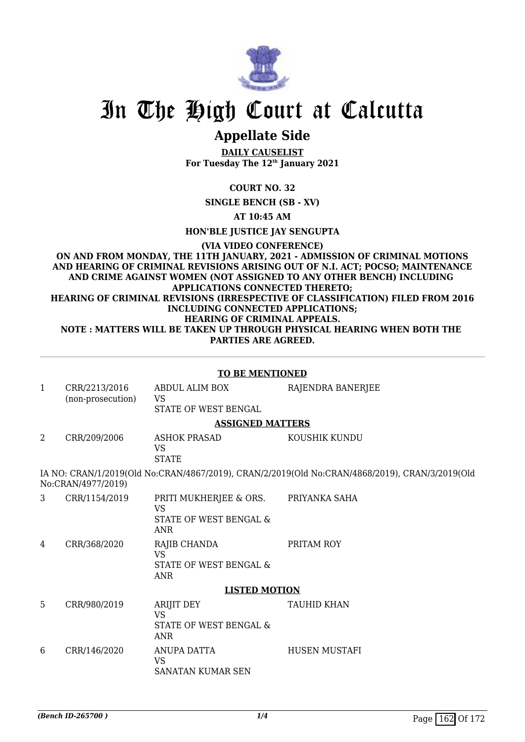

## **Appellate Side**

**DAILY CAUSELIST For Tuesday The 12th January 2021**

**COURT NO. 32**

**SINGLE BENCH (SB - XV)**

**AT 10:45 AM**

**HON'BLE JUSTICE JAY SENGUPTA**

**(VIA VIDEO CONFERENCE) ON AND FROM MONDAY, THE 11TH JANUARY, 2021 - ADMISSION OF CRIMINAL MOTIONS AND HEARING OF CRIMINAL REVISIONS ARISING OUT OF N.I. ACT; POCSO; MAINTENANCE AND CRIME AGAINST WOMEN (NOT ASSIGNED TO ANY OTHER BENCH) INCLUDING APPLICATIONS CONNECTED THERETO; HEARING OF CRIMINAL REVISIONS (IRRESPECTIVE OF CLASSIFICATION) FILED FROM 2016 INCLUDING CONNECTED APPLICATIONS; HEARING OF CRIMINAL APPEALS. NOTE : MATTERS WILL BE TAKEN UP THROUGH PHYSICAL HEARING WHEN BOTH THE PARTIES ARE AGREED.**

|              | <b>TO BE MENTIONED</b>             |                                                                             |                                                                                                |  |
|--------------|------------------------------------|-----------------------------------------------------------------------------|------------------------------------------------------------------------------------------------|--|
| $\mathbf{1}$ | CRR/2213/2016<br>(non-prosecution) | ABDUL ALIM BOX<br>VS<br>STATE OF WEST BENGAL                                | RAJENDRA BANERJEE                                                                              |  |
|              |                                    | <b>ASSIGNED MATTERS</b>                                                     |                                                                                                |  |
| 2            | CRR/209/2006                       | <b>ASHOK PRASAD</b><br><b>VS</b><br><b>STATE</b>                            | KOUSHIK KUNDU                                                                                  |  |
|              | No:CRAN/4977/2019)                 |                                                                             | IA NO: CRAN/1/2019(Old No:CRAN/4867/2019), CRAN/2/2019(Old No:CRAN/4868/2019), CRAN/3/2019(Old |  |
| 3            | CRR/1154/2019                      | PRITI MUKHERJEE & ORS.<br><b>VS</b><br>STATE OF WEST BENGAL &<br><b>ANR</b> | PRIYANKA SAHA                                                                                  |  |
| 4            | CRR/368/2020                       | RAJIB CHANDA<br><b>VS</b><br>STATE OF WEST BENGAL &<br><b>ANR</b>           | PRITAM ROY                                                                                     |  |
|              |                                    | <b>LISTED MOTION</b>                                                        |                                                                                                |  |
| 5            | CRR/980/2019                       | ARIJIT DEY<br><b>VS</b><br>STATE OF WEST BENGAL &<br><b>ANR</b>             | <b>TAUHID KHAN</b>                                                                             |  |
| 6            | CRR/146/2020                       | ANUPA DATTA<br><b>VS</b><br><b>SANATAN KUMAR SEN</b>                        | <b>HUSEN MUSTAFI</b>                                                                           |  |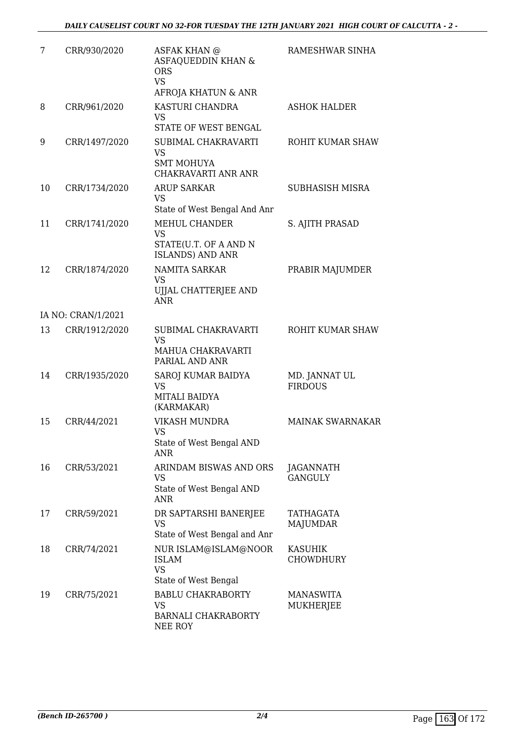| 7  | CRR/930/2020       | <b>ASFAK KHAN @</b><br>ASFAQUEDDIN KHAN &<br><b>ORS</b><br><b>VS</b><br>AFROJA KHATUN & ANR     | RAMESHWAR SINHA                 |
|----|--------------------|-------------------------------------------------------------------------------------------------|---------------------------------|
| 8  | CRR/961/2020       | KASTURI CHANDRA<br><b>VS</b><br>STATE OF WEST BENGAL                                            | <b>ASHOK HALDER</b>             |
| 9  | CRR/1497/2020      | SUBIMAL CHAKRAVARTI<br><b>VS</b><br>SMT MOHUYA<br><b>CHAKRAVARTI ANR ANR</b>                    | ROHIT KUMAR SHAW                |
| 10 | CRR/1734/2020      | <b>ARUP SARKAR</b><br><b>VS</b><br>State of West Bengal And Anr                                 | SUBHASISH MISRA                 |
| 11 | CRR/1741/2020      | <b>MEHUL CHANDER</b><br><b>VS</b><br>STATE(U.T. OF A AND N<br><b>ISLANDS) AND ANR</b>           | S. AJITH PRASAD                 |
| 12 | CRR/1874/2020      | <b>NAMITA SARKAR</b><br><b>VS</b><br>UJJAL CHATTERJEE AND<br><b>ANR</b>                         | PRABIR MAJUMDER                 |
|    | IA NO: CRAN/1/2021 |                                                                                                 |                                 |
| 13 | CRR/1912/2020      | SUBIMAL CHAKRAVARTI<br><b>VS</b><br>MAHUA CHAKRAVARTI<br>PARIAL AND ANR                         | ROHIT KUMAR SHAW                |
| 14 | CRR/1935/2020      | SAROJ KUMAR BAIDYA<br><b>VS</b><br>MITALI BAIDYA<br>(KARMAKAR)                                  | MD. JANNAT UL<br><b>FIRDOUS</b> |
| 15 | CRR/44/2021        | <b>VIKASH MUNDRA</b><br><b>VS</b><br>State of West Bengal AND<br><b>ANR</b>                     | <b>MAINAK SWARNAKAR</b>         |
| 16 | CRR/53/2021        | ARINDAM BISWAS AND ORS<br>VS<br>State of West Bengal AND<br><b>ANR</b>                          | JAGANNATH<br><b>GANGULY</b>     |
| 17 | CRR/59/2021        | DR SAPTARSHI BANERJEE<br><b>VS</b><br>State of West Bengal and Anr                              | TATHAGATA<br>MAJUMDAR           |
| 18 | CRR/74/2021        | NUR ISLAM@ISLAM@NOOR<br><b>ISLAM</b><br><b>VS</b>                                               | <b>KASUHIK</b><br>CHOWDHURY     |
| 19 | CRR/75/2021        | State of West Bengal<br><b>BABLU CHAKRABORTY</b><br>VS<br><b>BARNALI CHAKRABORTY</b><br>NEE ROY | <b>MANASWITA</b><br>MUKHERJEE   |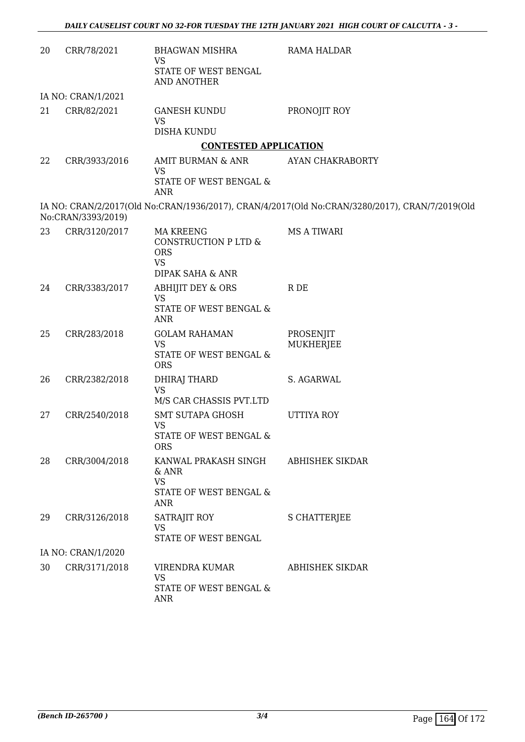| 20 | CRR/78/2021        | <b>BHAGWAN MISHRA</b><br><b>VS</b>                                                     | RAMA HALDAR                                                                                    |
|----|--------------------|----------------------------------------------------------------------------------------|------------------------------------------------------------------------------------------------|
|    |                    | STATE OF WEST BENGAL<br>AND ANOTHER                                                    |                                                                                                |
|    | IA NO: CRAN/1/2021 |                                                                                        |                                                                                                |
| 21 | CRR/82/2021        | <b>GANESH KUNDU</b><br><b>VS</b>                                                       | PRONOJIT ROY                                                                                   |
|    |                    | <b>DISHA KUNDU</b>                                                                     |                                                                                                |
|    |                    | <b>CONTESTED APPLICATION</b>                                                           |                                                                                                |
| 22 | CRR/3933/2016      | AMIT BURMAN & ANR<br>VS                                                                | AYAN CHAKRABORTY                                                                               |
|    |                    | STATE OF WEST BENGAL &<br><b>ANR</b>                                                   |                                                                                                |
|    | No:CRAN/3393/2019) |                                                                                        | IA NO: CRAN/2/2017(Old No:CRAN/1936/2017), CRAN/4/2017(Old No:CRAN/3280/2017), CRAN/7/2019(Old |
| 23 | CRR/3120/2017      | <b>MA KREENG</b><br>CONSTRUCTION P LTD &<br><b>ORS</b><br><b>VS</b>                    | <b>MS A TIWARI</b>                                                                             |
|    |                    | <b>DIPAK SAHA &amp; ANR</b>                                                            |                                                                                                |
| 24 | CRR/3383/2017      | <b>ABHIJIT DEY &amp; ORS</b><br><b>VS</b>                                              | R DE                                                                                           |
|    |                    | STATE OF WEST BENGAL &<br><b>ANR</b>                                                   |                                                                                                |
| 25 | CRR/283/2018       | <b>GOLAM RAHAMAN</b><br><b>VS</b><br>STATE OF WEST BENGAL &                            | PROSENJIT<br><b>MUKHERJEE</b>                                                                  |
|    |                    | <b>ORS</b>                                                                             |                                                                                                |
| 26 | CRR/2382/2018      | DHIRAJ THARD<br><b>VS</b>                                                              | S. AGARWAL                                                                                     |
|    |                    | M/S CAR CHASSIS PVT.LTD                                                                |                                                                                                |
| 27 | CRR/2540/2018      | <b>SMT SUTAPA GHOSH</b><br><b>VS</b>                                                   | <b>UTTIYA ROY</b>                                                                              |
|    |                    | STATE OF WEST BENGAL &<br><b>ORS</b>                                                   |                                                                                                |
| 28 | CRR/3004/2018      | KANWAL PRAKASH SINGH<br>& ANR<br><b>VS</b><br><b>STATE OF WEST BENGAL &amp;</b><br>ANR | <b>ABHISHEK SIKDAR</b>                                                                         |
| 29 | CRR/3126/2018      | SATRAJIT ROY<br><b>VS</b><br>STATE OF WEST BENGAL                                      | <b>S CHATTERJEE</b>                                                                            |
|    | IA NO: CRAN/1/2020 |                                                                                        |                                                                                                |
| 30 | CRR/3171/2018      | VIRENDRA KUMAR<br><b>VS</b><br>STATE OF WEST BENGAL &                                  | ABHISHEK SIKDAR                                                                                |
|    |                    | ANR                                                                                    |                                                                                                |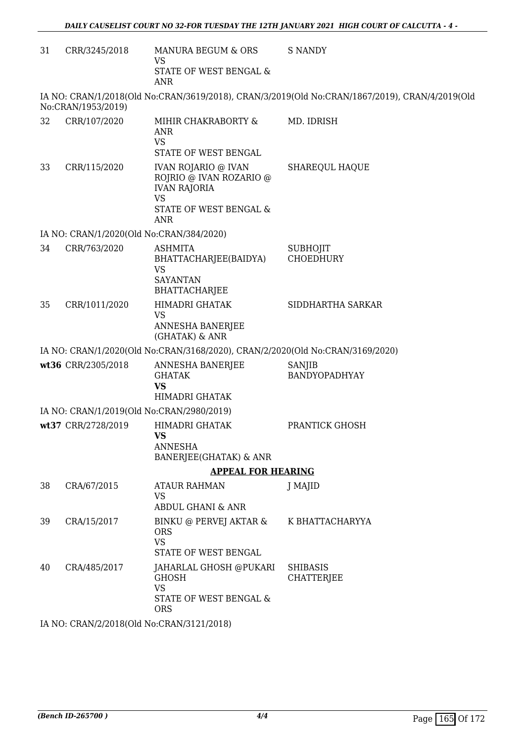| 31 | CRR/3245/2018      | MANURA BEGUM & ORS<br><b>VS</b>                                                                                     | <b>S NANDY</b>                                                                                 |
|----|--------------------|---------------------------------------------------------------------------------------------------------------------|------------------------------------------------------------------------------------------------|
|    |                    | STATE OF WEST BENGAL &<br><b>ANR</b>                                                                                |                                                                                                |
|    | No:CRAN/1953/2019) |                                                                                                                     | IA NO: CRAN/1/2018(Old No:CRAN/3619/2018), CRAN/3/2019(Old No:CRAN/1867/2019), CRAN/4/2019(Old |
| 32 | CRR/107/2020       | MIHIR CHAKRABORTY &<br><b>ANR</b><br><b>VS</b><br>STATE OF WEST BENGAL                                              | MD. IDRISH                                                                                     |
| 33 | CRR/115/2020       | <b>IVAN ROJARIO @ IVAN</b><br>ROJRIO @ IVAN ROZARIO @<br><b>IVAN RAJORIA</b><br><b>VS</b><br>STATE OF WEST BENGAL & | <b>SHAREQUL HAQUE</b>                                                                          |
|    |                    | <b>ANR</b><br>IA NO: CRAN/1/2020(Old No:CRAN/384/2020)                                                              |                                                                                                |
| 34 | CRR/763/2020       | <b>ASHMITA</b><br>BHATTACHARJEE(BAIDYA)<br><b>VS</b><br><b>SAYANTAN</b><br><b>BHATTACHARJEE</b>                     | <b>SUBHOJIT</b><br><b>CHOEDHURY</b>                                                            |
| 35 | CRR/1011/2020      | HIMADRI GHATAK<br><b>VS</b><br>ANNESHA BANERJEE<br>(GHATAK) & ANR                                                   | SIDDHARTHA SARKAR                                                                              |
|    |                    | IA NO: CRAN/1/2020(Old No:CRAN/3168/2020), CRAN/2/2020(Old No:CRAN/3169/2020)                                       |                                                                                                |
|    | wt36 CRR/2305/2018 | ANNESHA BANERJEE<br><b>GHATAK</b><br><b>VS</b><br>HIMADRI GHATAK                                                    | SANJIB<br>BANDYOPADHYAY                                                                        |
|    |                    | IA NO: CRAN/1/2019(Old No:CRAN/2980/2019)                                                                           |                                                                                                |
|    | wt37 CRR/2728/2019 | HIMADRI GHATAK<br>VS.<br>ANNESHA<br>BANERJEE(GHATAK) & ANR                                                          | PRANTICK GHOSH                                                                                 |
|    |                    | <b>APPEAL FOR HEARING</b>                                                                                           |                                                                                                |
| 38 | CRA/67/2015        | <b>ATAUR RAHMAN</b><br><b>VS</b><br><b>ABDUL GHANI &amp; ANR</b>                                                    | J MAJID                                                                                        |
| 39 | CRA/15/2017        | BINKU @ PERVEJ AKTAR &<br><b>ORS</b><br><b>VS</b><br>STATE OF WEST BENGAL                                           | K BHATTACHARYYA                                                                                |
| 40 | CRA/485/2017       | JAHARLAL GHOSH @PUKARI<br>GHOSH<br><b>VS</b><br>STATE OF WEST BENGAL &<br><b>ORS</b>                                | <b>SHIBASIS</b><br>CHATTERJEE                                                                  |
|    |                    | 0.0010(014 N G OD ANI/2121/2010)                                                                                    |                                                                                                |

IA NO: CRAN/2/2018(Old No:CRAN/3121/2018)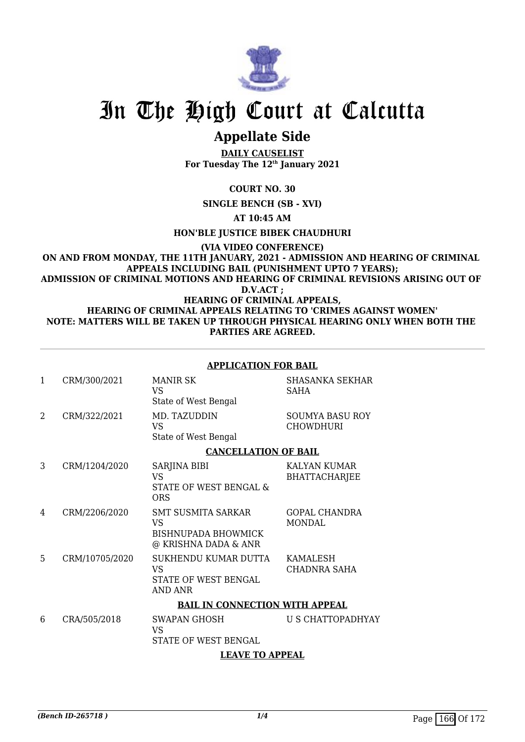

## **Appellate Side**

**DAILY CAUSELIST For Tuesday The 12th January 2021**

**COURT NO. 30**

**SINGLE BENCH (SB - XVI)**

**AT 10:45 AM**

**HON'BLE JUSTICE BIBEK CHAUDHURI**

**(VIA VIDEO CONFERENCE)**

**ON AND FROM MONDAY, THE 11TH JANUARY, 2021 - ADMISSION AND HEARING OF CRIMINAL APPEALS INCLUDING BAIL (PUNISHMENT UPTO 7 YEARS); ADMISSION OF CRIMINAL MOTIONS AND HEARING OF CRIMINAL REVISIONS ARISING OUT OF** 

**D.V.ACT ;**

**HEARING OF CRIMINAL APPEALS, HEARING OF CRIMINAL APPEALS RELATING TO 'CRIMES AGAINST WOMEN' NOTE: MATTERS WILL BE TAKEN UP THROUGH PHYSICAL HEARING ONLY WHEN BOTH THE PARTIES ARE AGREED.**

#### **APPLICATION FOR BAIL** 1 CRM/300/2021 MANIR SK VS State of West Bengal SHASANKA SEKHAR SAHA 2 CRM/322/2021 MD. TAZUDDIN VS State of West Bengal SOUMYA BASU ROY **CHOWDHURI CANCELLATION OF BAIL** 3 CRM/1204/2020 SARJINA BIBI VS STATE OF WEST BENGAL & ORS KALYAN KUMAR BHATTACHARJEE 4 CRM/2206/2020 SMT SUSMITA SARKAR VS BISHNUPADA BHOWMICK @ KRISHNA DADA & ANR GOPAL CHANDRA MONDAL 5 CRM/10705/2020 SUKHENDU KUMAR DUTTA VS STATE OF WEST BENGAL AND ANR KAMALESH CHADNRA SAHA **BAIL IN CONNECTION WITH APPEAL** 6 CRA/505/2018 SWAPAN GHOSH  $V<sup>Q</sup>$ STATE OF WEST BENGAL U S CHATTOPADHYAY

### **LEAVE TO APPEAL**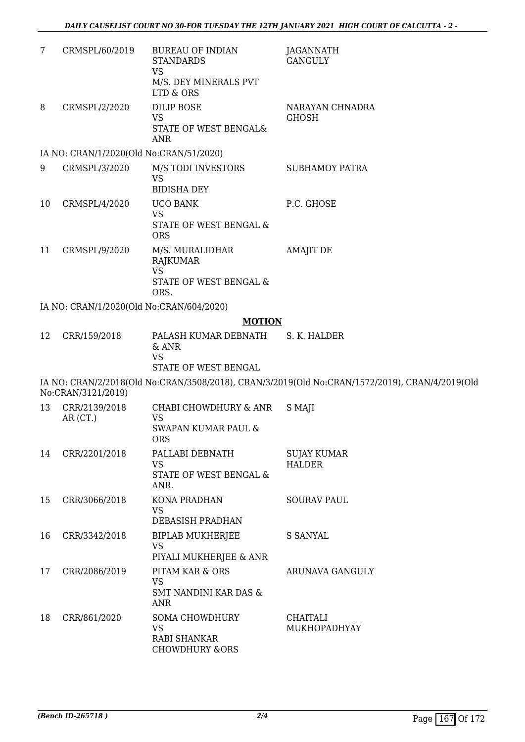| 7  | CRMSPL/60/2019                           | <b>BUREAU OF INDIAN</b><br><b>STANDARDS</b>                                            | JAGANNATH<br><b>GANGULY</b>                                                                    |
|----|------------------------------------------|----------------------------------------------------------------------------------------|------------------------------------------------------------------------------------------------|
|    |                                          | <b>VS</b><br>M/S. DEY MINERALS PVT<br>LTD & ORS                                        |                                                                                                |
| 8  | CRMSPL/2/2020                            | <b>DILIP BOSE</b><br><b>VS</b><br>STATE OF WEST BENGAL&<br><b>ANR</b>                  | NARAYAN CHNADRA<br><b>GHOSH</b>                                                                |
|    | IA NO: CRAN/1/2020(Old No:CRAN/51/2020)  |                                                                                        |                                                                                                |
| 9  | CRMSPL/3/2020                            | M/S TODI INVESTORS<br><b>VS</b><br><b>BIDISHA DEY</b>                                  | <b>SUBHAMOY PATRA</b>                                                                          |
| 10 | CRMSPL/4/2020                            | <b>UCO BANK</b><br><b>VS</b><br>STATE OF WEST BENGAL &<br><b>ORS</b>                   | P.C. GHOSE                                                                                     |
| 11 | CRMSPL/9/2020                            | M/S. MURALIDHAR<br>RAJKUMAR<br><b>VS</b><br>STATE OF WEST BENGAL &<br>ORS.             | <b>AMAJIT DE</b>                                                                               |
|    | IA NO: CRAN/1/2020(Old No:CRAN/604/2020) |                                                                                        |                                                                                                |
|    |                                          | <b>MOTION</b>                                                                          |                                                                                                |
| 12 | CRR/159/2018                             | PALASH KUMAR DEBNATH<br>& ANR<br><b>VS</b><br>STATE OF WEST BENGAL                     | S. K. HALDER                                                                                   |
|    | No:CRAN/3121/2019)                       |                                                                                        | IA NO: CRAN/2/2018(Old No:CRAN/3508/2018), CRAN/3/2019(Old No:CRAN/1572/2019), CRAN/4/2019(Old |
| 13 | CRR/2139/2018<br>AR (CT.)                | CHABI CHOWDHURY & ANR<br><b>VS</b><br>SWAPAN KUMAR PAUL &<br><b>ORS</b>                | S MAJI                                                                                         |
| 14 | CRR/2201/2018                            | PALLABI DEBNATH<br><b>VS</b><br>STATE OF WEST BENGAL &<br>ANR.                         | <b>SUJAY KUMAR</b><br><b>HALDER</b>                                                            |
| 15 | CRR/3066/2018                            | <b>KONA PRADHAN</b><br><b>VS</b><br>DEBASISH PRADHAN                                   | <b>SOURAV PAUL</b>                                                                             |
| 16 | CRR/3342/2018                            | <b>BIPLAB MUKHERJEE</b><br><b>VS</b><br>PIYALI MUKHERJEE & ANR                         | <b>S SANYAL</b>                                                                                |
| 17 | CRR/2086/2019                            | PITAM KAR & ORS<br><b>VS</b><br>SMT NANDINI KAR DAS &<br>ANR                           | ARUNAVA GANGULY                                                                                |
| 18 | CRR/861/2020                             | <b>SOMA CHOWDHURY</b><br><b>VS</b><br><b>RABI SHANKAR</b><br><b>CHOWDHURY &amp;ORS</b> | <b>CHAITALI</b><br>MUKHOPADHYAY                                                                |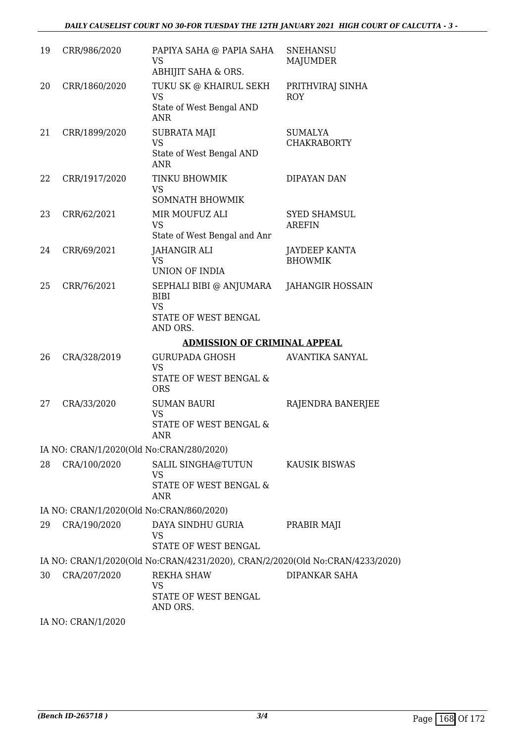| 19 | CRR/986/2020                             | PAPIYA SAHA @ PAPIA SAHA<br><b>VS</b>                                                   | <b>SNEHANSU</b><br><b>MAJUMDER</b>   |  |  |
|----|------------------------------------------|-----------------------------------------------------------------------------------------|--------------------------------------|--|--|
|    |                                          | ABHIJIT SAHA & ORS.                                                                     |                                      |  |  |
| 20 | CRR/1860/2020                            | TUKU SK @ KHAIRUL SEKH<br><b>VS</b><br>State of West Bengal AND                         | PRITHVIRAJ SINHA<br><b>ROY</b>       |  |  |
|    |                                          | <b>ANR</b>                                                                              |                                      |  |  |
| 21 | CRR/1899/2020                            | <b>SUBRATA MAJI</b><br><b>VS</b><br>State of West Bengal AND<br>ANR.                    | <b>SUMALYA</b><br><b>CHAKRABORTY</b> |  |  |
| 22 | CRR/1917/2020                            | TINKU BHOWMIK<br><b>VS</b><br><b>SOMNATH BHOWMIK</b>                                    | DIPAYAN DAN                          |  |  |
| 23 | CRR/62/2021                              | MIR MOUFUZ ALI<br><b>VS</b><br>State of West Bengal and Anr                             | <b>SYED SHAMSUL</b><br><b>AREFIN</b> |  |  |
| 24 | CRR/69/2021                              | <b>JAHANGIR ALI</b><br><b>VS</b><br><b>UNION OF INDIA</b>                               | JAYDEEP KANTA<br><b>BHOWMIK</b>      |  |  |
| 25 | CRR/76/2021                              | SEPHALI BIBI @ ANJUMARA<br><b>BIBI</b><br><b>VS</b><br>STATE OF WEST BENGAL<br>AND ORS. | <b>JAHANGIR HOSSAIN</b>              |  |  |
|    | <b>ADMISSION OF CRIMINAL APPEAL</b>      |                                                                                         |                                      |  |  |
| 26 | CRA/328/2019                             | <b>GURUPADA GHOSH</b><br><b>VS</b><br>STATE OF WEST BENGAL &                            | <b>AVANTIKA SANYAL</b>               |  |  |
|    |                                          | <b>ORS</b>                                                                              |                                      |  |  |
| 27 | CRA/33/2020                              | <b>SUMAN BAURI</b><br><b>VS</b><br>STATE OF WEST BENGAL &<br><b>ANR</b>                 | RAJENDRA BANERJEE                    |  |  |
|    | IA NO: CRAN/1/2020(Old No:CRAN/280/2020) |                                                                                         |                                      |  |  |
| 28 | CRA/100/2020                             | SALIL SINGHA@TUTUN<br><b>VS</b><br>STATE OF WEST BENGAL &<br><b>ANR</b>                 | <b>KAUSIK BISWAS</b>                 |  |  |
|    | IA NO: CRAN/1/2020(Old No:CRAN/860/2020) |                                                                                         |                                      |  |  |
| 29 | CRA/190/2020                             | DAYA SINDHU GURIA<br><b>VS</b><br>STATE OF WEST BENGAL                                  | PRABIR MAJI                          |  |  |
|    |                                          | IA NO: CRAN/1/2020(Old No:CRAN/4231/2020), CRAN/2/2020(Old No:CRAN/4233/2020)           |                                      |  |  |
| 30 | CRA/207/2020                             | <b>REKHA SHAW</b><br><b>VS</b><br>STATE OF WEST BENGAL<br>AND ORS.                      | <b>DIPANKAR SAHA</b>                 |  |  |

IA NO: CRAN/1/2020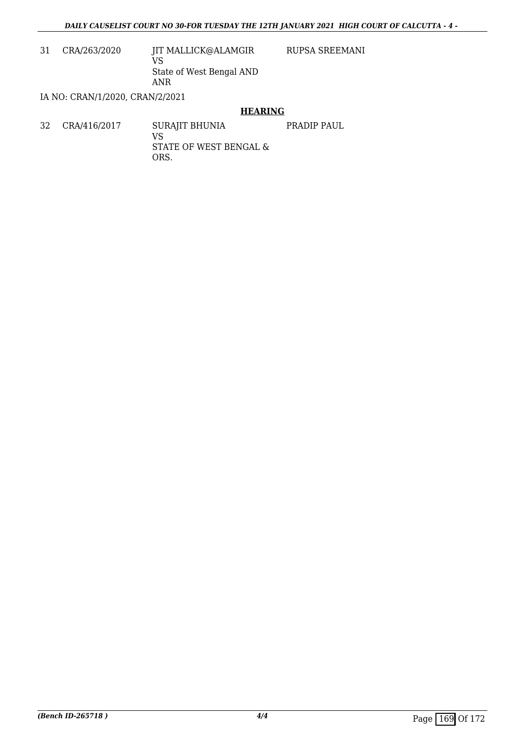RUPSA SREEMANI

31 CRA/263/2020 JIT MALLICK@ALAMGIR

VS State of West Bengal AND ANR

IA NO: CRAN/1/2020, CRAN/2/2021

### **HEARING**

32 CRA/416/2017 SURAJIT BHUNIA VS STATE OF WEST BENGAL & ORS. PRADIP PAUL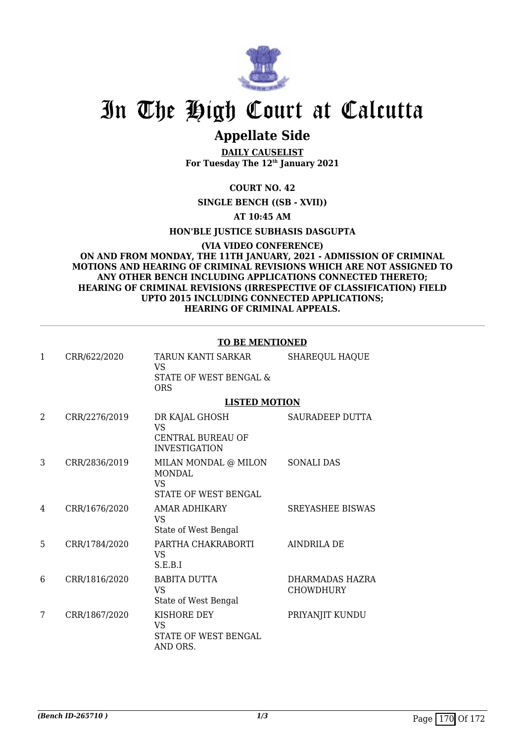

## **Appellate Side**

**DAILY CAUSELIST For Tuesday The 12th January 2021**

### **COURT NO. 42**

### **SINGLE BENCH ((SB - XVII))**

### **AT 10:45 AM**

### **HON'BLE JUSTICE SUBHASIS DASGUPTA**

### **(VIA VIDEO CONFERENCE) ON AND FROM MONDAY, THE 11TH JANUARY, 2021 - ADMISSION OF CRIMINAL MOTIONS AND HEARING OF CRIMINAL REVISIONS WHICH ARE NOT ASSIGNED TO ANY OTHER BENCH INCLUDING APPLICATIONS CONNECTED THERETO; HEARING OF CRIMINAL REVISIONS (IRRESPECTIVE OF CLASSIFICATION) FIELD UPTO 2015 INCLUDING CONNECTED APPLICATIONS; HEARING OF CRIMINAL APPEALS.**

### **TO BE MENTIONED**

| $\mathbf{1}$ | CRR/622/2020  | TARUN KANTI SARKAR<br>VS<br><b>STATE OF WEST BENGAL &amp;</b><br><b>ORS</b> | <b>SHAREQUL HAQUE</b>               |
|--------------|---------------|-----------------------------------------------------------------------------|-------------------------------------|
|              |               | <b>LISTED MOTION</b>                                                        |                                     |
| 2            | CRR/2276/2019 | DR KAJAL GHOSH<br>VS<br><b>CENTRAL BUREAU OF</b><br><b>INVESTIGATION</b>    | SAURADEEP DUTTA                     |
| 3            | CRR/2836/2019 | MILAN MONDAL @ MILON<br><b>MONDAL</b><br>VS<br>STATE OF WEST BENGAL         | <b>SONALI DAS</b>                   |
| 4            | CRR/1676/2020 | AMAR ADHIKARY<br><b>VS</b><br>State of West Bengal                          | <b>SREYASHEE BISWAS</b>             |
| 5            | CRR/1784/2020 | PARTHA CHAKRABORTI<br>VS<br>S.E.B.I                                         | AINDRILA DE                         |
| 6            | CRR/1816/2020 | <b>BABITA DUTTA</b><br><b>VS</b><br>State of West Bengal                    | DHARMADAS HAZRA<br><b>CHOWDHURY</b> |
| 7            | CRR/1867/2020 | KISHORE DEY<br>VS<br>STATE OF WEST BENGAL<br>AND ORS.                       | PRIYANJIT KUNDU                     |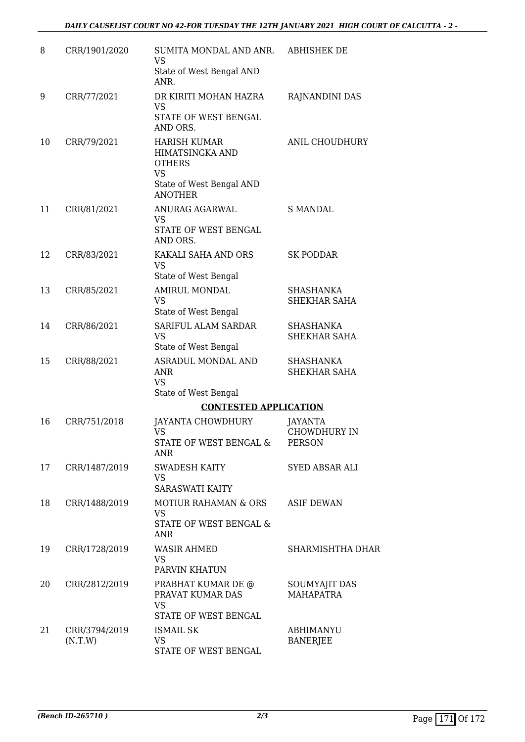| 8  | CRR/1901/2020            | SUMITA MONDAL AND ANR.<br><b>VS</b>                                                                                | <b>ABHISHEK DE</b>                              |
|----|--------------------------|--------------------------------------------------------------------------------------------------------------------|-------------------------------------------------|
|    |                          | State of West Bengal AND<br>ANR.                                                                                   |                                                 |
| 9  | CRR/77/2021              | DR KIRITI MOHAN HAZRA<br><b>VS</b><br>STATE OF WEST BENGAL<br>AND ORS.                                             | RAJNANDINI DAS                                  |
| 10 | CRR/79/2021              | <b>HARISH KUMAR</b><br>HIMATSINGKA AND<br><b>OTHERS</b><br><b>VS</b><br>State of West Bengal AND<br><b>ANOTHER</b> | ANIL CHOUDHURY                                  |
| 11 | CRR/81/2021              | ANURAG AGARWAL<br>VS<br>STATE OF WEST BENGAL<br>AND ORS.                                                           | <b>S MANDAL</b>                                 |
| 12 | CRR/83/2021              | KAKALI SAHA AND ORS<br><b>VS</b><br>State of West Bengal                                                           | <b>SK PODDAR</b>                                |
| 13 | CRR/85/2021              | <b>AMIRUL MONDAL</b><br><b>VS</b><br>State of West Bengal                                                          | <b>SHASHANKA</b><br>SHEKHAR SAHA                |
| 14 | CRR/86/2021              | SARIFUL ALAM SARDAR<br><b>VS</b><br>State of West Bengal                                                           | SHASHANKA<br>SHEKHAR SAHA                       |
| 15 | CRR/88/2021              | ASRADUL MONDAL AND<br>ANR<br><b>VS</b>                                                                             | <b>SHASHANKA</b><br>SHEKHAR SAHA                |
|    |                          | State of West Bengal                                                                                               |                                                 |
|    |                          | <b>CONTESTED APPLICATION</b>                                                                                       |                                                 |
| 16 | CRR/751/2018             | <b>JAYANTA CHOWDHURY</b><br><b>VS</b><br>STATE OF WEST BENGAL &<br><b>ANR</b>                                      | <b>JAYANTA</b><br>CHOWDHURY IN<br><b>PERSON</b> |
| 17 | CRR/1487/2019            | <b>SWADESH KAITY</b><br>VS.<br><b>SARASWATI KAITY</b>                                                              | SYED ABSAR ALI                                  |
| 18 | CRR/1488/2019            | <b>MOTIUR RAHAMAN &amp; ORS</b><br><b>VS</b><br>STATE OF WEST BENGAL &<br><b>ANR</b>                               | <b>ASIF DEWAN</b>                               |
| 19 | CRR/1728/2019            | <b>WASIR AHMED</b><br><b>VS</b><br>PARVIN KHATUN                                                                   | SHARMISHTHA DHAR                                |
| 20 | CRR/2812/2019            | PRABHAT KUMAR DE @<br>PRAVAT KUMAR DAS<br><b>VS</b><br>STATE OF WEST BENGAL                                        | SOUMYAJIT DAS<br><b>MAHAPATRA</b>               |
| 21 | CRR/3794/2019<br>(N.T.W) | <b>ISMAIL SK</b><br><b>VS</b><br>STATE OF WEST BENGAL                                                              | ABHIMANYU<br><b>BANERJEE</b>                    |